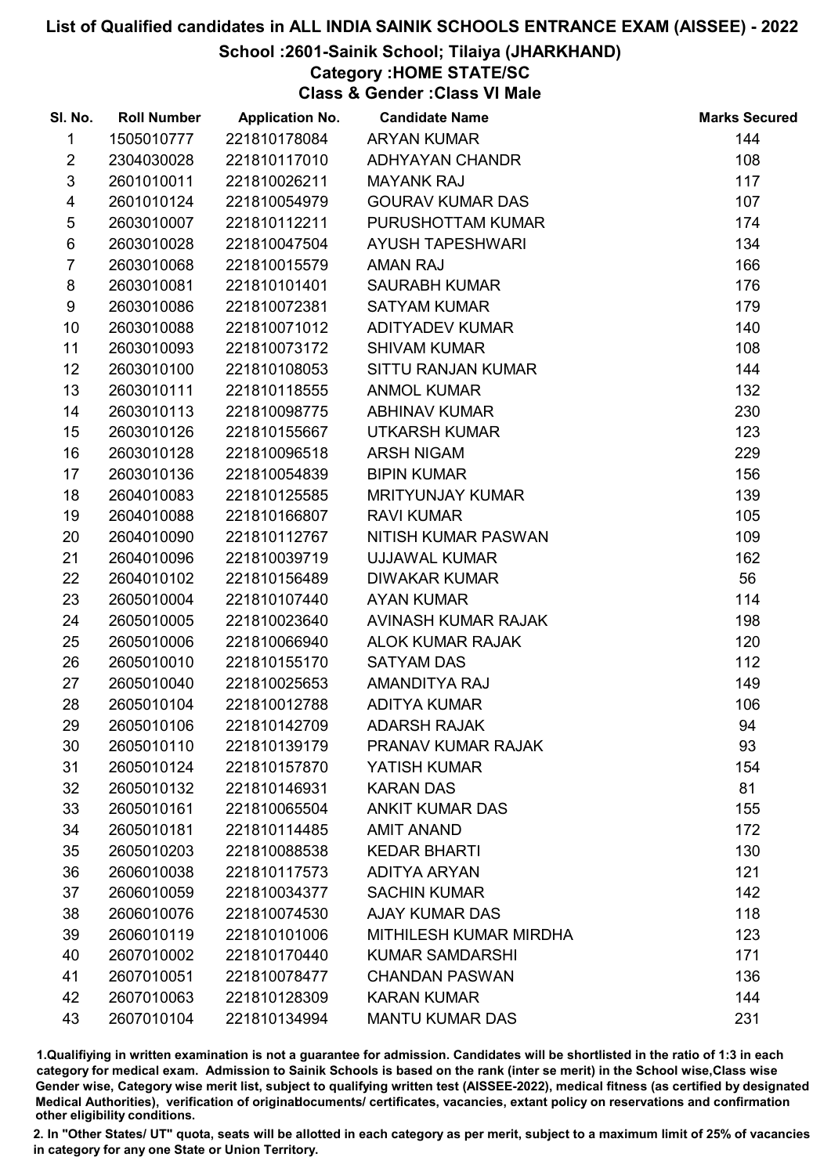### School :2601-Sainik School; Tilaiya (JHARKHAND)

### Category :HOME STATE/SC

Class & Gender :Class VI Male

| SI. No.         | <b>Roll Number</b> | <b>Application No.</b> | <b>Candidate Name</b>   | <b>Marks Secured</b> |
|-----------------|--------------------|------------------------|-------------------------|----------------------|
| 1               | 1505010777         | 221810178084           | <b>ARYAN KUMAR</b>      | 144                  |
| $\overline{2}$  | 2304030028         | 221810117010           | <b>ADHYAYAN CHANDR</b>  | 108                  |
| $\mathfrak{S}$  | 2601010011         | 221810026211           | <b>MAYANK RAJ</b>       | 117                  |
| 4               | 2601010124         | 221810054979           | <b>GOURAV KUMAR DAS</b> | 107                  |
| $\sqrt{5}$      | 2603010007         | 221810112211           | PURUSHOTTAM KUMAR       | 174                  |
| $\,6$           | 2603010028         | 221810047504           | <b>AYUSH TAPESHWARI</b> | 134                  |
| $\overline{7}$  | 2603010068         | 221810015579           | <b>AMAN RAJ</b>         | 166                  |
| 8               | 2603010081         | 221810101401           | <b>SAURABH KUMAR</b>    | 176                  |
| 9               | 2603010086         | 221810072381           | <b>SATYAM KUMAR</b>     | 179                  |
| 10              | 2603010088         | 221810071012           | <b>ADITYADEV KUMAR</b>  | 140                  |
| 11              | 2603010093         | 221810073172           | <b>SHIVAM KUMAR</b>     | 108                  |
| 12 <sup>2</sup> | 2603010100         | 221810108053           | SITTU RANJAN KUMAR      | 144                  |
| 13              | 2603010111         | 221810118555           | <b>ANMOL KUMAR</b>      | 132                  |
| 14              | 2603010113         | 221810098775           | <b>ABHINAV KUMAR</b>    | 230                  |
| 15              | 2603010126         | 221810155667           | <b>UTKARSH KUMAR</b>    | 123                  |
| 16              | 2603010128         | 221810096518           | <b>ARSH NIGAM</b>       | 229                  |
| 17              | 2603010136         | 221810054839           | <b>BIPIN KUMAR</b>      | 156                  |
| 18              | 2604010083         | 221810125585           | <b>MRITYUNJAY KUMAR</b> | 139                  |
| 19              | 2604010088         | 221810166807           | <b>RAVI KUMAR</b>       | 105                  |
| 20              | 2604010090         | 221810112767           | NITISH KUMAR PASWAN     | 109                  |
| 21              | 2604010096         | 221810039719           | UJJAWAL KUMAR           | 162                  |
| 22              | 2604010102         | 221810156489           | <b>DIWAKAR KUMAR</b>    | 56                   |
| 23              | 2605010004         | 221810107440           | <b>AYAN KUMAR</b>       | 114                  |
| 24              | 2605010005         | 221810023640           | AVINASH KUMAR RAJAK     | 198                  |
| 25              | 2605010006         | 221810066940           | <b>ALOK KUMAR RAJAK</b> | 120                  |
| 26              | 2605010010         | 221810155170           | <b>SATYAM DAS</b>       | 112                  |
| 27              | 2605010040         | 221810025653           | AMANDITYA RAJ           | 149                  |
| 28              | 2605010104         | 221810012788           | <b>ADITYA KUMAR</b>     | 106                  |
| 29              | 2605010106         | 221810142709           | <b>ADARSH RAJAK</b>     | 94                   |
| 30              | 2605010110         | 221810139179           | PRANAV KUMAR RAJAK      | 93                   |
| 31              | 2605010124         | 221810157870           | <b>YATISH KUMAR</b>     | 154                  |
| 32              | 2605010132         | 221810146931           | <b>KARAN DAS</b>        | 81                   |
| 33              | 2605010161         | 221810065504           | <b>ANKIT KUMAR DAS</b>  | 155                  |
| 34              | 2605010181         | 221810114485           | <b>AMIT ANAND</b>       | 172                  |
| 35              | 2605010203         | 221810088538           | <b>KEDAR BHARTI</b>     | 130                  |
| 36              | 2606010038         | 221810117573           | <b>ADITYA ARYAN</b>     | 121                  |
| 37              | 2606010059         | 221810034377           | <b>SACHIN KUMAR</b>     | 142                  |
| 38              | 2606010076         | 221810074530           | <b>AJAY KUMAR DAS</b>   | 118                  |
| 39              | 2606010119         | 221810101006           | MITHILESH KUMAR MIRDHA  | 123                  |
| 40              | 2607010002         | 221810170440           | <b>KUMAR SAMDARSHI</b>  | 171                  |
| 41              | 2607010051         | 221810078477           | <b>CHANDAN PASWAN</b>   | 136                  |
| 42              | 2607010063         | 221810128309           | <b>KARAN KUMAR</b>      | 144                  |
| 43              | 2607010104         | 221810134994           | <b>MANTU KUMAR DAS</b>  | 231                  |

1.Qualifiying in written examination is not a guarantee for admission. Candidates will be shortlisted in the ratio of 1:3 in each category for medical exam. Admission to Sainik Schools is based on the rank (inter se merit) in the School wise,Class wise Gender wise, Category wise merit list, subject to qualifying written test (AISSEE-2022), medical fitness (as certified by designated Medical Authorities), verification of originablocuments/ certificates, vacancies, extant policy on reservations and confirmation other eligibility conditions.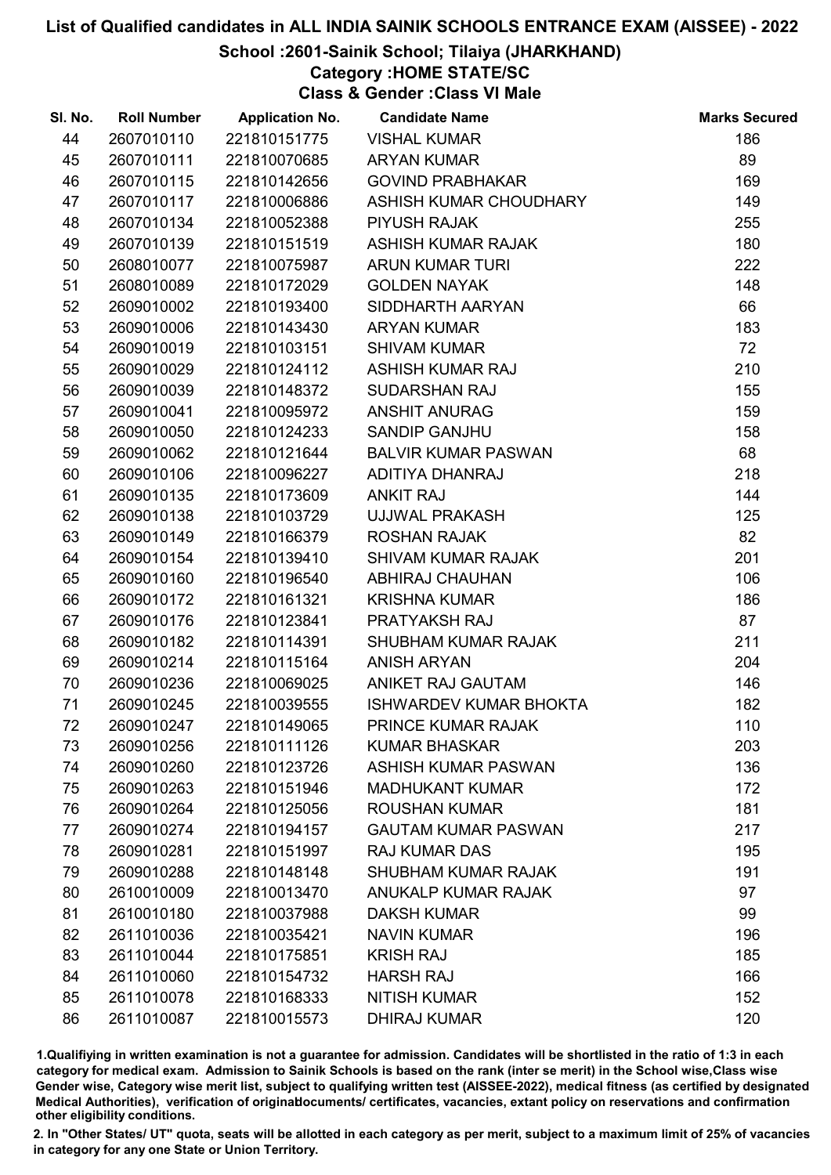### School :2601-Sainik School; Tilaiya (JHARKHAND)

## Category :HOME STATE/SC

Class & Gender :Class VI Male

| SI. No. | <b>Roll Number</b> | <b>Application No.</b> | <b>Candidate Name</b>         | <b>Marks Secured</b> |
|---------|--------------------|------------------------|-------------------------------|----------------------|
| 44      | 2607010110         | 221810151775           | <b>VISHAL KUMAR</b>           | 186                  |
| 45      | 2607010111         | 221810070685           | <b>ARYAN KUMAR</b>            | 89                   |
| 46      | 2607010115         | 221810142656           | <b>GOVIND PRABHAKAR</b>       | 169                  |
| 47      | 2607010117         | 221810006886           | ASHISH KUMAR CHOUDHARY        | 149                  |
| 48      | 2607010134         | 221810052388           | <b>PIYUSH RAJAK</b>           | 255                  |
| 49      | 2607010139         | 221810151519           | <b>ASHISH KUMAR RAJAK</b>     | 180                  |
| 50      | 2608010077         | 221810075987           | <b>ARUN KUMAR TURI</b>        | 222                  |
| 51      | 2608010089         | 221810172029           | <b>GOLDEN NAYAK</b>           | 148                  |
| 52      | 2609010002         | 221810193400           | SIDDHARTH AARYAN              | 66                   |
| 53      | 2609010006         | 221810143430           | <b>ARYAN KUMAR</b>            | 183                  |
| 54      | 2609010019         | 221810103151           | <b>SHIVAM KUMAR</b>           | 72                   |
| 55      | 2609010029         | 221810124112           | <b>ASHISH KUMAR RAJ</b>       | 210                  |
| 56      | 2609010039         | 221810148372           | <b>SUDARSHAN RAJ</b>          | 155                  |
| 57      | 2609010041         | 221810095972           | <b>ANSHIT ANURAG</b>          | 159                  |
| 58      | 2609010050         | 221810124233           | <b>SANDIP GANJHU</b>          | 158                  |
| 59      | 2609010062         | 221810121644           | <b>BALVIR KUMAR PASWAN</b>    | 68                   |
| 60      | 2609010106         | 221810096227           | ADITIYA DHANRAJ               | 218                  |
| 61      | 2609010135         | 221810173609           | <b>ANKIT RAJ</b>              | 144                  |
| 62      | 2609010138         | 221810103729           | UJJWAL PRAKASH                | 125                  |
| 63      | 2609010149         | 221810166379           | <b>ROSHAN RAJAK</b>           | 82                   |
| 64      | 2609010154         | 221810139410           | <b>SHIVAM KUMAR RAJAK</b>     | 201                  |
| 65      | 2609010160         | 221810196540           | ABHIRAJ CHAUHAN               | 106                  |
| 66      | 2609010172         | 221810161321           | <b>KRISHNA KUMAR</b>          | 186                  |
| 67      | 2609010176         | 221810123841           | PRATYAKSH RAJ                 | 87                   |
| 68      | 2609010182         | 221810114391           | <b>SHUBHAM KUMAR RAJAK</b>    | 211                  |
| 69      | 2609010214         | 221810115164           | <b>ANISH ARYAN</b>            | 204                  |
| 70      | 2609010236         | 221810069025           | ANIKET RAJ GAUTAM             | 146                  |
| 71      | 2609010245         | 221810039555           | <b>ISHWARDEV KUMAR BHOKTA</b> | 182                  |
| 72      | 2609010247         | 221810149065           | PRINCE KUMAR RAJAK            | 110                  |
| 73      | 2609010256         | 221810111126           | <b>KUMAR BHASKAR</b>          | 203                  |
| 74      | 2609010260         | 221810123726           | ASHISH KUMAR PASWAN           | 136                  |
| 75      | 2609010263         | 221810151946           | <b>MADHUKANT KUMAR</b>        | 172                  |
| 76      | 2609010264         | 221810125056           | <b>ROUSHAN KUMAR</b>          | 181                  |
| 77      | 2609010274         | 221810194157           | <b>GAUTAM KUMAR PASWAN</b>    | 217                  |
| 78      | 2609010281         | 221810151997           | <b>RAJ KUMAR DAS</b>          | 195                  |
| 79      | 2609010288         | 221810148148           | <b>SHUBHAM KUMAR RAJAK</b>    | 191                  |
| 80      | 2610010009         | 221810013470           | ANUKALP KUMAR RAJAK           | 97                   |
| 81      | 2610010180         | 221810037988           | <b>DAKSH KUMAR</b>            | 99                   |
| 82      | 2611010036         | 221810035421           | <b>NAVIN KUMAR</b>            | 196                  |
| 83      | 2611010044         | 221810175851           | <b>KRISH RAJ</b>              | 185                  |
| 84      | 2611010060         | 221810154732           | <b>HARSH RAJ</b>              | 166                  |
| 85      | 2611010078         | 221810168333           | <b>NITISH KUMAR</b>           | 152                  |
| 86      | 2611010087         | 221810015573           | <b>DHIRAJ KUMAR</b>           | 120                  |

1.Qualifiying in written examination is not a guarantee for admission. Candidates will be shortlisted in the ratio of 1:3 in each category for medical exam. Admission to Sainik Schools is based on the rank (inter se merit) in the School wise,Class wise Gender wise, Category wise merit list, subject to qualifying written test (AISSEE-2022), medical fitness (as certified by designated Medical Authorities), verification of originablocuments/ certificates, vacancies, extant policy on reservations and confirmation other eligibility conditions.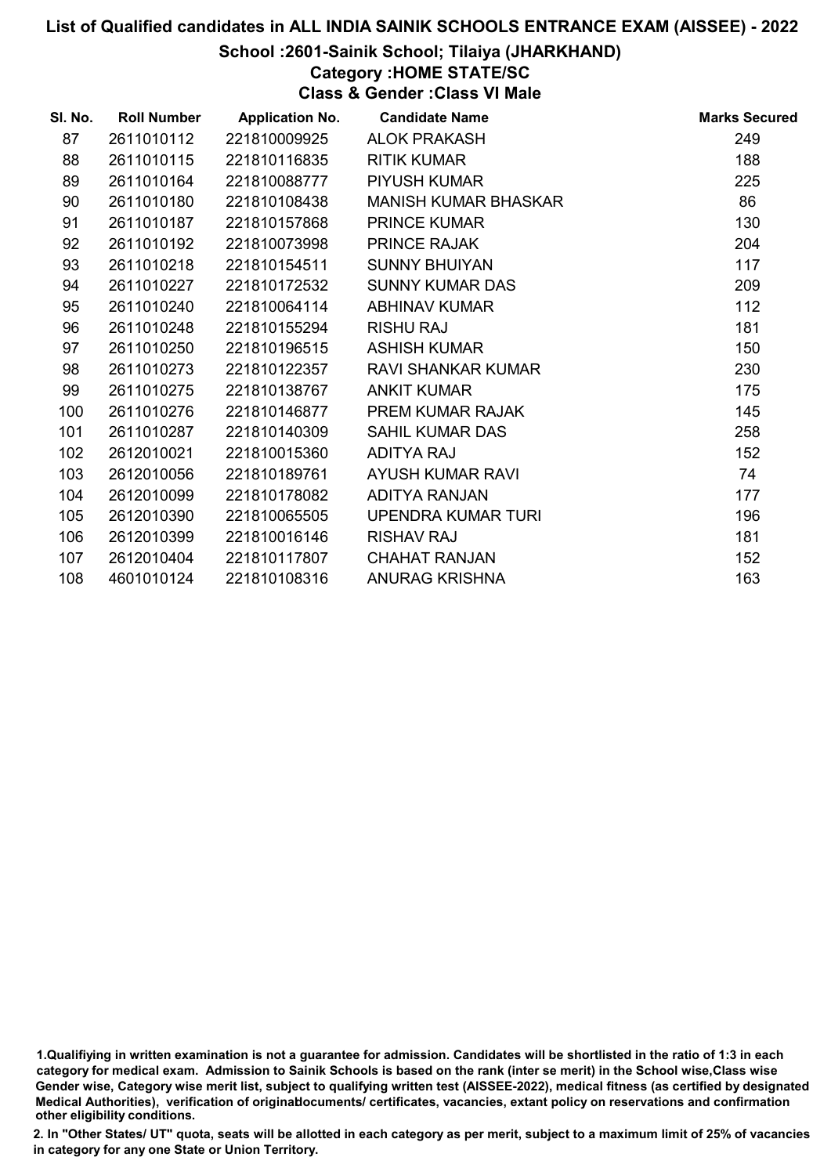### School :2601-Sainik School; Tilaiya (JHARKHAND)

## Category :HOME STATE/SC

Class & Gender :Class VI Male

| SI. No. | <b>Roll Number</b> | <b>Application No.</b> | <b>Candidate Name</b>       | <b>Marks Secured</b> |
|---------|--------------------|------------------------|-----------------------------|----------------------|
| 87      | 2611010112         | 221810009925           | <b>ALOK PRAKASH</b>         | 249                  |
| 88      | 2611010115         | 221810116835           | <b>RITIK KUMAR</b>          | 188                  |
| 89      | 2611010164         | 221810088777           | <b>PIYUSH KUMAR</b>         | 225                  |
| 90      | 2611010180         | 221810108438           | <b>MANISH KUMAR BHASKAR</b> | 86                   |
| 91      | 2611010187         | 221810157868           | <b>PRINCE KUMAR</b>         | 130                  |
| 92      | 2611010192         | 221810073998           | <b>PRINCE RAJAK</b>         | 204                  |
| 93      | 2611010218         | 221810154511           | <b>SUNNY BHUIYAN</b>        | 117                  |
| 94      | 2611010227         | 221810172532           | <b>SUNNY KUMAR DAS</b>      | 209                  |
| 95      | 2611010240         | 221810064114           | <b>ABHINAV KUMAR</b>        | 112                  |
| 96      | 2611010248         | 221810155294           | <b>RISHU RAJ</b>            | 181                  |
| 97      | 2611010250         | 221810196515           | <b>ASHISH KUMAR</b>         | 150                  |
| 98      | 2611010273         | 221810122357           | <b>RAVI SHANKAR KUMAR</b>   | 230                  |
| 99      | 2611010275         | 221810138767           | <b>ANKIT KUMAR</b>          | 175                  |
| 100     | 2611010276         | 221810146877           | <b>PREM KUMAR RAJAK</b>     | 145                  |
| 101     | 2611010287         | 221810140309           | <b>SAHIL KUMAR DAS</b>      | 258                  |
| 102     | 2612010021         | 221810015360           | ADITYA RAJ                  | 152                  |
| 103     | 2612010056         | 221810189761           | AYUSH KUMAR RAVI            | 74                   |
| 104     | 2612010099         | 221810178082           | <b>ADITYA RANJAN</b>        | 177                  |
| 105     | 2612010390         | 221810065505           | UPENDRA KUMAR TURI          | 196                  |
| 106     | 2612010399         | 221810016146           | <b>RISHAV RAJ</b>           | 181                  |
| 107     | 2612010404         | 221810117807           | <b>CHAHAT RANJAN</b>        | 152                  |
| 108     | 4601010124         | 221810108316           | <b>ANURAG KRISHNA</b>       | 163                  |
|         |                    |                        |                             |                      |

1.Qualifiying in written examination is not a guarantee for admission. Candidates will be shortlisted in the ratio of 1:3 in each category for medical exam. Admission to Sainik Schools is based on the rank (inter se merit) in the School wise,Class wise Gender wise, Category wise merit list, subject to qualifying written test (AISSEE-2022), medical fitness (as certified by designated Medical Authorities), verification of originablocuments/ certificates, vacancies, extant policy on reservations and confirmation other eligibility conditions.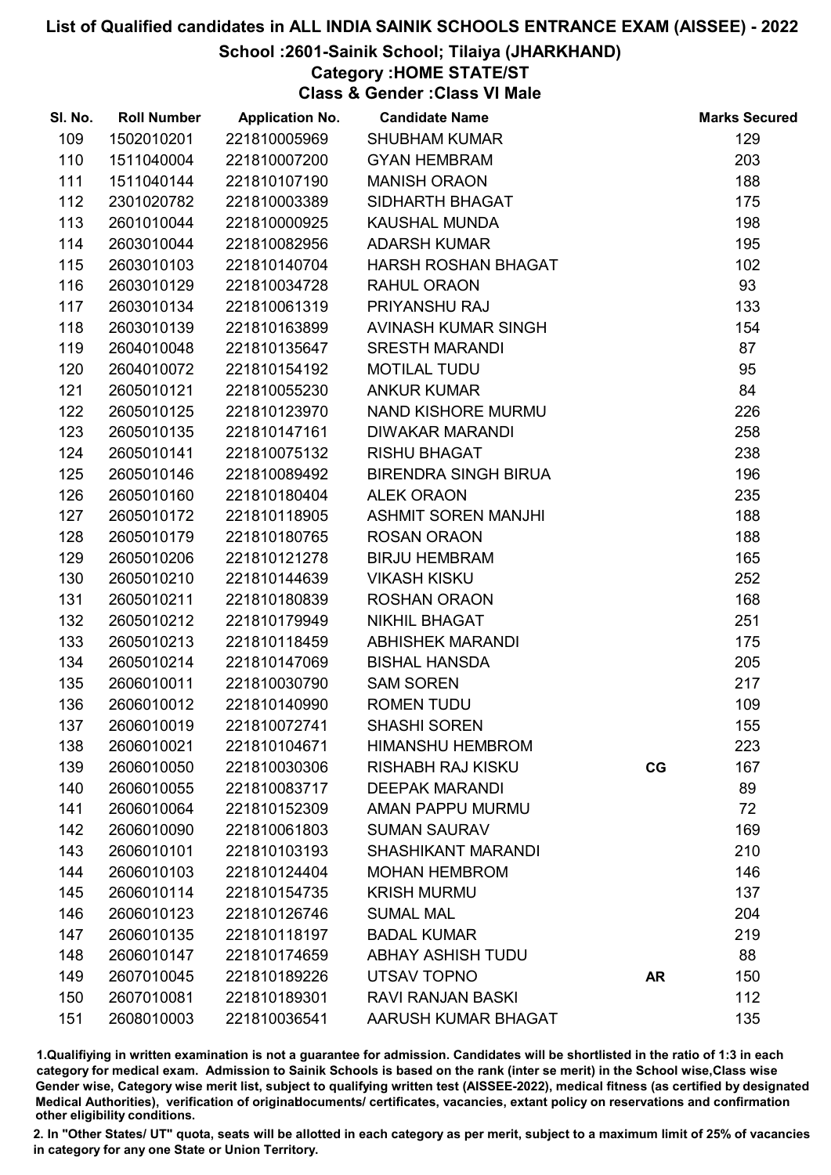### School :2601-Sainik School; Tilaiya (JHARKHAND)

## Category :HOME STATE/ST

Class & Gender :Class VI Male

| SI. No. | <b>Roll Number</b> | <b>Application No.</b> | <b>Candidate Name</b>       |           | <b>Marks Secured</b> |
|---------|--------------------|------------------------|-----------------------------|-----------|----------------------|
| 109     | 1502010201         | 221810005969           | <b>SHUBHAM KUMAR</b>        |           | 129                  |
| 110     | 1511040004         | 221810007200           | <b>GYAN HEMBRAM</b>         |           | 203                  |
| 111     | 1511040144         | 221810107190           | <b>MANISH ORAON</b>         |           | 188                  |
| 112     | 2301020782         | 221810003389           | SIDHARTH BHAGAT             |           | 175                  |
| 113     | 2601010044         | 221810000925           | <b>KAUSHAL MUNDA</b>        |           | 198                  |
| 114     | 2603010044         | 221810082956           | <b>ADARSH KUMAR</b>         |           | 195                  |
| 115     | 2603010103         | 221810140704           | HARSH ROSHAN BHAGAT         |           | 102                  |
| 116     | 2603010129         | 221810034728           | <b>RAHUL ORAON</b>          |           | 93                   |
| 117     | 2603010134         | 221810061319           | PRIYANSHU RAJ               |           | 133                  |
| 118     | 2603010139         | 221810163899           | AVINASH KUMAR SINGH         |           | 154                  |
| 119     | 2604010048         | 221810135647           | <b>SRESTH MARANDI</b>       |           | 87                   |
| 120     | 2604010072         | 221810154192           | <b>MOTILAL TUDU</b>         |           | 95                   |
| 121     | 2605010121         | 221810055230           | <b>ANKUR KUMAR</b>          |           | 84                   |
| 122     | 2605010125         | 221810123970           | NAND KISHORE MURMU          |           | 226                  |
| 123     | 2605010135         | 221810147161           | <b>DIWAKAR MARANDI</b>      |           | 258                  |
| 124     | 2605010141         | 221810075132           | <b>RISHU BHAGAT</b>         |           | 238                  |
| 125     | 2605010146         | 221810089492           | <b>BIRENDRA SINGH BIRUA</b> |           | 196                  |
| 126     | 2605010160         | 221810180404           | <b>ALEK ORAON</b>           |           | 235                  |
| 127     | 2605010172         | 221810118905           | <b>ASHMIT SOREN MANJHI</b>  |           | 188                  |
| 128     | 2605010179         | 221810180765           | <b>ROSAN ORAON</b>          |           | 188                  |
| 129     | 2605010206         | 221810121278           | <b>BIRJU HEMBRAM</b>        |           | 165                  |
| 130     | 2605010210         | 221810144639           | <b>VIKASH KISKU</b>         |           | 252                  |
| 131     | 2605010211         | 221810180839           | <b>ROSHAN ORAON</b>         |           | 168                  |
| 132     | 2605010212         | 221810179949           | NIKHIL BHAGAT               |           | 251                  |
| 133     | 2605010213         | 221810118459           | <b>ABHISHEK MARANDI</b>     |           | 175                  |
| 134     | 2605010214         | 221810147069           | <b>BISHAL HANSDA</b>        |           | 205                  |
| 135     | 2606010011         | 221810030790           | <b>SAM SOREN</b>            |           | 217                  |
| 136     | 2606010012         | 221810140990           | <b>ROMEN TUDU</b>           |           | 109                  |
| 137     | 2606010019         | 221810072741           | <b>SHASHI SOREN</b>         |           | 155                  |
| 138     | 2606010021         | 221810104671           | <b>HIMANSHU HEMBROM</b>     |           | 223                  |
| 139     | 2606010050         | 221810030306           | <b>RISHABH RAJ KISKU</b>    | CG        | 167                  |
| 140     | 2606010055         | 221810083717           | <b>DEEPAK MARANDI</b>       |           | 89                   |
| 141     | 2606010064         | 221810152309           | AMAN PAPPU MURMU            |           | 72                   |
| 142     | 2606010090         | 221810061803           | <b>SUMAN SAURAV</b>         |           | 169                  |
| 143     | 2606010101         | 221810103193           | <b>SHASHIKANT MARANDI</b>   |           | 210                  |
| 144     | 2606010103         | 221810124404           | <b>MOHAN HEMBROM</b>        |           | 146                  |
| 145     | 2606010114         | 221810154735           | <b>KRISH MURMU</b>          |           | 137                  |
| 146     | 2606010123         | 221810126746           | <b>SUMAL MAL</b>            |           | 204                  |
| 147     | 2606010135         | 221810118197           | <b>BADAL KUMAR</b>          |           | 219                  |
| 148     | 2606010147         | 221810174659           | <b>ABHAY ASHISH TUDU</b>    |           | 88                   |
| 149     | 2607010045         | 221810189226           | UTSAV TOPNO                 | <b>AR</b> | 150                  |
| 150     | 2607010081         | 221810189301           | <b>RAVI RANJAN BASKI</b>    |           | 112                  |
| 151     | 2608010003         | 221810036541           | AARUSH KUMAR BHAGAT         |           | 135                  |

1.Qualifiying in written examination is not a guarantee for admission. Candidates will be shortlisted in the ratio of 1:3 in each category for medical exam. Admission to Sainik Schools is based on the rank (inter se merit) in the School wise,Class wise Gender wise, Category wise merit list, subject to qualifying written test (AISSEE-2022), medical fitness (as certified by designated Medical Authorities), verification of originablocuments/ certificates, vacancies, extant policy on reservations and confirmation other eligibility conditions.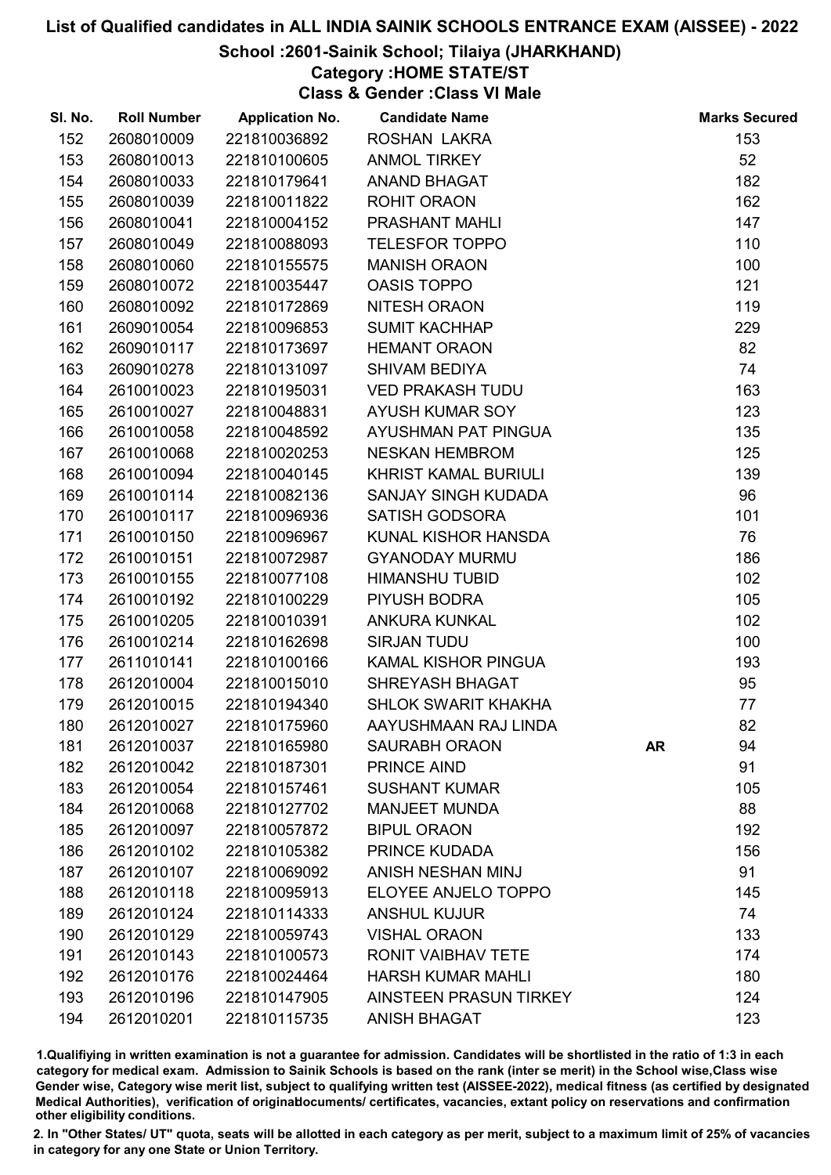### School :2601-Sainik School; Tilaiya (JHARKHAND)

### Category :HOME STATE/ST

Class & Gender :Class VI Male

| SI. No. | <b>Roll Number</b> | <b>Application No.</b> | <b>Candidate Name</b>         |           | <b>Marks Secured</b> |
|---------|--------------------|------------------------|-------------------------------|-----------|----------------------|
| 152     | 2608010009         | 221810036892           | ROSHAN LAKRA                  |           | 153                  |
| 153     | 2608010013         | 221810100605           | <b>ANMOL TIRKEY</b>           |           | 52                   |
| 154     | 2608010033         | 221810179641           | <b>ANAND BHAGAT</b>           |           | 182                  |
| 155     | 2608010039         | 221810011822           | <b>ROHIT ORAON</b>            |           | 162                  |
| 156     | 2608010041         | 221810004152           | PRASHANT MAHLI                |           | 147                  |
| 157     | 2608010049         | 221810088093           | <b>TELESFOR TOPPO</b>         |           | 110                  |
| 158     | 2608010060         | 221810155575           | <b>MANISH ORAON</b>           |           | 100                  |
| 159     | 2608010072         | 221810035447           | <b>OASIS TOPPO</b>            |           | 121                  |
| 160     | 2608010092         | 221810172869           | NITESH ORAON                  |           | 119                  |
| 161     | 2609010054         | 221810096853           | <b>SUMIT KACHHAP</b>          |           | 229                  |
| 162     | 2609010117         | 221810173697           | <b>HEMANT ORAON</b>           |           | 82                   |
| 163     | 2609010278         | 221810131097           | <b>SHIVAM BEDIYA</b>          |           | 74                   |
| 164     | 2610010023         | 221810195031           | <b>VED PRAKASH TUDU</b>       |           | 163                  |
| 165     | 2610010027         | 221810048831           | <b>AYUSH KUMAR SOY</b>        |           | 123                  |
| 166     | 2610010058         | 221810048592           | AYUSHMAN PAT PINGUA           |           | 135                  |
| 167     | 2610010068         | 221810020253           | <b>NESKAN HEMBROM</b>         |           | 125                  |
| 168     | 2610010094         | 221810040145           | <b>KHRIST KAMAL BURIULI</b>   |           | 139                  |
| 169     | 2610010114         | 221810082136           | SANJAY SINGH KUDADA           |           | 96                   |
| 170     | 2610010117         | 221810096936           | <b>SATISH GODSORA</b>         |           | 101                  |
| 171     | 2610010150         | 221810096967           | KUNAL KISHOR HANSDA           |           | 76                   |
| 172     | 2610010151         | 221810072987           | <b>GYANODAY MURMU</b>         |           | 186                  |
| 173     | 2610010155         | 221810077108           | <b>HIMANSHU TUBID</b>         |           | 102                  |
| 174     | 2610010192         | 221810100229           | PIYUSH BODRA                  |           | 105                  |
| 175     | 2610010205         | 221810010391           | <b>ANKURA KUNKAL</b>          |           | 102                  |
| 176     | 2610010214         | 221810162698           | <b>SIRJAN TUDU</b>            |           | 100                  |
| 177     | 2611010141         | 221810100166           | <b>KAMAL KISHOR PINGUA</b>    |           | 193                  |
| 178     | 2612010004         | 221810015010           | SHREYASH BHAGAT               |           | 95                   |
| 179     | 2612010015         | 221810194340           | <b>SHLOK SWARIT KHAKHA</b>    |           | 77                   |
| 180     | 2612010027         | 221810175960           | AAYUSHMAAN RAJ LINDA          |           | 82                   |
| 181     | 2612010037         | 221810165980           | <b>SAURABH ORAON</b>          | <b>AR</b> | 94                   |
| 182     | 2612010042         | 221810187301           | PRINCE AIND                   |           | 91                   |
| 183     | 2612010054         | 221810157461           | <b>SUSHANT KUMAR</b>          |           | 105                  |
| 184     | 2612010068         | 221810127702           | <b>MANJEET MUNDA</b>          |           | 88                   |
| 185     | 2612010097         | 221810057872           | <b>BIPUL ORAON</b>            |           | 192                  |
| 186     | 2612010102         | 221810105382           | PRINCE KUDADA                 |           | 156                  |
| 187     | 2612010107         | 221810069092           | ANISH NESHAN MINJ             |           | 91                   |
| 188     | 2612010118         | 221810095913           | ELOYEE ANJELO TOPPO           |           | 145                  |
| 189     | 2612010124         | 221810114333           | <b>ANSHUL KUJUR</b>           |           | 74                   |
| 190     | 2612010129         | 221810059743           | <b>VISHAL ORAON</b>           |           | 133                  |
| 191     | 2612010143         | 221810100573           | <b>RONIT VAIBHAV TETE</b>     |           | 174                  |
| 192     | 2612010176         | 221810024464           | <b>HARSH KUMAR MAHLI</b>      |           | 180                  |
| 193     | 2612010196         | 221810147905           | <b>AINSTEEN PRASUN TIRKEY</b> |           | 124                  |
| 194     | 2612010201         | 221810115735           | <b>ANISH BHAGAT</b>           |           | 123                  |

1.Qualifiying in written examination is not a guarantee for admission. Candidates will be shortlisted in the ratio of 1:3 in each category for medical exam. Admission to Sainik Schools is based on the rank (inter se merit) in the School wise,Class wise Gender wise, Category wise merit list, subject to qualifying written test (AISSEE-2022), medical fitness (as certified by designated Medical Authorities), verification of originablocuments/ certificates, vacancies, extant policy on reservations and confirmation other eligibility conditions.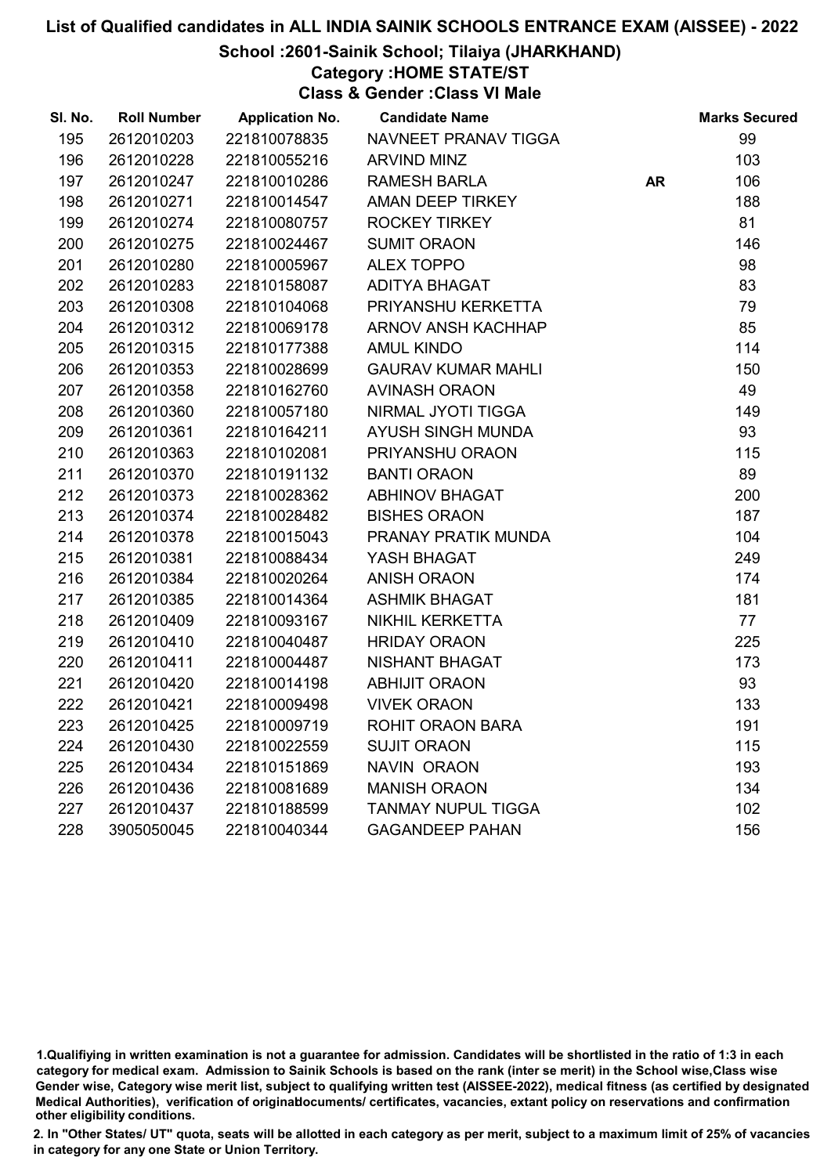### School :2601-Sainik School; Tilaiya (JHARKHAND)

### Category :HOME STATE/ST

Class & Gender :Class VI Male

| SI. No. | <b>Roll Number</b> | <b>Application No.</b> | <b>Candidate Name</b>     |           | <b>Marks Secured</b> |
|---------|--------------------|------------------------|---------------------------|-----------|----------------------|
| 195     | 2612010203         | 221810078835           | NAVNEET PRANAV TIGGA      |           | 99                   |
| 196     | 2612010228         | 221810055216           | <b>ARVIND MINZ</b>        |           | 103                  |
| 197     | 2612010247         | 221810010286           | <b>RAMESH BARLA</b>       | <b>AR</b> | 106                  |
| 198     | 2612010271         | 221810014547           | AMAN DEEP TIRKEY          |           | 188                  |
| 199     | 2612010274         | 221810080757           | <b>ROCKEY TIRKEY</b>      |           | 81                   |
| 200     | 2612010275         | 221810024467           | <b>SUMIT ORAON</b>        |           | 146                  |
| 201     | 2612010280         | 221810005967           | <b>ALEX TOPPO</b>         |           | 98                   |
| 202     | 2612010283         | 221810158087           | <b>ADITYA BHAGAT</b>      |           | 83                   |
| 203     | 2612010308         | 221810104068           | PRIYANSHU KERKETTA        |           | 79                   |
| 204     | 2612010312         | 221810069178           | ARNOV ANSH KACHHAP        |           | 85                   |
| 205     | 2612010315         | 221810177388           | <b>AMUL KINDO</b>         |           | 114                  |
| 206     | 2612010353         | 221810028699           | <b>GAURAV KUMAR MAHLI</b> |           | 150                  |
| 207     | 2612010358         | 221810162760           | <b>AVINASH ORAON</b>      |           | 49                   |
| 208     | 2612010360         | 221810057180           | NIRMAL JYOTI TIGGA        |           | 149                  |
| 209     | 2612010361         | 221810164211           | AYUSH SINGH MUNDA         |           | 93                   |
| 210     | 2612010363         | 221810102081           | PRIYANSHU ORAON           |           | 115                  |
| 211     | 2612010370         | 221810191132           | <b>BANTI ORAON</b>        |           | 89                   |
| 212     | 2612010373         | 221810028362           | <b>ABHINOV BHAGAT</b>     |           | 200                  |
| 213     | 2612010374         | 221810028482           | <b>BISHES ORAON</b>       |           | 187                  |
| 214     | 2612010378         | 221810015043           | PRANAY PRATIK MUNDA       |           | 104                  |
| 215     | 2612010381         | 221810088434           | YASH BHAGAT               |           | 249                  |
| 216     | 2612010384         | 221810020264           | <b>ANISH ORAON</b>        |           | 174                  |
| 217     | 2612010385         | 221810014364           | <b>ASHMIK BHAGAT</b>      |           | 181                  |
| 218     | 2612010409         | 221810093167           | <b>NIKHIL KERKETTA</b>    |           | 77                   |
| 219     | 2612010410         | 221810040487           | <b>HRIDAY ORAON</b>       |           | 225                  |
| 220     | 2612010411         | 221810004487           | NISHANT BHAGAT            |           | 173                  |
| 221     | 2612010420         | 221810014198           | <b>ABHIJIT ORAON</b>      |           | 93                   |
| 222     | 2612010421         | 221810009498           | <b>VIVEK ORAON</b>        |           | 133                  |
| 223     | 2612010425         | 221810009719           | ROHIT ORAON BARA          |           | 191                  |
| 224     | 2612010430         | 221810022559           | <b>SUJIT ORAON</b>        |           | 115                  |
| 225     | 2612010434         | 221810151869           | <b>NAVIN ORAON</b>        |           | 193                  |
| 226     | 2612010436         | 221810081689           | <b>MANISH ORAON</b>       |           | 134                  |
| 227     | 2612010437         | 221810188599           | <b>TANMAY NUPUL TIGGA</b> |           | 102                  |
| 228     | 3905050045         | 221810040344           | <b>GAGANDEEP PAHAN</b>    |           | 156                  |

<sup>1.</sup>Qualifiying in written examination is not a guarantee for admission. Candidates will be shortlisted in the ratio of 1:3 in each category for medical exam. Admission to Sainik Schools is based on the rank (inter se merit) in the School wise,Class wise Gender wise, Category wise merit list, subject to qualifying written test (AISSEE-2022), medical fitness (as certified by designated Medical Authorities), verification of originablocuments/ certificates, vacancies, extant policy on reservations and confirmation other eligibility conditions.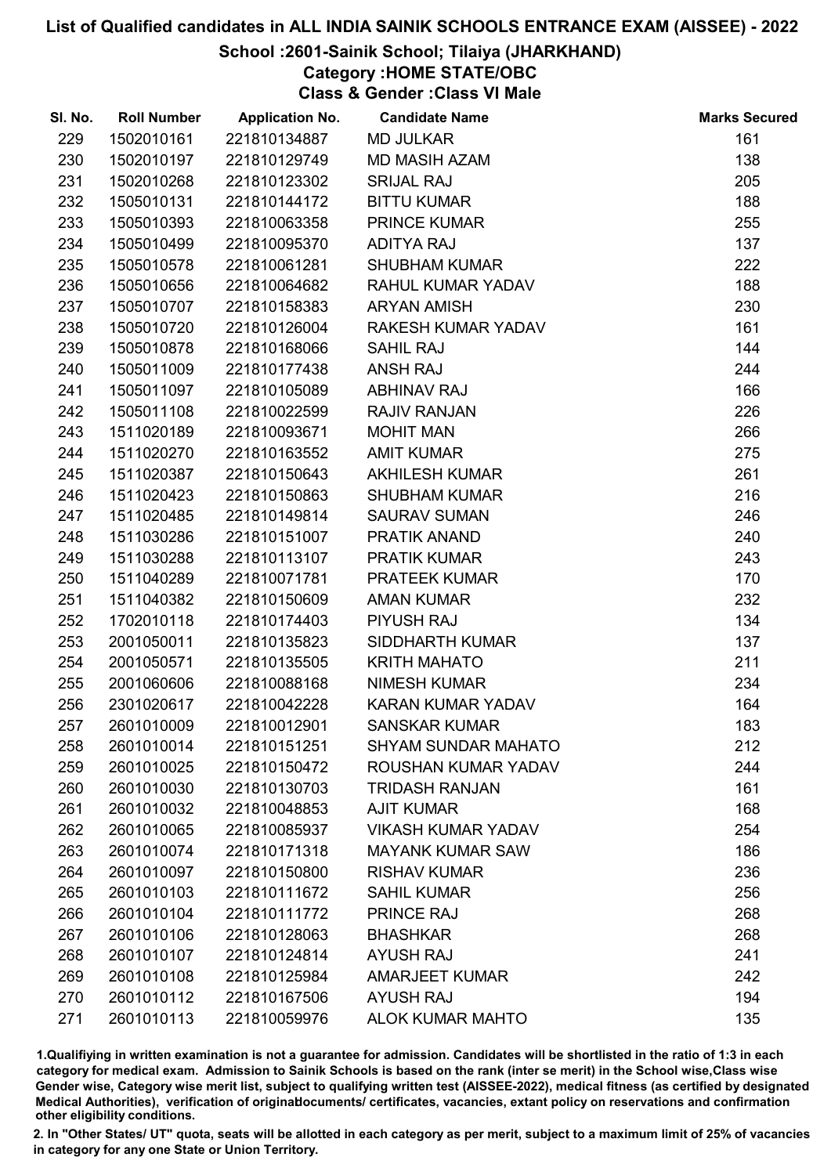### School :2601-Sainik School; Tilaiya (JHARKHAND)

Category :HOME STATE/OBC

Class & Gender :Class VI Male

| SI. No. | <b>Roll Number</b> | <b>Application No.</b> | <b>Candidate Name</b>      | <b>Marks Secured</b> |
|---------|--------------------|------------------------|----------------------------|----------------------|
| 229     | 1502010161         | 221810134887           | <b>MD JULKAR</b>           | 161                  |
| 230     | 1502010197         | 221810129749           | <b>MD MASIH AZAM</b>       | 138                  |
| 231     | 1502010268         | 221810123302           | <b>SRIJAL RAJ</b>          | 205                  |
| 232     | 1505010131         | 221810144172           | <b>BITTU KUMAR</b>         | 188                  |
| 233     | 1505010393         | 221810063358           | <b>PRINCE KUMAR</b>        | 255                  |
| 234     | 1505010499         | 221810095370           | <b>ADITYA RAJ</b>          | 137                  |
| 235     | 1505010578         | 221810061281           | <b>SHUBHAM KUMAR</b>       | 222                  |
| 236     | 1505010656         | 221810064682           | RAHUL KUMAR YADAV          | 188                  |
| 237     | 1505010707         | 221810158383           | <b>ARYAN AMISH</b>         | 230                  |
| 238     | 1505010720         | 221810126004           | RAKESH KUMAR YADAV         | 161                  |
| 239     | 1505010878         | 221810168066           | <b>SAHIL RAJ</b>           | 144                  |
| 240     | 1505011009         | 221810177438           | <b>ANSH RAJ</b>            | 244                  |
| 241     | 1505011097         | 221810105089           | <b>ABHINAV RAJ</b>         | 166                  |
| 242     | 1505011108         | 221810022599           | <b>RAJIV RANJAN</b>        | 226                  |
| 243     | 1511020189         | 221810093671           | <b>MOHIT MAN</b>           | 266                  |
| 244     | 1511020270         | 221810163552           | <b>AMIT KUMAR</b>          | 275                  |
| 245     | 1511020387         | 221810150643           | <b>AKHILESH KUMAR</b>      | 261                  |
| 246     | 1511020423         | 221810150863           | <b>SHUBHAM KUMAR</b>       | 216                  |
| 247     | 1511020485         | 221810149814           | <b>SAURAV SUMAN</b>        | 246                  |
| 248     | 1511030286         | 221810151007           | PRATIK ANAND               | 240                  |
| 249     | 1511030288         | 221810113107           | <b>PRATIK KUMAR</b>        | 243                  |
| 250     | 1511040289         | 221810071781           | <b>PRATEEK KUMAR</b>       | 170                  |
| 251     | 1511040382         | 221810150609           | <b>AMAN KUMAR</b>          | 232                  |
| 252     | 1702010118         | 221810174403           | <b>PIYUSH RAJ</b>          | 134                  |
| 253     | 2001050011         | 221810135823           | <b>SIDDHARTH KUMAR</b>     | 137                  |
| 254     | 2001050571         | 221810135505           | <b>KRITH MAHATO</b>        | 211                  |
| 255     | 2001060606         | 221810088168           | <b>NIMESH KUMAR</b>        | 234                  |
| 256     | 2301020617         | 221810042228           | <b>KARAN KUMAR YADAV</b>   | 164                  |
| 257     | 2601010009         | 221810012901           | <b>SANSKAR KUMAR</b>       | 183                  |
| 258     | 2601010014         | 221810151251           | <b>SHYAM SUNDAR MAHATO</b> | 212                  |
| 259     | 2601010025         | 221810150472           | ROUSHAN KUMAR YADAV        | 244                  |
| 260     | 2601010030         | 221810130703           | <b>TRIDASH RANJAN</b>      | 161                  |
| 261     | 2601010032         | 221810048853           | <b>AJIT KUMAR</b>          | 168                  |
| 262     | 2601010065         | 221810085937           | <b>VIKASH KUMAR YADAV</b>  | 254                  |
| 263     | 2601010074         | 221810171318           | <b>MAYANK KUMAR SAW</b>    | 186                  |
| 264     | 2601010097         | 221810150800           | <b>RISHAV KUMAR</b>        | 236                  |
| 265     | 2601010103         | 221810111672           | <b>SAHIL KUMAR</b>         | 256                  |
| 266     | 2601010104         | 221810111772           | <b>PRINCE RAJ</b>          | 268                  |
| 267     | 2601010106         | 221810128063           | <b>BHASHKAR</b>            | 268                  |
| 268     | 2601010107         | 221810124814           | <b>AYUSH RAJ</b>           | 241                  |
| 269     | 2601010108         | 221810125984           | <b>AMARJEET KUMAR</b>      | 242                  |
| 270     | 2601010112         | 221810167506           | <b>AYUSH RAJ</b>           | 194                  |
| 271     | 2601010113         | 221810059976           | <b>ALOK KUMAR MAHTO</b>    | 135                  |

1.Qualifiying in written examination is not a guarantee for admission. Candidates will be shortlisted in the ratio of 1:3 in each category for medical exam. Admission to Sainik Schools is based on the rank (inter se merit) in the School wise,Class wise Gender wise, Category wise merit list, subject to qualifying written test (AISSEE-2022), medical fitness (as certified by designated Medical Authorities), verification of originablocuments/ certificates, vacancies, extant policy on reservations and confirmation other eligibility conditions.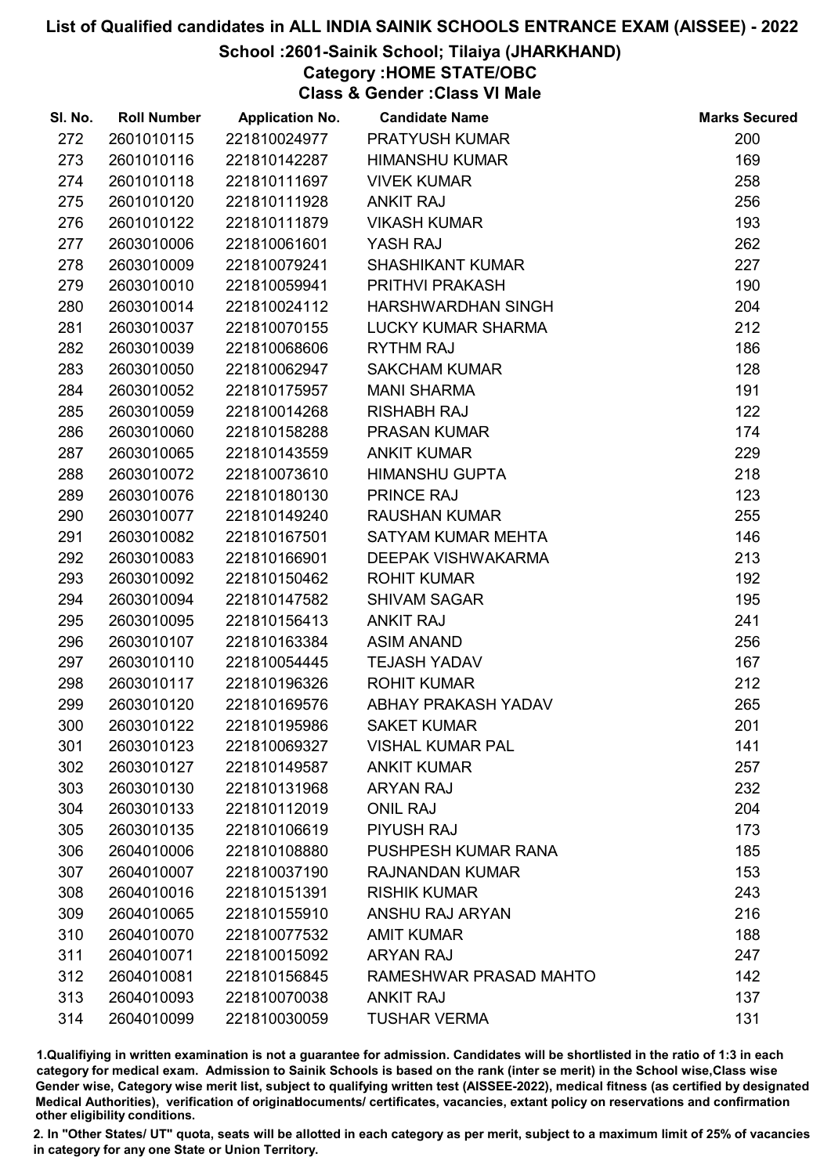### School :2601-Sainik School; Tilaiya (JHARKHAND)

Category :HOME STATE/OBC

Class & Gender :Class VI Male

| SI. No. | <b>Roll Number</b> | <b>Application No.</b> | <b>Candidate Name</b>      | <b>Marks Secured</b> |
|---------|--------------------|------------------------|----------------------------|----------------------|
| 272     | 2601010115         | 221810024977           | PRATYUSH KUMAR             | 200                  |
| 273     | 2601010116         | 221810142287           | <b>HIMANSHU KUMAR</b>      | 169                  |
| 274     | 2601010118         | 221810111697           | <b>VIVEK KUMAR</b>         | 258                  |
| 275     | 2601010120         | 221810111928           | <b>ANKIT RAJ</b>           | 256                  |
| 276     | 2601010122         | 221810111879           | <b>VIKASH KUMAR</b>        | 193                  |
| 277     | 2603010006         | 221810061601           | YASH RAJ                   | 262                  |
| 278     | 2603010009         | 221810079241           | <b>SHASHIKANT KUMAR</b>    | 227                  |
| 279     | 2603010010         | 221810059941           | PRITHVI PRAKASH            | 190                  |
| 280     | 2603010014         | 221810024112           | <b>HARSHWARDHAN SINGH</b>  | 204                  |
| 281     | 2603010037         | 221810070155           | LUCKY KUMAR SHARMA         | 212                  |
| 282     | 2603010039         | 221810068606           | <b>RYTHM RAJ</b>           | 186                  |
| 283     | 2603010050         | 221810062947           | <b>SAKCHAM KUMAR</b>       | 128                  |
| 284     | 2603010052         | 221810175957           | <b>MANI SHARMA</b>         | 191                  |
| 285     | 2603010059         | 221810014268           | <b>RISHABH RAJ</b>         | 122                  |
| 286     | 2603010060         | 221810158288           | <b>PRASAN KUMAR</b>        | 174                  |
| 287     | 2603010065         | 221810143559           | <b>ANKIT KUMAR</b>         | 229                  |
| 288     | 2603010072         | 221810073610           | <b>HIMANSHU GUPTA</b>      | 218                  |
| 289     | 2603010076         | 221810180130           | PRINCE RAJ                 | 123                  |
| 290     | 2603010077         | 221810149240           | <b>RAUSHAN KUMAR</b>       | 255                  |
| 291     | 2603010082         | 221810167501           | SATYAM KUMAR MEHTA         | 146                  |
| 292     | 2603010083         | 221810166901           | DEEPAK VISHWAKARMA         | 213                  |
| 293     | 2603010092         | 221810150462           | <b>ROHIT KUMAR</b>         | 192                  |
| 294     | 2603010094         | 221810147582           | <b>SHIVAM SAGAR</b>        | 195                  |
| 295     | 2603010095         | 221810156413           | <b>ANKIT RAJ</b>           | 241                  |
| 296     | 2603010107         | 221810163384           | <b>ASIM ANAND</b>          | 256                  |
| 297     | 2603010110         | 221810054445           | <b>TEJASH YADAV</b>        | 167                  |
| 298     | 2603010117         | 221810196326           | <b>ROHIT KUMAR</b>         | 212                  |
| 299     | 2603010120         | 221810169576           | ABHAY PRAKASH YADAV        | 265                  |
| 300     | 2603010122         | 221810195986           | <b>SAKET KUMAR</b>         | 201                  |
| 301     | 2603010123         | 221810069327           | <b>VISHAL KUMAR PAL</b>    | 141                  |
| 302     | 2603010127         | 221810149587           | <b>ANKIT KUMAR</b>         | 257                  |
| 303     | 2603010130         | 221810131968           | <b>ARYAN RAJ</b>           | 232                  |
| 304     | 2603010133         | 221810112019           | <b>ONIL RAJ</b>            | 204                  |
| 305     | 2603010135         | 221810106619           | <b>PIYUSH RAJ</b>          | 173                  |
| 306     | 2604010006         | 221810108880           | <b>PUSHPESH KUMAR RANA</b> | 185                  |
| 307     | 2604010007         | 221810037190           | <b>RAJNANDAN KUMAR</b>     | 153                  |
| 308     | 2604010016         | 221810151391           | <b>RISHIK KUMAR</b>        | 243                  |
| 309     | 2604010065         | 221810155910           | <b>ANSHU RAJ ARYAN</b>     | 216                  |
| 310     | 2604010070         | 221810077532           | <b>AMIT KUMAR</b>          | 188                  |
| 311     | 2604010071         | 221810015092           | <b>ARYAN RAJ</b>           | 247                  |
| 312     | 2604010081         | 221810156845           | RAMESHWAR PRASAD MAHTO     | 142                  |
| 313     | 2604010093         | 221810070038           | <b>ANKIT RAJ</b>           | 137                  |
| 314     | 2604010099         | 221810030059           | <b>TUSHAR VERMA</b>        | 131                  |

1.Qualifiying in written examination is not a guarantee for admission. Candidates will be shortlisted in the ratio of 1:3 in each category for medical exam. Admission to Sainik Schools is based on the rank (inter se merit) in the School wise,Class wise Gender wise, Category wise merit list, subject to qualifying written test (AISSEE-2022), medical fitness (as certified by designated Medical Authorities), verification of originablocuments/ certificates, vacancies, extant policy on reservations and confirmation other eligibility conditions.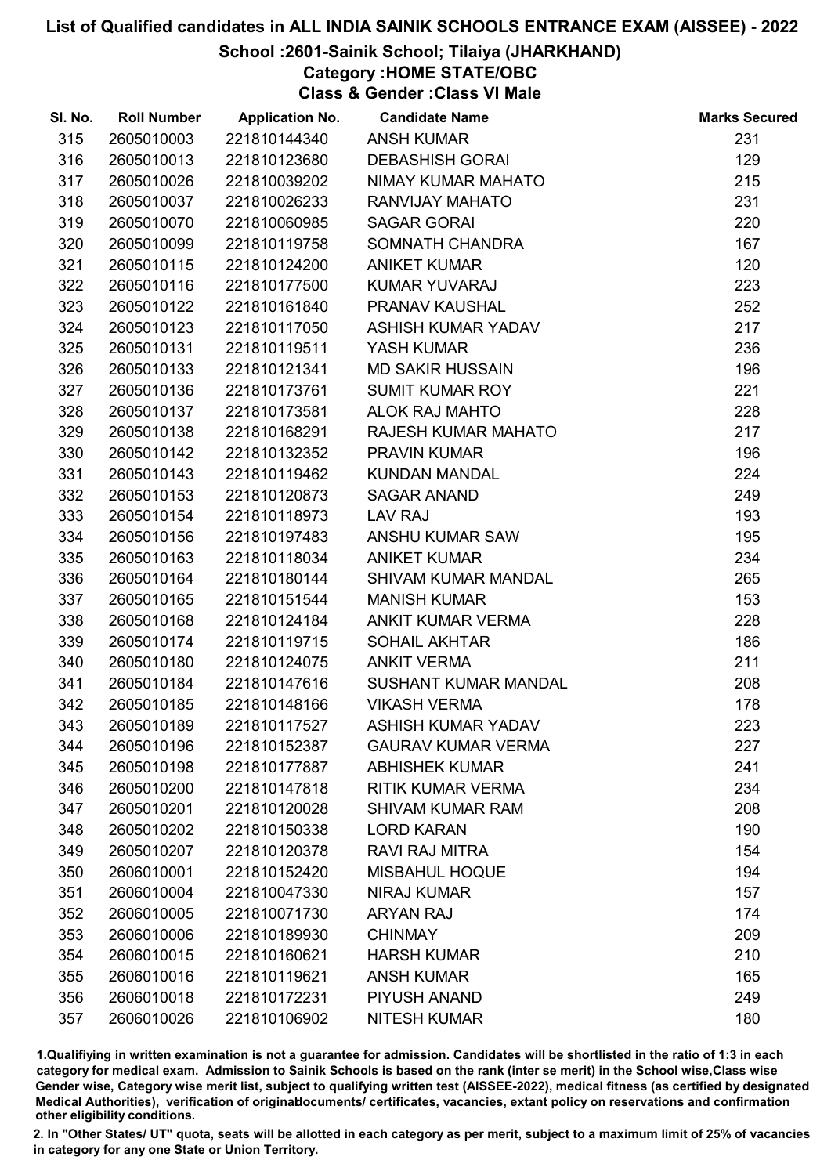### School :2601-Sainik School; Tilaiya (JHARKHAND)

Category :HOME STATE/OBC

Class & Gender :Class VI Male

| SI. No. | <b>Roll Number</b> | <b>Application No.</b> | <b>Candidate Name</b>       | <b>Marks Secured</b> |
|---------|--------------------|------------------------|-----------------------------|----------------------|
| 315     | 2605010003         | 221810144340           | <b>ANSH KUMAR</b>           | 231                  |
| 316     | 2605010013         | 221810123680           | <b>DEBASHISH GORAI</b>      | 129                  |
| 317     | 2605010026         | 221810039202           | NIMAY KUMAR MAHATO          | 215                  |
| 318     | 2605010037         | 221810026233           | RANVIJAY MAHATO             | 231                  |
| 319     | 2605010070         | 221810060985           | <b>SAGAR GORAI</b>          | 220                  |
| 320     | 2605010099         | 221810119758           | SOMNATH CHANDRA             | 167                  |
| 321     | 2605010115         | 221810124200           | <b>ANIKET KUMAR</b>         | 120                  |
| 322     | 2605010116         | 221810177500           | <b>KUMAR YUVARAJ</b>        | 223                  |
| 323     | 2605010122         | 221810161840           | <b>PRANAV KAUSHAL</b>       | 252                  |
| 324     | 2605010123         | 221810117050           | <b>ASHISH KUMAR YADAV</b>   | 217                  |
| 325     | 2605010131         | 221810119511           | YASH KUMAR                  | 236                  |
| 326     | 2605010133         | 221810121341           | <b>MD SAKIR HUSSAIN</b>     | 196                  |
| 327     | 2605010136         | 221810173761           | <b>SUMIT KUMAR ROY</b>      | 221                  |
| 328     | 2605010137         | 221810173581           | <b>ALOK RAJ MAHTO</b>       | 228                  |
| 329     | 2605010138         | 221810168291           | RAJESH KUMAR MAHATO         | 217                  |
| 330     | 2605010142         | 221810132352           | <b>PRAVIN KUMAR</b>         | 196                  |
| 331     | 2605010143         | 221810119462           | <b>KUNDAN MANDAL</b>        | 224                  |
| 332     | 2605010153         | 221810120873           | <b>SAGAR ANAND</b>          | 249                  |
| 333     | 2605010154         | 221810118973           | <b>LAV RAJ</b>              | 193                  |
| 334     | 2605010156         | 221810197483           | ANSHU KUMAR SAW             | 195                  |
| 335     | 2605010163         | 221810118034           | <b>ANIKET KUMAR</b>         | 234                  |
| 336     | 2605010164         | 221810180144           | SHIVAM KUMAR MANDAL         | 265                  |
| 337     | 2605010165         | 221810151544           | <b>MANISH KUMAR</b>         | 153                  |
| 338     | 2605010168         | 221810124184           | ANKIT KUMAR VERMA           | 228                  |
| 339     | 2605010174         | 221810119715           | <b>SOHAIL AKHTAR</b>        | 186                  |
| 340     | 2605010180         | 221810124075           | <b>ANKIT VERMA</b>          | 211                  |
| 341     | 2605010184         | 221810147616           | <b>SUSHANT KUMAR MANDAL</b> | 208                  |
| 342     | 2605010185         | 221810148166           | <b>VIKASH VERMA</b>         | 178                  |
| 343     | 2605010189         | 221810117527           | <b>ASHISH KUMAR YADAV</b>   | 223                  |
| 344     | 2605010196         | 221810152387           | <b>GAURAV KUMAR VERMA</b>   | 227                  |
| 345     | 2605010198         | 221810177887           | <b>ABHISHEK KUMAR</b>       | 241                  |
| 346     | 2605010200         | 221810147818           | <b>RITIK KUMAR VERMA</b>    | 234                  |
| 347     | 2605010201         | 221810120028           | <b>SHIVAM KUMAR RAM</b>     | 208                  |
| 348     | 2605010202         | 221810150338           | <b>LORD KARAN</b>           | 190                  |
| 349     | 2605010207         | 221810120378           | <b>RAVI RAJ MITRA</b>       | 154                  |
| 350     | 2606010001         | 221810152420           | <b>MISBAHUL HOQUE</b>       | 194                  |
| 351     | 2606010004         | 221810047330           | <b>NIRAJ KUMAR</b>          | 157                  |
| 352     | 2606010005         | 221810071730           | <b>ARYAN RAJ</b>            | 174                  |
| 353     | 2606010006         | 221810189930           | <b>CHINMAY</b>              | 209                  |
| 354     | 2606010015         | 221810160621           | <b>HARSH KUMAR</b>          | 210                  |
| 355     | 2606010016         | 221810119621           | <b>ANSH KUMAR</b>           | 165                  |
| 356     | 2606010018         | 221810172231           | PIYUSH ANAND                | 249                  |
| 357     | 2606010026         | 221810106902           | <b>NITESH KUMAR</b>         | 180                  |

1.Qualifiying in written examination is not a guarantee for admission. Candidates will be shortlisted in the ratio of 1:3 in each category for medical exam. Admission to Sainik Schools is based on the rank (inter se merit) in the School wise,Class wise Gender wise, Category wise merit list, subject to qualifying written test (AISSEE-2022), medical fitness (as certified by designated Medical Authorities), verification of originablocuments/ certificates, vacancies, extant policy on reservations and confirmation other eligibility conditions.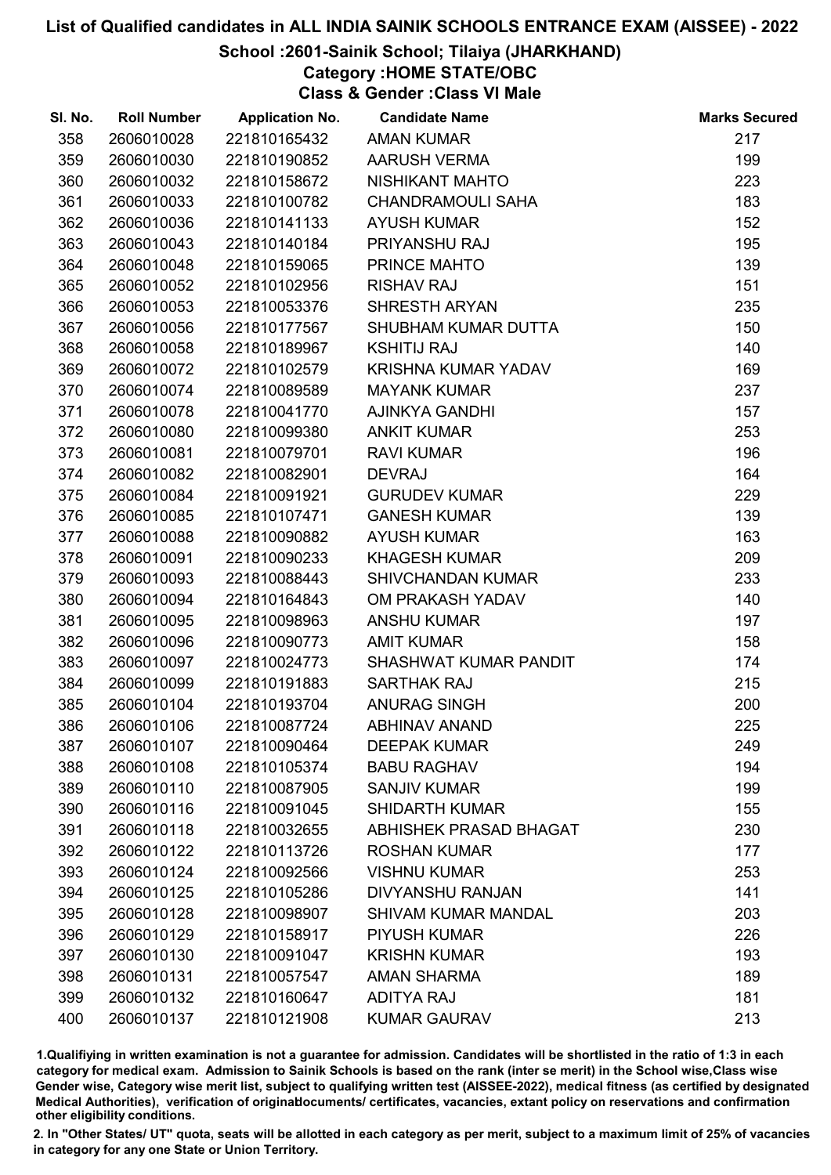### School :2601-Sainik School; Tilaiya (JHARKHAND)

# Category :HOME STATE/OBC

Class & Gender :Class VI Male

| SI. No. | <b>Roll Number</b> | <b>Application No.</b> | <b>Candidate Name</b>         | <b>Marks Secured</b> |
|---------|--------------------|------------------------|-------------------------------|----------------------|
| 358     | 2606010028         | 221810165432           | <b>AMAN KUMAR</b>             | 217                  |
| 359     | 2606010030         | 221810190852           | <b>AARUSH VERMA</b>           | 199                  |
| 360     | 2606010032         | 221810158672           | NISHIKANT MAHTO               | 223                  |
| 361     | 2606010033         | 221810100782           | <b>CHANDRAMOULI SAHA</b>      | 183                  |
| 362     | 2606010036         | 221810141133           | <b>AYUSH KUMAR</b>            | 152                  |
| 363     | 2606010043         | 221810140184           | PRIYANSHU RAJ                 | 195                  |
| 364     | 2606010048         | 221810159065           | PRINCE MAHTO                  | 139                  |
| 365     | 2606010052         | 221810102956           | <b>RISHAV RAJ</b>             | 151                  |
| 366     | 2606010053         | 221810053376           | <b>SHRESTH ARYAN</b>          | 235                  |
| 367     | 2606010056         | 221810177567           | SHUBHAM KUMAR DUTTA           | 150                  |
| 368     | 2606010058         | 221810189967           | <b>KSHITIJ RAJ</b>            | 140                  |
| 369     | 2606010072         | 221810102579           | KRISHNA KUMAR YADAV           | 169                  |
| 370     | 2606010074         | 221810089589           | <b>MAYANK KUMAR</b>           | 237                  |
| 371     | 2606010078         | 221810041770           | <b>AJINKYA GANDHI</b>         | 157                  |
| 372     | 2606010080         | 221810099380           | <b>ANKIT KUMAR</b>            | 253                  |
| 373     | 2606010081         | 221810079701           | <b>RAVI KUMAR</b>             | 196                  |
| 374     | 2606010082         | 221810082901           | <b>DEVRAJ</b>                 | 164                  |
| 375     | 2606010084         | 221810091921           | <b>GURUDEV KUMAR</b>          | 229                  |
| 376     | 2606010085         | 221810107471           | <b>GANESH KUMAR</b>           | 139                  |
| 377     | 2606010088         | 221810090882           | <b>AYUSH KUMAR</b>            | 163                  |
| 378     | 2606010091         | 221810090233           | <b>KHAGESH KUMAR</b>          | 209                  |
| 379     | 2606010093         | 221810088443           | <b>SHIVCHANDAN KUMAR</b>      | 233                  |
| 380     | 2606010094         | 221810164843           | OM PRAKASH YADAV              | 140                  |
| 381     | 2606010095         | 221810098963           | <b>ANSHU KUMAR</b>            | 197                  |
| 382     | 2606010096         | 221810090773           | <b>AMIT KUMAR</b>             | 158                  |
| 383     | 2606010097         | 221810024773           | SHASHWAT KUMAR PANDIT         | 174                  |
| 384     | 2606010099         | 221810191883           | <b>SARTHAK RAJ</b>            | 215                  |
| 385     | 2606010104         | 221810193704           | ANURAG SINGH                  | 200                  |
| 386     | 2606010106         | 221810087724           | <b>ABHINAV ANAND</b>          | 225                  |
| 387     | 2606010107         | 221810090464           | <b>DEEPAK KUMAR</b>           | 249                  |
| 388     | 2606010108         | 221810105374           | <b>BABU RAGHAV</b>            | 194                  |
| 389     | 2606010110         | 221810087905           | <b>SANJIV KUMAR</b>           | 199                  |
| 390     | 2606010116         | 221810091045           | <b>SHIDARTH KUMAR</b>         | 155                  |
| 391     | 2606010118         | 221810032655           | <b>ABHISHEK PRASAD BHAGAT</b> | 230                  |
| 392     | 2606010122         | 221810113726           | <b>ROSHAN KUMAR</b>           | 177                  |
| 393     | 2606010124         | 221810092566           | <b>VISHNU KUMAR</b>           | 253                  |
| 394     | 2606010125         | 221810105286           | <b>DIVYANSHU RANJAN</b>       | 141                  |
| 395     | 2606010128         | 221810098907           | <b>SHIVAM KUMAR MANDAL</b>    | 203                  |
| 396     | 2606010129         | 221810158917           | <b>PIYUSH KUMAR</b>           | 226                  |
| 397     | 2606010130         | 221810091047           | <b>KRISHN KUMAR</b>           | 193                  |
| 398     | 2606010131         | 221810057547           | <b>AMAN SHARMA</b>            | 189                  |
| 399     | 2606010132         | 221810160647           | <b>ADITYA RAJ</b>             | 181                  |
| 400     | 2606010137         | 221810121908           | <b>KUMAR GAURAV</b>           | 213                  |

1.Qualifiying in written examination is not a guarantee for admission. Candidates will be shortlisted in the ratio of 1:3 in each category for medical exam. Admission to Sainik Schools is based on the rank (inter se merit) in the School wise,Class wise Gender wise, Category wise merit list, subject to qualifying written test (AISSEE-2022), medical fitness (as certified by designated Medical Authorities), verification of originablocuments/ certificates, vacancies, extant policy on reservations and confirmation other eligibility conditions.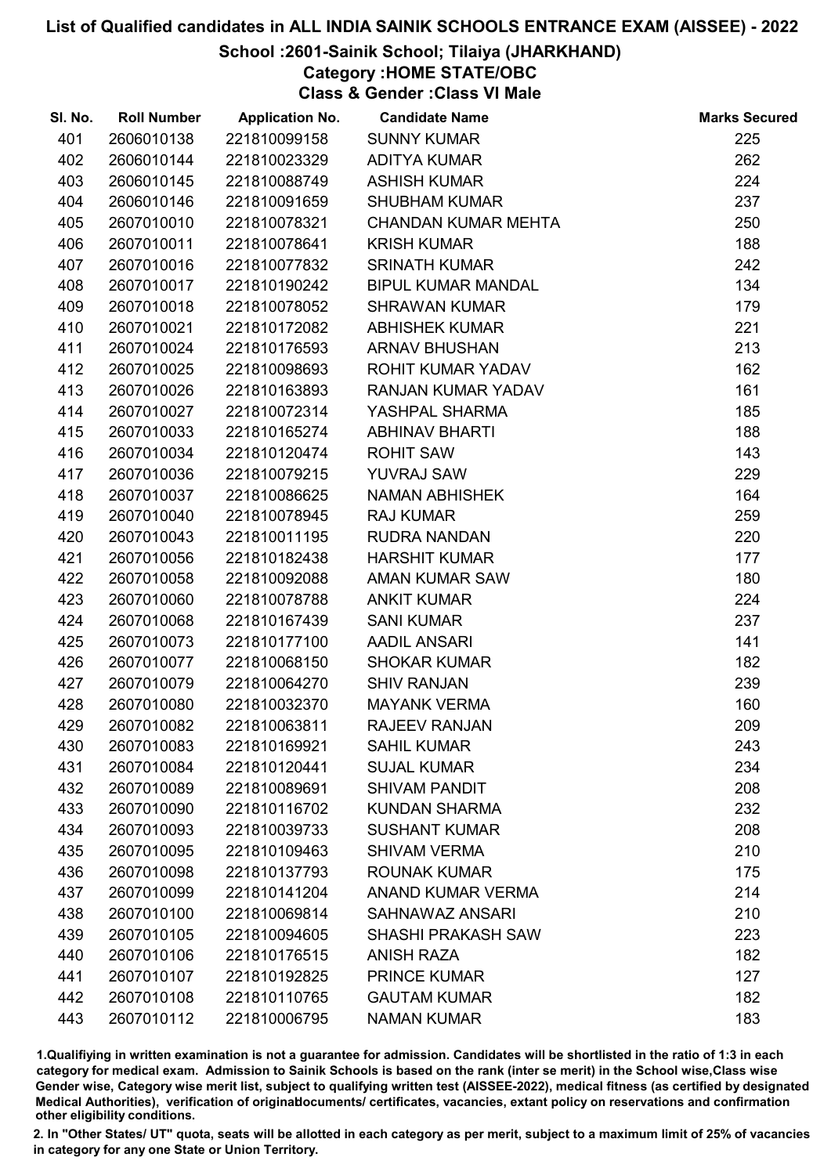### School :2601-Sainik School; Tilaiya (JHARKHAND)

# Category :HOME STATE/OBC

Class & Gender :Class VI Male

| SI. No. | <b>Roll Number</b> | <b>Application No.</b> | <b>Candidate Name</b>      | <b>Marks Secured</b> |
|---------|--------------------|------------------------|----------------------------|----------------------|
| 401     | 2606010138         | 221810099158           | <b>SUNNY KUMAR</b>         | 225                  |
| 402     | 2606010144         | 221810023329           | <b>ADITYA KUMAR</b>        | 262                  |
| 403     | 2606010145         | 221810088749           | <b>ASHISH KUMAR</b>        | 224                  |
| 404     | 2606010146         | 221810091659           | <b>SHUBHAM KUMAR</b>       | 237                  |
| 405     | 2607010010         | 221810078321           | <b>CHANDAN KUMAR MEHTA</b> | 250                  |
| 406     | 2607010011         | 221810078641           | <b>KRISH KUMAR</b>         | 188                  |
| 407     | 2607010016         | 221810077832           | <b>SRINATH KUMAR</b>       | 242                  |
| 408     | 2607010017         | 221810190242           | <b>BIPUL KUMAR MANDAL</b>  | 134                  |
| 409     | 2607010018         | 221810078052           | <b>SHRAWAN KUMAR</b>       | 179                  |
| 410     | 2607010021         | 221810172082           | <b>ABHISHEK KUMAR</b>      | 221                  |
| 411     | 2607010024         | 221810176593           | <b>ARNAV BHUSHAN</b>       | 213                  |
| 412     | 2607010025         | 221810098693           | ROHIT KUMAR YADAV          | 162                  |
| 413     | 2607010026         | 221810163893           | RANJAN KUMAR YADAV         | 161                  |
| 414     | 2607010027         | 221810072314           | YASHPAL SHARMA             | 185                  |
| 415     | 2607010033         | 221810165274           | <b>ABHINAV BHARTI</b>      | 188                  |
| 416     | 2607010034         | 221810120474           | <b>ROHIT SAW</b>           | 143                  |
| 417     | 2607010036         | 221810079215           | <b>YUVRAJ SAW</b>          | 229                  |
| 418     | 2607010037         | 221810086625           | <b>NAMAN ABHISHEK</b>      | 164                  |
| 419     | 2607010040         | 221810078945           | <b>RAJ KUMAR</b>           | 259                  |
| 420     | 2607010043         | 221810011195           | RUDRA NANDAN               | 220                  |
| 421     | 2607010056         | 221810182438           | <b>HARSHIT KUMAR</b>       | 177                  |
| 422     | 2607010058         | 221810092088           | <b>AMAN KUMAR SAW</b>      | 180                  |
| 423     | 2607010060         | 221810078788           | <b>ANKIT KUMAR</b>         | 224                  |
| 424     | 2607010068         | 221810167439           | <b>SANI KUMAR</b>          | 237                  |
| 425     | 2607010073         | 221810177100           | <b>AADIL ANSARI</b>        | 141                  |
| 426     | 2607010077         | 221810068150           | <b>SHOKAR KUMAR</b>        | 182                  |
| 427     | 2607010079         | 221810064270           | <b>SHIV RANJAN</b>         | 239                  |
| 428     | 2607010080         | 221810032370           | <b>MAYANK VERMA</b>        | 160                  |
| 429     | 2607010082         | 221810063811           | <b>RAJEEV RANJAN</b>       | 209                  |
| 430     | 2607010083         | 221810169921           | <b>SAHIL KUMAR</b>         | 243                  |
| 431     | 2607010084         | 221810120441           | <b>SUJAL KUMAR</b>         | 234                  |
| 432     | 2607010089         | 221810089691           | <b>SHIVAM PANDIT</b>       | 208                  |
| 433     | 2607010090         | 221810116702           | <b>KUNDAN SHARMA</b>       | 232                  |
| 434     | 2607010093         | 221810039733           | <b>SUSHANT KUMAR</b>       | 208                  |
| 435     | 2607010095         | 221810109463           | <b>SHIVAM VERMA</b>        | 210                  |
| 436     | 2607010098         | 221810137793           | <b>ROUNAK KUMAR</b>        | 175                  |
| 437     | 2607010099         | 221810141204           | <b>ANAND KUMAR VERMA</b>   | 214                  |
| 438     | 2607010100         | 221810069814           | <b>SAHNAWAZ ANSARI</b>     | 210                  |
| 439     | 2607010105         | 221810094605           | <b>SHASHI PRAKASH SAW</b>  | 223                  |
| 440     | 2607010106         | 221810176515           | <b>ANISH RAZA</b>          | 182                  |
| 441     | 2607010107         | 221810192825           | <b>PRINCE KUMAR</b>        | 127                  |
| 442     | 2607010108         | 221810110765           | <b>GAUTAM KUMAR</b>        | 182                  |
| 443     | 2607010112         | 221810006795           | <b>NAMAN KUMAR</b>         | 183                  |

1.Qualifiying in written examination is not a guarantee for admission. Candidates will be shortlisted in the ratio of 1:3 in each category for medical exam. Admission to Sainik Schools is based on the rank (inter se merit) in the School wise,Class wise Gender wise, Category wise merit list, subject to qualifying written test (AISSEE-2022), medical fitness (as certified by designated Medical Authorities), verification of originablocuments/ certificates, vacancies, extant policy on reservations and confirmation other eligibility conditions.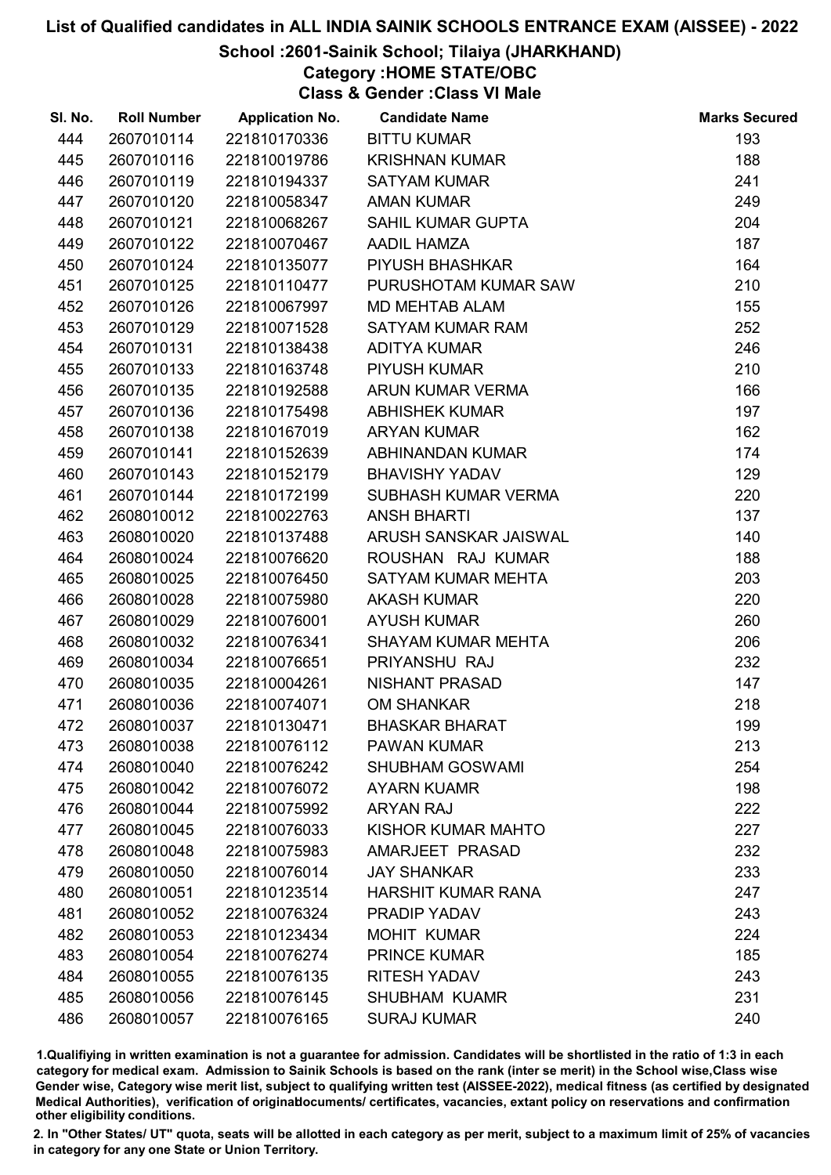### School :2601-Sainik School; Tilaiya (JHARKHAND)

Category :HOME STATE/OBC

Class & Gender :Class VI Male

| SI. No. | <b>Roll Number</b> | <b>Application No.</b> | <b>Candidate Name</b>     | <b>Marks Secured</b> |
|---------|--------------------|------------------------|---------------------------|----------------------|
| 444     | 2607010114         | 221810170336           | <b>BITTU KUMAR</b>        | 193                  |
| 445     | 2607010116         | 221810019786           | <b>KRISHNAN KUMAR</b>     | 188                  |
| 446     | 2607010119         | 221810194337           | <b>SATYAM KUMAR</b>       | 241                  |
| 447     | 2607010120         | 221810058347           | <b>AMAN KUMAR</b>         | 249                  |
| 448     | 2607010121         | 221810068267           | <b>SAHIL KUMAR GUPTA</b>  | 204                  |
| 449     | 2607010122         | 221810070467           | AADIL HAMZA               | 187                  |
| 450     | 2607010124         | 221810135077           | <b>PIYUSH BHASHKAR</b>    | 164                  |
| 451     | 2607010125         | 221810110477           | PURUSHOTAM KUMAR SAW      | 210                  |
| 452     | 2607010126         | 221810067997           | <b>MD MEHTAB ALAM</b>     | 155                  |
| 453     | 2607010129         | 221810071528           | <b>SATYAM KUMAR RAM</b>   | 252                  |
| 454     | 2607010131         | 221810138438           | <b>ADITYA KUMAR</b>       | 246                  |
| 455     | 2607010133         | 221810163748           | <b>PIYUSH KUMAR</b>       | 210                  |
| 456     | 2607010135         | 221810192588           | ARUN KUMAR VERMA          | 166                  |
| 457     | 2607010136         | 221810175498           | <b>ABHISHEK KUMAR</b>     | 197                  |
| 458     | 2607010138         | 221810167019           | <b>ARYAN KUMAR</b>        | 162                  |
| 459     | 2607010141         | 221810152639           | ABHINANDAN KUMAR          | 174                  |
| 460     | 2607010143         | 221810152179           | <b>BHAVISHY YADAV</b>     | 129                  |
| 461     | 2607010144         | 221810172199           | SUBHASH KUMAR VERMA       | 220                  |
| 462     | 2608010012         | 221810022763           | <b>ANSH BHARTI</b>        | 137                  |
| 463     | 2608010020         | 221810137488           | ARUSH SANSKAR JAISWAL     | 140                  |
| 464     | 2608010024         | 221810076620           | ROUSHAN RAJ KUMAR         | 188                  |
| 465     | 2608010025         | 221810076450           | SATYAM KUMAR MEHTA        | 203                  |
| 466     | 2608010028         | 221810075980           | <b>AKASH KUMAR</b>        | 220                  |
| 467     | 2608010029         | 221810076001           | <b>AYUSH KUMAR</b>        | 260                  |
| 468     | 2608010032         | 221810076341           | <b>SHAYAM KUMAR MEHTA</b> | 206                  |
| 469     | 2608010034         | 221810076651           | PRIYANSHU RAJ             | 232                  |
| 470     | 2608010035         | 221810004261           | NISHANT PRASAD            | 147                  |
| 471     | 2608010036         | 221810074071           | <b>OM SHANKAR</b>         | 218                  |
| 472     | 2608010037         | 221810130471           | <b>BHASKAR BHARAT</b>     | 199                  |
| 473     | 2608010038         | 221810076112           | <b>PAWAN KUMAR</b>        | 213                  |
| 474     | 2608010040         | 221810076242           | <b>SHUBHAM GOSWAMI</b>    | 254                  |
| 475     | 2608010042         | 221810076072           | <b>AYARN KUAMR</b>        | 198                  |
| 476     | 2608010044         | 221810075992           | <b>ARYAN RAJ</b>          | 222                  |
| 477     | 2608010045         | 221810076033           | KISHOR KUMAR MAHTO        | 227                  |
| 478     | 2608010048         | 221810075983           | AMARJEET PRASAD           | 232                  |
| 479     | 2608010050         | 221810076014           | <b>JAY SHANKAR</b>        | 233                  |
| 480     | 2608010051         | 221810123514           | HARSHIT KUMAR RANA        | 247                  |
| 481     | 2608010052         | 221810076324           | PRADIP YADAV              | 243                  |
| 482     | 2608010053         | 221810123434           | <b>MOHIT KUMAR</b>        | 224                  |
| 483     | 2608010054         | 221810076274           | <b>PRINCE KUMAR</b>       | 185                  |
| 484     | 2608010055         | 221810076135           | <b>RITESH YADAV</b>       | 243                  |
| 485     | 2608010056         | 221810076145           | <b>SHUBHAM KUAMR</b>      | 231                  |
| 486     | 2608010057         | 221810076165           | <b>SURAJ KUMAR</b>        | 240                  |

1.Qualifiying in written examination is not a guarantee for admission. Candidates will be shortlisted in the ratio of 1:3 in each category for medical exam. Admission to Sainik Schools is based on the rank (inter se merit) in the School wise,Class wise Gender wise, Category wise merit list, subject to qualifying written test (AISSEE-2022), medical fitness (as certified by designated Medical Authorities), verification of originablocuments/ certificates, vacancies, extant policy on reservations and confirmation other eligibility conditions.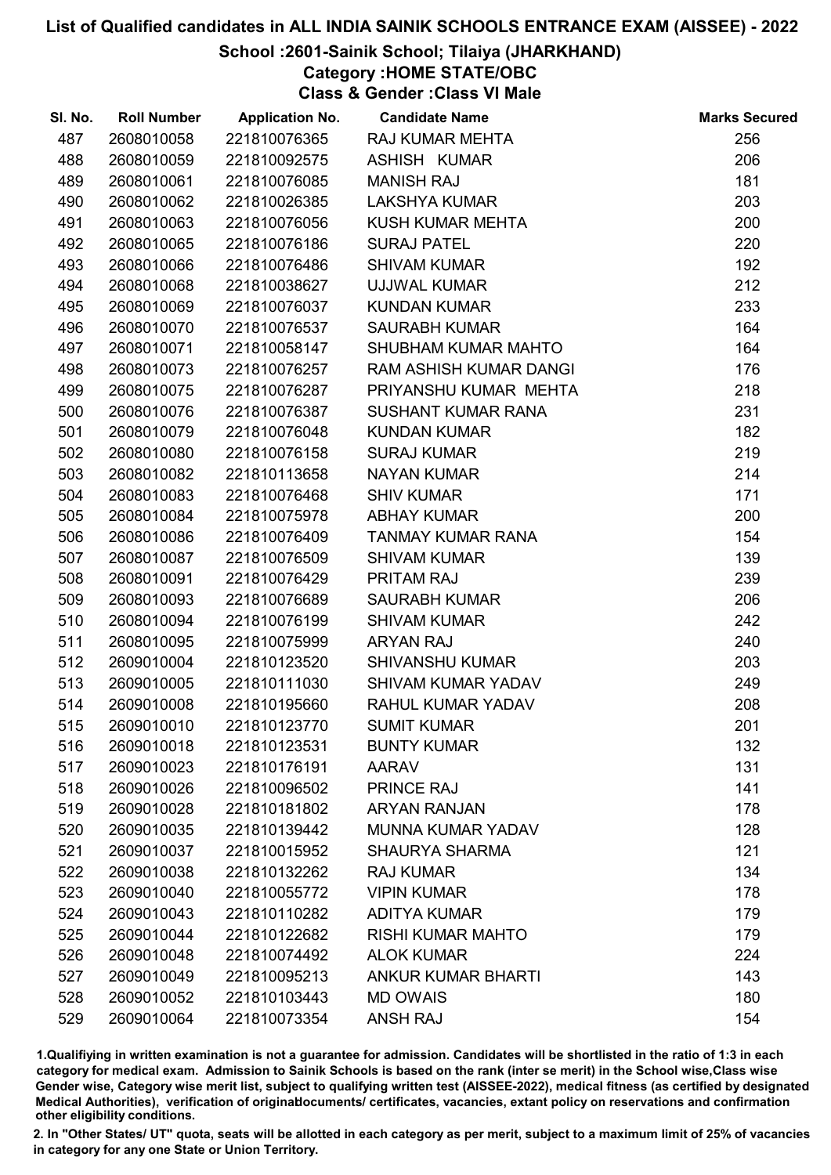### School :2601-Sainik School; Tilaiya (JHARKHAND)

# Category :HOME STATE/OBC

Class & Gender :Class VI Male

| SI. No. | <b>Roll Number</b> | <b>Application No.</b> | <b>Candidate Name</b>     | <b>Marks Secured</b> |
|---------|--------------------|------------------------|---------------------------|----------------------|
| 487     | 2608010058         | 221810076365           | <b>RAJ KUMAR MEHTA</b>    | 256                  |
| 488     | 2608010059         | 221810092575           | ASHISH KUMAR              | 206                  |
| 489     | 2608010061         | 221810076085           | <b>MANISH RAJ</b>         | 181                  |
| 490     | 2608010062         | 221810026385           | <b>LAKSHYA KUMAR</b>      | 203                  |
| 491     | 2608010063         | 221810076056           | KUSH KUMAR MEHTA          | 200                  |
| 492     | 2608010065         | 221810076186           | <b>SURAJ PATEL</b>        | 220                  |
| 493     | 2608010066         | 221810076486           | <b>SHIVAM KUMAR</b>       | 192                  |
| 494     | 2608010068         | 221810038627           | UJJWAL KUMAR              | 212                  |
| 495     | 2608010069         | 221810076037           | <b>KUNDAN KUMAR</b>       | 233                  |
| 496     | 2608010070         | 221810076537           | <b>SAURABH KUMAR</b>      | 164                  |
| 497     | 2608010071         | 221810058147           | SHUBHAM KUMAR MAHTO       | 164                  |
| 498     | 2608010073         | 221810076257           | RAM ASHISH KUMAR DANGI    | 176                  |
| 499     | 2608010075         | 221810076287           | PRIYANSHU KUMAR MEHTA     | 218                  |
| 500     | 2608010076         | 221810076387           | <b>SUSHANT KUMAR RANA</b> | 231                  |
| 501     | 2608010079         | 221810076048           | <b>KUNDAN KUMAR</b>       | 182                  |
| 502     | 2608010080         | 221810076158           | <b>SURAJ KUMAR</b>        | 219                  |
| 503     | 2608010082         | 221810113658           | <b>NAYAN KUMAR</b>        | 214                  |
| 504     | 2608010083         | 221810076468           | <b>SHIV KUMAR</b>         | 171                  |
| 505     | 2608010084         | 221810075978           | <b>ABHAY KUMAR</b>        | 200                  |
| 506     | 2608010086         | 221810076409           | TANMAY KUMAR RANA         | 154                  |
| 507     | 2608010087         | 221810076509           | <b>SHIVAM KUMAR</b>       | 139                  |
| 508     | 2608010091         | 221810076429           | PRITAM RAJ                | 239                  |
| 509     | 2608010093         | 221810076689           | <b>SAURABH KUMAR</b>      | 206                  |
| 510     | 2608010094         | 221810076199           | <b>SHIVAM KUMAR</b>       | 242                  |
| 511     | 2608010095         | 221810075999           | <b>ARYAN RAJ</b>          | 240                  |
| 512     | 2609010004         | 221810123520           | <b>SHIVANSHU KUMAR</b>    | 203                  |
| 513     | 2609010005         | 221810111030           | SHIVAM KUMAR YADAV        | 249                  |
| 514     | 2609010008         | 221810195660           | RAHUL KUMAR YADAV         | 208                  |
| 515     | 2609010010         | 221810123770           | <b>SUMIT KUMAR</b>        | 201                  |
| 516     | 2609010018         | 221810123531           | <b>BUNTY KUMAR</b>        | 132                  |
| 517     | 2609010023         | 221810176191           | <b>AARAV</b>              | 131                  |
| 518     | 2609010026         | 221810096502           | <b>PRINCE RAJ</b>         | 141                  |
| 519     | 2609010028         | 221810181802           | <b>ARYAN RANJAN</b>       | 178                  |
| 520     | 2609010035         | 221810139442           | <b>MUNNA KUMAR YADAV</b>  | 128                  |
| 521     | 2609010037         | 221810015952           | <b>SHAURYA SHARMA</b>     | 121                  |
| 522     | 2609010038         | 221810132262           | <b>RAJ KUMAR</b>          | 134                  |
| 523     | 2609010040         | 221810055772           | <b>VIPIN KUMAR</b>        | 178                  |
| 524     | 2609010043         | 221810110282           | <b>ADITYA KUMAR</b>       | 179                  |
| 525     | 2609010044         | 221810122682           | <b>RISHI KUMAR MAHTO</b>  | 179                  |
| 526     | 2609010048         | 221810074492           | <b>ALOK KUMAR</b>         | 224                  |
| 527     | 2609010049         | 221810095213           | <b>ANKUR KUMAR BHARTI</b> | 143                  |
| 528     | 2609010052         | 221810103443           | <b>MD OWAIS</b>           | 180                  |
| 529     | 2609010064         | 221810073354           | <b>ANSH RAJ</b>           | 154                  |

1.Qualifiying in written examination is not a guarantee for admission. Candidates will be shortlisted in the ratio of 1:3 in each category for medical exam. Admission to Sainik Schools is based on the rank (inter se merit) in the School wise,Class wise Gender wise, Category wise merit list, subject to qualifying written test (AISSEE-2022), medical fitness (as certified by designated Medical Authorities), verification of originablocuments/ certificates, vacancies, extant policy on reservations and confirmation other eligibility conditions.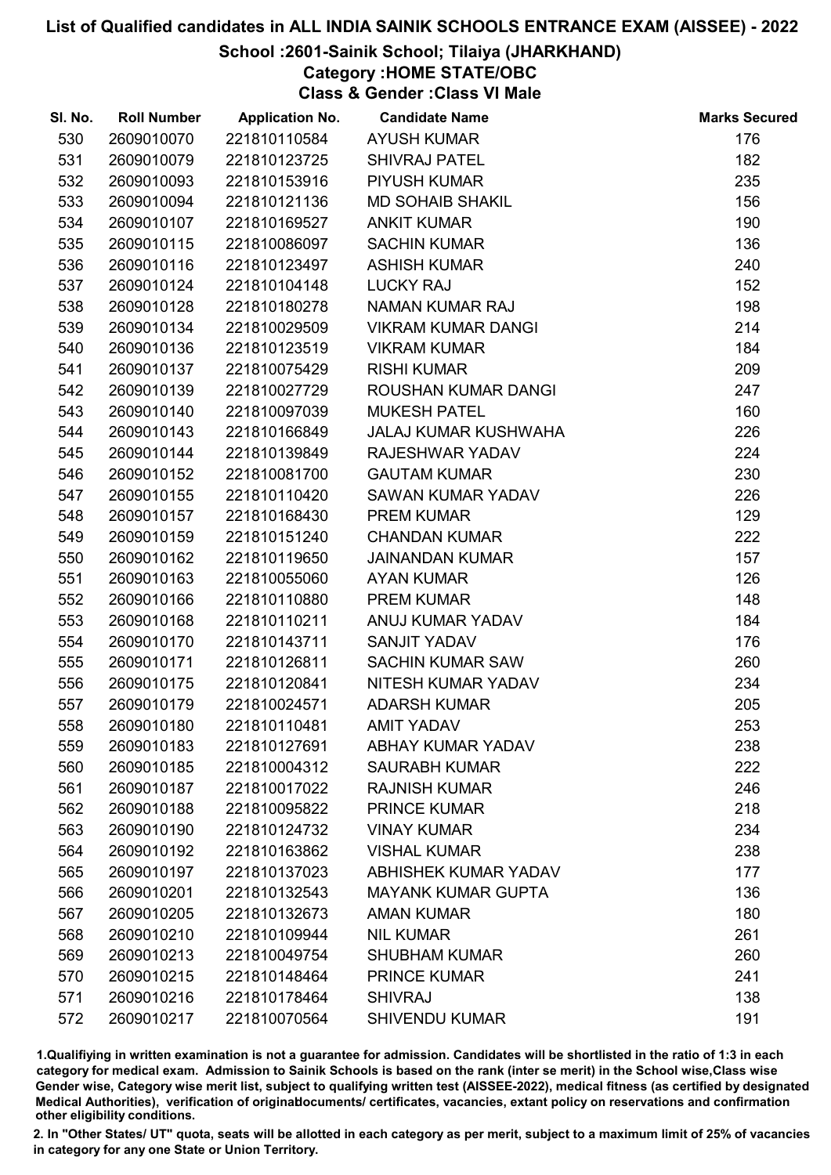### School :2601-Sainik School; Tilaiya (JHARKHAND)

# Category :HOME STATE/OBC

Class & Gender :Class VI Male

| SI. No. | <b>Roll Number</b> | <b>Application No.</b> | <b>Candidate Name</b>       | <b>Marks Secured</b> |
|---------|--------------------|------------------------|-----------------------------|----------------------|
| 530     | 2609010070         | 221810110584           | <b>AYUSH KUMAR</b>          | 176                  |
| 531     | 2609010079         | 221810123725           | <b>SHIVRAJ PATEL</b>        | 182                  |
| 532     | 2609010093         | 221810153916           | <b>PIYUSH KUMAR</b>         | 235                  |
| 533     | 2609010094         | 221810121136           | <b>MD SOHAIB SHAKIL</b>     | 156                  |
| 534     | 2609010107         | 221810169527           | <b>ANKIT KUMAR</b>          | 190                  |
| 535     | 2609010115         | 221810086097           | <b>SACHIN KUMAR</b>         | 136                  |
| 536     | 2609010116         | 221810123497           | <b>ASHISH KUMAR</b>         | 240                  |
| 537     | 2609010124         | 221810104148           | <b>LUCKY RAJ</b>            | 152                  |
| 538     | 2609010128         | 221810180278           | <b>NAMAN KUMAR RAJ</b>      | 198                  |
| 539     | 2609010134         | 221810029509           | <b>VIKRAM KUMAR DANGI</b>   | 214                  |
| 540     | 2609010136         | 221810123519           | <b>VIKRAM KUMAR</b>         | 184                  |
| 541     | 2609010137         | 221810075429           | <b>RISHI KUMAR</b>          | 209                  |
| 542     | 2609010139         | 221810027729           | ROUSHAN KUMAR DANGI         | 247                  |
| 543     | 2609010140         | 221810097039           | <b>MUKESH PATEL</b>         | 160                  |
| 544     | 2609010143         | 221810166849           | <b>JALAJ KUMAR KUSHWAHA</b> | 226                  |
| 545     | 2609010144         | 221810139849           | RAJESHWAR YADAV             | 224                  |
| 546     | 2609010152         | 221810081700           | <b>GAUTAM KUMAR</b>         | 230                  |
| 547     | 2609010155         | 221810110420           | <b>SAWAN KUMAR YADAV</b>    | 226                  |
| 548     | 2609010157         | 221810168430           | <b>PREM KUMAR</b>           | 129                  |
| 549     | 2609010159         | 221810151240           | <b>CHANDAN KUMAR</b>        | 222                  |
| 550     | 2609010162         | 221810119650           | <b>JAINANDAN KUMAR</b>      | 157                  |
| 551     | 2609010163         | 221810055060           | <b>AYAN KUMAR</b>           | 126                  |
| 552     | 2609010166         | 221810110880           | <b>PREM KUMAR</b>           | 148                  |
| 553     | 2609010168         | 221810110211           | ANUJ KUMAR YADAV            | 184                  |
| 554     | 2609010170         | 221810143711           | <b>SANJIT YADAV</b>         | 176                  |
| 555     | 2609010171         | 221810126811           | <b>SACHIN KUMAR SAW</b>     | 260                  |
| 556     | 2609010175         | 221810120841           | NITESH KUMAR YADAV          | 234                  |
| 557     | 2609010179         | 221810024571           | <b>ADARSH KUMAR</b>         | 205                  |
| 558     | 2609010180         | 221810110481           | <b>AMIT YADAV</b>           | 253                  |
| 559     | 2609010183         | 221810127691           | <b>ABHAY KUMAR YADAV</b>    | 238                  |
| 560     | 2609010185         | 221810004312           | <b>SAURABH KUMAR</b>        | 222                  |
| 561     | 2609010187         | 221810017022           | <b>RAJNISH KUMAR</b>        | 246                  |
| 562     | 2609010188         | 221810095822           | <b>PRINCE KUMAR</b>         | 218                  |
| 563     | 2609010190         | 221810124732           | <b>VINAY KUMAR</b>          | 234                  |
| 564     | 2609010192         | 221810163862           | <b>VISHAL KUMAR</b>         | 238                  |
| 565     | 2609010197         | 221810137023           | <b>ABHISHEK KUMAR YADAV</b> | 177                  |
| 566     | 2609010201         | 221810132543           | <b>MAYANK KUMAR GUPTA</b>   | 136                  |
| 567     | 2609010205         | 221810132673           | <b>AMAN KUMAR</b>           | 180                  |
| 568     | 2609010210         | 221810109944           | <b>NIL KUMAR</b>            | 261                  |
| 569     | 2609010213         | 221810049754           | <b>SHUBHAM KUMAR</b>        | 260                  |
| 570     | 2609010215         | 221810148464           | <b>PRINCE KUMAR</b>         | 241                  |
| 571     | 2609010216         | 221810178464           | <b>SHIVRAJ</b>              | 138                  |
| 572     | 2609010217         | 221810070564           | <b>SHIVENDU KUMAR</b>       | 191                  |

1.Qualifiying in written examination is not a guarantee for admission. Candidates will be shortlisted in the ratio of 1:3 in each category for medical exam. Admission to Sainik Schools is based on the rank (inter se merit) in the School wise,Class wise Gender wise, Category wise merit list, subject to qualifying written test (AISSEE-2022), medical fitness (as certified by designated Medical Authorities), verification of originablocuments/ certificates, vacancies, extant policy on reservations and confirmation other eligibility conditions.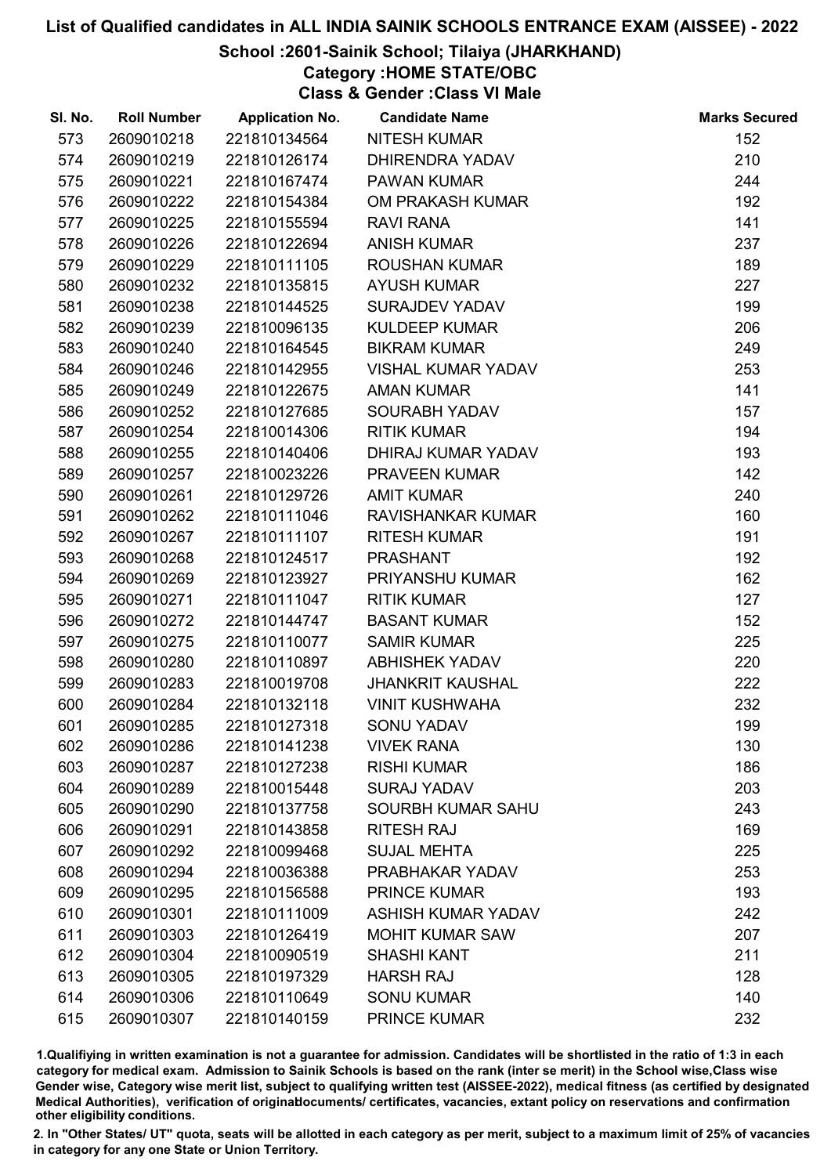### School :2601-Sainik School; Tilaiya (JHARKHAND)

Category :HOME STATE/OBC

Class & Gender :Class VI Male

| SI. No. | <b>Roll Number</b> | <b>Application No.</b> | <b>Candidate Name</b>     | <b>Marks Secured</b> |
|---------|--------------------|------------------------|---------------------------|----------------------|
| 573     | 2609010218         | 221810134564           | <b>NITESH KUMAR</b>       | 152                  |
| 574     | 2609010219         | 221810126174           | <b>DHIRENDRA YADAV</b>    | 210                  |
| 575     | 2609010221         | 221810167474           | <b>PAWAN KUMAR</b>        | 244                  |
| 576     | 2609010222         | 221810154384           | OM PRAKASH KUMAR          | 192                  |
| 577     | 2609010225         | 221810155594           | <b>RAVI RANA</b>          | 141                  |
| 578     | 2609010226         | 221810122694           | <b>ANISH KUMAR</b>        | 237                  |
| 579     | 2609010229         | 221810111105           | <b>ROUSHAN KUMAR</b>      | 189                  |
| 580     | 2609010232         | 221810135815           | <b>AYUSH KUMAR</b>        | 227                  |
| 581     | 2609010238         | 221810144525           | <b>SURAJDEV YADAV</b>     | 199                  |
| 582     | 2609010239         | 221810096135           | <b>KULDEEP KUMAR</b>      | 206                  |
| 583     | 2609010240         | 221810164545           | <b>BIKRAM KUMAR</b>       | 249                  |
| 584     | 2609010246         | 221810142955           | <b>VISHAL KUMAR YADAV</b> | 253                  |
| 585     | 2609010249         | 221810122675           | <b>AMAN KUMAR</b>         | 141                  |
| 586     | 2609010252         | 221810127685           | <b>SOURABH YADAV</b>      | 157                  |
| 587     | 2609010254         | 221810014306           | <b>RITIK KUMAR</b>        | 194                  |
| 588     | 2609010255         | 221810140406           | DHIRAJ KUMAR YADAV        | 193                  |
| 589     | 2609010257         | 221810023226           | <b>PRAVEEN KUMAR</b>      | 142                  |
| 590     | 2609010261         | 221810129726           | <b>AMIT KUMAR</b>         | 240                  |
| 591     | 2609010262         | 221810111046           | RAVISHANKAR KUMAR         | 160                  |
| 592     | 2609010267         | 221810111107           | <b>RITESH KUMAR</b>       | 191                  |
| 593     | 2609010268         | 221810124517           | <b>PRASHANT</b>           | 192                  |
| 594     | 2609010269         | 221810123927           | PRIYANSHU KUMAR           | 162                  |
| 595     | 2609010271         | 221810111047           | <b>RITIK KUMAR</b>        | 127                  |
| 596     | 2609010272         | 221810144747           | <b>BASANT KUMAR</b>       | 152                  |
| 597     | 2609010275         | 221810110077           | <b>SAMIR KUMAR</b>        | 225                  |
| 598     | 2609010280         | 221810110897           | <b>ABHISHEK YADAV</b>     | 220                  |
| 599     | 2609010283         | 221810019708           | <b>JHANKRIT KAUSHAL</b>   | 222                  |
| 600     | 2609010284         | 221810132118           | <b>VINIT KUSHWAHA</b>     | 232                  |
| 601     | 2609010285         | 221810127318           | <b>SONU YADAV</b>         | 199                  |
| 602     | 2609010286         | 221810141238           | <b>VIVEK RANA</b>         | 130                  |
| 603     | 2609010287         | 221810127238           | <b>RISHI KUMAR</b>        | 186                  |
| 604     | 2609010289         | 221810015448           | <b>SURAJ YADAV</b>        | 203                  |
| 605     | 2609010290         | 221810137758           | SOURBH KUMAR SAHU         | 243                  |
| 606     | 2609010291         | 221810143858           | <b>RITESH RAJ</b>         | 169                  |
| 607     | 2609010292         | 221810099468           | <b>SUJAL MEHTA</b>        | 225                  |
| 608     | 2609010294         | 221810036388           | PRABHAKAR YADAV           | 253                  |
| 609     | 2609010295         | 221810156588           | <b>PRINCE KUMAR</b>       | 193                  |
| 610     | 2609010301         | 221810111009           | <b>ASHISH KUMAR YADAV</b> | 242                  |
| 611     | 2609010303         | 221810126419           | <b>MOHIT KUMAR SAW</b>    | 207                  |
| 612     | 2609010304         | 221810090519           | <b>SHASHI KANT</b>        | 211                  |
| 613     | 2609010305         | 221810197329           | <b>HARSH RAJ</b>          | 128                  |
| 614     | 2609010306         | 221810110649           | <b>SONU KUMAR</b>         | 140                  |
| 615     | 2609010307         | 221810140159           | <b>PRINCE KUMAR</b>       | 232                  |

1.Qualifiying in written examination is not a guarantee for admission. Candidates will be shortlisted in the ratio of 1:3 in each category for medical exam. Admission to Sainik Schools is based on the rank (inter se merit) in the School wise,Class wise Gender wise, Category wise merit list, subject to qualifying written test (AISSEE-2022), medical fitness (as certified by designated Medical Authorities), verification of originablocuments/ certificates, vacancies, extant policy on reservations and confirmation other eligibility conditions.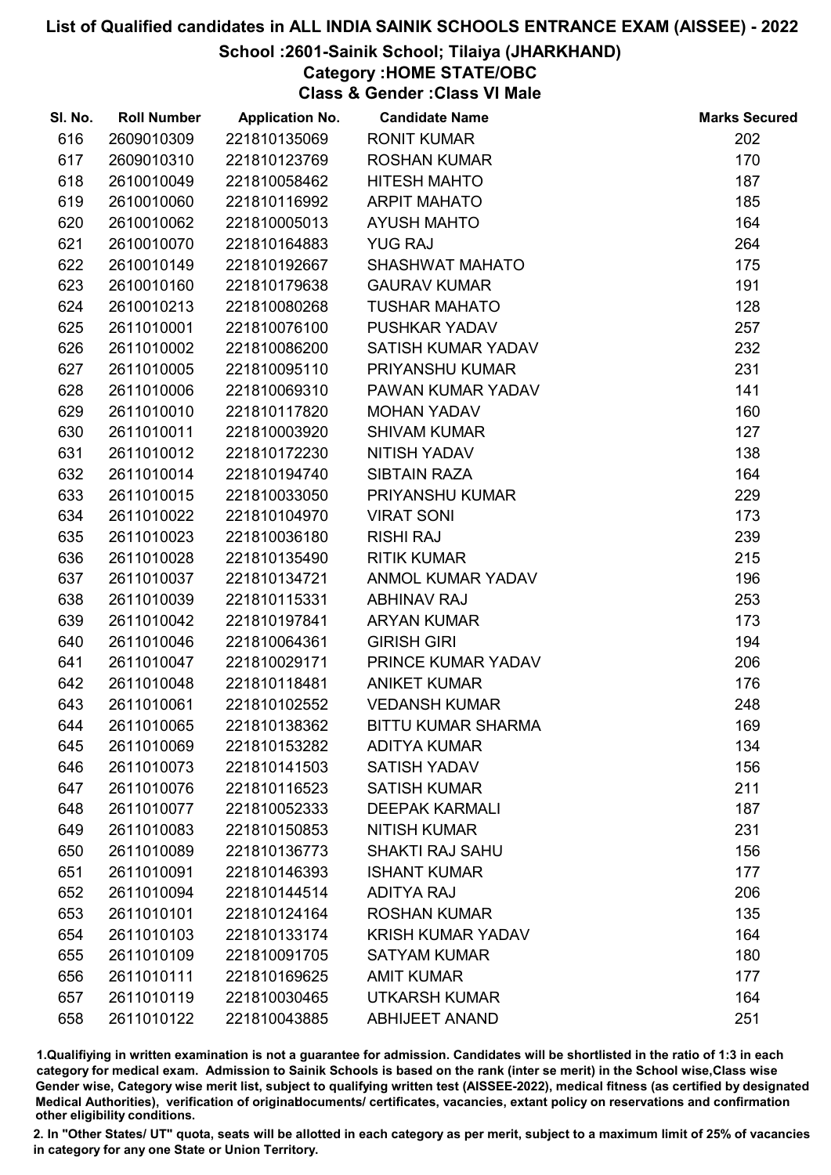### School :2601-Sainik School; Tilaiya (JHARKHAND)

# Category :HOME STATE/OBC

Class & Gender :Class VI Male

| SI. No. | <b>Roll Number</b> | <b>Application No.</b> | <b>Candidate Name</b>     | <b>Marks Secured</b> |
|---------|--------------------|------------------------|---------------------------|----------------------|
| 616     | 2609010309         | 221810135069           | <b>RONIT KUMAR</b>        | 202                  |
| 617     | 2609010310         | 221810123769           | <b>ROSHAN KUMAR</b>       | 170                  |
| 618     | 2610010049         | 221810058462           | <b>HITESH MAHTO</b>       | 187                  |
| 619     | 2610010060         | 221810116992           | <b>ARPIT MAHATO</b>       | 185                  |
| 620     | 2610010062         | 221810005013           | <b>AYUSH MAHTO</b>        | 164                  |
| 621     | 2610010070         | 221810164883           | <b>YUG RAJ</b>            | 264                  |
| 622     | 2610010149         | 221810192667           | SHASHWAT MAHATO           | 175                  |
| 623     | 2610010160         | 221810179638           | <b>GAURAV KUMAR</b>       | 191                  |
| 624     | 2610010213         | 221810080268           | <b>TUSHAR MAHATO</b>      | 128                  |
| 625     | 2611010001         | 221810076100           | PUSHKAR YADAV             | 257                  |
| 626     | 2611010002         | 221810086200           | SATISH KUMAR YADAV        | 232                  |
| 627     | 2611010005         | 221810095110           | PRIYANSHU KUMAR           | 231                  |
| 628     | 2611010006         | 221810069310           | PAWAN KUMAR YADAV         | 141                  |
| 629     | 2611010010         | 221810117820           | <b>MOHAN YADAV</b>        | 160                  |
| 630     | 2611010011         | 221810003920           | <b>SHIVAM KUMAR</b>       | 127                  |
| 631     | 2611010012         | 221810172230           | <b>NITISH YADAV</b>       | 138                  |
| 632     | 2611010014         | 221810194740           | <b>SIBTAIN RAZA</b>       | 164                  |
| 633     | 2611010015         | 221810033050           | PRIYANSHU KUMAR           | 229                  |
| 634     | 2611010022         | 221810104970           | <b>VIRAT SONI</b>         | 173                  |
| 635     | 2611010023         | 221810036180           | <b>RISHI RAJ</b>          | 239                  |
| 636     | 2611010028         | 221810135490           | <b>RITIK KUMAR</b>        | 215                  |
| 637     | 2611010037         | 221810134721           | ANMOL KUMAR YADAV         | 196                  |
| 638     | 2611010039         | 221810115331           | <b>ABHINAV RAJ</b>        | 253                  |
| 639     | 2611010042         | 221810197841           | <b>ARYAN KUMAR</b>        | 173                  |
| 640     | 2611010046         | 221810064361           | <b>GIRISH GIRI</b>        | 194                  |
| 641     | 2611010047         | 221810029171           | PRINCE KUMAR YADAV        | 206                  |
| 642     | 2611010048         | 221810118481           | <b>ANIKET KUMAR</b>       | 176                  |
| 643     | 2611010061         | 221810102552           | <b>VEDANSH KUMAR</b>      | 248                  |
| 644     | 2611010065         | 221810138362           | <b>BITTU KUMAR SHARMA</b> | 169                  |
| 645     | 2611010069         | 221810153282           | <b>ADITYA KUMAR</b>       | 134                  |
| 646     | 2611010073         | 221810141503           | <b>SATISH YADAV</b>       | 156                  |
| 647     | 2611010076         | 221810116523           | <b>SATISH KUMAR</b>       | 211                  |
| 648     | 2611010077         | 221810052333           | <b>DEEPAK KARMALI</b>     | 187                  |
| 649     | 2611010083         | 221810150853           | <b>NITISH KUMAR</b>       | 231                  |
| 650     | 2611010089         | 221810136773           | <b>SHAKTI RAJ SAHU</b>    | 156                  |
| 651     | 2611010091         | 221810146393           | <b>ISHANT KUMAR</b>       | 177                  |
| 652     | 2611010094         | 221810144514           | <b>ADITYA RAJ</b>         | 206                  |
| 653     | 2611010101         | 221810124164           | <b>ROSHAN KUMAR</b>       | 135                  |
| 654     | 2611010103         | 221810133174           | <b>KRISH KUMAR YADAV</b>  | 164                  |
| 655     | 2611010109         | 221810091705           | <b>SATYAM KUMAR</b>       | 180                  |
| 656     | 2611010111         | 221810169625           | <b>AMIT KUMAR</b>         | 177                  |
| 657     | 2611010119         | 221810030465           | <b>UTKARSH KUMAR</b>      | 164                  |
| 658     | 2611010122         | 221810043885           | <b>ABHIJEET ANAND</b>     | 251                  |

1.Qualifiying in written examination is not a guarantee for admission. Candidates will be shortlisted in the ratio of 1:3 in each category for medical exam. Admission to Sainik Schools is based on the rank (inter se merit) in the School wise,Class wise Gender wise, Category wise merit list, subject to qualifying written test (AISSEE-2022), medical fitness (as certified by designated Medical Authorities), verification of originablocuments/ certificates, vacancies, extant policy on reservations and confirmation other eligibility conditions.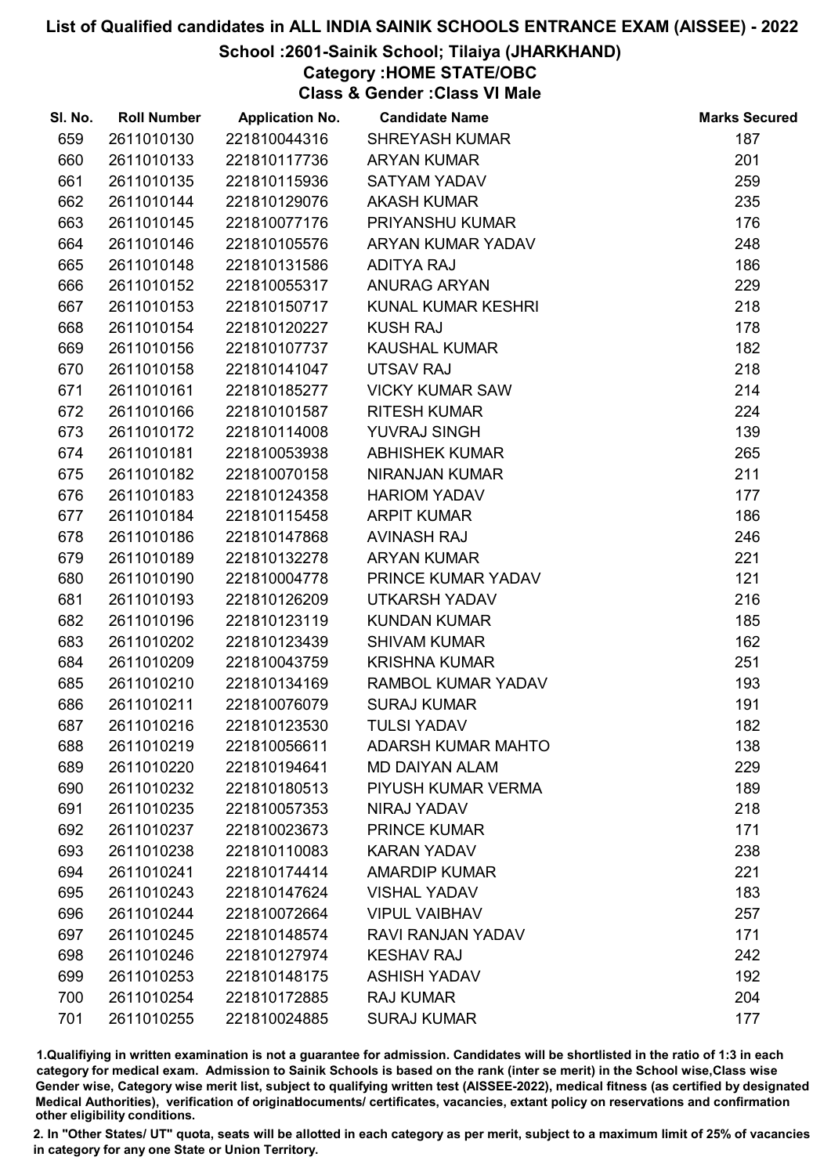### School :2601-Sainik School; Tilaiya (JHARKHAND)

Category :HOME STATE/OBC

Class & Gender :Class VI Male

| SI. No. | <b>Roll Number</b> | <b>Application No.</b> | <b>Candidate Name</b>     | <b>Marks Secured</b> |
|---------|--------------------|------------------------|---------------------------|----------------------|
| 659     | 2611010130         | 221810044316           | <b>SHREYASH KUMAR</b>     | 187                  |
| 660     | 2611010133         | 221810117736           | <b>ARYAN KUMAR</b>        | 201                  |
| 661     | 2611010135         | 221810115936           | <b>SATYAM YADAV</b>       | 259                  |
| 662     | 2611010144         | 221810129076           | <b>AKASH KUMAR</b>        | 235                  |
| 663     | 2611010145         | 221810077176           | PRIYANSHU KUMAR           | 176                  |
| 664     | 2611010146         | 221810105576           | ARYAN KUMAR YADAV         | 248                  |
| 665     | 2611010148         | 221810131586           | <b>ADITYA RAJ</b>         | 186                  |
| 666     | 2611010152         | 221810055317           | <b>ANURAG ARYAN</b>       | 229                  |
| 667     | 2611010153         | 221810150717           | KUNAL KUMAR KESHRI        | 218                  |
| 668     | 2611010154         | 221810120227           | <b>KUSH RAJ</b>           | 178                  |
| 669     | 2611010156         | 221810107737           | <b>KAUSHAL KUMAR</b>      | 182                  |
| 670     | 2611010158         | 221810141047           | UTSAV RAJ                 | 218                  |
| 671     | 2611010161         | 221810185277           | <b>VICKY KUMAR SAW</b>    | 214                  |
| 672     | 2611010166         | 221810101587           | <b>RITESH KUMAR</b>       | 224                  |
| 673     | 2611010172         | 221810114008           | YUVRAJ SINGH              | 139                  |
| 674     | 2611010181         | 221810053938           | <b>ABHISHEK KUMAR</b>     | 265                  |
| 675     | 2611010182         | 221810070158           | NIRANJAN KUMAR            | 211                  |
| 676     | 2611010183         | 221810124358           | <b>HARIOM YADAV</b>       | 177                  |
| 677     | 2611010184         | 221810115458           | <b>ARPIT KUMAR</b>        | 186                  |
| 678     | 2611010186         | 221810147868           | <b>AVINASH RAJ</b>        | 246                  |
| 679     | 2611010189         | 221810132278           | <b>ARYAN KUMAR</b>        | 221                  |
| 680     | 2611010190         | 221810004778           | PRINCE KUMAR YADAV        | 121                  |
| 681     | 2611010193         | 221810126209           | <b>UTKARSH YADAV</b>      | 216                  |
| 682     | 2611010196         | 221810123119           | <b>KUNDAN KUMAR</b>       | 185                  |
| 683     | 2611010202         | 221810123439           | <b>SHIVAM KUMAR</b>       | 162                  |
| 684     | 2611010209         | 221810043759           | <b>KRISHNA KUMAR</b>      | 251                  |
| 685     | 2611010210         | 221810134169           | RAMBOL KUMAR YADAV        | 193                  |
| 686     | 2611010211         | 221810076079           | <b>SURAJ KUMAR</b>        | 191                  |
| 687     | 2611010216         | 221810123530           | <b>TULSI YADAV</b>        | 182                  |
| 688     | 2611010219         | 221810056611           | <b>ADARSH KUMAR MAHTO</b> | 138                  |
| 689     | 2611010220         | 221810194641           | <b>MD DAIYAN ALAM</b>     | 229                  |
| 690     | 2611010232         | 221810180513           | PIYUSH KUMAR VERMA        | 189                  |
| 691     | 2611010235         | 221810057353           | NIRAJ YADAV               | 218                  |
| 692     | 2611010237         | 221810023673           | <b>PRINCE KUMAR</b>       | 171                  |
| 693     | 2611010238         | 221810110083           | <b>KARAN YADAV</b>        | 238                  |
| 694     | 2611010241         | 221810174414           | <b>AMARDIP KUMAR</b>      | 221                  |
| 695     | 2611010243         | 221810147624           | <b>VISHAL YADAV</b>       | 183                  |
| 696     | 2611010244         | 221810072664           | <b>VIPUL VAIBHAV</b>      | 257                  |
| 697     | 2611010245         | 221810148574           | RAVI RANJAN YADAV         | 171                  |
| 698     | 2611010246         | 221810127974           | <b>KESHAV RAJ</b>         | 242                  |
| 699     | 2611010253         | 221810148175           | <b>ASHISH YADAV</b>       | 192                  |
| 700     | 2611010254         | 221810172885           | <b>RAJ KUMAR</b>          | 204                  |
| 701     | 2611010255         | 221810024885           | <b>SURAJ KUMAR</b>        | 177                  |

1.Qualifiying in written examination is not a guarantee for admission. Candidates will be shortlisted in the ratio of 1:3 in each category for medical exam. Admission to Sainik Schools is based on the rank (inter se merit) in the School wise,Class wise Gender wise, Category wise merit list, subject to qualifying written test (AISSEE-2022), medical fitness (as certified by designated Medical Authorities), verification of originablocuments/ certificates, vacancies, extant policy on reservations and confirmation other eligibility conditions.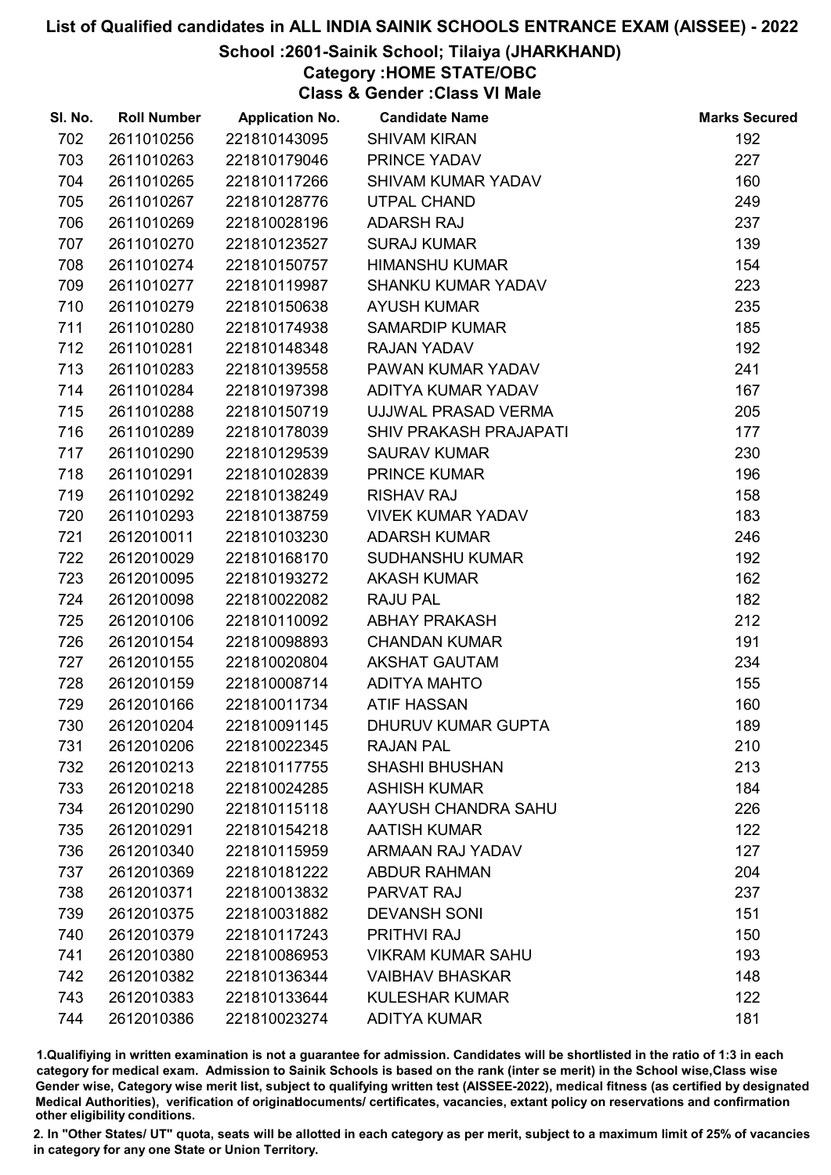### School :2601-Sainik School; Tilaiya (JHARKHAND)

# Category :HOME STATE/OBC

Class & Gender :Class VI Male

| SI. No. | <b>Roll Number</b> | <b>Application No.</b> | <b>Candidate Name</b>         | <b>Marks Secured</b> |
|---------|--------------------|------------------------|-------------------------------|----------------------|
| 702     | 2611010256         | 221810143095           | <b>SHIVAM KIRAN</b>           | 192                  |
| 703     | 2611010263         | 221810179046           | PRINCE YADAV                  | 227                  |
| 704     | 2611010265         | 221810117266           | <b>SHIVAM KUMAR YADAV</b>     | 160                  |
| 705     | 2611010267         | 221810128776           | <b>UTPAL CHAND</b>            | 249                  |
| 706     | 2611010269         | 221810028196           | <b>ADARSH RAJ</b>             | 237                  |
| 707     | 2611010270         | 221810123527           | <b>SURAJ KUMAR</b>            | 139                  |
| 708     | 2611010274         | 221810150757           | <b>HIMANSHU KUMAR</b>         | 154                  |
| 709     | 2611010277         | 221810119987           | <b>SHANKU KUMAR YADAV</b>     | 223                  |
| 710     | 2611010279         | 221810150638           | <b>AYUSH KUMAR</b>            | 235                  |
| 711     | 2611010280         | 221810174938           | <b>SAMARDIP KUMAR</b>         | 185                  |
| 712     | 2611010281         | 221810148348           | <b>RAJAN YADAV</b>            | 192                  |
| 713     | 2611010283         | 221810139558           | PAWAN KUMAR YADAV             | 241                  |
| 714     | 2611010284         | 221810197398           | ADITYA KUMAR YADAV            | 167                  |
| 715     | 2611010288         | 221810150719           | UJJWAL PRASAD VERMA           | 205                  |
| 716     | 2611010289         | 221810178039           | <b>SHIV PRAKASH PRAJAPATI</b> | 177                  |
| 717     | 2611010290         | 221810129539           | <b>SAURAV KUMAR</b>           | 230                  |
| 718     | 2611010291         | 221810102839           | <b>PRINCE KUMAR</b>           | 196                  |
| 719     | 2611010292         | 221810138249           | <b>RISHAV RAJ</b>             | 158                  |
| 720     | 2611010293         | 221810138759           | <b>VIVEK KUMAR YADAV</b>      | 183                  |
| 721     | 2612010011         | 221810103230           | <b>ADARSH KUMAR</b>           | 246                  |
| 722     | 2612010029         | 221810168170           | <b>SUDHANSHU KUMAR</b>        | 192                  |
| 723     | 2612010095         | 221810193272           | <b>AKASH KUMAR</b>            | 162                  |
| 724     | 2612010098         | 221810022082           | <b>RAJU PAL</b>               | 182                  |
| 725     | 2612010106         | 221810110092           | <b>ABHAY PRAKASH</b>          | 212                  |
| 726     | 2612010154         | 221810098893           | <b>CHANDAN KUMAR</b>          | 191                  |
| 727     | 2612010155         | 221810020804           | <b>AKSHAT GAUTAM</b>          | 234                  |
| 728     | 2612010159         | 221810008714           | <b>ADITYA MAHTO</b>           | 155                  |
| 729     | 2612010166         | 221810011734           | <b>ATIF HASSAN</b>            | 160                  |
| 730     | 2612010204         | 221810091145           | DHURUV KUMAR GUPTA            | 189                  |
| 731     | 2612010206         | 221810022345           | <b>RAJAN PAL</b>              | 210                  |
| 732     | 2612010213         | 221810117755           | <b>SHASHI BHUSHAN</b>         | 213                  |
| 733     | 2612010218         | 221810024285           | <b>ASHISH KUMAR</b>           | 184                  |
| 734     | 2612010290         | 221810115118           | AAYUSH CHANDRA SAHU           | 226                  |
| 735     | 2612010291         | 221810154218           | <b>AATISH KUMAR</b>           | 122                  |
| 736     | 2612010340         | 221810115959           | <b>ARMAAN RAJ YADAV</b>       | 127                  |
| 737     | 2612010369         | 221810181222           | <b>ABDUR RAHMAN</b>           | 204                  |
| 738     | 2612010371         | 221810013832           | PARVAT RAJ                    | 237                  |
| 739     | 2612010375         | 221810031882           | <b>DEVANSH SONI</b>           | 151                  |
| 740     | 2612010379         | 221810117243           | <b>PRITHVI RAJ</b>            | 150                  |
| 741     | 2612010380         | 221810086953           | <b>VIKRAM KUMAR SAHU</b>      | 193                  |
| 742     | 2612010382         | 221810136344           | <b>VAIBHAV BHASKAR</b>        | 148                  |
| 743     | 2612010383         | 221810133644           | <b>KULESHAR KUMAR</b>         | 122                  |
| 744     | 2612010386         | 221810023274           | <b>ADITYA KUMAR</b>           | 181                  |

1.Qualifiying in written examination is not a guarantee for admission. Candidates will be shortlisted in the ratio of 1:3 in each category for medical exam. Admission to Sainik Schools is based on the rank (inter se merit) in the School wise,Class wise Gender wise, Category wise merit list, subject to qualifying written test (AISSEE-2022), medical fitness (as certified by designated Medical Authorities), verification of originablocuments/ certificates, vacancies, extant policy on reservations and confirmation other eligibility conditions.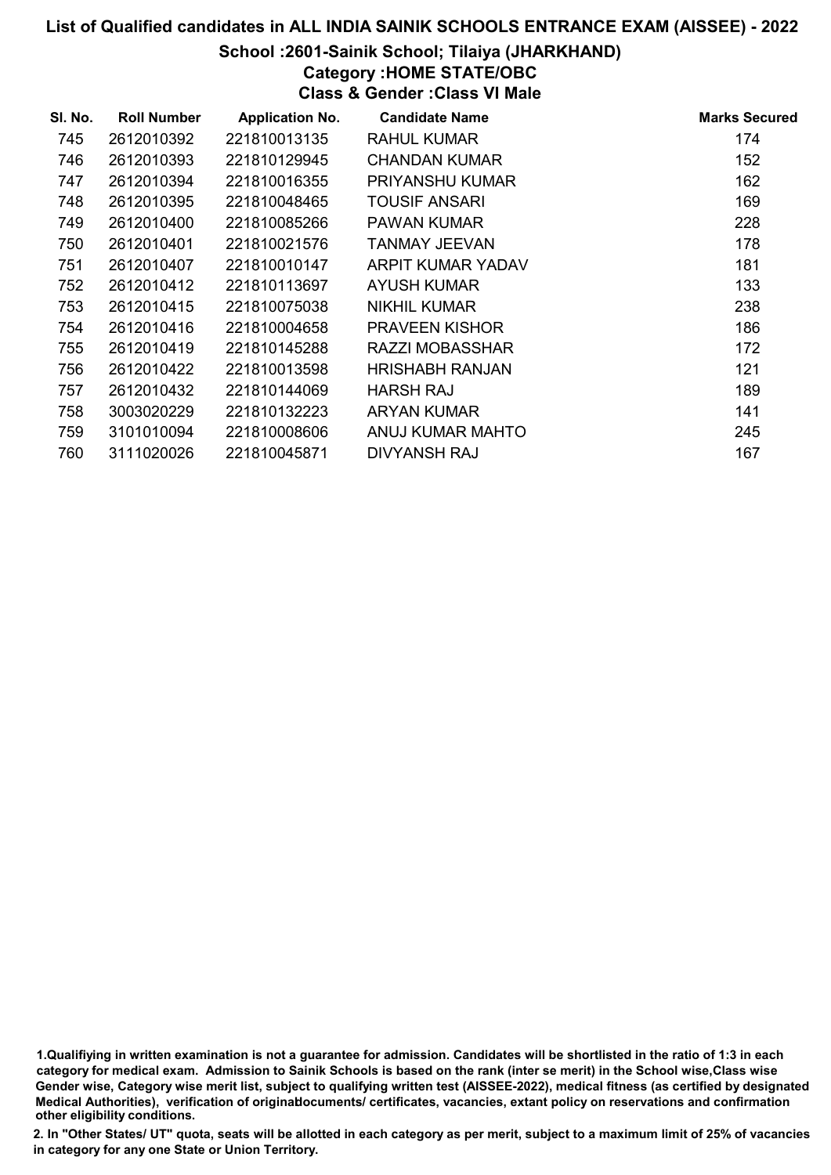### School :2601-Sainik School; Tilaiya (JHARKHAND)

# Category :HOME STATE/OBC

Class & Gender :Class VI Male

| SI. No. | <b>Roll Number</b> | <b>Application No.</b> | <b>Candidate Name</b> | <b>Marks Secured</b> |
|---------|--------------------|------------------------|-----------------------|----------------------|
| 745     | 2612010392         | 221810013135           | <b>RAHUL KUMAR</b>    | 174                  |
| 746     | 2612010393         | 221810129945           | <b>CHANDAN KUMAR</b>  | 152                  |
| 747     | 2612010394         | 221810016355           | PRIYANSHU KUMAR       | 162                  |
| 748     | 2612010395         | 221810048465           | TOUSIF ANSARI         | 169                  |
| 749     | 2612010400         | 221810085266           | <b>PAWAN KUMAR</b>    | 228                  |
| 750     | 2612010401         | 221810021576           | <b>TANMAY JEEVAN</b>  | 178                  |
| 751     | 2612010407         | 221810010147           | ARPIT KUMAR YADAV     | 181                  |
| 752     | 2612010412         | 221810113697           | <b>AYUSH KUMAR</b>    | 133                  |
| 753     | 2612010415         | 221810075038           | NIKHIL KUMAR          | 238                  |
| 754     | 2612010416         | 221810004658           | <b>PRAVEEN KISHOR</b> | 186                  |
| 755     | 2612010419         | 221810145288           | RAZZI MOBASSHAR       | 172                  |
| 756     | 2612010422         | 221810013598           | HRISHABH RANJAN       | 121                  |
| 757     | 2612010432         | 221810144069           | <b>HARSH RAJ</b>      | 189                  |
| 758     | 3003020229         | 221810132223           | <b>ARYAN KUMAR</b>    | 141                  |
| 759     | 3101010094         | 221810008606           | ANUJ KUMAR MAHTO      | 245                  |
| 760     | 3111020026         | 221810045871           | <b>DIVYANSH RAJ</b>   | 167                  |

1.Qualifiying in written examination is not a guarantee for admission. Candidates will be shortlisted in the ratio of 1:3 in each category for medical exam. Admission to Sainik Schools is based on the rank (inter se merit) in the School wise,Class wise Gender wise, Category wise merit list, subject to qualifying written test (AISSEE-2022), medical fitness (as certified by designated Medical Authorities), verification of originablocuments/ certificates, vacancies, extant policy on reservations and confirmation other eligibility conditions.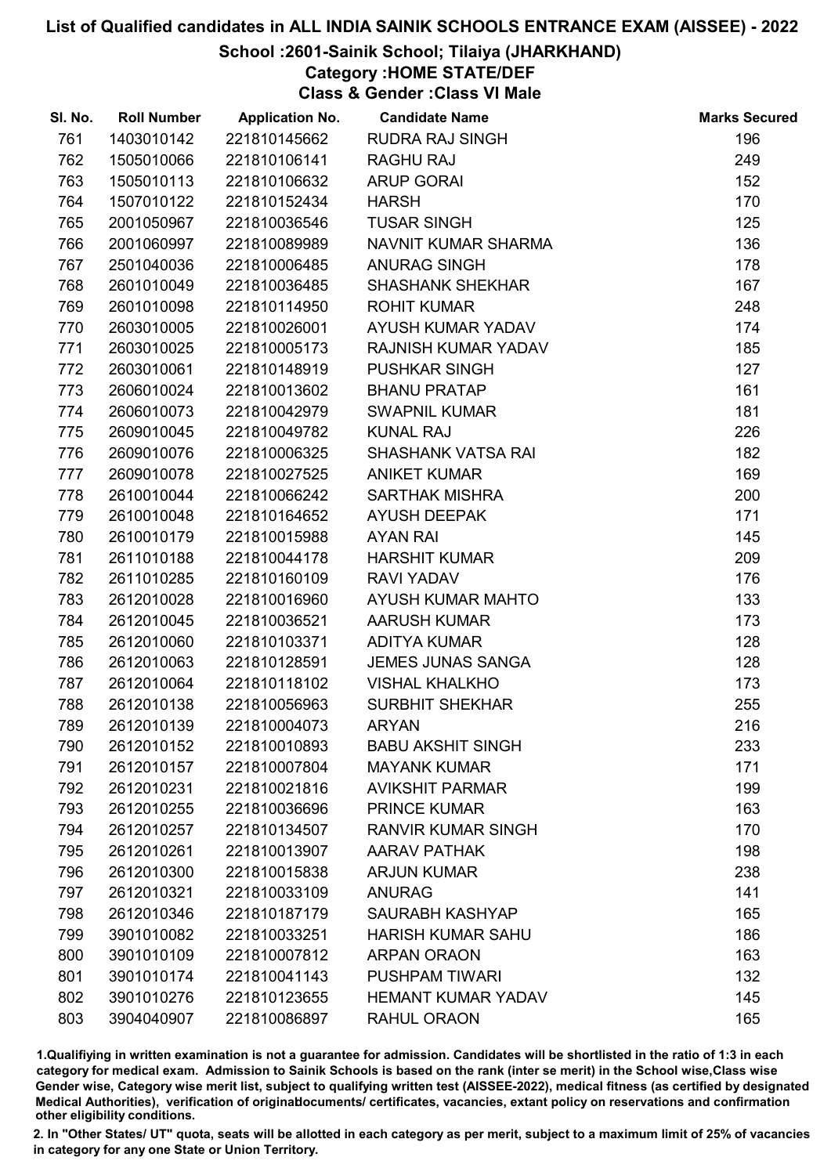### School :2601-Sainik School; Tilaiya (JHARKHAND)

# Category :HOME STATE/DEF

Class & Gender :Class VI Male

| SI. No. | <b>Roll Number</b> | <b>Application No.</b> | <b>Candidate Name</b>     | <b>Marks Secured</b> |
|---------|--------------------|------------------------|---------------------------|----------------------|
| 761     | 1403010142         | 221810145662           | <b>RUDRA RAJ SINGH</b>    | 196                  |
| 762     | 1505010066         | 221810106141           | <b>RAGHU RAJ</b>          | 249                  |
| 763     | 1505010113         | 221810106632           | <b>ARUP GORAI</b>         | 152                  |
| 764     | 1507010122         | 221810152434           | <b>HARSH</b>              | 170                  |
| 765     | 2001050967         | 221810036546           | <b>TUSAR SINGH</b>        | 125                  |
| 766     | 2001060997         | 221810089989           | NAVNIT KUMAR SHARMA       | 136                  |
| 767     | 2501040036         | 221810006485           | <b>ANURAG SINGH</b>       | 178                  |
| 768     | 2601010049         | 221810036485           | <b>SHASHANK SHEKHAR</b>   | 167                  |
| 769     | 2601010098         | 221810114950           | <b>ROHIT KUMAR</b>        | 248                  |
| 770     | 2603010005         | 221810026001           | AYUSH KUMAR YADAV         | 174                  |
| 771     | 2603010025         | 221810005173           | RAJNISH KUMAR YADAV       | 185                  |
| 772     | 2603010061         | 221810148919           | <b>PUSHKAR SINGH</b>      | 127                  |
| 773     | 2606010024         | 221810013602           | <b>BHANU PRATAP</b>       | 161                  |
| 774     | 2606010073         | 221810042979           | <b>SWAPNIL KUMAR</b>      | 181                  |
| 775     | 2609010045         | 221810049782           | <b>KUNAL RAJ</b>          | 226                  |
| 776     | 2609010076         | 221810006325           | <b>SHASHANK VATSA RAI</b> | 182                  |
| 777     | 2609010078         | 221810027525           | <b>ANIKET KUMAR</b>       | 169                  |
| 778     | 2610010044         | 221810066242           | <b>SARTHAK MISHRA</b>     | 200                  |
| 779     | 2610010048         | 221810164652           | <b>AYUSH DEEPAK</b>       | 171                  |
| 780     | 2610010179         | 221810015988           | <b>AYAN RAI</b>           | 145                  |
| 781     | 2611010188         | 221810044178           | <b>HARSHIT KUMAR</b>      | 209                  |
| 782     | 2611010285         | 221810160109           | <b>RAVI YADAV</b>         | 176                  |
| 783     | 2612010028         | 221810016960           | AYUSH KUMAR MAHTO         | 133                  |
| 784     | 2612010045         | 221810036521           | <b>AARUSH KUMAR</b>       | 173                  |
| 785     | 2612010060         | 221810103371           | <b>ADITYA KUMAR</b>       | 128                  |
| 786     | 2612010063         | 221810128591           | <b>JEMES JUNAS SANGA</b>  | 128                  |
| 787     | 2612010064         | 221810118102           | <b>VISHAL KHALKHO</b>     | 173                  |
| 788     | 2612010138         | 221810056963           | <b>SURBHIT SHEKHAR</b>    | 255                  |
| 789     | 2612010139         | 221810004073           | <b>ARYAN</b>              | 216                  |
| 790     | 2612010152         | 221810010893           | <b>BABU AKSHIT SINGH</b>  | 233                  |
| 791     | 2612010157         | 221810007804           | <b>MAYANK KUMAR</b>       | 171                  |
| 792     | 2612010231         | 221810021816           | <b>AVIKSHIT PARMAR</b>    | 199                  |
| 793     | 2612010255         | 221810036696           | <b>PRINCE KUMAR</b>       | 163                  |
| 794     | 2612010257         | 221810134507           | <b>RANVIR KUMAR SINGH</b> | 170                  |
| 795     | 2612010261         | 221810013907           | <b>AARAV PATHAK</b>       | 198                  |
| 796     | 2612010300         | 221810015838           | <b>ARJUN KUMAR</b>        | 238                  |
| 797     | 2612010321         | 221810033109           | <b>ANURAG</b>             | 141                  |
| 798     | 2612010346         | 221810187179           | SAURABH KASHYAP           | 165                  |
| 799     | 3901010082         | 221810033251           | <b>HARISH KUMAR SAHU</b>  | 186                  |
| 800     | 3901010109         | 221810007812           | <b>ARPAN ORAON</b>        | 163                  |
| 801     | 3901010174         | 221810041143           | <b>PUSHPAM TIWARI</b>     | 132                  |
| 802     | 3901010276         | 221810123655           | <b>HEMANT KUMAR YADAV</b> | 145                  |
| 803     | 3904040907         | 221810086897           | RAHUL ORAON               | 165                  |

1.Qualifiying in written examination is not a guarantee for admission. Candidates will be shortlisted in the ratio of 1:3 in each category for medical exam. Admission to Sainik Schools is based on the rank (inter se merit) in the School wise,Class wise Gender wise, Category wise merit list, subject to qualifying written test (AISSEE-2022), medical fitness (as certified by designated Medical Authorities), verification of originablocuments/ certificates, vacancies, extant policy on reservations and confirmation other eligibility conditions.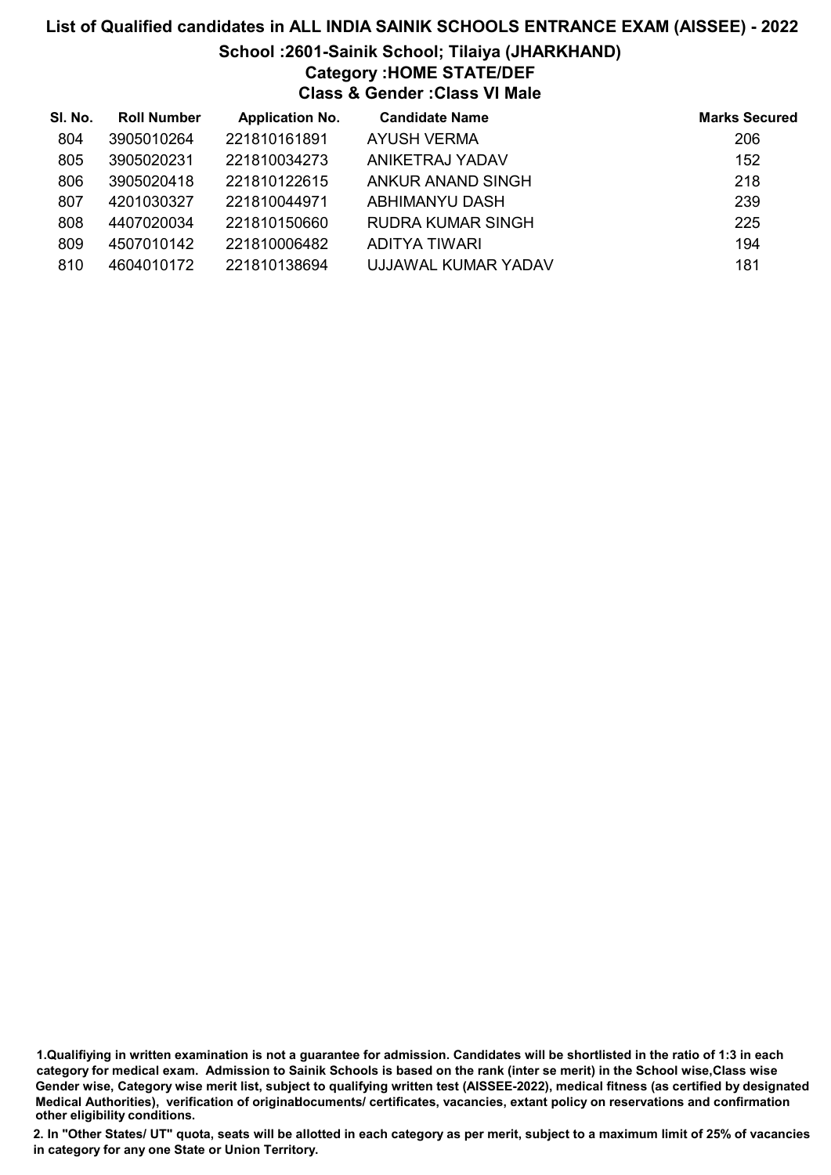## List of Qualified candidates in ALL INDIA SAINIK SCHOOLS ENTRANCE EXAM (AISSEE) - 2022 School :2601-Sainik School; Tilaiya (JHARKHAND) Category :HOME STATE/DEF Class & Gender :Class VI Male

| SI. No. | <b>Roll Number</b> | <b>Application No.</b> | <b>Candidate Name</b> | <b>Marks Secured</b> |
|---------|--------------------|------------------------|-----------------------|----------------------|
| 804     | 3905010264         | 221810161891           | <b>AYUSH VERMA</b>    | 206                  |
| 805     | 3905020231         | 221810034273           | ANIKETRAJ YADAV       | 152                  |
| 806     | 3905020418         | 221810122615           | ANKUR ANAND SINGH     | 218                  |
| 807     | 4201030327         | 221810044971           | ABHIMANYU DASH        | 239                  |
| 808     | 4407020034         | 221810150660           | RUDRA KUMAR SINGH     | 225                  |
| 809     | 4507010142         | 221810006482           | <b>ADITYA TIWARI</b>  | 194                  |
| 810     | 4604010172         | 221810138694           | UJJAWAL KUMAR YADAV   | 181                  |

<sup>1.</sup>Qualifiying in written examination is not a guarantee for admission. Candidates will be shortlisted in the ratio of 1:3 in each category for medical exam. Admission to Sainik Schools is based on the rank (inter se merit) in the School wise,Class wise Gender wise, Category wise merit list, subject to qualifying written test (AISSEE-2022), medical fitness (as certified by designated Medical Authorities), verification of originablocuments/ certificates, vacancies, extant policy on reservations and confirmation other eligibility conditions.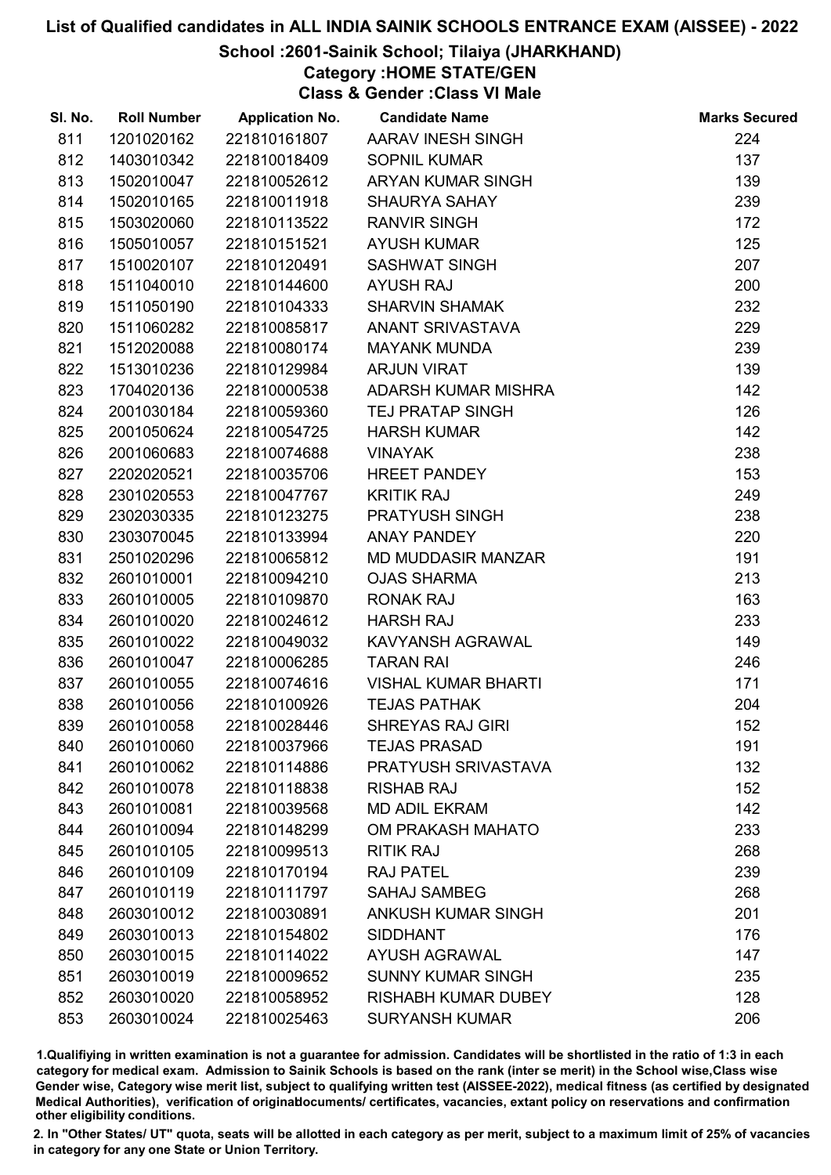### School :2601-Sainik School; Tilaiya (JHARKHAND)

Category :HOME STATE/GEN

Class & Gender :Class VI Male

| SI. No. | <b>Roll Number</b> | <b>Application No.</b> | <b>Candidate Name</b>      | <b>Marks Secured</b> |
|---------|--------------------|------------------------|----------------------------|----------------------|
| 811     | 1201020162         | 221810161807           | AARAV INESH SINGH          | 224                  |
| 812     | 1403010342         | 221810018409           | <b>SOPNIL KUMAR</b>        | 137                  |
| 813     | 1502010047         | 221810052612           | ARYAN KUMAR SINGH          | 139                  |
| 814     | 1502010165         | 221810011918           | <b>SHAURYA SAHAY</b>       | 239                  |
| 815     | 1503020060         | 221810113522           | <b>RANVIR SINGH</b>        | 172                  |
| 816     | 1505010057         | 221810151521           | <b>AYUSH KUMAR</b>         | 125                  |
| 817     | 1510020107         | 221810120491           | <b>SASHWAT SINGH</b>       | 207                  |
| 818     | 1511040010         | 221810144600           | <b>AYUSH RAJ</b>           | 200                  |
| 819     | 1511050190         | 221810104333           | <b>SHARVIN SHAMAK</b>      | 232                  |
| 820     | 1511060282         | 221810085817           | ANANT SRIVASTAVA           | 229                  |
| 821     | 1512020088         | 221810080174           | <b>MAYANK MUNDA</b>        | 239                  |
| 822     | 1513010236         | 221810129984           | <b>ARJUN VIRAT</b>         | 139                  |
| 823     | 1704020136         | 221810000538           | ADARSH KUMAR MISHRA        | 142                  |
| 824     | 2001030184         | 221810059360           | <b>TEJ PRATAP SINGH</b>    | 126                  |
| 825     | 2001050624         | 221810054725           | <b>HARSH KUMAR</b>         | 142                  |
| 826     | 2001060683         | 221810074688           | <b>VINAYAK</b>             | 238                  |
| 827     | 2202020521         | 221810035706           | <b>HREET PANDEY</b>        | 153                  |
| 828     | 2301020553         | 221810047767           | <b>KRITIK RAJ</b>          | 249                  |
| 829     | 2302030335         | 221810123275           | PRATYUSH SINGH             | 238                  |
| 830     | 2303070045         | 221810133994           | <b>ANAY PANDEY</b>         | 220                  |
| 831     | 2501020296         | 221810065812           | MD MUDDASIR MANZAR         | 191                  |
| 832     | 2601010001         | 221810094210           | <b>OJAS SHARMA</b>         | 213                  |
| 833     | 2601010005         | 221810109870           | <b>RONAK RAJ</b>           | 163                  |
| 834     | 2601010020         | 221810024612           | <b>HARSH RAJ</b>           | 233                  |
| 835     | 2601010022         | 221810049032           | KAVYANSH AGRAWAL           | 149                  |
| 836     | 2601010047         | 221810006285           | <b>TARAN RAI</b>           | 246                  |
| 837     | 2601010055         | 221810074616           | <b>VISHAL KUMAR BHARTI</b> | 171                  |
| 838     | 2601010056         | 221810100926           | <b>TEJAS PATHAK</b>        | 204                  |
| 839     | 2601010058         | 221810028446           | <b>SHREYAS RAJ GIRI</b>    | 152                  |
| 840     | 2601010060         | 221810037966           | <b>TEJAS PRASAD</b>        | 191                  |
| 841     | 2601010062         | 221810114886           | PRATYUSH SRIVASTAVA        | 132                  |
| 842     | 2601010078         | 221810118838           | <b>RISHAB RAJ</b>          | 152                  |
| 843     | 2601010081         | 221810039568           | <b>MD ADIL EKRAM</b>       | 142                  |
| 844     | 2601010094         | 221810148299           | OM PRAKASH MAHATO          | 233                  |
| 845     | 2601010105         | 221810099513           | <b>RITIK RAJ</b>           | 268                  |
| 846     | 2601010109         | 221810170194           | <b>RAJ PATEL</b>           | 239                  |
| 847     | 2601010119         | 221810111797           | <b>SAHAJ SAMBEG</b>        | 268                  |
| 848     | 2603010012         | 221810030891           | <b>ANKUSH KUMAR SINGH</b>  | 201                  |
| 849     | 2603010013         | 221810154802           | <b>SIDDHANT</b>            | 176                  |
| 850     | 2603010015         | 221810114022           | <b>AYUSH AGRAWAL</b>       | 147                  |
| 851     | 2603010019         | 221810009652           | <b>SUNNY KUMAR SINGH</b>   | 235                  |
| 852     | 2603010020         | 221810058952           | <b>RISHABH KUMAR DUBEY</b> | 128                  |
| 853     | 2603010024         | 221810025463           | <b>SURYANSH KUMAR</b>      | 206                  |

1.Qualifiying in written examination is not a guarantee for admission. Candidates will be shortlisted in the ratio of 1:3 in each category for medical exam. Admission to Sainik Schools is based on the rank (inter se merit) in the School wise,Class wise Gender wise, Category wise merit list, subject to qualifying written test (AISSEE-2022), medical fitness (as certified by designated Medical Authorities), verification of originablocuments/ certificates, vacancies, extant policy on reservations and confirmation other eligibility conditions.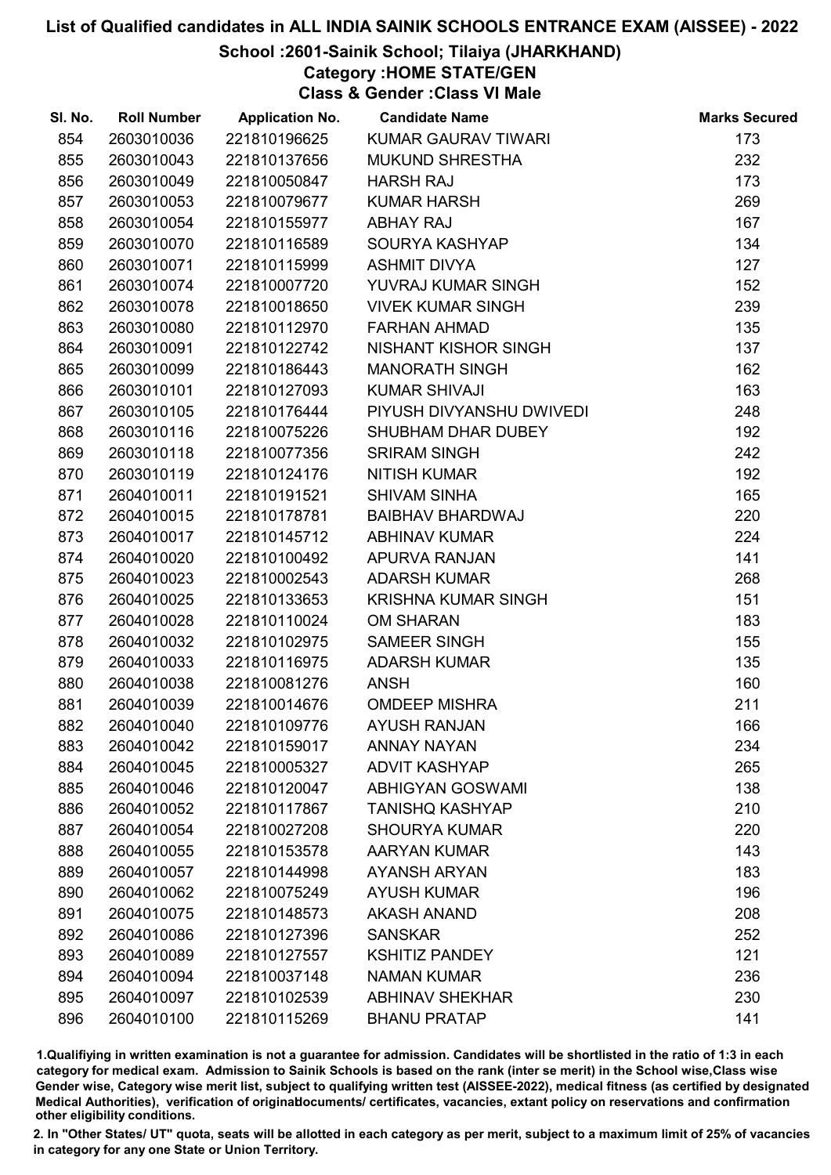### School :2601-Sainik School; Tilaiya (JHARKHAND)

Category :HOME STATE/GEN

Class & Gender :Class VI Male

| SI. No. | <b>Roll Number</b> | <b>Application No.</b> | <b>Candidate Name</b>       | <b>Marks Secured</b> |
|---------|--------------------|------------------------|-----------------------------|----------------------|
| 854     | 2603010036         | 221810196625           | KUMAR GAURAV TIWARI         | 173                  |
| 855     | 2603010043         | 221810137656           | <b>MUKUND SHRESTHA</b>      | 232                  |
| 856     | 2603010049         | 221810050847           | <b>HARSH RAJ</b>            | 173                  |
| 857     | 2603010053         | 221810079677           | <b>KUMAR HARSH</b>          | 269                  |
| 858     | 2603010054         | 221810155977           | <b>ABHAY RAJ</b>            | 167                  |
| 859     | 2603010070         | 221810116589           | SOURYA KASHYAP              | 134                  |
| 860     | 2603010071         | 221810115999           | <b>ASHMIT DIVYA</b>         | 127                  |
| 861     | 2603010074         | 221810007720           | YUVRAJ KUMAR SINGH          | 152                  |
| 862     | 2603010078         | 221810018650           | <b>VIVEK KUMAR SINGH</b>    | 239                  |
| 863     | 2603010080         | 221810112970           | <b>FARHAN AHMAD</b>         | 135                  |
| 864     | 2603010091         | 221810122742           | <b>NISHANT KISHOR SINGH</b> | 137                  |
| 865     | 2603010099         | 221810186443           | <b>MANORATH SINGH</b>       | 162                  |
| 866     | 2603010101         | 221810127093           | <b>KUMAR SHIVAJI</b>        | 163                  |
| 867     | 2603010105         | 221810176444           | PIYUSH DIVYANSHU DWIVEDI    | 248                  |
| 868     | 2603010116         | 221810075226           | SHUBHAM DHAR DUBEY          | 192                  |
| 869     | 2603010118         | 221810077356           | <b>SRIRAM SINGH</b>         | 242                  |
| 870     | 2603010119         | 221810124176           | <b>NITISH KUMAR</b>         | 192                  |
| 871     | 2604010011         | 221810191521           | <b>SHIVAM SINHA</b>         | 165                  |
| 872     | 2604010015         | 221810178781           | <b>BAIBHAV BHARDWAJ</b>     | 220                  |
| 873     | 2604010017         | 221810145712           | <b>ABHINAV KUMAR</b>        | 224                  |
| 874     | 2604010020         | 221810100492           | APURVA RANJAN               | 141                  |
| 875     | 2604010023         | 221810002543           | <b>ADARSH KUMAR</b>         | 268                  |
| 876     | 2604010025         | 221810133653           | <b>KRISHNA KUMAR SINGH</b>  | 151                  |
| 877     | 2604010028         | 221810110024           | <b>OM SHARAN</b>            | 183                  |
| 878     | 2604010032         | 221810102975           | <b>SAMEER SINGH</b>         | 155                  |
| 879     | 2604010033         | 221810116975           | <b>ADARSH KUMAR</b>         | 135                  |
| 880     | 2604010038         | 221810081276           | <b>ANSH</b>                 | 160                  |
| 881     | 2604010039         | 221810014676           | <b>OMDEEP MISHRA</b>        | 211                  |
| 882     | 2604010040         | 221810109776           | <b>AYUSH RANJAN</b>         | 166                  |
| 883     | 2604010042         | 221810159017           | <b>ANNAY NAYAN</b>          | 234                  |
| 884     | 2604010045         | 221810005327           | <b>ADVIT KASHYAP</b>        | 265                  |
| 885     | 2604010046         | 221810120047           | <b>ABHIGYAN GOSWAMI</b>     | 138                  |
| 886     | 2604010052         | 221810117867           | <b>TANISHQ KASHYAP</b>      | 210                  |
| 887     | 2604010054         | 221810027208           | <b>SHOURYA KUMAR</b>        | 220                  |
| 888     | 2604010055         | 221810153578           | <b>AARYAN KUMAR</b>         | 143                  |
| 889     | 2604010057         | 221810144998           | <b>AYANSH ARYAN</b>         | 183                  |
| 890     | 2604010062         | 221810075249           | <b>AYUSH KUMAR</b>          | 196                  |
| 891     | 2604010075         | 221810148573           | <b>AKASH ANAND</b>          | 208                  |
| 892     | 2604010086         | 221810127396           | <b>SANSKAR</b>              | 252                  |
| 893     | 2604010089         | 221810127557           | <b>KSHITIZ PANDEY</b>       | 121                  |
| 894     | 2604010094         | 221810037148           | <b>NAMAN KUMAR</b>          | 236                  |
| 895     | 2604010097         | 221810102539           | <b>ABHINAV SHEKHAR</b>      | 230                  |
| 896     | 2604010100         | 221810115269           | <b>BHANU PRATAP</b>         | 141                  |

1.Qualifiying in written examination is not a guarantee for admission. Candidates will be shortlisted in the ratio of 1:3 in each category for medical exam. Admission to Sainik Schools is based on the rank (inter se merit) in the School wise,Class wise Gender wise, Category wise merit list, subject to qualifying written test (AISSEE-2022), medical fitness (as certified by designated Medical Authorities), verification of originablocuments/ certificates, vacancies, extant policy on reservations and confirmation other eligibility conditions.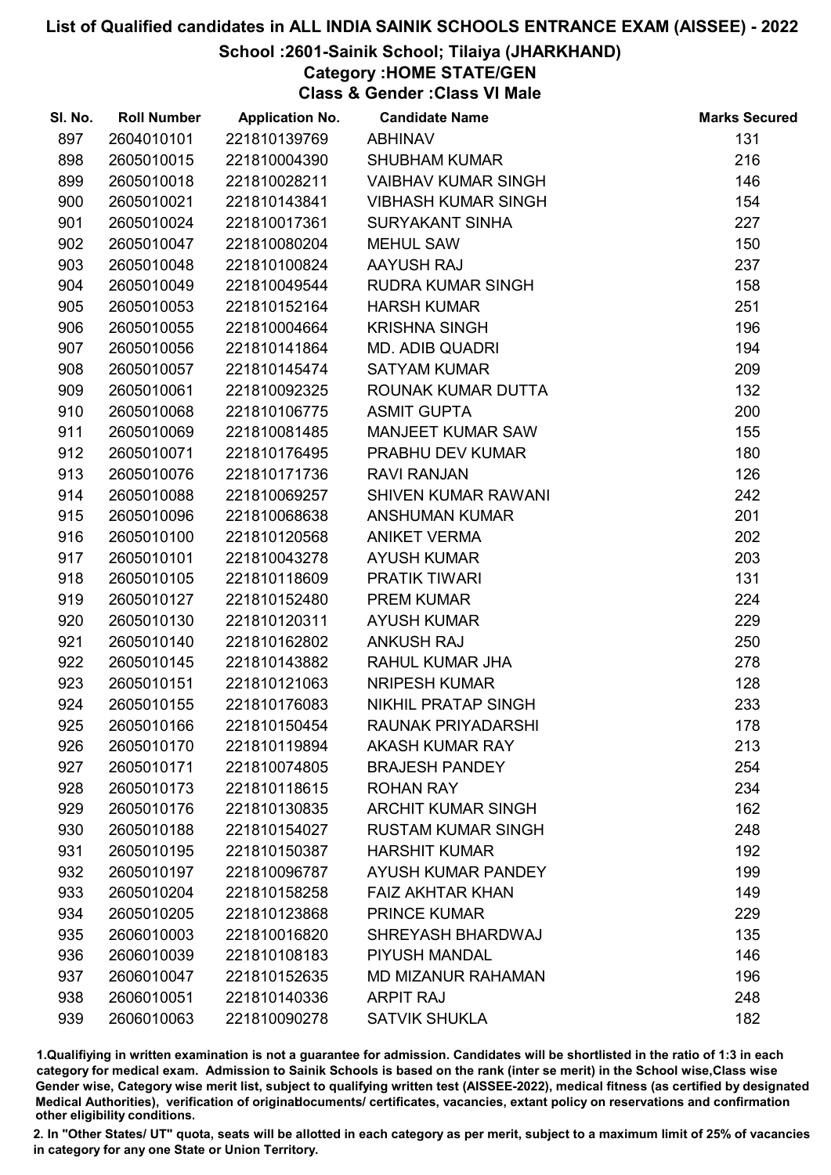### School :2601-Sainik School; Tilaiya (JHARKHAND)

Category :HOME STATE/GEN

Class & Gender :Class VI Male

| SI. No. | <b>Roll Number</b> | <b>Application No.</b> | <b>Candidate Name</b>      | <b>Marks Secured</b> |
|---------|--------------------|------------------------|----------------------------|----------------------|
| 897     | 2604010101         | 221810139769           | <b>ABHINAV</b>             | 131                  |
| 898     | 2605010015         | 221810004390           | <b>SHUBHAM KUMAR</b>       | 216                  |
| 899     | 2605010018         | 221810028211           | <b>VAIBHAV KUMAR SINGH</b> | 146                  |
| 900     | 2605010021         | 221810143841           | <b>VIBHASH KUMAR SINGH</b> | 154                  |
| 901     | 2605010024         | 221810017361           | <b>SURYAKANT SINHA</b>     | 227                  |
| 902     | 2605010047         | 221810080204           | <b>MEHUL SAW</b>           | 150                  |
| 903     | 2605010048         | 221810100824           | AAYUSH RAJ                 | 237                  |
| 904     | 2605010049         | 221810049544           | RUDRA KUMAR SINGH          | 158                  |
| 905     | 2605010053         | 221810152164           | <b>HARSH KUMAR</b>         | 251                  |
| 906     | 2605010055         | 221810004664           | <b>KRISHNA SINGH</b>       | 196                  |
| 907     | 2605010056         | 221810141864           | <b>MD. ADIB QUADRI</b>     | 194                  |
| 908     | 2605010057         | 221810145474           | <b>SATYAM KUMAR</b>        | 209                  |
| 909     | 2605010061         | 221810092325           | ROUNAK KUMAR DUTTA         | 132                  |
| 910     | 2605010068         | 221810106775           | <b>ASMIT GUPTA</b>         | 200                  |
| 911     | 2605010069         | 221810081485           | <b>MANJEET KUMAR SAW</b>   | 155                  |
| 912     | 2605010071         | 221810176495           | PRABHU DEV KUMAR           | 180                  |
| 913     | 2605010076         | 221810171736           | <b>RAVI RANJAN</b>         | 126                  |
| 914     | 2605010088         | 221810069257           | SHIVEN KUMAR RAWANI        | 242                  |
| 915     | 2605010096         | 221810068638           | <b>ANSHUMAN KUMAR</b>      | 201                  |
| 916     | 2605010100         | 221810120568           | <b>ANIKET VERMA</b>        | 202                  |
| 917     | 2605010101         | 221810043278           | <b>AYUSH KUMAR</b>         | 203                  |
| 918     | 2605010105         | 221810118609           | <b>PRATIK TIWARI</b>       | 131                  |
| 919     | 2605010127         | 221810152480           | <b>PREM KUMAR</b>          | 224                  |
| 920     | 2605010130         | 221810120311           | <b>AYUSH KUMAR</b>         | 229                  |
| 921     | 2605010140         | 221810162802           | <b>ANKUSH RAJ</b>          | 250                  |
| 922     | 2605010145         | 221810143882           | RAHUL KUMAR JHA            | 278                  |
| 923     | 2605010151         | 221810121063           | <b>NRIPESH KUMAR</b>       | 128                  |
| 924     | 2605010155         | 221810176083           | <b>NIKHIL PRATAP SINGH</b> | 233                  |
| 925     | 2605010166         | 221810150454           | RAUNAK PRIYADARSHI         | 178                  |
| 926     | 2605010170         | 221810119894           | <b>AKASH KUMAR RAY</b>     | 213                  |
| 927     | 2605010171         | 221810074805           | <b>BRAJESH PANDEY</b>      | 254                  |
| 928     | 2605010173         | 221810118615           | <b>ROHAN RAY</b>           | 234                  |
| 929     | 2605010176         | 221810130835           | <b>ARCHIT KUMAR SINGH</b>  | 162                  |
| 930     | 2605010188         | 221810154027           | <b>RUSTAM KUMAR SINGH</b>  | 248                  |
| 931     | 2605010195         | 221810150387           | <b>HARSHIT KUMAR</b>       | 192                  |
| 932     | 2605010197         | 221810096787           | <b>AYUSH KUMAR PANDEY</b>  | 199                  |
| 933     | 2605010204         | 221810158258           | <b>FAIZ AKHTAR KHAN</b>    | 149                  |
| 934     | 2605010205         | 221810123868           | <b>PRINCE KUMAR</b>        | 229                  |
| 935     | 2606010003         | 221810016820           | SHREYASH BHARDWAJ          | 135                  |
| 936     | 2606010039         | 221810108183           | PIYUSH MANDAL              | 146                  |
| 937     | 2606010047         | 221810152635           | <b>MD MIZANUR RAHAMAN</b>  | 196                  |
| 938     | 2606010051         | 221810140336           | <b>ARPIT RAJ</b>           | 248                  |
| 939     | 2606010063         | 221810090278           | <b>SATVIK SHUKLA</b>       | 182                  |

1.Qualifiying in written examination is not a guarantee for admission. Candidates will be shortlisted in the ratio of 1:3 in each category for medical exam. Admission to Sainik Schools is based on the rank (inter se merit) in the School wise,Class wise Gender wise, Category wise merit list, subject to qualifying written test (AISSEE-2022), medical fitness (as certified by designated Medical Authorities), verification of originablocuments/ certificates, vacancies, extant policy on reservations and confirmation other eligibility conditions.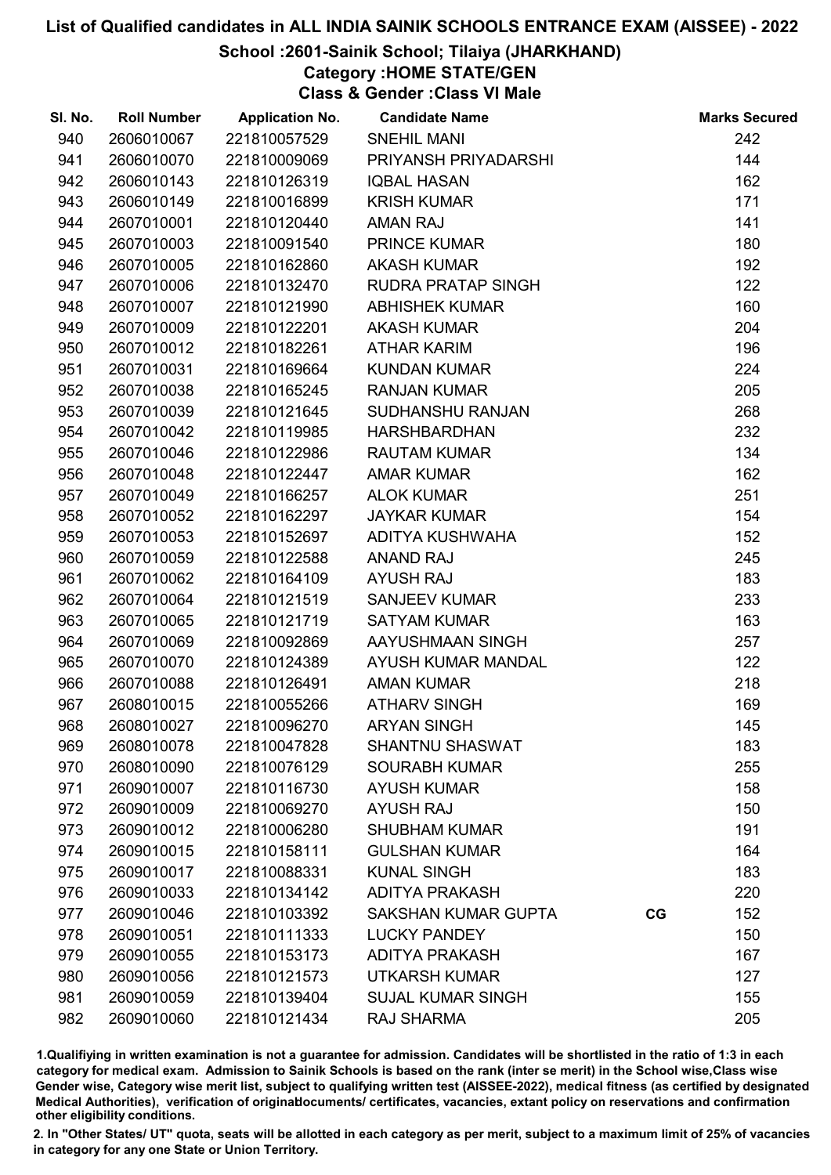### School :2601-Sainik School; Tilaiya (JHARKHAND)

Category :HOME STATE/GEN

Class & Gender :Class VI Male

| SI. No. | <b>Roll Number</b> | <b>Application No.</b> | <b>Candidate Name</b>      |    | <b>Marks Secured</b> |
|---------|--------------------|------------------------|----------------------------|----|----------------------|
| 940     | 2606010067         | 221810057529           | <b>SNEHIL MANI</b>         |    | 242                  |
| 941     | 2606010070         | 221810009069           | PRIYANSH PRIYADARSHI       |    | 144                  |
| 942     | 2606010143         | 221810126319           | <b>IQBAL HASAN</b>         |    | 162                  |
| 943     | 2606010149         | 221810016899           | <b>KRISH KUMAR</b>         |    | 171                  |
| 944     | 2607010001         | 221810120440           | <b>AMAN RAJ</b>            |    | 141                  |
| 945     | 2607010003         | 221810091540           | <b>PRINCE KUMAR</b>        |    | 180                  |
| 946     | 2607010005         | 221810162860           | <b>AKASH KUMAR</b>         |    | 192                  |
| 947     | 2607010006         | 221810132470           | RUDRA PRATAP SINGH         |    | 122                  |
| 948     | 2607010007         | 221810121990           | <b>ABHISHEK KUMAR</b>      |    | 160                  |
| 949     | 2607010009         | 221810122201           | <b>AKASH KUMAR</b>         |    | 204                  |
| 950     | 2607010012         | 221810182261           | <b>ATHAR KARIM</b>         |    | 196                  |
| 951     | 2607010031         | 221810169664           | <b>KUNDAN KUMAR</b>        |    | 224                  |
| 952     | 2607010038         | 221810165245           | <b>RANJAN KUMAR</b>        |    | 205                  |
| 953     | 2607010039         | 221810121645           | SUDHANSHU RANJAN           |    | 268                  |
| 954     | 2607010042         | 221810119985           | <b>HARSHBARDHAN</b>        |    | 232                  |
| 955     | 2607010046         | 221810122986           | <b>RAUTAM KUMAR</b>        |    | 134                  |
| 956     | 2607010048         | 221810122447           | <b>AMAR KUMAR</b>          |    | 162                  |
| 957     | 2607010049         | 221810166257           | <b>ALOK KUMAR</b>          |    | 251                  |
| 958     | 2607010052         | 221810162297           | <b>JAYKAR KUMAR</b>        |    | 154                  |
| 959     | 2607010053         | 221810152697           | ADITYA KUSHWAHA            |    | 152                  |
| 960     | 2607010059         | 221810122588           | <b>ANAND RAJ</b>           |    | 245                  |
| 961     | 2607010062         | 221810164109           | <b>AYUSH RAJ</b>           |    | 183                  |
| 962     | 2607010064         | 221810121519           | <b>SANJEEV KUMAR</b>       |    | 233                  |
| 963     | 2607010065         | 221810121719           | <b>SATYAM KUMAR</b>        |    | 163                  |
| 964     | 2607010069         | 221810092869           | AAYUSHMAAN SINGH           |    | 257                  |
| 965     | 2607010070         | 221810124389           | AYUSH KUMAR MANDAL         |    | 122                  |
| 966     | 2607010088         | 221810126491           | <b>AMAN KUMAR</b>          |    | 218                  |
| 967     | 2608010015         | 221810055266           | <b>ATHARV SINGH</b>        |    | 169                  |
| 968     | 2608010027         | 221810096270           | <b>ARYAN SINGH</b>         |    | 145                  |
| 969     | 2608010078         | 221810047828           | <b>SHANTNU SHASWAT</b>     |    | 183                  |
| 970     | 2608010090         | 221810076129           | <b>SOURABH KUMAR</b>       |    | 255                  |
| 971     | 2609010007         | 221810116730           | <b>AYUSH KUMAR</b>         |    | 158                  |
| 972     | 2609010009         | 221810069270           | <b>AYUSH RAJ</b>           |    | 150                  |
| 973     | 2609010012         | 221810006280           | <b>SHUBHAM KUMAR</b>       |    | 191                  |
| 974     | 2609010015         | 221810158111           | <b>GULSHAN KUMAR</b>       |    | 164                  |
| 975     | 2609010017         | 221810088331           | <b>KUNAL SINGH</b>         |    | 183                  |
| 976     | 2609010033         | 221810134142           | <b>ADITYA PRAKASH</b>      |    | 220                  |
| 977     | 2609010046         | 221810103392           | <b>SAKSHAN KUMAR GUPTA</b> | CG | 152                  |
| 978     | 2609010051         | 221810111333           | <b>LUCKY PANDEY</b>        |    | 150                  |
| 979     | 2609010055         | 221810153173           | <b>ADITYA PRAKASH</b>      |    | 167                  |
| 980     | 2609010056         | 221810121573           | <b>UTKARSH KUMAR</b>       |    | 127                  |
| 981     | 2609010059         | 221810139404           | <b>SUJAL KUMAR SINGH</b>   |    | 155                  |
| 982     | 2609010060         | 221810121434           | RAJ SHARMA                 |    | 205                  |

1.Qualifiying in written examination is not a guarantee for admission. Candidates will be shortlisted in the ratio of 1:3 in each category for medical exam. Admission to Sainik Schools is based on the rank (inter se merit) in the School wise,Class wise Gender wise, Category wise merit list, subject to qualifying written test (AISSEE-2022), medical fitness (as certified by designated Medical Authorities), verification of originablocuments/ certificates, vacancies, extant policy on reservations and confirmation other eligibility conditions.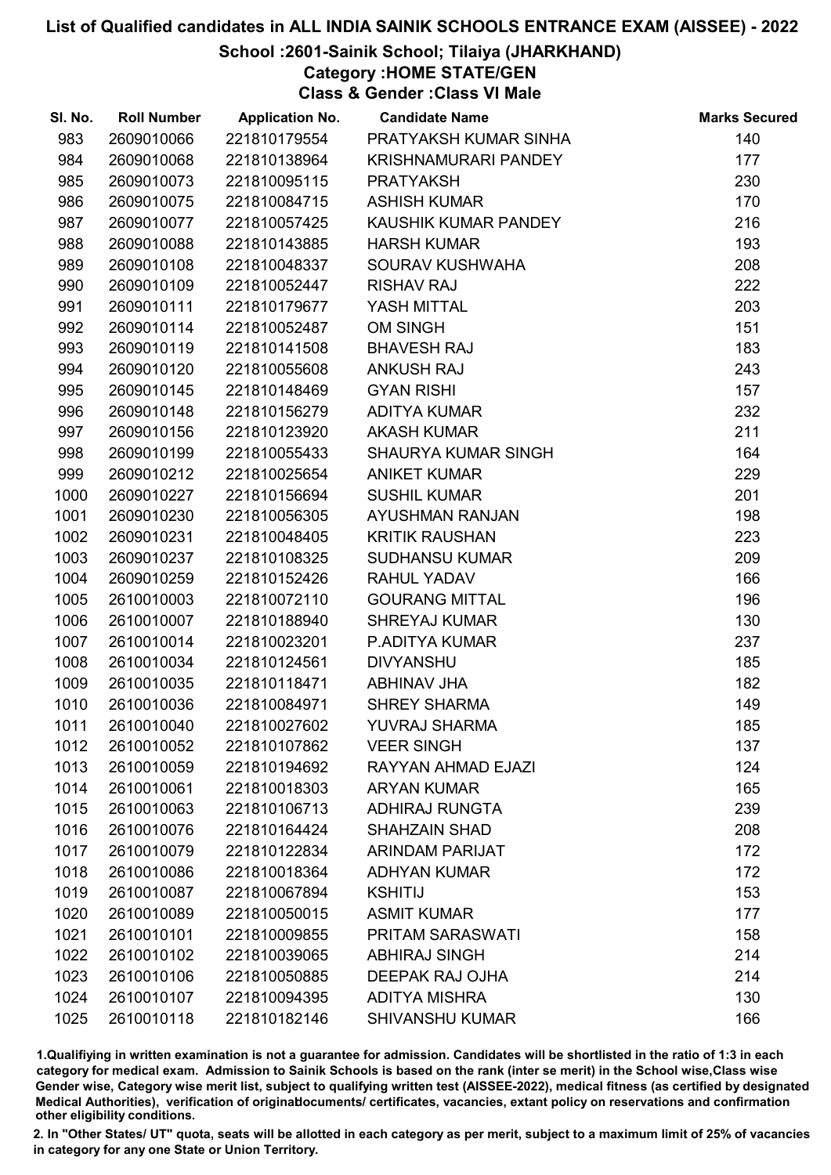### School :2601-Sainik School; Tilaiya (JHARKHAND)

Category :HOME STATE/GEN

Class & Gender :Class VI Male

| SI. No. | <b>Roll Number</b> | <b>Application No.</b> | <b>Candidate Name</b>       | <b>Marks Secured</b> |
|---------|--------------------|------------------------|-----------------------------|----------------------|
| 983     | 2609010066         | 221810179554           | PRATYAKSH KUMAR SINHA       | 140                  |
| 984     | 2609010068         | 221810138964           | <b>KRISHNAMURARI PANDEY</b> | 177                  |
| 985     | 2609010073         | 221810095115           | <b>PRATYAKSH</b>            | 230                  |
| 986     | 2609010075         | 221810084715           | <b>ASHISH KUMAR</b>         | 170                  |
| 987     | 2609010077         | 221810057425           | KAUSHIK KUMAR PANDEY        | 216                  |
| 988     | 2609010088         | 221810143885           | <b>HARSH KUMAR</b>          | 193                  |
| 989     | 2609010108         | 221810048337           | SOURAV KUSHWAHA             | 208                  |
| 990     | 2609010109         | 221810052447           | <b>RISHAV RAJ</b>           | 222                  |
| 991     | 2609010111         | 221810179677           | YASH MITTAL                 | 203                  |
| 992     | 2609010114         | 221810052487           | <b>OM SINGH</b>             | 151                  |
| 993     | 2609010119         | 221810141508           | <b>BHAVESH RAJ</b>          | 183                  |
| 994     | 2609010120         | 221810055608           | <b>ANKUSH RAJ</b>           | 243                  |
| 995     | 2609010145         | 221810148469           | <b>GYAN RISHI</b>           | 157                  |
| 996     | 2609010148         | 221810156279           | <b>ADITYA KUMAR</b>         | 232                  |
| 997     | 2609010156         | 221810123920           | <b>AKASH KUMAR</b>          | 211                  |
| 998     | 2609010199         | 221810055433           | <b>SHAURYA KUMAR SINGH</b>  | 164                  |
| 999     | 2609010212         | 221810025654           | <b>ANIKET KUMAR</b>         | 229                  |
| 1000    | 2609010227         | 221810156694           | <b>SUSHIL KUMAR</b>         | 201                  |
| 1001    | 2609010230         | 221810056305           | AYUSHMAN RANJAN             | 198                  |
| 1002    | 2609010231         | 221810048405           | <b>KRITIK RAUSHAN</b>       | 223                  |
| 1003    | 2609010237         | 221810108325           | <b>SUDHANSU KUMAR</b>       | 209                  |
| 1004    | 2609010259         | 221810152426           | <b>RAHUL YADAV</b>          | 166                  |
| 1005    | 2610010003         | 221810072110           | <b>GOURANG MITTAL</b>       | 196                  |
| 1006    | 2610010007         | 221810188940           | <b>SHREYAJ KUMAR</b>        | 130                  |
| 1007    | 2610010014         | 221810023201           | P.ADITYA KUMAR              | 237                  |
| 1008    | 2610010034         | 221810124561           | <b>DIVYANSHU</b>            | 185                  |
| 1009    | 2610010035         | 221810118471           | ABHINAV JHA                 | 182                  |
| 1010    | 2610010036         | 221810084971           | <b>SHREY SHARMA</b>         | 149                  |
| 1011    | 2610010040         | 221810027602           | <b>YUVRAJ SHARMA</b>        | 185                  |
| 1012    | 2610010052         | 221810107862           | <b>VEER SINGH</b>           | 137                  |
| 1013    | 2610010059         | 221810194692           | RAYYAN AHMAD EJAZI          | 124                  |
| 1014    | 2610010061         | 221810018303           | <b>ARYAN KUMAR</b>          | 165                  |
| 1015    | 2610010063         | 221810106713           | <b>ADHIRAJ RUNGTA</b>       | 239                  |
| 1016    | 2610010076         | 221810164424           | <b>SHAHZAIN SHAD</b>        | 208                  |
| 1017    | 2610010079         | 221810122834           | <b>ARINDAM PARIJAT</b>      | 172                  |
| 1018    | 2610010086         | 221810018364           | <b>ADHYAN KUMAR</b>         | 172                  |
| 1019    | 2610010087         | 221810067894           | <b>KSHITIJ</b>              | 153                  |
| 1020    | 2610010089         | 221810050015           | <b>ASMIT KUMAR</b>          | 177                  |
| 1021    | 2610010101         | 221810009855           | <b>PRITAM SARASWATI</b>     | 158                  |
| 1022    | 2610010102         | 221810039065           | <b>ABHIRAJ SINGH</b>        | 214                  |
| 1023    | 2610010106         | 221810050885           | <b>DEEPAK RAJ OJHA</b>      | 214                  |
| 1024    | 2610010107         | 221810094395           | <b>ADITYA MISHRA</b>        | 130                  |
| 1025    | 2610010118         | 221810182146           | <b>SHIVANSHU KUMAR</b>      | 166                  |

1.Qualifiying in written examination is not a guarantee for admission. Candidates will be shortlisted in the ratio of 1:3 in each category for medical exam. Admission to Sainik Schools is based on the rank (inter se merit) in the School wise,Class wise Gender wise, Category wise merit list, subject to qualifying written test (AISSEE-2022), medical fitness (as certified by designated Medical Authorities), verification of originablocuments/ certificates, vacancies, extant policy on reservations and confirmation other eligibility conditions.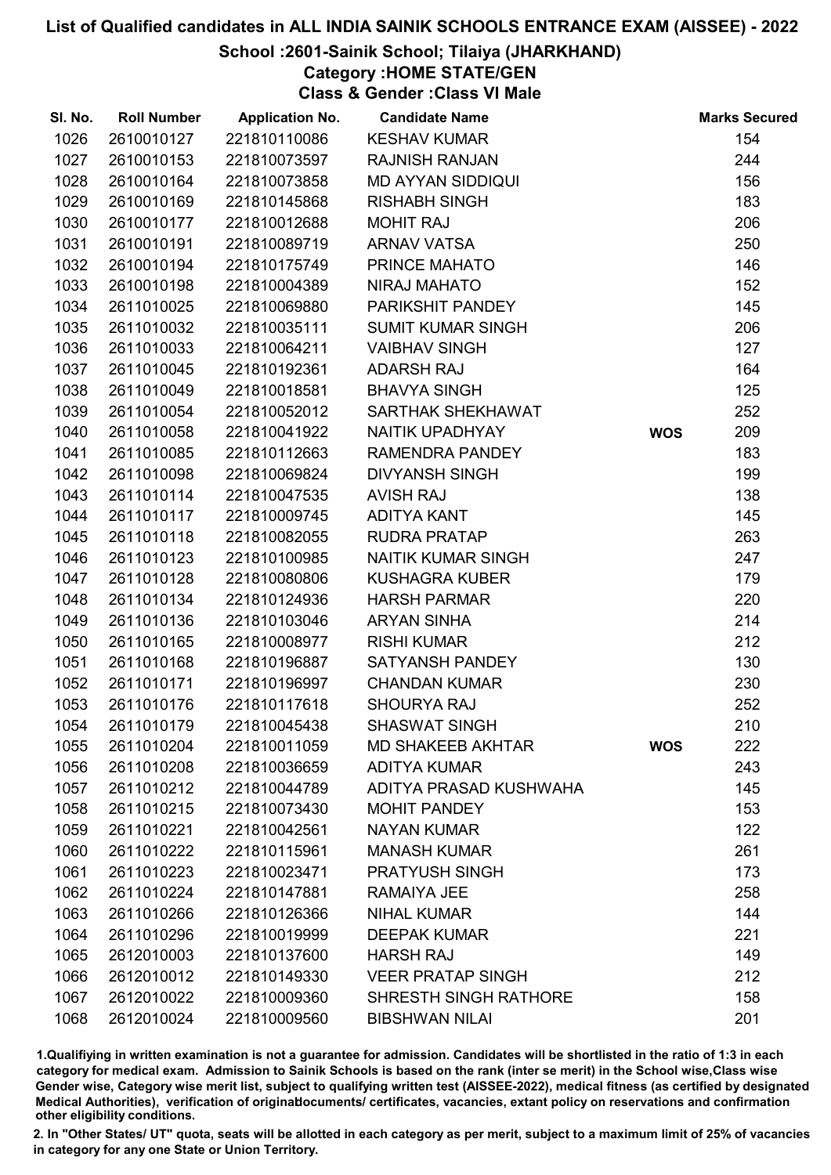### School :2601-Sainik School; Tilaiya (JHARKHAND)

Category :HOME STATE/GEN

Class & Gender :Class VI Male

| SI. No. | <b>Roll Number</b> | <b>Application No.</b> | <b>Candidate Name</b>        |            | <b>Marks Secured</b> |
|---------|--------------------|------------------------|------------------------------|------------|----------------------|
| 1026    | 2610010127         | 221810110086           | <b>KESHAV KUMAR</b>          |            | 154                  |
| 1027    | 2610010153         | 221810073597           | <b>RAJNISH RANJAN</b>        |            | 244                  |
| 1028    | 2610010164         | 221810073858           | <b>MD AYYAN SIDDIQUI</b>     |            | 156                  |
| 1029    | 2610010169         | 221810145868           | <b>RISHABH SINGH</b>         |            | 183                  |
| 1030    | 2610010177         | 221810012688           | <b>MOHIT RAJ</b>             |            | 206                  |
| 1031    | 2610010191         | 221810089719           | <b>ARNAV VATSA</b>           |            | 250                  |
| 1032    | 2610010194         | 221810175749           | PRINCE MAHATO                |            | 146                  |
| 1033    | 2610010198         | 221810004389           | <b>NIRAJ MAHATO</b>          |            | 152                  |
| 1034    | 2611010025         | 221810069880           | PARIKSHIT PANDEY             |            | 145                  |
| 1035    | 2611010032         | 221810035111           | <b>SUMIT KUMAR SINGH</b>     |            | 206                  |
| 1036    | 2611010033         | 221810064211           | <b>VAIBHAV SINGH</b>         |            | 127                  |
| 1037    | 2611010045         | 221810192361           | <b>ADARSH RAJ</b>            |            | 164                  |
| 1038    | 2611010049         | 221810018581           | <b>BHAVYA SINGH</b>          |            | 125                  |
| 1039    | 2611010054         | 221810052012           | SARTHAK SHEKHAWAT            |            | 252                  |
| 1040    | 2611010058         | 221810041922           | NAITIK UPADHYAY              | <b>WOS</b> | 209                  |
| 1041    | 2611010085         | 221810112663           | RAMENDRA PANDEY              |            | 183                  |
| 1042    | 2611010098         | 221810069824           | <b>DIVYANSH SINGH</b>        |            | 199                  |
| 1043    | 2611010114         | 221810047535           | <b>AVISH RAJ</b>             |            | 138                  |
| 1044    | 2611010117         | 221810009745           | <b>ADITYA KANT</b>           |            | 145                  |
| 1045    | 2611010118         | 221810082055           | <b>RUDRA PRATAP</b>          |            | 263                  |
| 1046    | 2611010123         | 221810100985           | <b>NAITIK KUMAR SINGH</b>    |            | 247                  |
| 1047    | 2611010128         | 221810080806           | <b>KUSHAGRA KUBER</b>        |            | 179                  |
| 1048    | 2611010134         | 221810124936           | <b>HARSH PARMAR</b>          |            | 220                  |
| 1049    | 2611010136         | 221810103046           | <b>ARYAN SINHA</b>           |            | 214                  |
| 1050    | 2611010165         | 221810008977           | <b>RISHI KUMAR</b>           |            | 212                  |
| 1051    | 2611010168         | 221810196887           | <b>SATYANSH PANDEY</b>       |            | 130                  |
| 1052    | 2611010171         | 221810196997           | <b>CHANDAN KUMAR</b>         |            | 230                  |
| 1053    | 2611010176         | 221810117618           | <b>SHOURYA RAJ</b>           |            | 252                  |
| 1054    | 2611010179         | 221810045438           | <b>SHASWAT SINGH</b>         |            | 210                  |
| 1055    | 2611010204         | 221810011059           | <b>MD SHAKEEB AKHTAR</b>     | <b>WOS</b> | 222                  |
| 1056    | 2611010208         | 221810036659           | <b>ADITYA KUMAR</b>          |            | 243                  |
| 1057    | 2611010212         | 221810044789           | ADITYA PRASAD KUSHWAHA       |            | 145                  |
| 1058    | 2611010215         | 221810073430           | <b>MOHIT PANDEY</b>          |            | 153                  |
| 1059    | 2611010221         | 221810042561           | <b>NAYAN KUMAR</b>           |            | 122                  |
| 1060    | 2611010222         | 221810115961           | <b>MANASH KUMAR</b>          |            | 261                  |
| 1061    | 2611010223         | 221810023471           | <b>PRATYUSH SINGH</b>        |            | 173                  |
| 1062    | 2611010224         | 221810147881           | <b>RAMAIYA JEE</b>           |            | 258                  |
| 1063    | 2611010266         | 221810126366           | <b>NIHAL KUMAR</b>           |            | 144                  |
| 1064    | 2611010296         | 221810019999           | <b>DEEPAK KUMAR</b>          |            | 221                  |
| 1065    | 2612010003         | 221810137600           | <b>HARSH RAJ</b>             |            | 149                  |
| 1066    | 2612010012         | 221810149330           | <b>VEER PRATAP SINGH</b>     |            | 212                  |
| 1067    | 2612010022         | 221810009360           | <b>SHRESTH SINGH RATHORE</b> |            | 158                  |
| 1068    | 2612010024         | 221810009560           | <b>BIBSHWAN NILAI</b>        |            | 201                  |

1.Qualifiying in written examination is not a guarantee for admission. Candidates will be shortlisted in the ratio of 1:3 in each category for medical exam. Admission to Sainik Schools is based on the rank (inter se merit) in the School wise,Class wise Gender wise, Category wise merit list, subject to qualifying written test (AISSEE-2022), medical fitness (as certified by designated Medical Authorities), verification of originablocuments/ certificates, vacancies, extant policy on reservations and confirmation other eligibility conditions.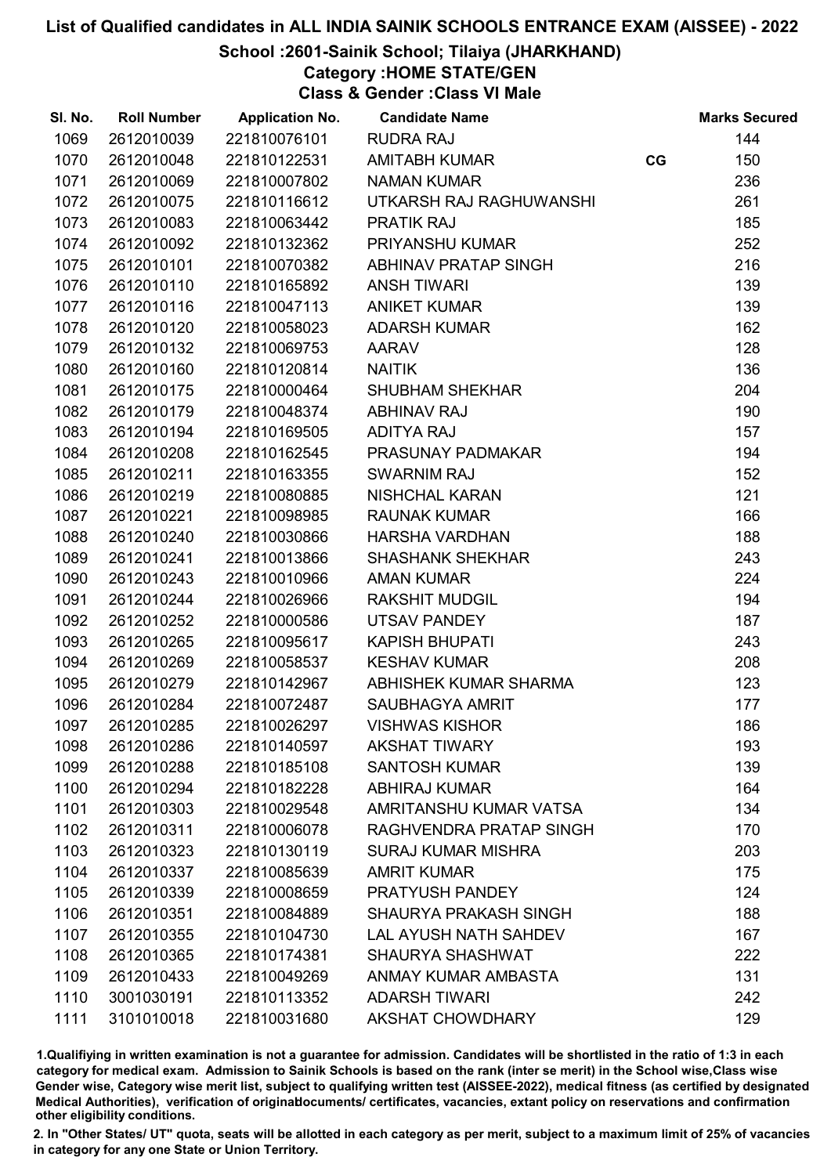### School :2601-Sainik School; Tilaiya (JHARKHAND)

Category :HOME STATE/GEN

Class & Gender :Class VI Male

| SI. No. | <b>Roll Number</b> | <b>Application No.</b> | <b>Candidate Name</b>        |    | <b>Marks Secured</b> |
|---------|--------------------|------------------------|------------------------------|----|----------------------|
| 1069    | 2612010039         | 221810076101           | <b>RUDRA RAJ</b>             |    | 144                  |
| 1070    | 2612010048         | 221810122531           | <b>AMITABH KUMAR</b>         | CG | 150                  |
| 1071    | 2612010069         | 221810007802           | <b>NAMAN KUMAR</b>           |    | 236                  |
| 1072    | 2612010075         | 221810116612           | UTKARSH RAJ RAGHUWANSHI      |    | 261                  |
| 1073    | 2612010083         | 221810063442           | <b>PRATIK RAJ</b>            |    | 185                  |
| 1074    | 2612010092         | 221810132362           | PRIYANSHU KUMAR              |    | 252                  |
| 1075    | 2612010101         | 221810070382           | ABHINAV PRATAP SINGH         |    | 216                  |
| 1076    | 2612010110         | 221810165892           | <b>ANSH TIWARI</b>           |    | 139                  |
| 1077    | 2612010116         | 221810047113           | <b>ANIKET KUMAR</b>          |    | 139                  |
| 1078    | 2612010120         | 221810058023           | <b>ADARSH KUMAR</b>          |    | 162                  |
| 1079    | 2612010132         | 221810069753           | <b>AARAV</b>                 |    | 128                  |
| 1080    | 2612010160         | 221810120814           | <b>NAITIK</b>                |    | 136                  |
| 1081    | 2612010175         | 221810000464           | <b>SHUBHAM SHEKHAR</b>       |    | 204                  |
| 1082    | 2612010179         | 221810048374           | <b>ABHINAV RAJ</b>           |    | 190                  |
| 1083    | 2612010194         | 221810169505           | <b>ADITYA RAJ</b>            |    | 157                  |
| 1084    | 2612010208         | 221810162545           | PRASUNAY PADMAKAR            |    | 194                  |
| 1085    | 2612010211         | 221810163355           | <b>SWARNIM RAJ</b>           |    | 152                  |
| 1086    | 2612010219         | 221810080885           | <b>NISHCHAL KARAN</b>        |    | 121                  |
| 1087    | 2612010221         | 221810098985           | <b>RAUNAK KUMAR</b>          |    | 166                  |
| 1088    | 2612010240         | 221810030866           | <b>HARSHA VARDHAN</b>        |    | 188                  |
| 1089    | 2612010241         | 221810013866           | <b>SHASHANK SHEKHAR</b>      |    | 243                  |
| 1090    | 2612010243         | 221810010966           | <b>AMAN KUMAR</b>            |    | 224                  |
| 1091    | 2612010244         | 221810026966           | <b>RAKSHIT MUDGIL</b>        |    | 194                  |
| 1092    | 2612010252         | 221810000586           | UTSAV PANDEY                 |    | 187                  |
| 1093    | 2612010265         | 221810095617           | <b>KAPISH BHUPATI</b>        |    | 243                  |
| 1094    | 2612010269         | 221810058537           | <b>KESHAV KUMAR</b>          |    | 208                  |
| 1095    | 2612010279         | 221810142967           | ABHISHEK KUMAR SHARMA        |    | 123                  |
| 1096    | 2612010284         | 221810072487           | SAUBHAGYA AMRIT              |    | 177                  |
| 1097    | 2612010285         | 221810026297           | <b>VISHWAS KISHOR</b>        |    | 186                  |
| 1098    | 2612010286         | 221810140597           | <b>AKSHAT TIWARY</b>         |    | 193                  |
| 1099    | 2612010288         | 221810185108           | <b>SANTOSH KUMAR</b>         |    | 139                  |
| 1100    | 2612010294         | 221810182228           | <b>ABHIRAJ KUMAR</b>         |    | 164                  |
| 1101    | 2612010303         | 221810029548           | AMRITANSHU KUMAR VATSA       |    | 134                  |
| 1102    | 2612010311         | 221810006078           | RAGHVENDRA PRATAP SINGH      |    | 170                  |
| 1103    | 2612010323         | 221810130119           | <b>SURAJ KUMAR MISHRA</b>    |    | 203                  |
| 1104    | 2612010337         | 221810085639           | <b>AMRIT KUMAR</b>           |    | 175                  |
| 1105    | 2612010339         | 221810008659           | PRATYUSH PANDEY              |    | 124                  |
| 1106    | 2612010351         | 221810084889           | SHAURYA PRAKASH SINGH        |    | 188                  |
| 1107    | 2612010355         | 221810104730           | <b>LAL AYUSH NATH SAHDEV</b> |    | 167                  |
| 1108    | 2612010365         | 221810174381           | <b>SHAURYA SHASHWAT</b>      |    | 222                  |
| 1109    | 2612010433         | 221810049269           | ANMAY KUMAR AMBASTA          |    | 131                  |
| 1110    | 3001030191         | 221810113352           | <b>ADARSH TIWARI</b>         |    | 242                  |
| 1111    | 3101010018         | 221810031680           | <b>AKSHAT CHOWDHARY</b>      |    | 129                  |

1.Qualifiying in written examination is not a guarantee for admission. Candidates will be shortlisted in the ratio of 1:3 in each category for medical exam. Admission to Sainik Schools is based on the rank (inter se merit) in the School wise,Class wise Gender wise, Category wise merit list, subject to qualifying written test (AISSEE-2022), medical fitness (as certified by designated Medical Authorities), verification of originablocuments/ certificates, vacancies, extant policy on reservations and confirmation other eligibility conditions.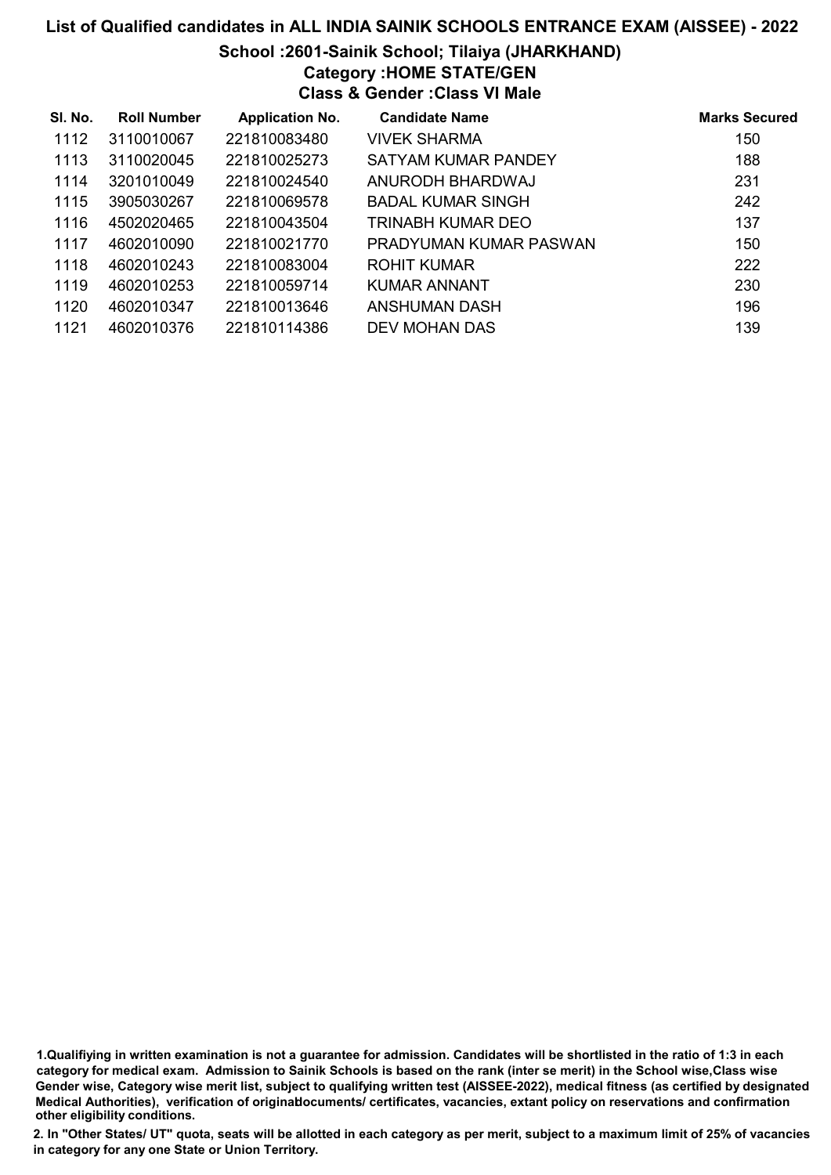## List of Qualified candidates in ALL INDIA SAINIK SCHOOLS ENTRANCE EXAM (AISSEE) - 2022 School :2601-Sainik School; Tilaiya (JHARKHAND) Category :HOME STATE/GEN Class & Gender :Class VI Male

| SI. No. | <b>Roll Number</b> | <b>Application No.</b> | <b>Candidate Name</b>  | <b>Marks Secured</b> |
|---------|--------------------|------------------------|------------------------|----------------------|
| 1112    | 3110010067         | 221810083480           | <b>VIVEK SHARMA</b>    | 150                  |
| 1113    | 3110020045         | 221810025273           | SATYAM KUMAR PANDEY    | 188                  |
| 1114    | 3201010049         | 221810024540           | ANURODH BHARDWAJ       | 231                  |
| 1115    | 3905030267         | 221810069578           | BADAL KUMAR SINGH      | 242                  |
| 1116    | 4502020465         | 221810043504           | TRINABH KUMAR DEO      | 137                  |
| 1117    | 4602010090         | 221810021770           | PRADYUMAN KUMAR PASWAN | 150                  |
| 1118    | 4602010243         | 221810083004           | ROHIT KUMAR            | 222                  |
| 1119    | 4602010253         | 221810059714           | KUMAR ANNANT           | 230                  |
| 1120    | 4602010347         | 221810013646           | ANSHUMAN DASH          | 196                  |
| 1121    | 4602010376         | 221810114386           | DEV MOHAN DAS          | 139                  |

<sup>1.</sup>Qualifiying in written examination is not a guarantee for admission. Candidates will be shortlisted in the ratio of 1:3 in each category for medical exam. Admission to Sainik Schools is based on the rank (inter se merit) in the School wise,Class wise Gender wise, Category wise merit list, subject to qualifying written test (AISSEE-2022), medical fitness (as certified by designated Medical Authorities), verification of originablocuments/ certificates, vacancies, extant policy on reservations and confirmation other eligibility conditions.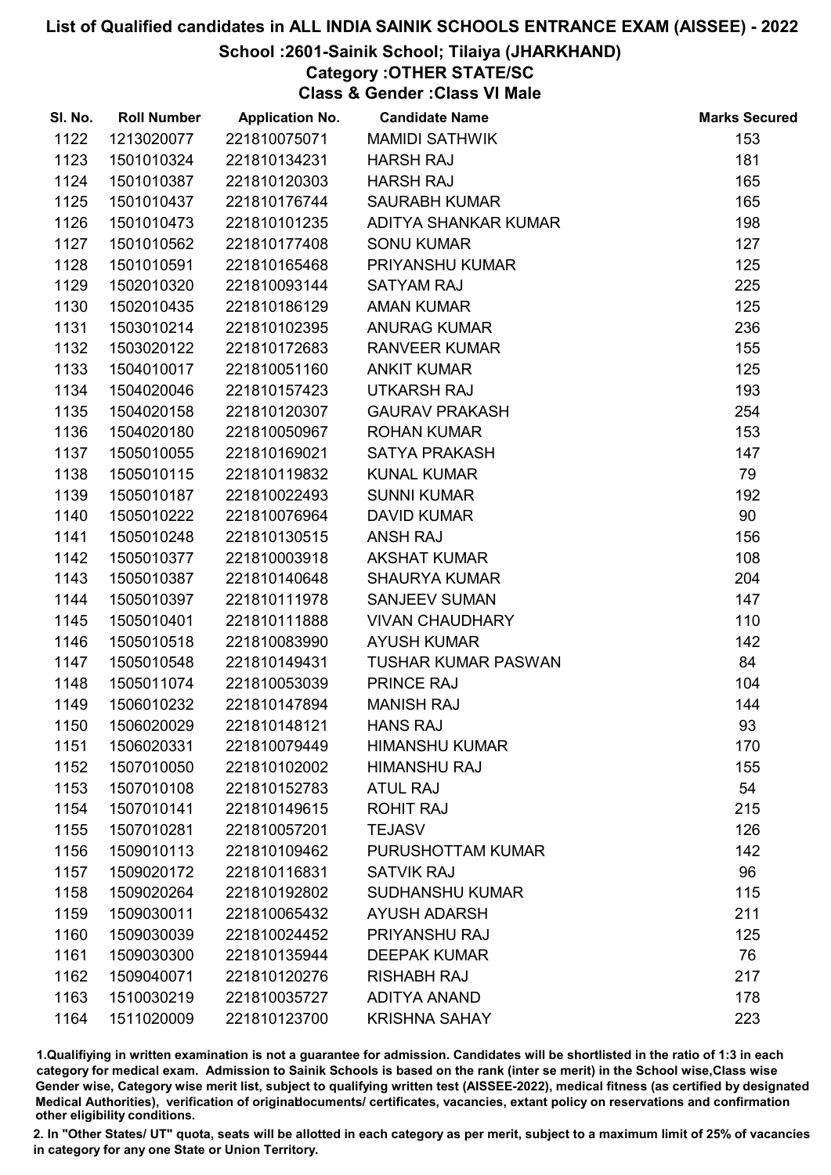### School :2601-Sainik School; Tilaiya (JHARKHAND)

Category :OTHER STATE/SC

Class & Gender :Class VI Male

| SI. No. | <b>Roll Number</b> | <b>Application No.</b> | <b>Candidate Name</b>      | <b>Marks Secured</b> |
|---------|--------------------|------------------------|----------------------------|----------------------|
| 1122    | 1213020077         | 221810075071           | <b>MAMIDI SATHWIK</b>      | 153                  |
| 1123    | 1501010324         | 221810134231           | <b>HARSH RAJ</b>           | 181                  |
| 1124    | 1501010387         | 221810120303           | <b>HARSH RAJ</b>           | 165                  |
| 1125    | 1501010437         | 221810176744           | <b>SAURABH KUMAR</b>       | 165                  |
| 1126    | 1501010473         | 221810101235           | ADITYA SHANKAR KUMAR       | 198                  |
| 1127    | 1501010562         | 221810177408           | <b>SONU KUMAR</b>          | 127                  |
| 1128    | 1501010591         | 221810165468           | <b>PRIYANSHU KUMAR</b>     | 125                  |
| 1129    | 1502010320         | 221810093144           | <b>SATYAM RAJ</b>          | 225                  |
| 1130    | 1502010435         | 221810186129           | <b>AMAN KUMAR</b>          | 125                  |
| 1131    | 1503010214         | 221810102395           | <b>ANURAG KUMAR</b>        | 236                  |
| 1132    | 1503020122         | 221810172683           | <b>RANVEER KUMAR</b>       | 155                  |
| 1133    | 1504010017         | 221810051160           | <b>ANKIT KUMAR</b>         | 125                  |
| 1134    | 1504020046         | 221810157423           | UTKARSH RAJ                | 193                  |
| 1135    | 1504020158         | 221810120307           | <b>GAURAV PRAKASH</b>      | 254                  |
| 1136    | 1504020180         | 221810050967           | <b>ROHAN KUMAR</b>         | 153                  |
| 1137    | 1505010055         | 221810169021           | <b>SATYA PRAKASH</b>       | 147                  |
| 1138    | 1505010115         | 221810119832           | <b>KUNAL KUMAR</b>         | 79                   |
| 1139    | 1505010187         | 221810022493           | <b>SUNNI KUMAR</b>         | 192                  |
| 1140    | 1505010222         | 221810076964           | <b>DAVID KUMAR</b>         | 90                   |
| 1141    | 1505010248         | 221810130515           | <b>ANSH RAJ</b>            | 156                  |
| 1142    | 1505010377         | 221810003918           | <b>AKSHAT KUMAR</b>        | 108                  |
| 1143    | 1505010387         | 221810140648           | <b>SHAURYA KUMAR</b>       | 204                  |
| 1144    | 1505010397         | 221810111978           | <b>SANJEEV SUMAN</b>       | 147                  |
| 1145    | 1505010401         | 221810111888           | <b>VIVAN CHAUDHARY</b>     | 110                  |
| 1146    | 1505010518         | 221810083990           | <b>AYUSH KUMAR</b>         | 142                  |
| 1147    | 1505010548         | 221810149431           | <b>TUSHAR KUMAR PASWAN</b> | 84                   |
| 1148    | 1505011074         | 221810053039           | PRINCE RAJ                 | 104                  |
| 1149    | 1506010232         | 221810147894           | <b>MANISH RAJ</b>          | 144                  |
| 1150    | 1506020029         | 221810148121           | <b>HANS RAJ</b>            | 93                   |
| 1151    | 1506020331         | 221810079449           | <b>HIMANSHU KUMAR</b>      | 170                  |
| 1152    | 1507010050         | 221810102002           | <b>HIMANSHU RAJ</b>        | 155                  |
| 1153    | 1507010108         | 221810152783           | <b>ATUL RAJ</b>            | 54                   |
| 1154    | 1507010141         | 221810149615           | <b>ROHIT RAJ</b>           | 215                  |
| 1155    | 1507010281         | 221810057201           | <b>TEJASV</b>              | 126                  |
| 1156    | 1509010113         | 221810109462           | PURUSHOTTAM KUMAR          | 142                  |
| 1157    | 1509020172         | 221810116831           | <b>SATVIK RAJ</b>          | 96                   |
| 1158    | 1509020264         | 221810192802           | <b>SUDHANSHU KUMAR</b>     | 115                  |
| 1159    | 1509030011         | 221810065432           | <b>AYUSH ADARSH</b>        | 211                  |
| 1160    | 1509030039         | 221810024452           | PRIYANSHU RAJ              | 125                  |
| 1161    | 1509030300         | 221810135944           | <b>DEEPAK KUMAR</b>        | 76                   |
| 1162    | 1509040071         | 221810120276           | <b>RISHABH RAJ</b>         | 217                  |
| 1163    | 1510030219         | 221810035727           | <b>ADITYA ANAND</b>        | 178                  |
| 1164    | 1511020009         | 221810123700           | <b>KRISHNA SAHAY</b>       | 223                  |

1.Qualifiying in written examination is not a guarantee for admission. Candidates will be shortlisted in the ratio of 1:3 in each category for medical exam. Admission to Sainik Schools is based on the rank (inter se merit) in the School wise,Class wise Gender wise, Category wise merit list, subject to qualifying written test (AISSEE-2022), medical fitness (as certified by designated Medical Authorities), verification of originablocuments/ certificates, vacancies, extant policy on reservations and confirmation other eligibility conditions.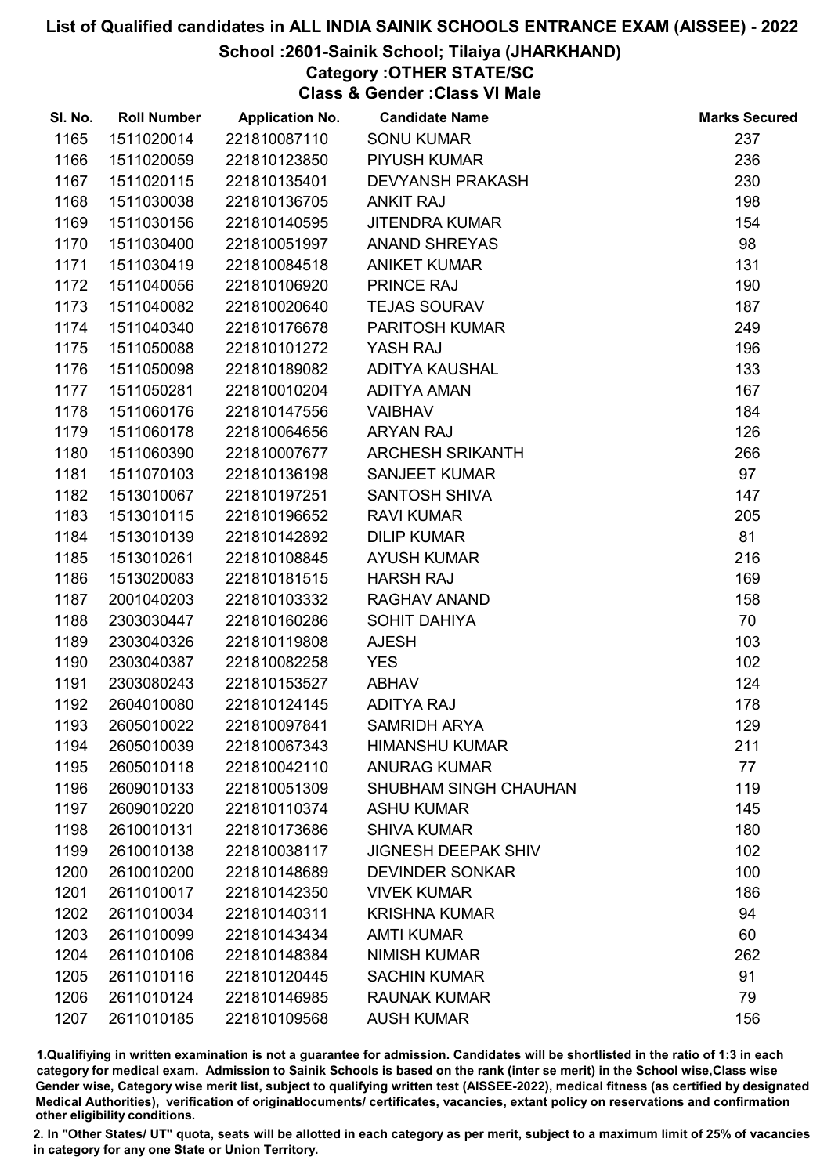### School :2601-Sainik School; Tilaiya (JHARKHAND)

Category :OTHER STATE/SC

Class & Gender :Class VI Male

| SI. No. | <b>Roll Number</b> | <b>Application No.</b> | <b>Candidate Name</b>        | <b>Marks Secured</b> |
|---------|--------------------|------------------------|------------------------------|----------------------|
| 1165    | 1511020014         | 221810087110           | <b>SONU KUMAR</b>            | 237                  |
| 1166    | 1511020059         | 221810123850           | PIYUSH KUMAR                 | 236                  |
| 1167    | 1511020115         | 221810135401           | <b>DEVYANSH PRAKASH</b>      | 230                  |
| 1168    | 1511030038         | 221810136705           | <b>ANKIT RAJ</b>             | 198                  |
| 1169    | 1511030156         | 221810140595           | <b>JITENDRA KUMAR</b>        | 154                  |
| 1170    | 1511030400         | 221810051997           | <b>ANAND SHREYAS</b>         | 98                   |
| 1171    | 1511030419         | 221810084518           | <b>ANIKET KUMAR</b>          | 131                  |
| 1172    | 1511040056         | 221810106920           | <b>PRINCE RAJ</b>            | 190                  |
| 1173    | 1511040082         | 221810020640           | <b>TEJAS SOURAV</b>          | 187                  |
| 1174    | 1511040340         | 221810176678           | <b>PARITOSH KUMAR</b>        | 249                  |
| 1175    | 1511050088         | 221810101272           | YASH RAJ                     | 196                  |
| 1176    | 1511050098         | 221810189082           | ADITYA KAUSHAL               | 133                  |
| 1177    | 1511050281         | 221810010204           | <b>ADITYA AMAN</b>           | 167                  |
| 1178    | 1511060176         | 221810147556           | <b>VAIBHAV</b>               | 184                  |
| 1179    | 1511060178         | 221810064656           | <b>ARYAN RAJ</b>             | 126                  |
| 1180    | 1511060390         | 221810007677           | <b>ARCHESH SRIKANTH</b>      | 266                  |
| 1181    | 1511070103         | 221810136198           | <b>SANJEET KUMAR</b>         | 97                   |
| 1182    | 1513010067         | 221810197251           | <b>SANTOSH SHIVA</b>         | 147                  |
| 1183    | 1513010115         | 221810196652           | <b>RAVI KUMAR</b>            | 205                  |
| 1184    | 1513010139         | 221810142892           | <b>DILIP KUMAR</b>           | 81                   |
| 1185    | 1513010261         | 221810108845           | <b>AYUSH KUMAR</b>           | 216                  |
| 1186    | 1513020083         | 221810181515           | <b>HARSH RAJ</b>             | 169                  |
| 1187    | 2001040203         | 221810103332           | RAGHAV ANAND                 | 158                  |
| 1188    | 2303030447         | 221810160286           | <b>SOHIT DAHIYA</b>          | 70                   |
| 1189    | 2303040326         | 221810119808           | <b>AJESH</b>                 | 103                  |
| 1190    | 2303040387         | 221810082258           | <b>YES</b>                   | 102                  |
| 1191    | 2303080243         | 221810153527           | <b>ABHAV</b>                 | 124                  |
| 1192    | 2604010080         | 221810124145           | <b>ADITYA RAJ</b>            | 178                  |
| 1193    | 2605010022         | 221810097841           | <b>SAMRIDH ARYA</b>          | 129                  |
| 1194    | 2605010039         | 221810067343           | <b>HIMANSHU KUMAR</b>        | 211                  |
| 1195    | 2605010118         | 221810042110           | <b>ANURAG KUMAR</b>          | 77                   |
| 1196    | 2609010133         | 221810051309           | <b>SHUBHAM SINGH CHAUHAN</b> | 119                  |
| 1197    | 2609010220         | 221810110374           | <b>ASHU KUMAR</b>            | 145                  |
| 1198    | 2610010131         | 221810173686           | <b>SHIVA KUMAR</b>           | 180                  |
| 1199    | 2610010138         | 221810038117           | <b>JIGNESH DEEPAK SHIV</b>   | 102                  |
| 1200    | 2610010200         | 221810148689           | <b>DEVINDER SONKAR</b>       | 100                  |
| 1201    | 2611010017         | 221810142350           | <b>VIVEK KUMAR</b>           | 186                  |
| 1202    | 2611010034         | 221810140311           | <b>KRISHNA KUMAR</b>         | 94                   |
| 1203    | 2611010099         | 221810143434           | <b>AMTI KUMAR</b>            | 60                   |
| 1204    | 2611010106         | 221810148384           | <b>NIMISH KUMAR</b>          | 262                  |
| 1205    | 2611010116         | 221810120445           | <b>SACHIN KUMAR</b>          | 91                   |
| 1206    | 2611010124         | 221810146985           | <b>RAUNAK KUMAR</b>          | 79                   |
| 1207    | 2611010185         | 221810109568           | <b>AUSH KUMAR</b>            | 156                  |

1.Qualifiying in written examination is not a guarantee for admission. Candidates will be shortlisted in the ratio of 1:3 in each category for medical exam. Admission to Sainik Schools is based on the rank (inter se merit) in the School wise,Class wise Gender wise, Category wise merit list, subject to qualifying written test (AISSEE-2022), medical fitness (as certified by designated Medical Authorities), verification of originablocuments/ certificates, vacancies, extant policy on reservations and confirmation other eligibility conditions.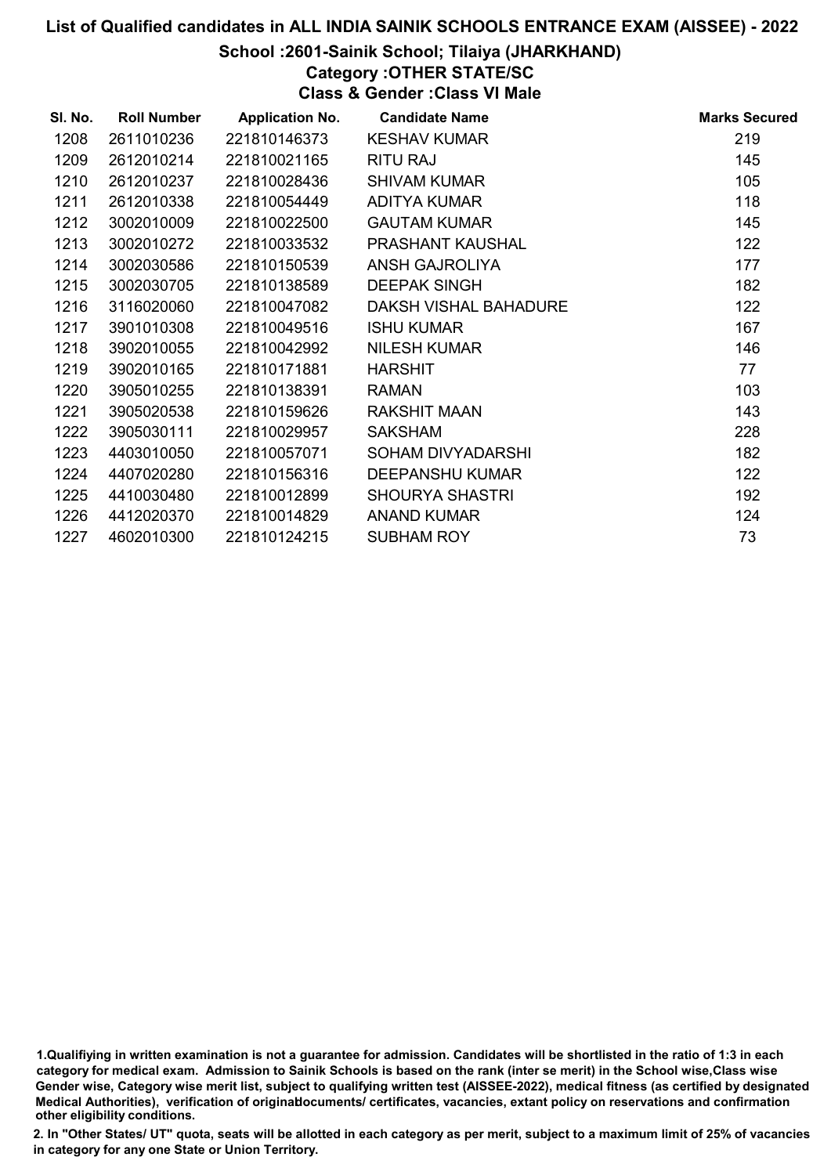### School :2601-Sainik School; Tilaiya (JHARKHAND)

## Category :OTHER STATE/SC

Class & Gender :Class VI Male

| SI. No. | <b>Roll Number</b> | <b>Application No.</b> | <b>Candidate Name</b>  | <b>Marks Secured</b> |
|---------|--------------------|------------------------|------------------------|----------------------|
| 1208    | 2611010236         | 221810146373           | <b>KESHAV KUMAR</b>    | 219                  |
| 1209    | 2612010214         | 221810021165           | <b>RITU RAJ</b>        | 145                  |
| 1210    | 2612010237         | 221810028436           | <b>SHIVAM KUMAR</b>    | 105                  |
| 1211    | 2612010338         | 221810054449           | <b>ADITYA KUMAR</b>    | 118                  |
| 1212    | 3002010009         | 221810022500           | <b>GAUTAM KUMAR</b>    | 145                  |
| 1213    | 3002010272         | 221810033532           | PRASHANT KAUSHAL       | 122                  |
| 1214    | 3002030586         | 221810150539           | ANSH GAJROLIYA         | 177                  |
| 1215    | 3002030705         | 221810138589           | <b>DEEPAK SINGH</b>    | 182                  |
| 1216    | 3116020060         | 221810047082           | DAKSH VISHAL BAHADURE  | 122                  |
| 1217    | 3901010308         | 221810049516           | <b>ISHU KUMAR</b>      | 167                  |
| 1218    | 3902010055         | 221810042992           | <b>NILESH KUMAR</b>    | 146                  |
| 1219    | 3902010165         | 221810171881           | <b>HARSHIT</b>         | 77                   |
| 1220    | 3905010255         | 221810138391           | <b>RAMAN</b>           | 103                  |
| 1221    | 3905020538         | 221810159626           | <b>RAKSHIT MAAN</b>    | 143                  |
| 1222    | 3905030111         | 221810029957           | <b>SAKSHAM</b>         | 228                  |
| 1223    | 4403010050         | 221810057071           | SOHAM DIVYADARSHI      | 182                  |
| 1224    | 4407020280         | 221810156316           | <b>DEEPANSHU KUMAR</b> | 122                  |
| 1225    | 4410030480         | 221810012899           | <b>SHOURYA SHASTRI</b> | 192                  |
| 1226    | 4412020370         | 221810014829           | <b>ANAND KUMAR</b>     | 124                  |
| 1227    | 4602010300         | 221810124215           | <b>SUBHAM ROY</b>      | 73                   |

1.Qualifiying in written examination is not a guarantee for admission. Candidates will be shortlisted in the ratio of 1:3 in each category for medical exam. Admission to Sainik Schools is based on the rank (inter se merit) in the School wise,Class wise Gender wise, Category wise merit list, subject to qualifying written test (AISSEE-2022), medical fitness (as certified by designated Medical Authorities), verification of originablocuments/ certificates, vacancies, extant policy on reservations and confirmation other eligibility conditions.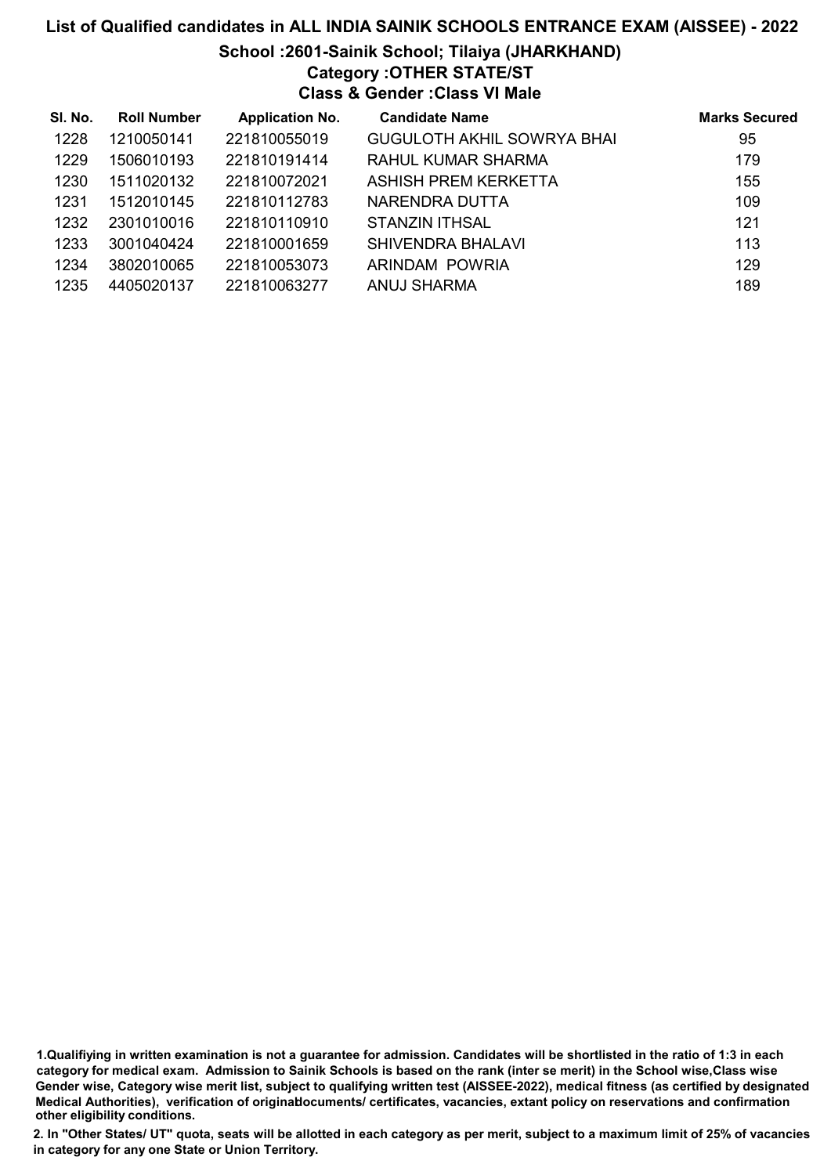# List of Qualified candidates in ALL INDIA SAINIK SCHOOLS ENTRANCE EXAM (AISSEE) - 2022 School :2601-Sainik School; Tilaiya (JHARKHAND) Category :OTHER STATE/ST Class & Gender :Class VI Male

| SI. No. | <b>Roll Number</b> | <b>Application No.</b> | <b>Candidate Name</b>             | <b>Marks Secured</b> |
|---------|--------------------|------------------------|-----------------------------------|----------------------|
| 1228    | 1210050141         | 221810055019           | <b>GUGULOTH AKHIL SOWRYA BHAI</b> | 95                   |
| 1229    | 1506010193         | 221810191414           | RAHUL KUMAR SHARMA                | 179                  |
| 1230    | 1511020132         | 221810072021           | ASHISH PREM KERKETTA              | 155                  |
| 1231    | 1512010145         | 221810112783           | NARENDRA DUTTA                    | 109                  |
| 1232    | 2301010016         | 221810110910           | <b>STANZIN ITHSAL</b>             | 121                  |
| 1233    | 3001040424         | 221810001659           | SHIVENDRA BHALAVI                 | 113                  |
| 1234    | 3802010065         | 221810053073           | ARINDAM POWRIA                    | 129                  |
| 1235    | 4405020137         | 221810063277           | ANUJ SHARMA                       | 189                  |

1.Qualifiying in written examination is not a guarantee for admission. Candidates will be shortlisted in the ratio of 1:3 in each category for medical exam. Admission to Sainik Schools is based on the rank (inter se merit) in the School wise,Class wise Gender wise, Category wise merit list, subject to qualifying written test (AISSEE-2022), medical fitness (as certified by designated Medical Authorities), verification of originablocuments/ certificates, vacancies, extant policy on reservations and confirmation other eligibility conditions.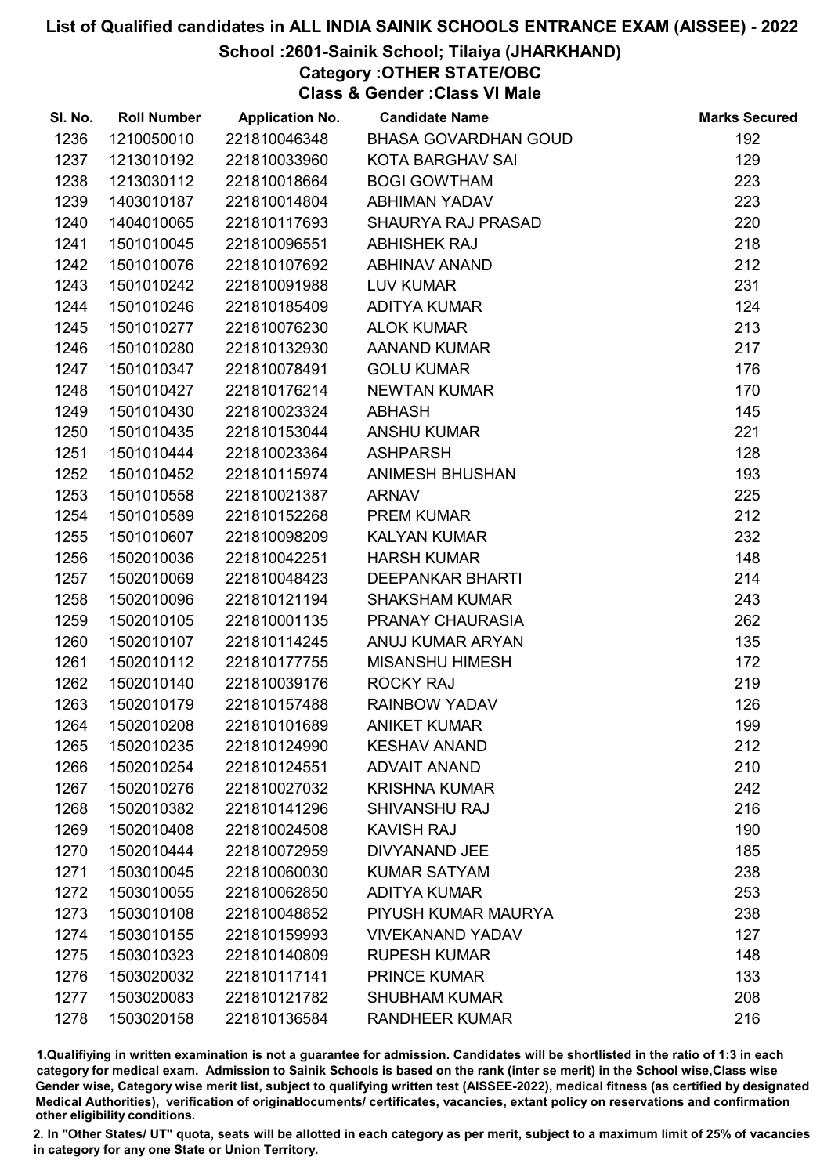### School :2601-Sainik School; Tilaiya (JHARKHAND)

Category :OTHER STATE/OBC

Class & Gender :Class VI Male

| SI. No. | <b>Roll Number</b> | <b>Application No.</b> | <b>Candidate Name</b>       | <b>Marks Secured</b> |
|---------|--------------------|------------------------|-----------------------------|----------------------|
| 1236    | 1210050010         | 221810046348           | <b>BHASA GOVARDHAN GOUD</b> | 192                  |
| 1237    | 1213010192         | 221810033960           | <b>KOTA BARGHAV SAI</b>     | 129                  |
| 1238    | 1213030112         | 221810018664           | <b>BOGI GOWTHAM</b>         | 223                  |
| 1239    | 1403010187         | 221810014804           | <b>ABHIMAN YADAV</b>        | 223                  |
| 1240    | 1404010065         | 221810117693           | <b>SHAURYA RAJ PRASAD</b>   | 220                  |
| 1241    | 1501010045         | 221810096551           | <b>ABHISHEK RAJ</b>         | 218                  |
| 1242    | 1501010076         | 221810107692           | <b>ABHINAV ANAND</b>        | 212                  |
| 1243    | 1501010242         | 221810091988           | <b>LUV KUMAR</b>            | 231                  |
| 1244    | 1501010246         | 221810185409           | <b>ADITYA KUMAR</b>         | 124                  |
| 1245    | 1501010277         | 221810076230           | <b>ALOK KUMAR</b>           | 213                  |
| 1246    | 1501010280         | 221810132930           | <b>AANAND KUMAR</b>         | 217                  |
| 1247    | 1501010347         | 221810078491           | <b>GOLU KUMAR</b>           | 176                  |
| 1248    | 1501010427         | 221810176214           | <b>NEWTAN KUMAR</b>         | 170                  |
| 1249    | 1501010430         | 221810023324           | <b>ABHASH</b>               | 145                  |
| 1250    | 1501010435         | 221810153044           | <b>ANSHU KUMAR</b>          | 221                  |
| 1251    | 1501010444         | 221810023364           | <b>ASHPARSH</b>             | 128                  |
| 1252    | 1501010452         | 221810115974           | <b>ANIMESH BHUSHAN</b>      | 193                  |
| 1253    | 1501010558         | 221810021387           | <b>ARNAV</b>                | 225                  |
| 1254    | 1501010589         | 221810152268           | <b>PREM KUMAR</b>           | 212                  |
| 1255    | 1501010607         | 221810098209           | <b>KALYAN KUMAR</b>         | 232                  |
| 1256    | 1502010036         | 221810042251           | <b>HARSH KUMAR</b>          | 148                  |
| 1257    | 1502010069         | 221810048423           | <b>DEEPANKAR BHARTI</b>     | 214                  |
| 1258    | 1502010096         | 221810121194           | <b>SHAKSHAM KUMAR</b>       | 243                  |
| 1259    | 1502010105         | 221810001135           | PRANAY CHAURASIA            | 262                  |
| 1260    | 1502010107         | 221810114245           | ANUJ KUMAR ARYAN            | 135                  |
| 1261    | 1502010112         | 221810177755           | <b>MISANSHU HIMESH</b>      | 172                  |
| 1262    | 1502010140         | 221810039176           | <b>ROCKY RAJ</b>            | 219                  |
| 1263    | 1502010179         | 221810157488           | <b>RAINBOW YADAV</b>        | 126                  |
| 1264    | 1502010208         | 221810101689           | <b>ANIKET KUMAR</b>         | 199                  |
| 1265    | 1502010235         | 221810124990           | <b>KESHAV ANAND</b>         | 212                  |
| 1266    | 1502010254         | 221810124551           | <b>ADVAIT ANAND</b>         | 210                  |
| 1267    | 1502010276         | 221810027032           | <b>KRISHNA KUMAR</b>        | 242                  |
| 1268    | 1502010382         | 221810141296           | <b>SHIVANSHU RAJ</b>        | 216                  |
| 1269    | 1502010408         | 221810024508           | <b>KAVISH RAJ</b>           | 190                  |
| 1270    | 1502010444         | 221810072959           | <b>DIVYANAND JEE</b>        | 185                  |
| 1271    | 1503010045         | 221810060030           | <b>KUMAR SATYAM</b>         | 238                  |
| 1272    | 1503010055         | 221810062850           | <b>ADITYA KUMAR</b>         | 253                  |
| 1273    | 1503010108         | 221810048852           | PIYUSH KUMAR MAURYA         | 238                  |
| 1274    | 1503010155         | 221810159993           | <b>VIVEKANAND YADAV</b>     | 127                  |
| 1275    | 1503010323         | 221810140809           | <b>RUPESH KUMAR</b>         | 148                  |
| 1276    | 1503020032         | 221810117141           | <b>PRINCE KUMAR</b>         | 133                  |
| 1277    | 1503020083         | 221810121782           | <b>SHUBHAM KUMAR</b>        | 208                  |
| 1278    | 1503020158         | 221810136584           | <b>RANDHEER KUMAR</b>       | 216                  |

1.Qualifiying in written examination is not a guarantee for admission. Candidates will be shortlisted in the ratio of 1:3 in each category for medical exam. Admission to Sainik Schools is based on the rank (inter se merit) in the School wise,Class wise Gender wise, Category wise merit list, subject to qualifying written test (AISSEE-2022), medical fitness (as certified by designated Medical Authorities), verification of originablocuments/ certificates, vacancies, extant policy on reservations and confirmation other eligibility conditions.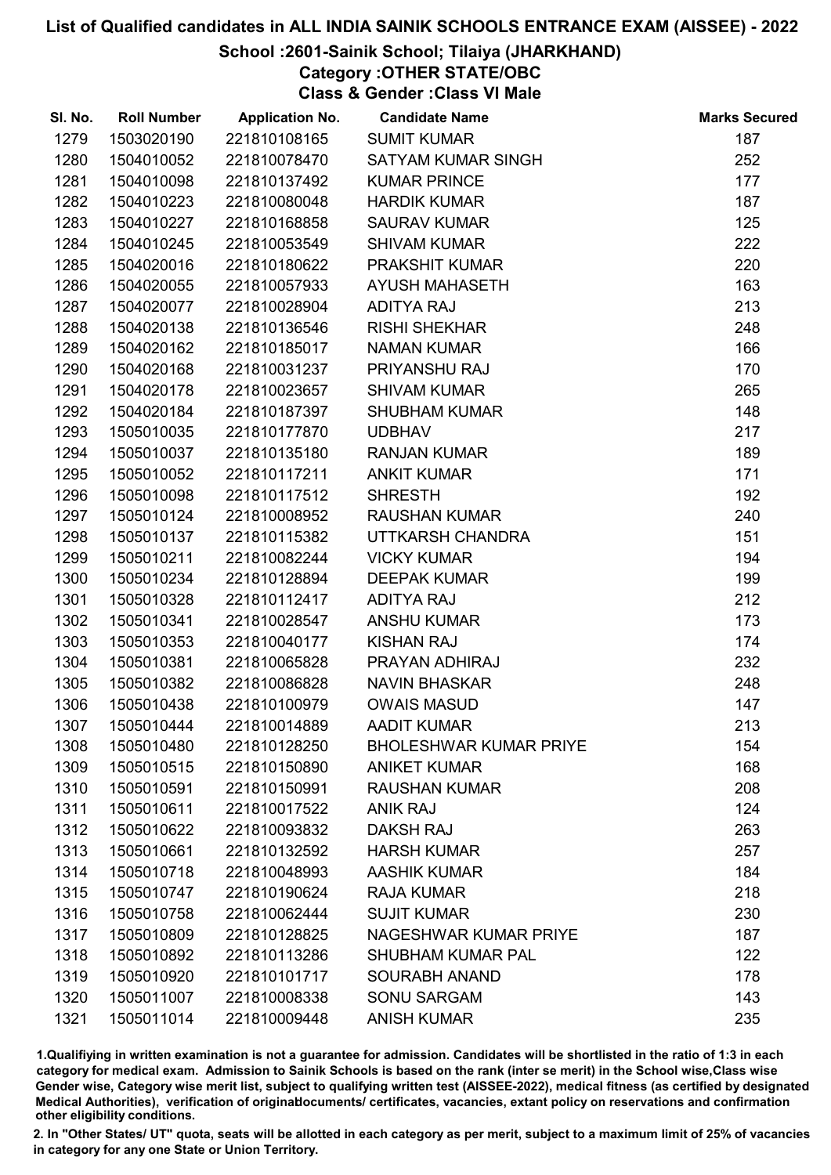### School :2601-Sainik School; Tilaiya (JHARKHAND)

Category :OTHER STATE/OBC

Class & Gender :Class VI Male

| SI. No. | <b>Roll Number</b> | <b>Application No.</b> | <b>Candidate Name</b>         | <b>Marks Secured</b> |
|---------|--------------------|------------------------|-------------------------------|----------------------|
| 1279    | 1503020190         | 221810108165           | <b>SUMIT KUMAR</b>            | 187                  |
| 1280    | 1504010052         | 221810078470           | <b>SATYAM KUMAR SINGH</b>     | 252                  |
| 1281    | 1504010098         | 221810137492           | <b>KUMAR PRINCE</b>           | 177                  |
| 1282    | 1504010223         | 221810080048           | <b>HARDIK KUMAR</b>           | 187                  |
| 1283    | 1504010227         | 221810168858           | <b>SAURAV KUMAR</b>           | 125                  |
| 1284    | 1504010245         | 221810053549           | <b>SHIVAM KUMAR</b>           | 222                  |
| 1285    | 1504020016         | 221810180622           | PRAKSHIT KUMAR                | 220                  |
| 1286    | 1504020055         | 221810057933           | <b>AYUSH MAHASETH</b>         | 163                  |
| 1287    | 1504020077         | 221810028904           | <b>ADITYA RAJ</b>             | 213                  |
| 1288    | 1504020138         | 221810136546           | <b>RISHI SHEKHAR</b>          | 248                  |
| 1289    | 1504020162         | 221810185017           | <b>NAMAN KUMAR</b>            | 166                  |
| 1290    | 1504020168         | 221810031237           | PRIYANSHU RAJ                 | 170                  |
| 1291    | 1504020178         | 221810023657           | <b>SHIVAM KUMAR</b>           | 265                  |
| 1292    | 1504020184         | 221810187397           | <b>SHUBHAM KUMAR</b>          | 148                  |
| 1293    | 1505010035         | 221810177870           | <b>UDBHAV</b>                 | 217                  |
| 1294    | 1505010037         | 221810135180           | <b>RANJAN KUMAR</b>           | 189                  |
| 1295    | 1505010052         | 221810117211           | <b>ANKIT KUMAR</b>            | 171                  |
| 1296    | 1505010098         | 221810117512           | <b>SHRESTH</b>                | 192                  |
| 1297    | 1505010124         | 221810008952           | <b>RAUSHAN KUMAR</b>          | 240                  |
| 1298    | 1505010137         | 221810115382           | UTTKARSH CHANDRA              | 151                  |
| 1299    | 1505010211         | 221810082244           | <b>VICKY KUMAR</b>            | 194                  |
| 1300    | 1505010234         | 221810128894           | <b>DEEPAK KUMAR</b>           | 199                  |
| 1301    | 1505010328         | 221810112417           | <b>ADITYA RAJ</b>             | 212                  |
| 1302    | 1505010341         | 221810028547           | <b>ANSHU KUMAR</b>            | 173                  |
| 1303    | 1505010353         | 221810040177           | <b>KISHAN RAJ</b>             | 174                  |
| 1304    | 1505010381         | 221810065828           | PRAYAN ADHIRAJ                | 232                  |
| 1305    | 1505010382         | 221810086828           | <b>NAVIN BHASKAR</b>          | 248                  |
| 1306    | 1505010438         | 221810100979           | <b>OWAIS MASUD</b>            | 147                  |
| 1307    | 1505010444         | 221810014889           | <b>AADIT KUMAR</b>            | 213                  |
| 1308    | 1505010480         | 221810128250           | <b>BHOLESHWAR KUMAR PRIYE</b> | 154                  |
| 1309    | 1505010515         | 221810150890           | <b>ANIKET KUMAR</b>           | 168                  |
| 1310    | 1505010591         | 221810150991           | <b>RAUSHAN KUMAR</b>          | 208                  |
| 1311    | 1505010611         | 221810017522           | <b>ANIK RAJ</b>               | 124                  |
| 1312    | 1505010622         | 221810093832           | <b>DAKSH RAJ</b>              | 263                  |
| 1313    | 1505010661         | 221810132592           | <b>HARSH KUMAR</b>            | 257                  |
| 1314    | 1505010718         | 221810048993           | <b>AASHIK KUMAR</b>           | 184                  |
| 1315    | 1505010747         | 221810190624           | <b>RAJA KUMAR</b>             | 218                  |
| 1316    | 1505010758         | 221810062444           | <b>SUJIT KUMAR</b>            | 230                  |
| 1317    | 1505010809         | 221810128825           | NAGESHWAR KUMAR PRIYE         | 187                  |
| 1318    | 1505010892         | 221810113286           | <b>SHUBHAM KUMAR PAL</b>      | 122                  |
| 1319    | 1505010920         | 221810101717           | <b>SOURABH ANAND</b>          | 178                  |
| 1320    | 1505011007         | 221810008338           | <b>SONU SARGAM</b>            | 143                  |
| 1321    | 1505011014         | 221810009448           | <b>ANISH KUMAR</b>            | 235                  |

1.Qualifiying in written examination is not a guarantee for admission. Candidates will be shortlisted in the ratio of 1:3 in each category for medical exam. Admission to Sainik Schools is based on the rank (inter se merit) in the School wise,Class wise Gender wise, Category wise merit list, subject to qualifying written test (AISSEE-2022), medical fitness (as certified by designated Medical Authorities), verification of originablocuments/ certificates, vacancies, extant policy on reservations and confirmation other eligibility conditions.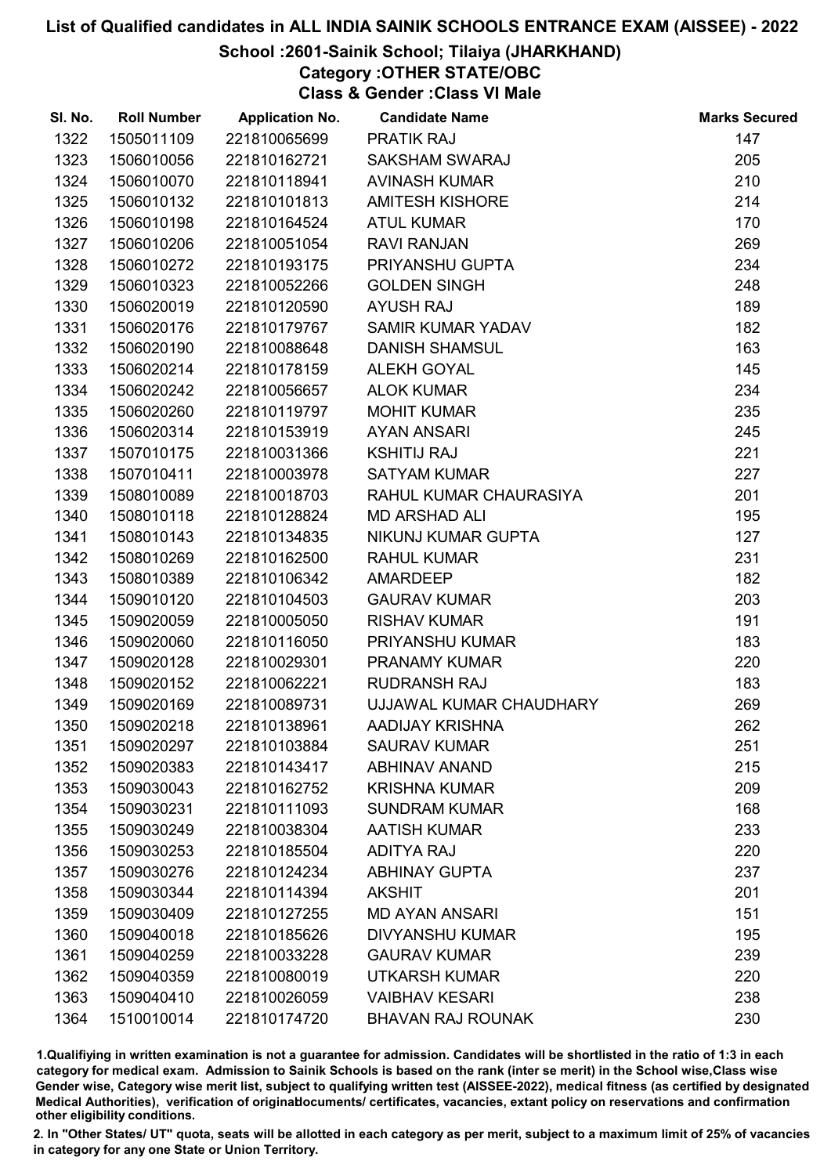### School :2601-Sainik School; Tilaiya (JHARKHAND)

Category :OTHER STATE/OBC

Class & Gender :Class VI Male

| SI. No. | <b>Roll Number</b> | <b>Application No.</b> | <b>Candidate Name</b>    | <b>Marks Secured</b> |
|---------|--------------------|------------------------|--------------------------|----------------------|
| 1322    | 1505011109         | 221810065699           | <b>PRATIK RAJ</b>        | 147                  |
| 1323    | 1506010056         | 221810162721           | <b>SAKSHAM SWARAJ</b>    | 205                  |
| 1324    | 1506010070         | 221810118941           | <b>AVINASH KUMAR</b>     | 210                  |
| 1325    | 1506010132         | 221810101813           | <b>AMITESH KISHORE</b>   | 214                  |
| 1326    | 1506010198         | 221810164524           | <b>ATUL KUMAR</b>        | 170                  |
| 1327    | 1506010206         | 221810051054           | <b>RAVI RANJAN</b>       | 269                  |
| 1328    | 1506010272         | 221810193175           | PRIYANSHU GUPTA          | 234                  |
| 1329    | 1506010323         | 221810052266           | <b>GOLDEN SINGH</b>      | 248                  |
| 1330    | 1506020019         | 221810120590           | <b>AYUSH RAJ</b>         | 189                  |
| 1331    | 1506020176         | 221810179767           | <b>SAMIR KUMAR YADAV</b> | 182                  |
| 1332    | 1506020190         | 221810088648           | <b>DANISH SHAMSUL</b>    | 163                  |
| 1333    | 1506020214         | 221810178159           | <b>ALEKH GOYAL</b>       | 145                  |
| 1334    | 1506020242         | 221810056657           | <b>ALOK KUMAR</b>        | 234                  |
| 1335    | 1506020260         | 221810119797           | <b>MOHIT KUMAR</b>       | 235                  |
| 1336    | 1506020314         | 221810153919           | <b>AYAN ANSARI</b>       | 245                  |
| 1337    | 1507010175         | 221810031366           | <b>KSHITIJ RAJ</b>       | 221                  |
| 1338    | 1507010411         | 221810003978           | <b>SATYAM KUMAR</b>      | 227                  |
| 1339    | 1508010089         | 221810018703           | RAHUL KUMAR CHAURASIYA   | 201                  |
| 1340    | 1508010118         | 221810128824           | <b>MD ARSHAD ALI</b>     | 195                  |
| 1341    | 1508010143         | 221810134835           | NIKUNJ KUMAR GUPTA       | 127                  |
| 1342    | 1508010269         | 221810162500           | <b>RAHUL KUMAR</b>       | 231                  |
| 1343    | 1508010389         | 221810106342           | <b>AMARDEEP</b>          | 182                  |
| 1344    | 1509010120         | 221810104503           | <b>GAURAV KUMAR</b>      | 203                  |
| 1345    | 1509020059         | 221810005050           | <b>RISHAV KUMAR</b>      | 191                  |
| 1346    | 1509020060         | 221810116050           | PRIYANSHU KUMAR          | 183                  |
| 1347    | 1509020128         | 221810029301           | <b>PRANAMY KUMAR</b>     | 220                  |
| 1348    | 1509020152         | 221810062221           | <b>RUDRANSH RAJ</b>      | 183                  |
| 1349    | 1509020169         | 221810089731           | UJJAWAL KUMAR CHAUDHARY  | 269                  |
| 1350    | 1509020218         | 221810138961           | AADIJAY KRISHNA          | 262                  |
| 1351    | 1509020297         | 221810103884           | <b>SAURAV KUMAR</b>      | 251                  |
| 1352    | 1509020383         | 221810143417           | <b>ABHINAV ANAND</b>     | 215                  |
| 1353    | 1509030043         | 221810162752           | <b>KRISHNA KUMAR</b>     | 209                  |
| 1354    | 1509030231         | 221810111093           | <b>SUNDRAM KUMAR</b>     | 168                  |
| 1355    | 1509030249         | 221810038304           | <b>AATISH KUMAR</b>      | 233                  |
| 1356    | 1509030253         | 221810185504           | <b>ADITYA RAJ</b>        | 220                  |
| 1357    | 1509030276         | 221810124234           | <b>ABHINAY GUPTA</b>     | 237                  |
| 1358    | 1509030344         | 221810114394           | <b>AKSHIT</b>            | 201                  |
| 1359    | 1509030409         | 221810127255           | <b>MD AYAN ANSARI</b>    | 151                  |
| 1360    | 1509040018         | 221810185626           | <b>DIVYANSHU KUMAR</b>   | 195                  |
| 1361    | 1509040259         | 221810033228           | <b>GAURAV KUMAR</b>      | 239                  |
| 1362    | 1509040359         | 221810080019           | <b>UTKARSH KUMAR</b>     | 220                  |
| 1363    | 1509040410         | 221810026059           | <b>VAIBHAV KESARI</b>    | 238                  |
| 1364    | 1510010014         | 221810174720           | <b>BHAVAN RAJ ROUNAK</b> | 230                  |

1.Qualifiying in written examination is not a guarantee for admission. Candidates will be shortlisted in the ratio of 1:3 in each category for medical exam. Admission to Sainik Schools is based on the rank (inter se merit) in the School wise,Class wise Gender wise, Category wise merit list, subject to qualifying written test (AISSEE-2022), medical fitness (as certified by designated Medical Authorities), verification of originablocuments/ certificates, vacancies, extant policy on reservations and confirmation other eligibility conditions.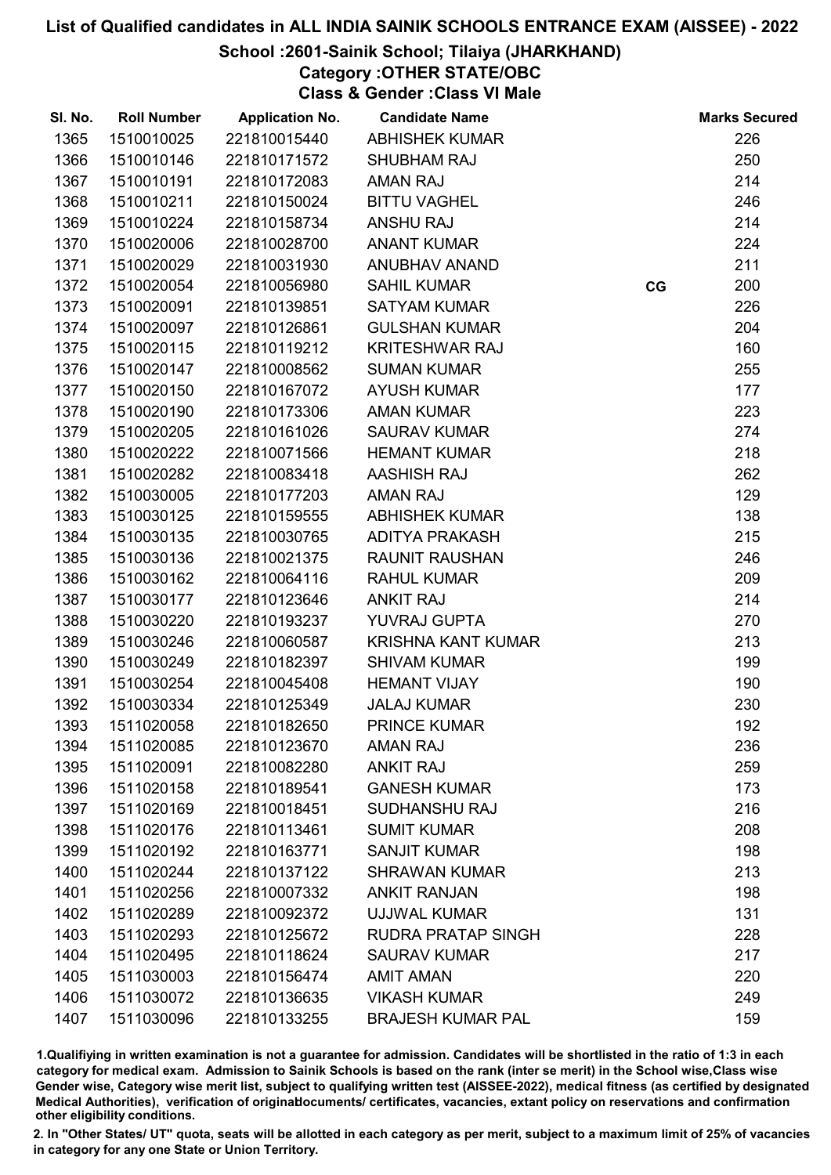### School :2601-Sainik School; Tilaiya (JHARKHAND)

Category :OTHER STATE/OBC

Class & Gender :Class VI Male

| SI. No. | <b>Roll Number</b> | <b>Application No.</b> | <b>Candidate Name</b>     |    | <b>Marks Secured</b> |
|---------|--------------------|------------------------|---------------------------|----|----------------------|
| 1365    | 1510010025         | 221810015440           | <b>ABHISHEK KUMAR</b>     |    | 226                  |
| 1366    | 1510010146         | 221810171572           | <b>SHUBHAM RAJ</b>        |    | 250                  |
| 1367    | 1510010191         | 221810172083           | <b>AMAN RAJ</b>           |    | 214                  |
| 1368    | 1510010211         | 221810150024           | <b>BITTU VAGHEL</b>       |    | 246                  |
| 1369    | 1510010224         | 221810158734           | <b>ANSHU RAJ</b>          |    | 214                  |
| 1370    | 1510020006         | 221810028700           | <b>ANANT KUMAR</b>        |    | 224                  |
| 1371    | 1510020029         | 221810031930           | ANUBHAV ANAND             |    | 211                  |
| 1372    | 1510020054         | 221810056980           | <b>SAHIL KUMAR</b>        | CG | 200                  |
| 1373    | 1510020091         | 221810139851           | <b>SATYAM KUMAR</b>       |    | 226                  |
| 1374    | 1510020097         | 221810126861           | <b>GULSHAN KUMAR</b>      |    | 204                  |
| 1375    | 1510020115         | 221810119212           | <b>KRITESHWAR RAJ</b>     |    | 160                  |
| 1376    | 1510020147         | 221810008562           | <b>SUMAN KUMAR</b>        |    | 255                  |
| 1377    | 1510020150         | 221810167072           | <b>AYUSH KUMAR</b>        |    | 177                  |
| 1378    | 1510020190         | 221810173306           | <b>AMAN KUMAR</b>         |    | 223                  |
| 1379    | 1510020205         | 221810161026           | <b>SAURAV KUMAR</b>       |    | 274                  |
| 1380    | 1510020222         | 221810071566           | <b>HEMANT KUMAR</b>       |    | 218                  |
| 1381    | 1510020282         | 221810083418           | <b>AASHISH RAJ</b>        |    | 262                  |
| 1382    | 1510030005         | 221810177203           | <b>AMAN RAJ</b>           |    | 129                  |
| 1383    | 1510030125         | 221810159555           | <b>ABHISHEK KUMAR</b>     |    | 138                  |
| 1384    | 1510030135         | 221810030765           | ADITYA PRAKASH            |    | 215                  |
| 1385    | 1510030136         | 221810021375           | <b>RAUNIT RAUSHAN</b>     |    | 246                  |
| 1386    | 1510030162         | 221810064116           | <b>RAHUL KUMAR</b>        |    | 209                  |
| 1387    | 1510030177         | 221810123646           | <b>ANKIT RAJ</b>          |    | 214                  |
| 1388    | 1510030220         | 221810193237           | YUVRAJ GUPTA              |    | 270                  |
| 1389    | 1510030246         | 221810060587           | <b>KRISHNA KANT KUMAR</b> |    | 213                  |
| 1390    | 1510030249         | 221810182397           | <b>SHIVAM KUMAR</b>       |    | 199                  |
| 1391    | 1510030254         | 221810045408           | <b>HEMANT VIJAY</b>       |    | 190                  |
| 1392    | 1510030334         | 221810125349           | <b>JALAJ KUMAR</b>        |    | 230                  |
| 1393    | 1511020058         | 221810182650           | <b>PRINCE KUMAR</b>       |    | 192                  |
| 1394    | 1511020085         | 221810123670           | <b>AMAN RAJ</b>           |    | 236                  |
| 1395    | 1511020091         | 221810082280           | <b>ANKIT RAJ</b>          |    | 259                  |
| 1396    | 1511020158         | 221810189541           | <b>GANESH KUMAR</b>       |    | 173                  |
| 1397    | 1511020169         | 221810018451           | <b>SUDHANSHU RAJ</b>      |    | 216                  |
| 1398    | 1511020176         | 221810113461           | <b>SUMIT KUMAR</b>        |    | 208                  |
| 1399    | 1511020192         | 221810163771           | <b>SANJIT KUMAR</b>       |    | 198                  |
| 1400    | 1511020244         | 221810137122           | <b>SHRAWAN KUMAR</b>      |    | 213                  |
| 1401    | 1511020256         | 221810007332           | <b>ANKIT RANJAN</b>       |    | 198                  |
| 1402    | 1511020289         | 221810092372           | <b>UJJWAL KUMAR</b>       |    | 131                  |
| 1403    | 1511020293         | 221810125672           | <b>RUDRA PRATAP SINGH</b> |    | 228                  |
| 1404    | 1511020495         | 221810118624           | <b>SAURAV KUMAR</b>       |    | 217                  |
| 1405    | 1511030003         | 221810156474           | <b>AMIT AMAN</b>          |    | 220                  |
| 1406    | 1511030072         | 221810136635           | <b>VIKASH KUMAR</b>       |    | 249                  |
| 1407    | 1511030096         | 221810133255           | <b>BRAJESH KUMAR PAL</b>  |    | 159                  |

1.Qualifiying in written examination is not a guarantee for admission. Candidates will be shortlisted in the ratio of 1:3 in each category for medical exam. Admission to Sainik Schools is based on the rank (inter se merit) in the School wise,Class wise Gender wise, Category wise merit list, subject to qualifying written test (AISSEE-2022), medical fitness (as certified by designated Medical Authorities), verification of originablocuments/ certificates, vacancies, extant policy on reservations and confirmation other eligibility conditions.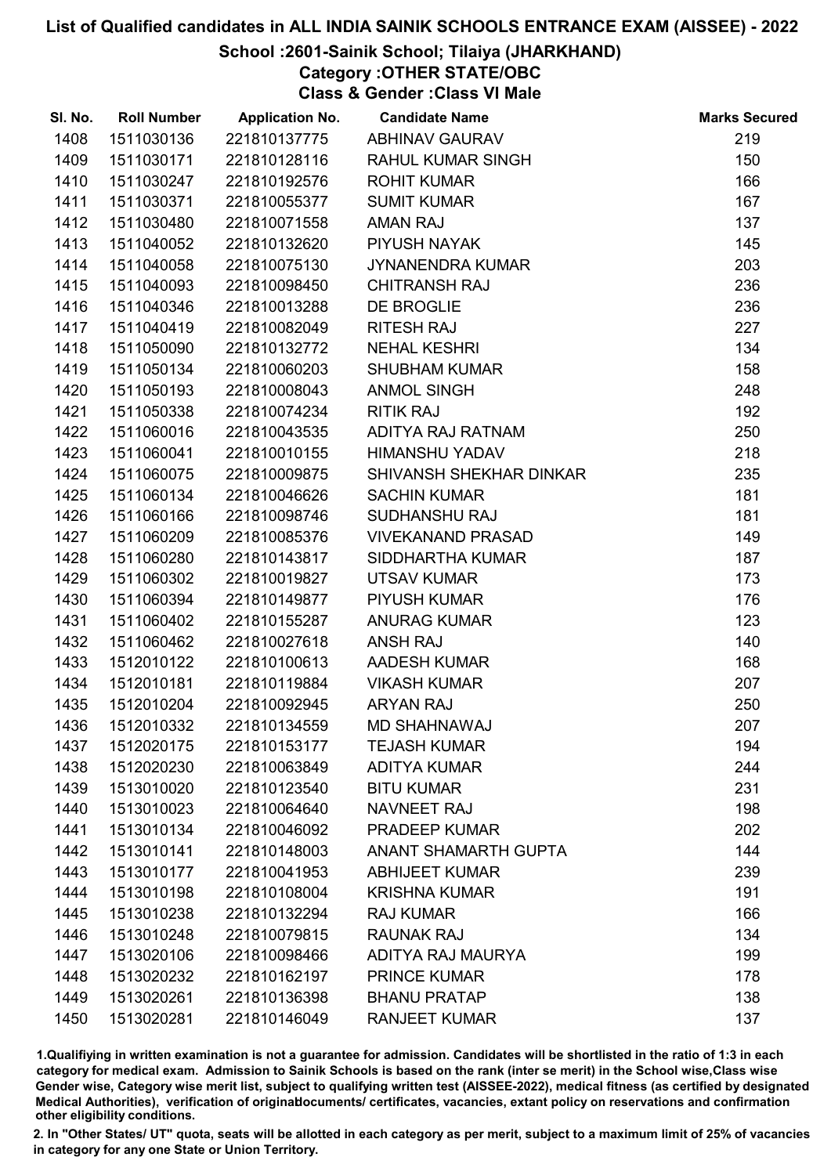### School :2601-Sainik School; Tilaiya (JHARKHAND)

Category :OTHER STATE/OBC

Class & Gender :Class VI Male

| SI. No. | <b>Roll Number</b> | <b>Application No.</b> | <b>Candidate Name</b>    | <b>Marks Secured</b> |
|---------|--------------------|------------------------|--------------------------|----------------------|
| 1408    | 1511030136         | 221810137775           | <b>ABHINAV GAURAV</b>    | 219                  |
| 1409    | 1511030171         | 221810128116           | <b>RAHUL KUMAR SINGH</b> | 150                  |
| 1410    | 1511030247         | 221810192576           | <b>ROHIT KUMAR</b>       | 166                  |
| 1411    | 1511030371         | 221810055377           | <b>SUMIT KUMAR</b>       | 167                  |
| 1412    | 1511030480         | 221810071558           | <b>AMAN RAJ</b>          | 137                  |
| 1413    | 1511040052         | 221810132620           | PIYUSH NAYAK             | 145                  |
| 1414    | 1511040058         | 221810075130           | JYNANENDRA KUMAR         | 203                  |
| 1415    | 1511040093         | 221810098450           | <b>CHITRANSH RAJ</b>     | 236                  |
| 1416    | 1511040346         | 221810013288           | DE BROGLIE               | 236                  |
| 1417    | 1511040419         | 221810082049           | <b>RITESH RAJ</b>        | 227                  |
| 1418    | 1511050090         | 221810132772           | <b>NEHAL KESHRI</b>      | 134                  |
| 1419    | 1511050134         | 221810060203           | <b>SHUBHAM KUMAR</b>     | 158                  |
| 1420    | 1511050193         | 221810008043           | <b>ANMOL SINGH</b>       | 248                  |
| 1421    | 1511050338         | 221810074234           | <b>RITIK RAJ</b>         | 192                  |
| 1422    | 1511060016         | 221810043535           | ADITYA RAJ RATNAM        | 250                  |
| 1423    | 1511060041         | 221810010155           | <b>HIMANSHU YADAV</b>    | 218                  |
| 1424    | 1511060075         | 221810009875           | SHIVANSH SHEKHAR DINKAR  | 235                  |
| 1425    | 1511060134         | 221810046626           | <b>SACHIN KUMAR</b>      | 181                  |
| 1426    | 1511060166         | 221810098746           | SUDHANSHU RAJ            | 181                  |
| 1427    | 1511060209         | 221810085376           | <b>VIVEKANAND PRASAD</b> | 149                  |
| 1428    | 1511060280         | 221810143817           | SIDDHARTHA KUMAR         | 187                  |
| 1429    | 1511060302         | 221810019827           | <b>UTSAV KUMAR</b>       | 173                  |
| 1430    | 1511060394         | 221810149877           | PIYUSH KUMAR             | 176                  |
| 1431    | 1511060402         | 221810155287           | <b>ANURAG KUMAR</b>      | 123                  |
| 1432    | 1511060462         | 221810027618           | <b>ANSH RAJ</b>          | 140                  |
| 1433    | 1512010122         | 221810100613           | AADESH KUMAR             | 168                  |
| 1434    | 1512010181         | 221810119884           | <b>VIKASH KUMAR</b>      | 207                  |
| 1435    | 1512010204         | 221810092945           | <b>ARYAN RAJ</b>         | 250                  |
| 1436    | 1512010332         | 221810134559           | <b>MD SHAHNAWAJ</b>      | 207                  |
| 1437    | 1512020175         | 221810153177           | <b>TEJASH KUMAR</b>      | 194                  |
| 1438    | 1512020230         | 221810063849           | <b>ADITYA KUMAR</b>      | 244                  |
| 1439    | 1513010020         | 221810123540           | <b>BITU KUMAR</b>        | 231                  |
| 1440    | 1513010023         | 221810064640           | NAVNEET RAJ              | 198                  |
| 1441    | 1513010134         | 221810046092           | <b>PRADEEP KUMAR</b>     | 202                  |
| 1442    | 1513010141         | 221810148003           | ANANT SHAMARTH GUPTA     | 144                  |
| 1443    | 1513010177         | 221810041953           | <b>ABHIJEET KUMAR</b>    | 239                  |
| 1444    | 1513010198         | 221810108004           | <b>KRISHNA KUMAR</b>     | 191                  |
| 1445    | 1513010238         | 221810132294           | <b>RAJ KUMAR</b>         | 166                  |
| 1446    | 1513010248         | 221810079815           | <b>RAUNAK RAJ</b>        | 134                  |
| 1447    | 1513020106         | 221810098466           | ADITYA RAJ MAURYA        | 199                  |
| 1448    | 1513020232         | 221810162197           | <b>PRINCE KUMAR</b>      | 178                  |
| 1449    | 1513020261         | 221810136398           | <b>BHANU PRATAP</b>      | 138                  |
| 1450    | 1513020281         | 221810146049           | <b>RANJEET KUMAR</b>     | 137                  |

1.Qualifiying in written examination is not a guarantee for admission. Candidates will be shortlisted in the ratio of 1:3 in each category for medical exam. Admission to Sainik Schools is based on the rank (inter se merit) in the School wise,Class wise Gender wise, Category wise merit list, subject to qualifying written test (AISSEE-2022), medical fitness (as certified by designated Medical Authorities), verification of originablocuments/ certificates, vacancies, extant policy on reservations and confirmation other eligibility conditions.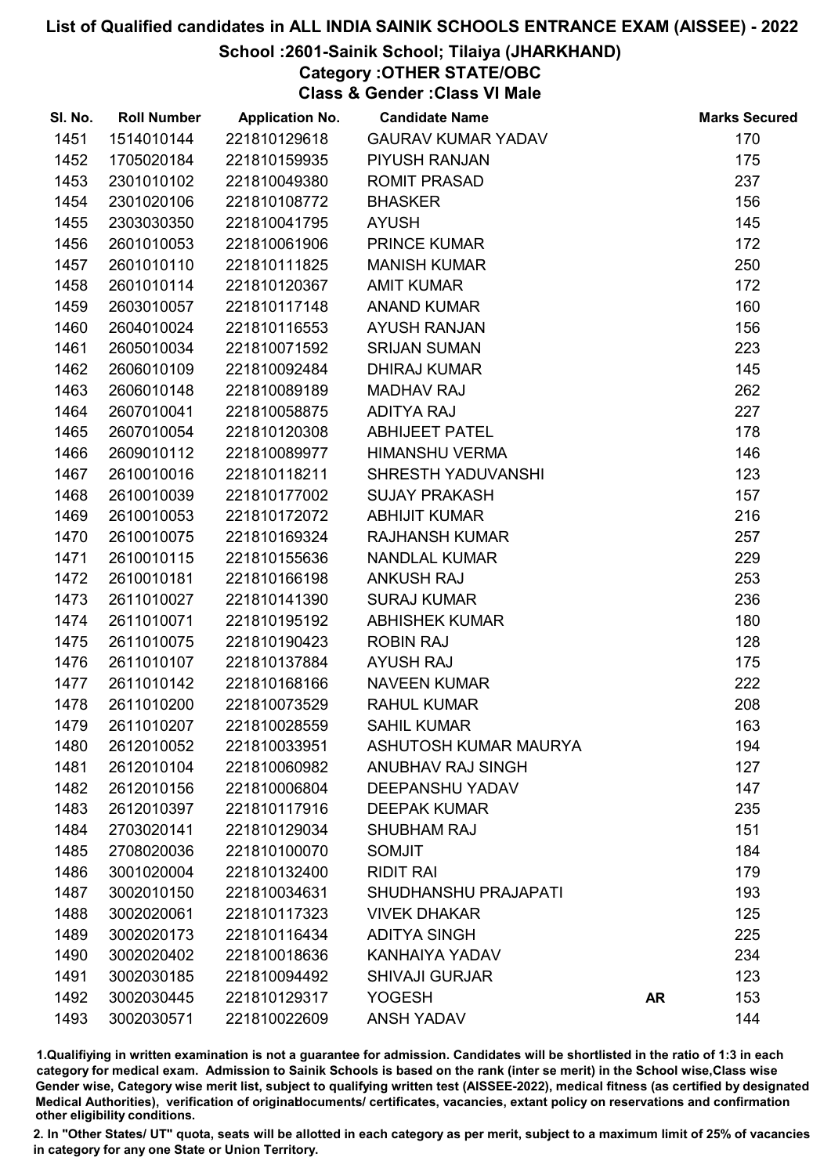### School :2601-Sainik School; Tilaiya (JHARKHAND)

Category :OTHER STATE/OBC

Class & Gender :Class VI Male

| SI. No. | <b>Roll Number</b> | <b>Application No.</b> | <b>Candidate Name</b>     |    | <b>Marks Secured</b> |
|---------|--------------------|------------------------|---------------------------|----|----------------------|
| 1451    | 1514010144         | 221810129618           | <b>GAURAV KUMAR YADAV</b> |    | 170                  |
| 1452    | 1705020184         | 221810159935           | PIYUSH RANJAN             |    | 175                  |
| 1453    | 2301010102         | 221810049380           | ROMIT PRASAD              |    | 237                  |
| 1454    | 2301020106         | 221810108772           | <b>BHASKER</b>            |    | 156                  |
| 1455    | 2303030350         | 221810041795           | <b>AYUSH</b>              |    | 145                  |
| 1456    | 2601010053         | 221810061906           | <b>PRINCE KUMAR</b>       |    | 172                  |
| 1457    | 2601010110         | 221810111825           | <b>MANISH KUMAR</b>       |    | 250                  |
| 1458    | 2601010114         | 221810120367           | <b>AMIT KUMAR</b>         |    | 172                  |
| 1459    | 2603010057         | 221810117148           | <b>ANAND KUMAR</b>        |    | 160                  |
| 1460    | 2604010024         | 221810116553           | <b>AYUSH RANJAN</b>       |    | 156                  |
| 1461    | 2605010034         | 221810071592           | <b>SRIJAN SUMAN</b>       |    | 223                  |
| 1462    | 2606010109         | 221810092484           | <b>DHIRAJ KUMAR</b>       |    | 145                  |
| 1463    | 2606010148         | 221810089189           | <b>MADHAV RAJ</b>         |    | 262                  |
| 1464    | 2607010041         | 221810058875           | <b>ADITYA RAJ</b>         |    | 227                  |
| 1465    | 2607010054         | 221810120308           | <b>ABHIJEET PATEL</b>     |    | 178                  |
| 1466    | 2609010112         | 221810089977           | <b>HIMANSHU VERMA</b>     |    | 146                  |
| 1467    | 2610010016         | 221810118211           | SHRESTH YADUVANSHI        |    | 123                  |
| 1468    | 2610010039         | 221810177002           | <b>SUJAY PRAKASH</b>      |    | 157                  |
| 1469    | 2610010053         | 221810172072           | <b>ABHIJIT KUMAR</b>      |    | 216                  |
| 1470    | 2610010075         | 221810169324           | <b>RAJHANSH KUMAR</b>     |    | 257                  |
| 1471    | 2610010115         | 221810155636           | <b>NANDLAL KUMAR</b>      |    | 229                  |
| 1472    | 2610010181         | 221810166198           | <b>ANKUSH RAJ</b>         |    | 253                  |
| 1473    | 2611010027         | 221810141390           | <b>SURAJ KUMAR</b>        |    | 236                  |
| 1474    | 2611010071         | 221810195192           | <b>ABHISHEK KUMAR</b>     |    | 180                  |
| 1475    | 2611010075         | 221810190423           | <b>ROBIN RAJ</b>          |    | 128                  |
| 1476    | 2611010107         | 221810137884           | <b>AYUSH RAJ</b>          |    | 175                  |
| 1477    | 2611010142         | 221810168166           | <b>NAVEEN KUMAR</b>       |    | 222                  |
| 1478    | 2611010200         | 221810073529           | <b>RAHUL KUMAR</b>        |    | 208                  |
| 1479    | 2611010207         | 221810028559           | <b>SAHIL KUMAR</b>        |    | 163                  |
| 1480    | 2612010052         | 221810033951           | ASHUTOSH KUMAR MAURYA     |    | 194                  |
| 1481    | 2612010104         | 221810060982           | <b>ANUBHAV RAJ SINGH</b>  |    | 127                  |
| 1482    | 2612010156         | 221810006804           | <b>DEEPANSHU YADAV</b>    |    | 147                  |
| 1483    | 2612010397         | 221810117916           | <b>DEEPAK KUMAR</b>       |    | 235                  |
| 1484    | 2703020141         | 221810129034           | <b>SHUBHAM RAJ</b>        |    | 151                  |
| 1485    | 2708020036         | 221810100070           | <b>SOMJIT</b>             |    | 184                  |
| 1486    | 3001020004         | 221810132400           | <b>RIDIT RAI</b>          |    | 179                  |
| 1487    | 3002010150         | 221810034631           | SHUDHANSHU PRAJAPATI      |    | 193                  |
| 1488    | 3002020061         | 221810117323           | <b>VIVEK DHAKAR</b>       |    | 125                  |
| 1489    | 3002020173         | 221810116434           | <b>ADITYA SINGH</b>       |    | 225                  |
| 1490    | 3002020402         | 221810018636           | <b>KANHAIYA YADAV</b>     |    | 234                  |
| 1491    | 3002030185         | 221810094492           | <b>SHIVAJI GURJAR</b>     |    | 123                  |
| 1492    | 3002030445         | 221810129317           | <b>YOGESH</b>             | AR | 153                  |
| 1493    | 3002030571         | 221810022609           | <b>ANSH YADAV</b>         |    | 144                  |

1.Qualifiying in written examination is not a guarantee for admission. Candidates will be shortlisted in the ratio of 1:3 in each category for medical exam. Admission to Sainik Schools is based on the rank (inter se merit) in the School wise,Class wise Gender wise, Category wise merit list, subject to qualifying written test (AISSEE-2022), medical fitness (as certified by designated Medical Authorities), verification of originablocuments/ certificates, vacancies, extant policy on reservations and confirmation other eligibility conditions.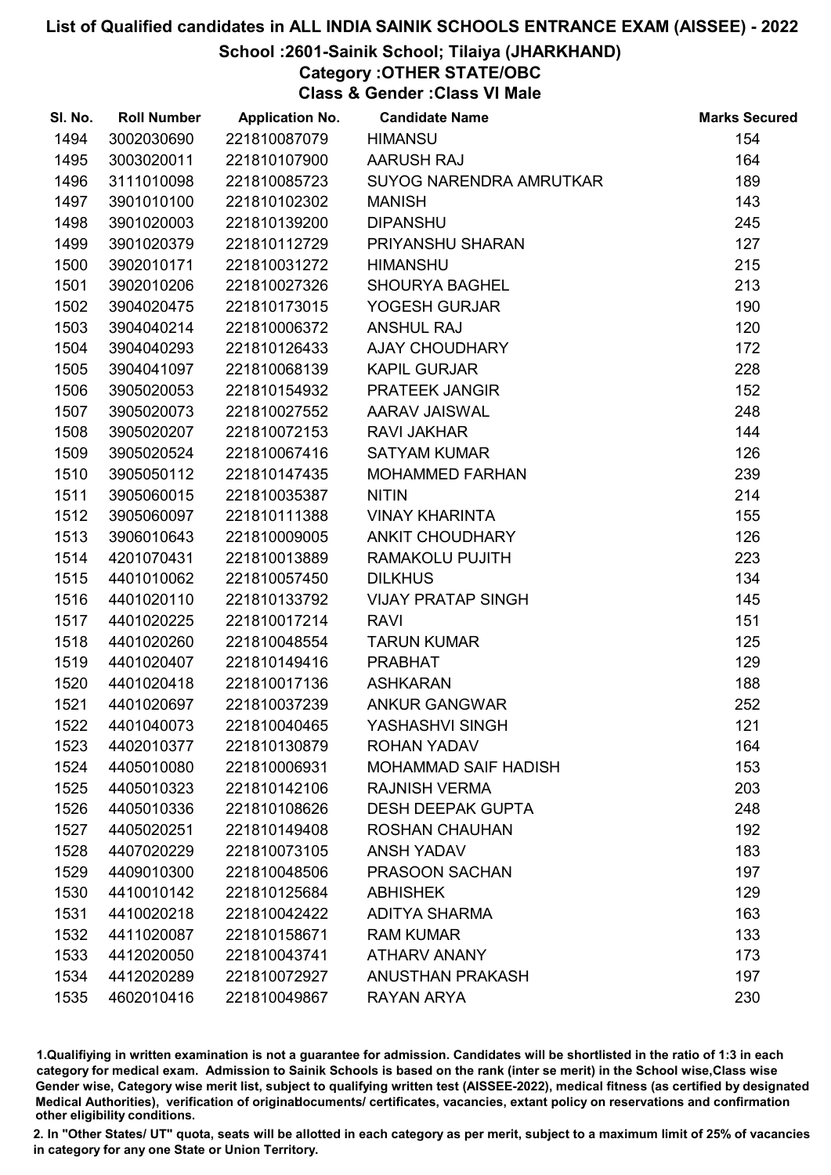### School :2601-Sainik School; Tilaiya (JHARKHAND)

# Category :OTHER STATE/OBC

Class & Gender :Class VI Male

| SI. No. | <b>Roll Number</b> | <b>Application No.</b> | <b>Candidate Name</b>          | <b>Marks Secured</b> |
|---------|--------------------|------------------------|--------------------------------|----------------------|
| 1494    | 3002030690         | 221810087079           | <b>HIMANSU</b>                 | 154                  |
| 1495    | 3003020011         | 221810107900           | AARUSH RAJ                     | 164                  |
| 1496    | 3111010098         | 221810085723           | <b>SUYOG NARENDRA AMRUTKAR</b> | 189                  |
| 1497    | 3901010100         | 221810102302           | <b>MANISH</b>                  | 143                  |
| 1498    | 3901020003         | 221810139200           | <b>DIPANSHU</b>                | 245                  |
| 1499    | 3901020379         | 221810112729           | PRIYANSHU SHARAN               | 127                  |
| 1500    | 3902010171         | 221810031272           | <b>HIMANSHU</b>                | 215                  |
| 1501    | 3902010206         | 221810027326           | <b>SHOURYA BAGHEL</b>          | 213                  |
| 1502    | 3904020475         | 221810173015           | YOGESH GURJAR                  | 190                  |
| 1503    | 3904040214         | 221810006372           | <b>ANSHUL RAJ</b>              | 120                  |
| 1504    | 3904040293         | 221810126433           | <b>AJAY CHOUDHARY</b>          | 172                  |
| 1505    | 3904041097         | 221810068139           | <b>KAPIL GURJAR</b>            | 228                  |
| 1506    | 3905020053         | 221810154932           | PRATEEK JANGIR                 | 152                  |
| 1507    | 3905020073         | 221810027552           | <b>AARAV JAISWAL</b>           | 248                  |
| 1508    | 3905020207         | 221810072153           | <b>RAVI JAKHAR</b>             | 144                  |
| 1509    | 3905020524         | 221810067416           | <b>SATYAM KUMAR</b>            | 126                  |
| 1510    | 3905050112         | 221810147435           | <b>MOHAMMED FARHAN</b>         | 239                  |
| 1511    | 3905060015         | 221810035387           | <b>NITIN</b>                   | 214                  |
| 1512    | 3905060097         | 221810111388           | <b>VINAY KHARINTA</b>          | 155                  |
| 1513    | 3906010643         | 221810009005           | ANKIT CHOUDHARY                | 126                  |
| 1514    | 4201070431         | 221810013889           | RAMAKOLU PUJITH                | 223                  |
| 1515    | 4401010062         | 221810057450           | <b>DILKHUS</b>                 | 134                  |
| 1516    | 4401020110         | 221810133792           | <b>VIJAY PRATAP SINGH</b>      | 145                  |
| 1517    | 4401020225         | 221810017214           | <b>RAVI</b>                    | 151                  |
| 1518    | 4401020260         | 221810048554           | <b>TARUN KUMAR</b>             | 125                  |
| 1519    | 4401020407         | 221810149416           | <b>PRABHAT</b>                 | 129                  |
| 1520    | 4401020418         | 221810017136           | <b>ASHKARAN</b>                | 188                  |
| 1521    | 4401020697         | 221810037239           | <b>ANKUR GANGWAR</b>           | 252                  |
| 1522    | 4401040073         | 221810040465           | YASHASHVI SINGH                | 121                  |
| 1523    | 4402010377         | 221810130879           | <b>ROHAN YADAV</b>             | 164                  |
| 1524    | 4405010080         | 221810006931           | <b>MOHAMMAD SAIF HADISH</b>    | 153                  |
| 1525    | 4405010323         | 221810142106           | <b>RAJNISH VERMA</b>           | 203                  |
| 1526    | 4405010336         | 221810108626           | <b>DESH DEEPAK GUPTA</b>       | 248                  |
| 1527    | 4405020251         | 221810149408           | <b>ROSHAN CHAUHAN</b>          | 192                  |
| 1528    | 4407020229         | 221810073105           | <b>ANSH YADAV</b>              | 183                  |
| 1529    | 4409010300         | 221810048506           | PRASOON SACHAN                 | 197                  |
| 1530    | 4410010142         | 221810125684           | <b>ABHISHEK</b>                | 129                  |
| 1531    | 4410020218         | 221810042422           | <b>ADITYA SHARMA</b>           | 163                  |
| 1532    | 4411020087         | 221810158671           | <b>RAM KUMAR</b>               | 133                  |
| 1533    | 4412020050         | 221810043741           | <b>ATHARV ANANY</b>            | 173                  |
| 1534    | 4412020289         | 221810072927           | <b>ANUSTHAN PRAKASH</b>        | 197                  |
| 1535    | 4602010416         | 221810049867           | RAYAN ARYA                     | 230                  |

1.Qualifiying in written examination is not a guarantee for admission. Candidates will be shortlisted in the ratio of 1:3 in each category for medical exam. Admission to Sainik Schools is based on the rank (inter se merit) in the School wise,Class wise Gender wise, Category wise merit list, subject to qualifying written test (AISSEE-2022), medical fitness (as certified by designated Medical Authorities), verification of originablocuments/ certificates, vacancies, extant policy on reservations and confirmation other eligibility conditions.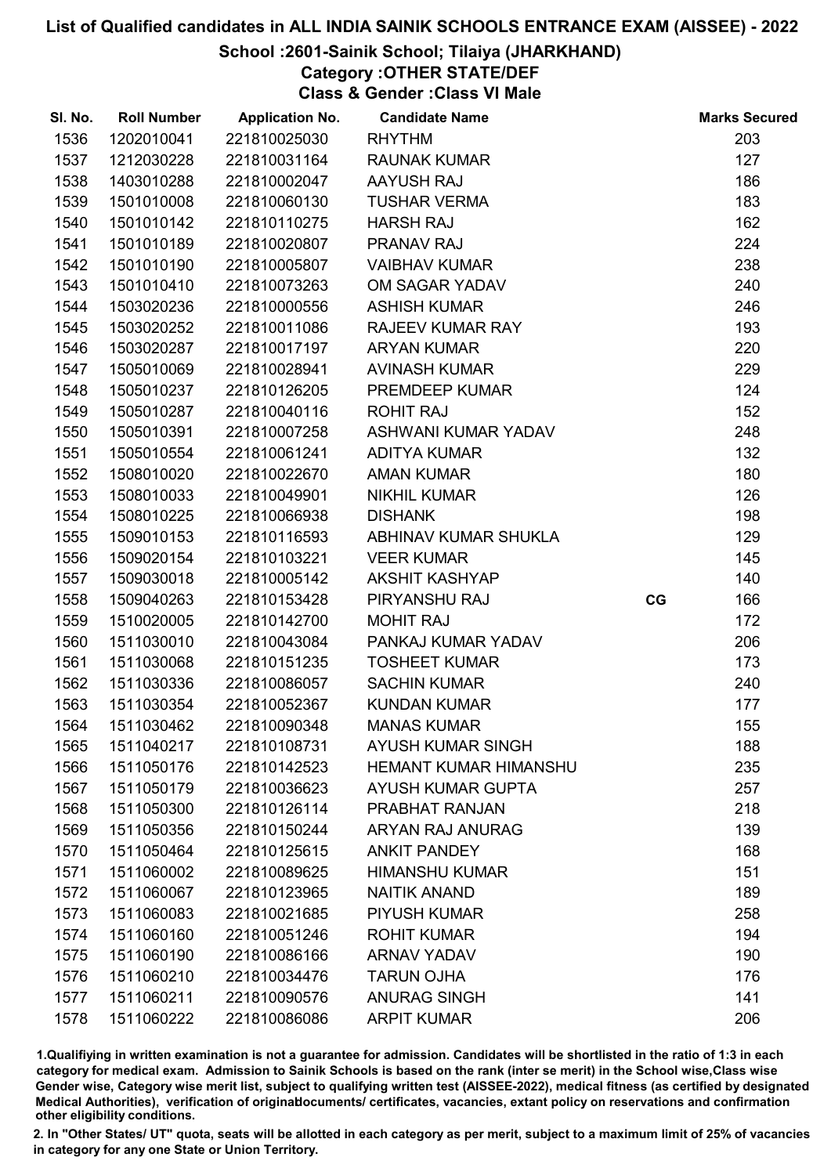### School :2601-Sainik School; Tilaiya (JHARKHAND)

# Category :OTHER STATE/DEF

Class & Gender :Class VI Male

| SI. No. | <b>Roll Number</b> | <b>Application No.</b> | <b>Candidate Name</b>        |    | <b>Marks Secured</b> |
|---------|--------------------|------------------------|------------------------------|----|----------------------|
| 1536    | 1202010041         | 221810025030           | <b>RHYTHM</b>                |    | 203                  |
| 1537    | 1212030228         | 221810031164           | <b>RAUNAK KUMAR</b>          |    | 127                  |
| 1538    | 1403010288         | 221810002047           | AAYUSH RAJ                   |    | 186                  |
| 1539    | 1501010008         | 221810060130           | <b>TUSHAR VERMA</b>          |    | 183                  |
| 1540    | 1501010142         | 221810110275           | <b>HARSH RAJ</b>             |    | 162                  |
| 1541    | 1501010189         | 221810020807           | <b>PRANAV RAJ</b>            |    | 224                  |
| 1542    | 1501010190         | 221810005807           | <b>VAIBHAV KUMAR</b>         |    | 238                  |
| 1543    | 1501010410         | 221810073263           | OM SAGAR YADAV               |    | 240                  |
| 1544    | 1503020236         | 221810000556           | <b>ASHISH KUMAR</b>          |    | 246                  |
| 1545    | 1503020252         | 221810011086           | <b>RAJEEV KUMAR RAY</b>      |    | 193                  |
| 1546    | 1503020287         | 221810017197           | <b>ARYAN KUMAR</b>           |    | 220                  |
| 1547    | 1505010069         | 221810028941           | <b>AVINASH KUMAR</b>         |    | 229                  |
| 1548    | 1505010237         | 221810126205           | PREMDEEP KUMAR               |    | 124                  |
| 1549    | 1505010287         | 221810040116           | <b>ROHIT RAJ</b>             |    | 152                  |
| 1550    | 1505010391         | 221810007258           | ASHWANI KUMAR YADAV          |    | 248                  |
| 1551    | 1505010554         | 221810061241           | <b>ADITYA KUMAR</b>          |    | 132                  |
| 1552    | 1508010020         | 221810022670           | <b>AMAN KUMAR</b>            |    | 180                  |
| 1553    | 1508010033         | 221810049901           | <b>NIKHIL KUMAR</b>          |    | 126                  |
| 1554    | 1508010225         | 221810066938           | <b>DISHANK</b>               |    | 198                  |
| 1555    | 1509010153         | 221810116593           | ABHINAV KUMAR SHUKLA         |    | 129                  |
| 1556    | 1509020154         | 221810103221           | <b>VEER KUMAR</b>            |    | 145                  |
| 1557    | 1509030018         | 221810005142           | <b>AKSHIT KASHYAP</b>        |    | 140                  |
| 1558    | 1509040263         | 221810153428           | PIRYANSHU RAJ                | CG | 166                  |
| 1559    | 1510020005         | 221810142700           | <b>MOHIT RAJ</b>             |    | 172                  |
| 1560    | 1511030010         | 221810043084           | PANKAJ KUMAR YADAV           |    | 206                  |
| 1561    | 1511030068         | 221810151235           | <b>TOSHEET KUMAR</b>         |    | 173                  |
| 1562    | 1511030336         | 221810086057           | <b>SACHIN KUMAR</b>          |    | 240                  |
| 1563    | 1511030354         | 221810052367           | <b>KUNDAN KUMAR</b>          |    | 177                  |
| 1564    | 1511030462         | 221810090348           | <b>MANAS KUMAR</b>           |    | 155                  |
| 1565    | 1511040217         | 221810108731           | <b>AYUSH KUMAR SINGH</b>     |    | 188                  |
| 1566    | 1511050176         | 221810142523           | <b>HEMANT KUMAR HIMANSHU</b> |    | 235                  |
| 1567    | 1511050179         | 221810036623           | <b>AYUSH KUMAR GUPTA</b>     |    | 257                  |
| 1568    | 1511050300         | 221810126114           | PRABHAT RANJAN               |    | 218                  |
| 1569    | 1511050356         | 221810150244           | <b>ARYAN RAJ ANURAG</b>      |    | 139                  |
| 1570    | 1511050464         | 221810125615           | <b>ANKIT PANDEY</b>          |    | 168                  |
| 1571    | 1511060002         | 221810089625           | <b>HIMANSHU KUMAR</b>        |    | 151                  |
| 1572    | 1511060067         | 221810123965           | <b>NAITIK ANAND</b>          |    | 189                  |
| 1573    | 1511060083         | 221810021685           | <b>PIYUSH KUMAR</b>          |    | 258                  |
| 1574    | 1511060160         | 221810051246           | <b>ROHIT KUMAR</b>           |    | 194                  |
| 1575    | 1511060190         | 221810086166           | <b>ARNAV YADAV</b>           |    | 190                  |
| 1576    | 1511060210         | 221810034476           | <b>TARUN OJHA</b>            |    | 176                  |
| 1577    | 1511060211         | 221810090576           | <b>ANURAG SINGH</b>          |    | 141                  |
| 1578    | 1511060222         | 221810086086           | <b>ARPIT KUMAR</b>           |    | 206                  |

1.Qualifiying in written examination is not a guarantee for admission. Candidates will be shortlisted in the ratio of 1:3 in each category for medical exam. Admission to Sainik Schools is based on the rank (inter se merit) in the School wise,Class wise Gender wise, Category wise merit list, subject to qualifying written test (AISSEE-2022), medical fitness (as certified by designated Medical Authorities), verification of originablocuments/ certificates, vacancies, extant policy on reservations and confirmation other eligibility conditions.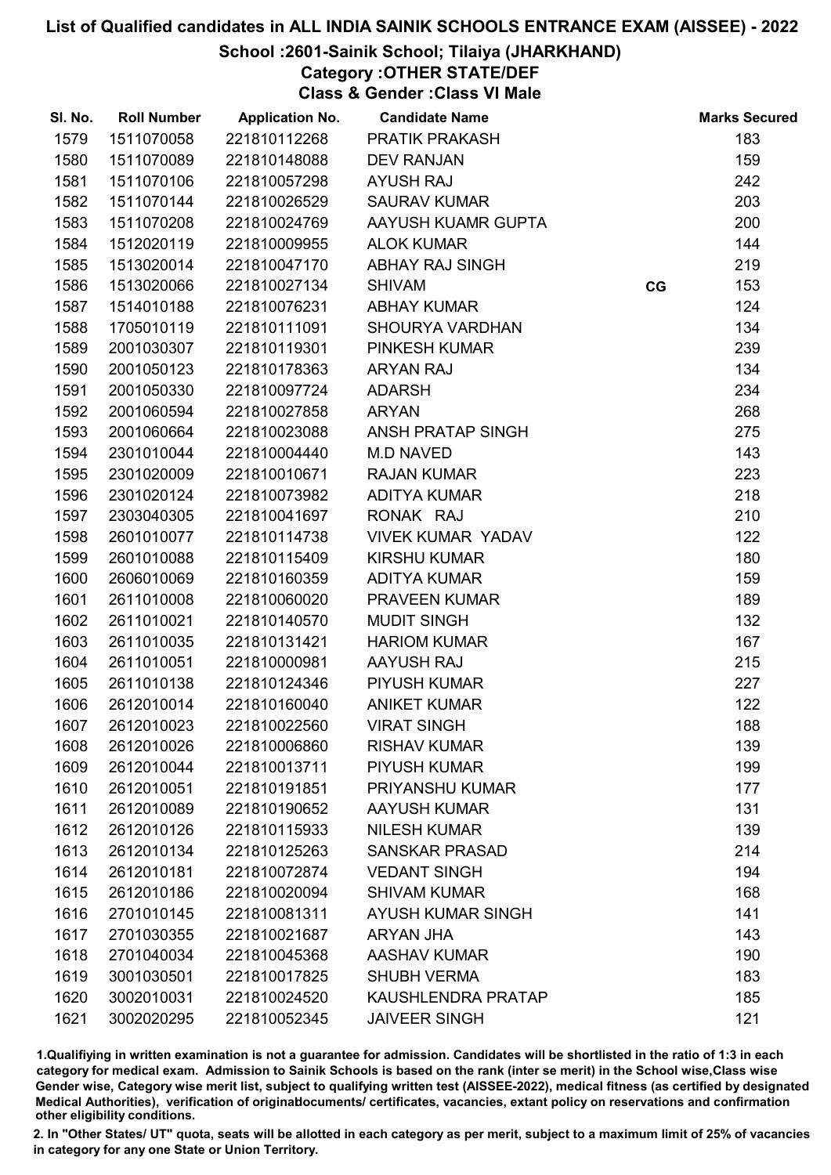### School :2601-Sainik School; Tilaiya (JHARKHAND)

Category :OTHER STATE/DEF

Class & Gender :Class VI Male

| SI. No. | <b>Roll Number</b> | <b>Application No.</b> | <b>Candidate Name</b>     |    | <b>Marks Secured</b> |
|---------|--------------------|------------------------|---------------------------|----|----------------------|
| 1579    | 1511070058         | 221810112268           | <b>PRATIK PRAKASH</b>     |    | 183                  |
| 1580    | 1511070089         | 221810148088           | <b>DEV RANJAN</b>         |    | 159                  |
| 1581    | 1511070106         | 221810057298           | <b>AYUSH RAJ</b>          |    | 242                  |
| 1582    | 1511070144         | 221810026529           | <b>SAURAV KUMAR</b>       |    | 203                  |
| 1583    | 1511070208         | 221810024769           | AAYUSH KUAMR GUPTA        |    | 200                  |
| 1584    | 1512020119         | 221810009955           | <b>ALOK KUMAR</b>         |    | 144                  |
| 1585    | 1513020014         | 221810047170           | <b>ABHAY RAJ SINGH</b>    |    | 219                  |
| 1586    | 1513020066         | 221810027134           | <b>SHIVAM</b>             | CG | 153                  |
| 1587    | 1514010188         | 221810076231           | <b>ABHAY KUMAR</b>        |    | 124                  |
| 1588    | 1705010119         | 221810111091           | <b>SHOURYA VARDHAN</b>    |    | 134                  |
| 1589    | 2001030307         | 221810119301           | PINKESH KUMAR             |    | 239                  |
| 1590    | 2001050123         | 221810178363           | <b>ARYAN RAJ</b>          |    | 134                  |
| 1591    | 2001050330         | 221810097724           | <b>ADARSH</b>             |    | 234                  |
| 1592    | 2001060594         | 221810027858           | <b>ARYAN</b>              |    | 268                  |
| 1593    | 2001060664         | 221810023088           | ANSH PRATAP SINGH         |    | 275                  |
| 1594    | 2301010044         | 221810004440           | <b>M.D NAVED</b>          |    | 143                  |
| 1595    | 2301020009         | 221810010671           | <b>RAJAN KUMAR</b>        |    | 223                  |
| 1596    | 2301020124         | 221810073982           | <b>ADITYA KUMAR</b>       |    | 218                  |
| 1597    | 2303040305         | 221810041697           | RONAK RAJ                 |    | 210                  |
| 1598    | 2601010077         | 221810114738           | <b>VIVEK KUMAR YADAV</b>  |    | 122                  |
| 1599    | 2601010088         | 221810115409           | <b>KIRSHU KUMAR</b>       |    | 180                  |
| 1600    | 2606010069         | 221810160359           | <b>ADITYA KUMAR</b>       |    | 159                  |
| 1601    | 2611010008         | 221810060020           | <b>PRAVEEN KUMAR</b>      |    | 189                  |
| 1602    | 2611010021         | 221810140570           | <b>MUDIT SINGH</b>        |    | 132                  |
| 1603    | 2611010035         | 221810131421           | <b>HARIOM KUMAR</b>       |    | 167                  |
| 1604    | 2611010051         | 221810000981           | AAYUSH RAJ                |    | 215                  |
| 1605    | 2611010138         | 221810124346           | <b>PIYUSH KUMAR</b>       |    | 227                  |
| 1606    | 2612010014         | 221810160040           | <b>ANIKET KUMAR</b>       |    | 122                  |
| 1607    | 2612010023         | 221810022560           | <b>VIRAT SINGH</b>        |    | 188                  |
| 1608    | 2612010026         | 221810006860           | <b>RISHAV KUMAR</b>       |    | 139                  |
| 1609    | 2612010044         | 221810013711           | <b>PIYUSH KUMAR</b>       |    | 199                  |
| 1610    | 2612010051         | 221810191851           | PRIYANSHU KUMAR           |    | 177                  |
| 1611    | 2612010089         | 221810190652           | <b>AAYUSH KUMAR</b>       |    | 131                  |
| 1612    | 2612010126         | 221810115933           | <b>NILESH KUMAR</b>       |    | 139                  |
| 1613    | 2612010134         | 221810125263           | <b>SANSKAR PRASAD</b>     |    | 214                  |
| 1614    | 2612010181         | 221810072874           | <b>VEDANT SINGH</b>       |    | 194                  |
| 1615    | 2612010186         | 221810020094           | <b>SHIVAM KUMAR</b>       |    | 168                  |
| 1616    | 2701010145         | 221810081311           | <b>AYUSH KUMAR SINGH</b>  |    | 141                  |
| 1617    | 2701030355         | 221810021687           | ARYAN JHA                 |    | 143                  |
| 1618    | 2701040034         | 221810045368           | <b>AASHAV KUMAR</b>       |    | 190                  |
| 1619    | 3001030501         | 221810017825           | <b>SHUBH VERMA</b>        |    | 183                  |
| 1620    | 3002010031         | 221810024520           | <b>KAUSHLENDRA PRATAP</b> |    | 185                  |
| 1621    | 3002020295         | 221810052345           | <b>JAIVEER SINGH</b>      |    | 121                  |

1.Qualifiying in written examination is not a guarantee for admission. Candidates will be shortlisted in the ratio of 1:3 in each category for medical exam. Admission to Sainik Schools is based on the rank (inter se merit) in the School wise,Class wise Gender wise, Category wise merit list, subject to qualifying written test (AISSEE-2022), medical fitness (as certified by designated Medical Authorities), verification of originablocuments/ certificates, vacancies, extant policy on reservations and confirmation other eligibility conditions.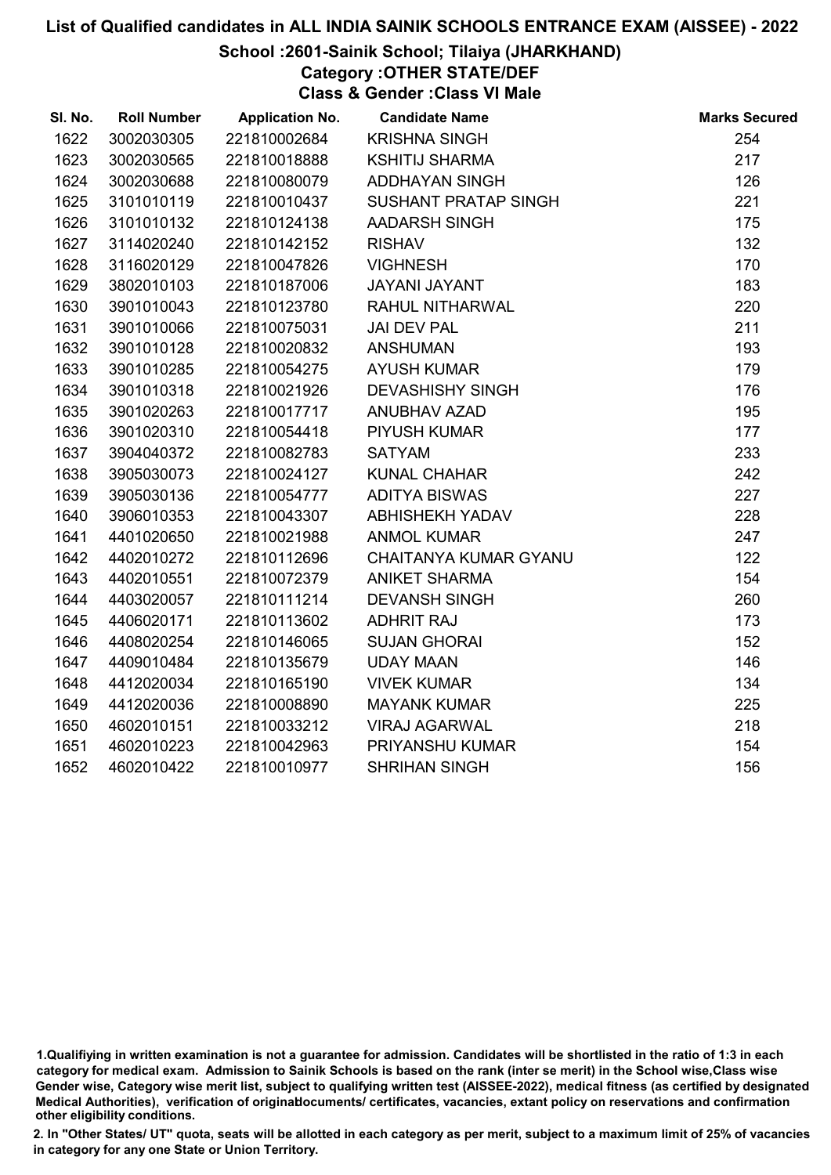### School :2601-Sainik School; Tilaiya (JHARKHAND)

Category :OTHER STATE/DEF

Class & Gender :Class VI Male

| SI. No. | <b>Roll Number</b> | <b>Application No.</b> | <b>Candidate Name</b>       | <b>Marks Secured</b> |
|---------|--------------------|------------------------|-----------------------------|----------------------|
| 1622    | 3002030305         | 221810002684           | <b>KRISHNA SINGH</b>        | 254                  |
| 1623    | 3002030565         | 221810018888           | <b>KSHITIJ SHARMA</b>       | 217                  |
| 1624    | 3002030688         | 221810080079           | <b>ADDHAYAN SINGH</b>       | 126                  |
| 1625    | 3101010119         | 221810010437           | <b>SUSHANT PRATAP SINGH</b> | 221                  |
| 1626    | 3101010132         | 221810124138           | <b>AADARSH SINGH</b>        | 175                  |
| 1627    | 3114020240         | 221810142152           | <b>RISHAV</b>               | 132                  |
| 1628    | 3116020129         | 221810047826           | <b>VIGHNESH</b>             | 170                  |
| 1629    | 3802010103         | 221810187006           | JAYANI JAYANT               | 183                  |
| 1630    | 3901010043         | 221810123780           | RAHUL NITHARWAL             | 220                  |
| 1631    | 3901010066         | 221810075031           | <b>JAI DEV PAL</b>          | 211                  |
| 1632    | 3901010128         | 221810020832           | <b>ANSHUMAN</b>             | 193                  |
| 1633    | 3901010285         | 221810054275           | <b>AYUSH KUMAR</b>          | 179                  |
| 1634    | 3901010318         | 221810021926           | <b>DEVASHISHY SINGH</b>     | 176                  |
| 1635    | 3901020263         | 221810017717           | ANUBHAV AZAD                | 195                  |
| 1636    | 3901020310         | 221810054418           | <b>PIYUSH KUMAR</b>         | 177                  |
| 1637    | 3904040372         | 221810082783           | <b>SATYAM</b>               | 233                  |
| 1638    | 3905030073         | 221810024127           | <b>KUNAL CHAHAR</b>         | 242                  |
| 1639    | 3905030136         | 221810054777           | <b>ADITYA BISWAS</b>        | 227                  |
| 1640    | 3906010353         | 221810043307           | <b>ABHISHEKH YADAV</b>      | 228                  |
| 1641    | 4401020650         | 221810021988           | <b>ANMOL KUMAR</b>          | 247                  |
| 1642    | 4402010272         | 221810112696           | CHAITANYA KUMAR GYANU       | 122                  |
| 1643    | 4402010551         | 221810072379           | <b>ANIKET SHARMA</b>        | 154                  |
| 1644    | 4403020057         | 221810111214           | <b>DEVANSH SINGH</b>        | 260                  |
| 1645    | 4406020171         | 221810113602           | <b>ADHRIT RAJ</b>           | 173                  |
| 1646    | 4408020254         | 221810146065           | <b>SUJAN GHORAI</b>         | 152                  |
| 1647    | 4409010484         | 221810135679           | <b>UDAY MAAN</b>            | 146                  |
| 1648    | 4412020034         | 221810165190           | <b>VIVEK KUMAR</b>          | 134                  |
| 1649    | 4412020036         | 221810008890           | <b>MAYANK KUMAR</b>         | 225                  |
| 1650    | 4602010151         | 221810033212           | <b>VIRAJ AGARWAL</b>        | 218                  |
| 1651    | 4602010223         | 221810042963           | PRIYANSHU KUMAR             | 154                  |
| 1652    | 4602010422         | 221810010977           | <b>SHRIHAN SINGH</b>        | 156                  |
|         |                    |                        |                             |                      |

<sup>1.</sup>Qualifiying in written examination is not a guarantee for admission. Candidates will be shortlisted in the ratio of 1:3 in each category for medical exam. Admission to Sainik Schools is based on the rank (inter se merit) in the School wise,Class wise Gender wise, Category wise merit list, subject to qualifying written test (AISSEE-2022), medical fitness (as certified by designated Medical Authorities), verification of originablocuments/ certificates, vacancies, extant policy on reservations and confirmation other eligibility conditions.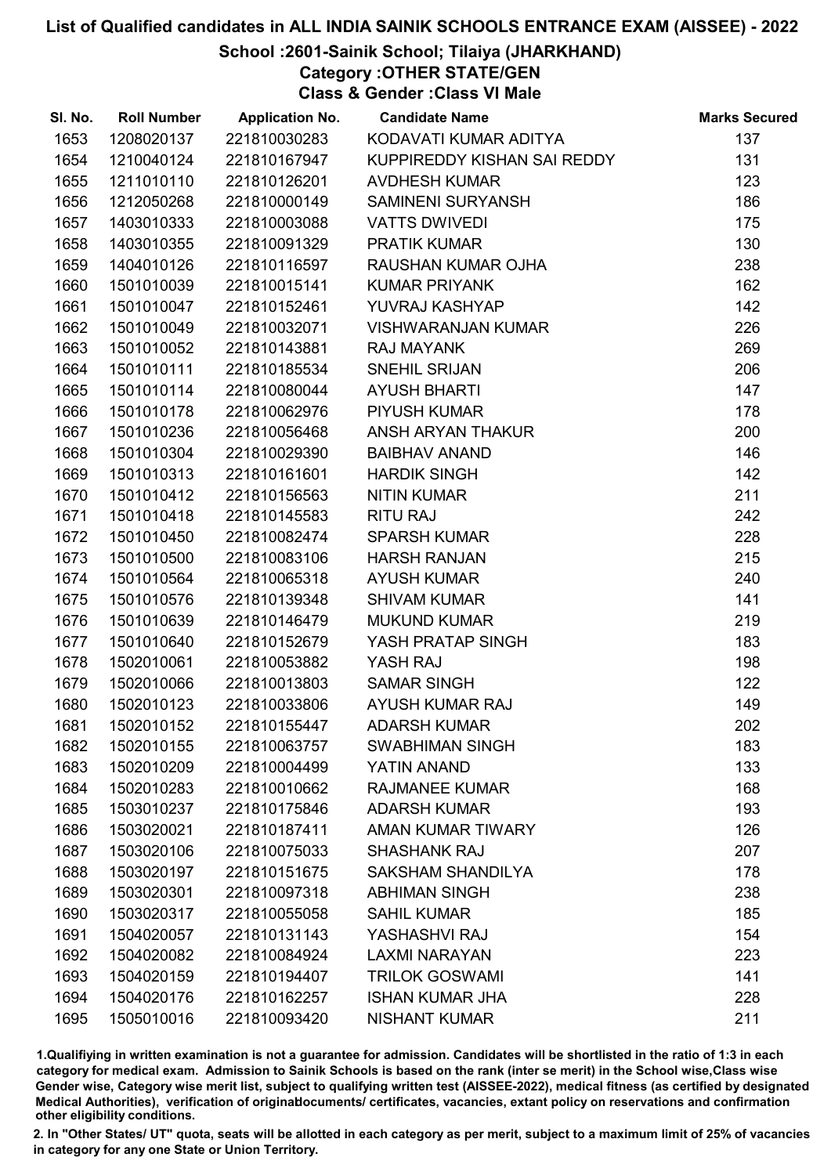### School :2601-Sainik School; Tilaiya (JHARKHAND)

Category :OTHER STATE/GEN

Class & Gender :Class VI Male

| SI. No. | <b>Roll Number</b> | <b>Application No.</b> | <b>Candidate Name</b>       | <b>Marks Secured</b> |
|---------|--------------------|------------------------|-----------------------------|----------------------|
| 1653    | 1208020137         | 221810030283           | KODAVATI KUMAR ADITYA       | 137                  |
| 1654    | 1210040124         | 221810167947           | KUPPIREDDY KISHAN SAI REDDY | 131                  |
| 1655    | 1211010110         | 221810126201           | <b>AVDHESH KUMAR</b>        | 123                  |
| 1656    | 1212050268         | 221810000149           | <b>SAMINENI SURYANSH</b>    | 186                  |
| 1657    | 1403010333         | 221810003088           | <b>VATTS DWIVEDI</b>        | 175                  |
| 1658    | 1403010355         | 221810091329           | PRATIK KUMAR                | 130                  |
| 1659    | 1404010126         | 221810116597           | RAUSHAN KUMAR OJHA          | 238                  |
| 1660    | 1501010039         | 221810015141           | <b>KUMAR PRIYANK</b>        | 162                  |
| 1661    | 1501010047         | 221810152461           | YUVRAJ KASHYAP              | 142                  |
| 1662    | 1501010049         | 221810032071           | <b>VISHWARANJAN KUMAR</b>   | 226                  |
| 1663    | 1501010052         | 221810143881           | <b>RAJ MAYANK</b>           | 269                  |
| 1664    | 1501010111         | 221810185534           | SNEHIL SRIJAN               | 206                  |
| 1665    | 1501010114         | 221810080044           | <b>AYUSH BHARTI</b>         | 147                  |
| 1666    | 1501010178         | 221810062976           | PIYUSH KUMAR                | 178                  |
| 1667    | 1501010236         | 221810056468           | ANSH ARYAN THAKUR           | 200                  |
| 1668    | 1501010304         | 221810029390           | <b>BAIBHAV ANAND</b>        | 146                  |
| 1669    | 1501010313         | 221810161601           | <b>HARDIK SINGH</b>         | 142                  |
| 1670    | 1501010412         | 221810156563           | <b>NITIN KUMAR</b>          | 211                  |
| 1671    | 1501010418         | 221810145583           | <b>RITU RAJ</b>             | 242                  |
| 1672    | 1501010450         | 221810082474           | <b>SPARSH KUMAR</b>         | 228                  |
| 1673    | 1501010500         | 221810083106           | <b>HARSH RANJAN</b>         | 215                  |
| 1674    | 1501010564         | 221810065318           | <b>AYUSH KUMAR</b>          | 240                  |
| 1675    | 1501010576         | 221810139348           | <b>SHIVAM KUMAR</b>         | 141                  |
| 1676    | 1501010639         | 221810146479           | <b>MUKUND KUMAR</b>         | 219                  |
| 1677    | 1501010640         | 221810152679           | YASH PRATAP SINGH           | 183                  |
| 1678    | 1502010061         | 221810053882           | YASH RAJ                    | 198                  |
| 1679    | 1502010066         | 221810013803           | <b>SAMAR SINGH</b>          | 122                  |
| 1680    | 1502010123         | 221810033806           | AYUSH KUMAR RAJ             | 149                  |
| 1681    | 1502010152         | 221810155447           | <b>ADARSH KUMAR</b>         | 202                  |
| 1682    | 1502010155         | 221810063757           | <b>SWABHIMAN SINGH</b>      | 183                  |
| 1683    | 1502010209         | 221810004499           | YATIN ANAND                 | 133                  |
| 1684    | 1502010283         | 221810010662           | <b>RAJMANEE KUMAR</b>       | 168                  |
| 1685    | 1503010237         | 221810175846           | <b>ADARSH KUMAR</b>         | 193                  |
| 1686    | 1503020021         | 221810187411           | <b>AMAN KUMAR TIWARY</b>    | 126                  |
| 1687    | 1503020106         | 221810075033           | <b>SHASHANK RAJ</b>         | 207                  |
| 1688    | 1503020197         | 221810151675           | <b>SAKSHAM SHANDILYA</b>    | 178                  |
| 1689    | 1503020301         | 221810097318           | <b>ABHIMAN SINGH</b>        | 238                  |
| 1690    | 1503020317         | 221810055058           | <b>SAHIL KUMAR</b>          | 185                  |
| 1691    | 1504020057         | 221810131143           | YASHASHVI RAJ               | 154                  |
| 1692    | 1504020082         | 221810084924           | <b>LAXMI NARAYAN</b>        | 223                  |
| 1693    | 1504020159         | 221810194407           | <b>TRILOK GOSWAMI</b>       | 141                  |
| 1694    | 1504020176         | 221810162257           | <b>ISHAN KUMAR JHA</b>      | 228                  |
| 1695    | 1505010016         | 221810093420           | <b>NISHANT KUMAR</b>        | 211                  |

1.Qualifiying in written examination is not a guarantee for admission. Candidates will be shortlisted in the ratio of 1:3 in each category for medical exam. Admission to Sainik Schools is based on the rank (inter se merit) in the School wise,Class wise Gender wise, Category wise merit list, subject to qualifying written test (AISSEE-2022), medical fitness (as certified by designated Medical Authorities), verification of originablocuments/ certificates, vacancies, extant policy on reservations and confirmation other eligibility conditions.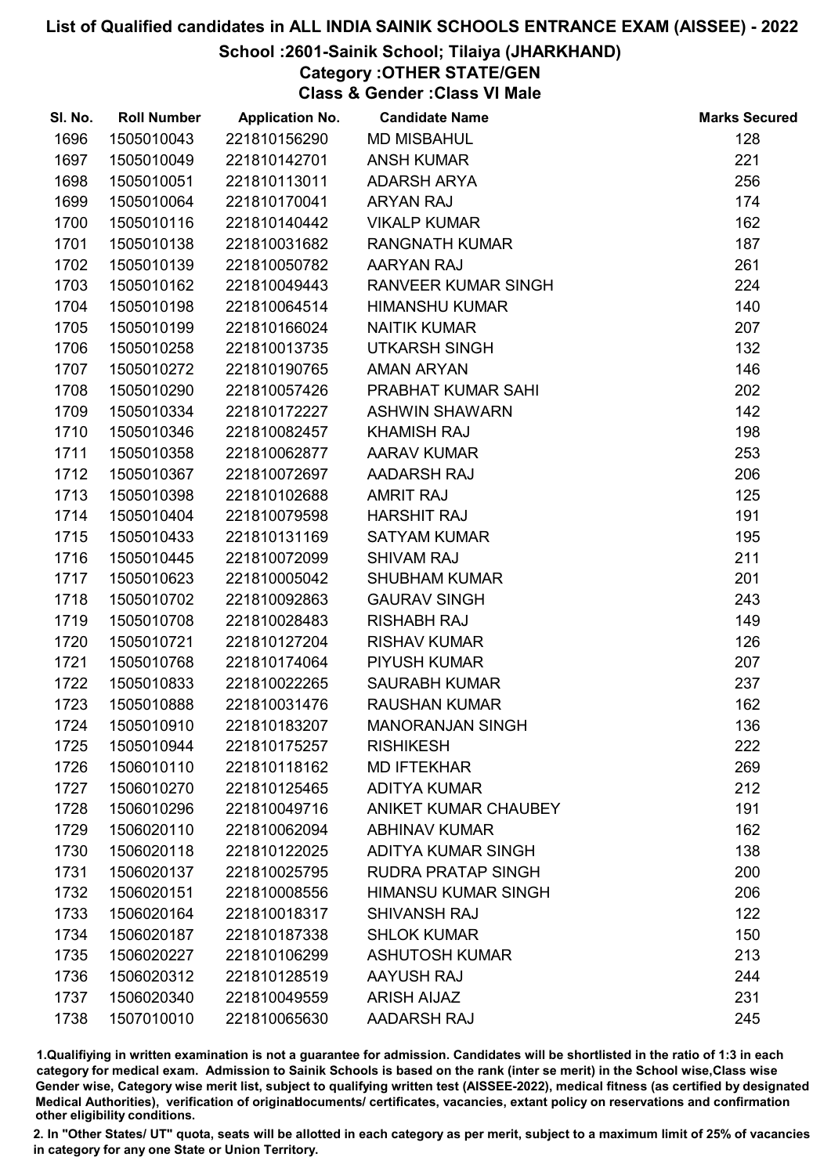### School :2601-Sainik School; Tilaiya (JHARKHAND)

Category :OTHER STATE/GEN

Class & Gender :Class VI Male

| SI. No. | <b>Roll Number</b> | <b>Application No.</b> | <b>Candidate Name</b>       | <b>Marks Secured</b> |
|---------|--------------------|------------------------|-----------------------------|----------------------|
| 1696    | 1505010043         | 221810156290           | <b>MD MISBAHUL</b>          | 128                  |
| 1697    | 1505010049         | 221810142701           | <b>ANSH KUMAR</b>           | 221                  |
| 1698    | 1505010051         | 221810113011           | <b>ADARSH ARYA</b>          | 256                  |
| 1699    | 1505010064         | 221810170041           | <b>ARYAN RAJ</b>            | 174                  |
| 1700    | 1505010116         | 221810140442           | <b>VIKALP KUMAR</b>         | 162                  |
| 1701    | 1505010138         | 221810031682           | <b>RANGNATH KUMAR</b>       | 187                  |
| 1702    | 1505010139         | 221810050782           | AARYAN RAJ                  | 261                  |
| 1703    | 1505010162         | 221810049443           | RANVEER KUMAR SINGH         | 224                  |
| 1704    | 1505010198         | 221810064514           | <b>HIMANSHU KUMAR</b>       | 140                  |
| 1705    | 1505010199         | 221810166024           | <b>NAITIK KUMAR</b>         | 207                  |
| 1706    | 1505010258         | 221810013735           | <b>UTKARSH SINGH</b>        | 132                  |
| 1707    | 1505010272         | 221810190765           | <b>AMAN ARYAN</b>           | 146                  |
| 1708    | 1505010290         | 221810057426           | PRABHAT KUMAR SAHI          | 202                  |
| 1709    | 1505010334         | 221810172227           | <b>ASHWIN SHAWARN</b>       | 142                  |
| 1710    | 1505010346         | 221810082457           | <b>KHAMISH RAJ</b>          | 198                  |
| 1711    | 1505010358         | 221810062877           | <b>AARAV KUMAR</b>          | 253                  |
| 1712    | 1505010367         | 221810072697           | AADARSH RAJ                 | 206                  |
| 1713    | 1505010398         | 221810102688           | <b>AMRIT RAJ</b>            | 125                  |
| 1714    | 1505010404         | 221810079598           | <b>HARSHIT RAJ</b>          | 191                  |
| 1715    | 1505010433         | 221810131169           | <b>SATYAM KUMAR</b>         | 195                  |
| 1716    | 1505010445         | 221810072099           | <b>SHIVAM RAJ</b>           | 211                  |
| 1717    | 1505010623         | 221810005042           | <b>SHUBHAM KUMAR</b>        | 201                  |
| 1718    | 1505010702         | 221810092863           | <b>GAURAV SINGH</b>         | 243                  |
| 1719    | 1505010708         | 221810028483           | <b>RISHABH RAJ</b>          | 149                  |
| 1720    | 1505010721         | 221810127204           | <b>RISHAV KUMAR</b>         | 126                  |
| 1721    | 1505010768         | 221810174064           | <b>PIYUSH KUMAR</b>         | 207                  |
| 1722    | 1505010833         | 221810022265           | <b>SAURABH KUMAR</b>        | 237                  |
| 1723    | 1505010888         | 221810031476           | <b>RAUSHAN KUMAR</b>        | 162                  |
| 1724    | 1505010910         | 221810183207           | <b>MANORANJAN SINGH</b>     | 136                  |
| 1725    | 1505010944         | 221810175257           | <b>RISHIKESH</b>            | 222                  |
| 1726    | 1506010110         | 221810118162           | <b>MD IFTEKHAR</b>          | 269                  |
| 1727    | 1506010270         | 221810125465           | <b>ADITYA KUMAR</b>         | 212                  |
| 1728    | 1506010296         | 221810049716           | <b>ANIKET KUMAR CHAUBEY</b> | 191                  |
| 1729    | 1506020110         | 221810062094           | <b>ABHINAV KUMAR</b>        | 162                  |
| 1730    | 1506020118         | 221810122025           | <b>ADITYA KUMAR SINGH</b>   | 138                  |
| 1731    | 1506020137         | 221810025795           | <b>RUDRA PRATAP SINGH</b>   | 200                  |
| 1732    | 1506020151         | 221810008556           | <b>HIMANSU KUMAR SINGH</b>  | 206                  |
| 1733    | 1506020164         | 221810018317           | <b>SHIVANSH RAJ</b>         | 122                  |
| 1734    | 1506020187         | 221810187338           | <b>SHLOK KUMAR</b>          | 150                  |
| 1735    | 1506020227         | 221810106299           | <b>ASHUTOSH KUMAR</b>       | 213                  |
| 1736    | 1506020312         | 221810128519           | AAYUSH RAJ                  | 244                  |
| 1737    | 1506020340         | 221810049559           | <b>ARISH AIJAZ</b>          | 231                  |
| 1738    | 1507010010         | 221810065630           | AADARSH RAJ                 | 245                  |

1.Qualifiying in written examination is not a guarantee for admission. Candidates will be shortlisted in the ratio of 1:3 in each category for medical exam. Admission to Sainik Schools is based on the rank (inter se merit) in the School wise,Class wise Gender wise, Category wise merit list, subject to qualifying written test (AISSEE-2022), medical fitness (as certified by designated Medical Authorities), verification of originablocuments/ certificates, vacancies, extant policy on reservations and confirmation other eligibility conditions.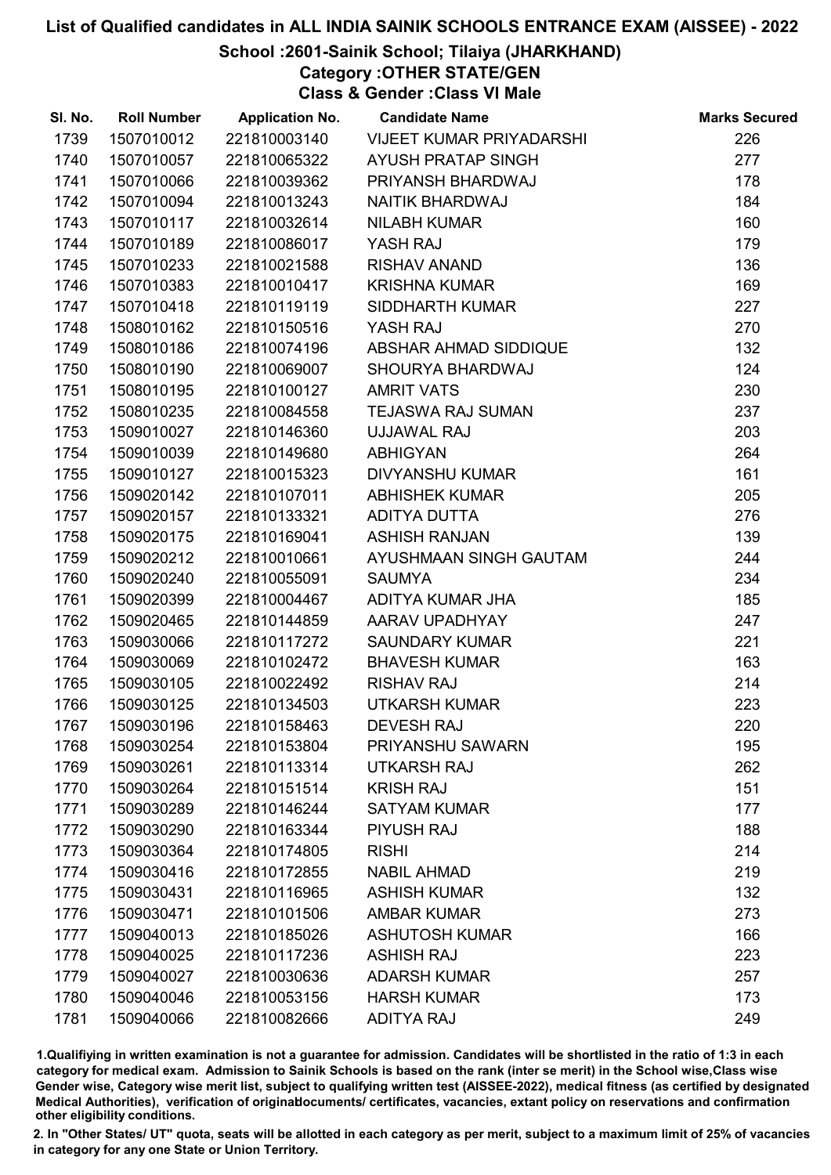### School :2601-Sainik School; Tilaiya (JHARKHAND)

Category :OTHER STATE/GEN

Class & Gender :Class VI Male

| SI. No. | <b>Roll Number</b> | <b>Application No.</b> | <b>Candidate Name</b>     | <b>Marks Secured</b> |
|---------|--------------------|------------------------|---------------------------|----------------------|
| 1739    | 1507010012         | 221810003140           | VIJEET KUMAR PRIYADARSHI  | 226                  |
| 1740    | 1507010057         | 221810065322           | <b>AYUSH PRATAP SINGH</b> | 277                  |
| 1741    | 1507010066         | 221810039362           | PRIYANSH BHARDWAJ         | 178                  |
| 1742    | 1507010094         | 221810013243           | <b>NAITIK BHARDWAJ</b>    | 184                  |
| 1743    | 1507010117         | 221810032614           | <b>NILABH KUMAR</b>       | 160                  |
| 1744    | 1507010189         | 221810086017           | YASH RAJ                  | 179                  |
| 1745    | 1507010233         | 221810021588           | RISHAV ANAND              | 136                  |
| 1746    | 1507010383         | 221810010417           | <b>KRISHNA KUMAR</b>      | 169                  |
| 1747    | 1507010418         | 221810119119           | SIDDHARTH KUMAR           | 227                  |
| 1748    | 1508010162         | 221810150516           | YASH RAJ                  | 270                  |
| 1749    | 1508010186         | 221810074196           | ABSHAR AHMAD SIDDIQUE     | 132                  |
| 1750    | 1508010190         | 221810069007           | SHOURYA BHARDWAJ          | 124                  |
| 1751    | 1508010195         | 221810100127           | <b>AMRIT VATS</b>         | 230                  |
| 1752    | 1508010235         | 221810084558           | <b>TEJASWA RAJ SUMAN</b>  | 237                  |
| 1753    | 1509010027         | 221810146360           | UJJAWAL RAJ               | 203                  |
| 1754    | 1509010039         | 221810149680           | <b>ABHIGYAN</b>           | 264                  |
| 1755    | 1509010127         | 221810015323           | <b>DIVYANSHU KUMAR</b>    | 161                  |
| 1756    | 1509020142         | 221810107011           | <b>ABHISHEK KUMAR</b>     | 205                  |
| 1757    | 1509020157         | 221810133321           | ADITYA DUTTA              | 276                  |
| 1758    | 1509020175         | 221810169041           | <b>ASHISH RANJAN</b>      | 139                  |
| 1759    | 1509020212         | 221810010661           | AYUSHMAAN SINGH GAUTAM    | 244                  |
| 1760    | 1509020240         | 221810055091           | <b>SAUMYA</b>             | 234                  |
| 1761    | 1509020399         | 221810004467           | ADITYA KUMAR JHA          | 185                  |
| 1762    | 1509020465         | 221810144859           | AARAV UPADHYAY            | 247                  |
| 1763    | 1509030066         | 221810117272           | <b>SAUNDARY KUMAR</b>     | 221                  |
| 1764    | 1509030069         | 221810102472           | <b>BHAVESH KUMAR</b>      | 163                  |
| 1765    | 1509030105         | 221810022492           | <b>RISHAV RAJ</b>         | 214                  |
| 1766    | 1509030125         | 221810134503           | <b>UTKARSH KUMAR</b>      | 223                  |
| 1767    | 1509030196         | 221810158463           | <b>DEVESH RAJ</b>         | 220                  |
| 1768    | 1509030254         | 221810153804           | PRIYANSHU SAWARN          | 195                  |
| 1769    | 1509030261         | 221810113314           | <b>UTKARSH RAJ</b>        | 262                  |
| 1770    | 1509030264         | 221810151514           | <b>KRISH RAJ</b>          | 151                  |
| 1771    | 1509030289         | 221810146244           | <b>SATYAM KUMAR</b>       | 177                  |
| 1772    | 1509030290         | 221810163344           | <b>PIYUSH RAJ</b>         | 188                  |
| 1773    | 1509030364         | 221810174805           | <b>RISHI</b>              | 214                  |
| 1774    | 1509030416         | 221810172855           | <b>NABIL AHMAD</b>        | 219                  |
| 1775    | 1509030431         | 221810116965           | <b>ASHISH KUMAR</b>       | 132                  |
| 1776    | 1509030471         | 221810101506           | <b>AMBAR KUMAR</b>        | 273                  |
| 1777    | 1509040013         | 221810185026           | <b>ASHUTOSH KUMAR</b>     | 166                  |
| 1778    | 1509040025         | 221810117236           | <b>ASHISH RAJ</b>         | 223                  |
| 1779    | 1509040027         | 221810030636           | <b>ADARSH KUMAR</b>       | 257                  |
| 1780    | 1509040046         | 221810053156           | <b>HARSH KUMAR</b>        | 173                  |
| 1781    | 1509040066         | 221810082666           | <b>ADITYA RAJ</b>         | 249                  |

1.Qualifiying in written examination is not a guarantee for admission. Candidates will be shortlisted in the ratio of 1:3 in each category for medical exam. Admission to Sainik Schools is based on the rank (inter se merit) in the School wise,Class wise Gender wise, Category wise merit list, subject to qualifying written test (AISSEE-2022), medical fitness (as certified by designated Medical Authorities), verification of originablocuments/ certificates, vacancies, extant policy on reservations and confirmation other eligibility conditions.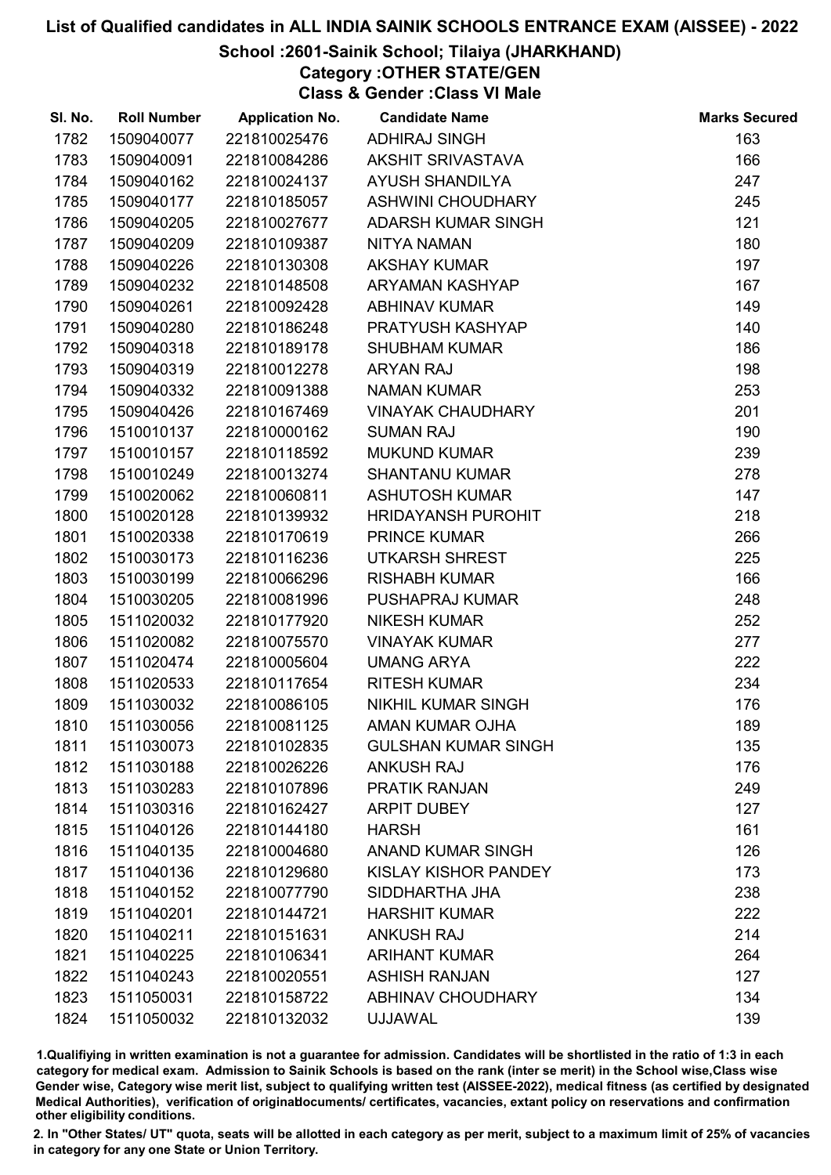### School :2601-Sainik School; Tilaiya (JHARKHAND)

Category :OTHER STATE/GEN

Class & Gender :Class VI Male

| SI. No. | <b>Roll Number</b> | <b>Application No.</b> | <b>Candidate Name</b>      | <b>Marks Secured</b> |
|---------|--------------------|------------------------|----------------------------|----------------------|
| 1782    | 1509040077         | 221810025476           | <b>ADHIRAJ SINGH</b>       | 163                  |
| 1783    | 1509040091         | 221810084286           | AKSHIT SRIVASTAVA          | 166                  |
| 1784    | 1509040162         | 221810024137           | <b>AYUSH SHANDILYA</b>     | 247                  |
| 1785    | 1509040177         | 221810185057           | <b>ASHWINI CHOUDHARY</b>   | 245                  |
| 1786    | 1509040205         | 221810027677           | ADARSH KUMAR SINGH         | 121                  |
| 1787    | 1509040209         | 221810109387           | <b>NITYA NAMAN</b>         | 180                  |
| 1788    | 1509040226         | 221810130308           | <b>AKSHAY KUMAR</b>        | 197                  |
| 1789    | 1509040232         | 221810148508           | <b>ARYAMAN KASHYAP</b>     | 167                  |
| 1790    | 1509040261         | 221810092428           | <b>ABHINAV KUMAR</b>       | 149                  |
| 1791    | 1509040280         | 221810186248           | PRATYUSH KASHYAP           | 140                  |
| 1792    | 1509040318         | 221810189178           | <b>SHUBHAM KUMAR</b>       | 186                  |
| 1793    | 1509040319         | 221810012278           | <b>ARYAN RAJ</b>           | 198                  |
| 1794    | 1509040332         | 221810091388           | <b>NAMAN KUMAR</b>         | 253                  |
| 1795    | 1509040426         | 221810167469           | <b>VINAYAK CHAUDHARY</b>   | 201                  |
| 1796    | 1510010137         | 221810000162           | <b>SUMAN RAJ</b>           | 190                  |
| 1797    | 1510010157         | 221810118592           | <b>MUKUND KUMAR</b>        | 239                  |
| 1798    | 1510010249         | 221810013274           | <b>SHANTANU KUMAR</b>      | 278                  |
| 1799    | 1510020062         | 221810060811           | <b>ASHUTOSH KUMAR</b>      | 147                  |
| 1800    | 1510020128         | 221810139932           | <b>HRIDAYANSH PUROHIT</b>  | 218                  |
| 1801    | 1510020338         | 221810170619           | <b>PRINCE KUMAR</b>        | 266                  |
| 1802    | 1510030173         | 221810116236           | <b>UTKARSH SHREST</b>      | 225                  |
| 1803    | 1510030199         | 221810066296           | <b>RISHABH KUMAR</b>       | 166                  |
| 1804    | 1510030205         | 221810081996           | PUSHAPRAJ KUMAR            | 248                  |
| 1805    | 1511020032         | 221810177920           | <b>NIKESH KUMAR</b>        | 252                  |
| 1806    | 1511020082         | 221810075570           | <b>VINAYAK KUMAR</b>       | 277                  |
| 1807    | 1511020474         | 221810005604           | <b>UMANG ARYA</b>          | 222                  |
| 1808    | 1511020533         | 221810117654           | <b>RITESH KUMAR</b>        | 234                  |
| 1809    | 1511030032         | 221810086105           | NIKHIL KUMAR SINGH         | 176                  |
| 1810    | 1511030056         | 221810081125           | AMAN KUMAR OJHA            | 189                  |
| 1811    | 1511030073         | 221810102835           | <b>GULSHAN KUMAR SINGH</b> | 135                  |
| 1812    | 1511030188         | 221810026226           | <b>ANKUSH RAJ</b>          | 176                  |
| 1813    | 1511030283         | 221810107896           | PRATIK RANJAN              | 249                  |
| 1814    | 1511030316         | 221810162427           | <b>ARPIT DUBEY</b>         | 127                  |
| 1815    | 1511040126         | 221810144180           | <b>HARSH</b>               | 161                  |
| 1816    | 1511040135         | 221810004680           | <b>ANAND KUMAR SINGH</b>   | 126                  |
| 1817    | 1511040136         | 221810129680           | KISLAY KISHOR PANDEY       | 173                  |
| 1818    | 1511040152         | 221810077790           | SIDDHARTHA JHA             | 238                  |
| 1819    | 1511040201         | 221810144721           | <b>HARSHIT KUMAR</b>       | 222                  |
| 1820    | 1511040211         | 221810151631           | <b>ANKUSH RAJ</b>          | 214                  |
| 1821    | 1511040225         | 221810106341           | <b>ARIHANT KUMAR</b>       | 264                  |
| 1822    | 1511040243         | 221810020551           | <b>ASHISH RANJAN</b>       | 127                  |
| 1823    | 1511050031         | 221810158722           | <b>ABHINAV CHOUDHARY</b>   | 134                  |
| 1824    | 1511050032         | 221810132032           | <b>UJJAWAL</b>             | 139                  |

1.Qualifiying in written examination is not a guarantee for admission. Candidates will be shortlisted in the ratio of 1:3 in each category for medical exam. Admission to Sainik Schools is based on the rank (inter se merit) in the School wise,Class wise Gender wise, Category wise merit list, subject to qualifying written test (AISSEE-2022), medical fitness (as certified by designated Medical Authorities), verification of originablocuments/ certificates, vacancies, extant policy on reservations and confirmation other eligibility conditions.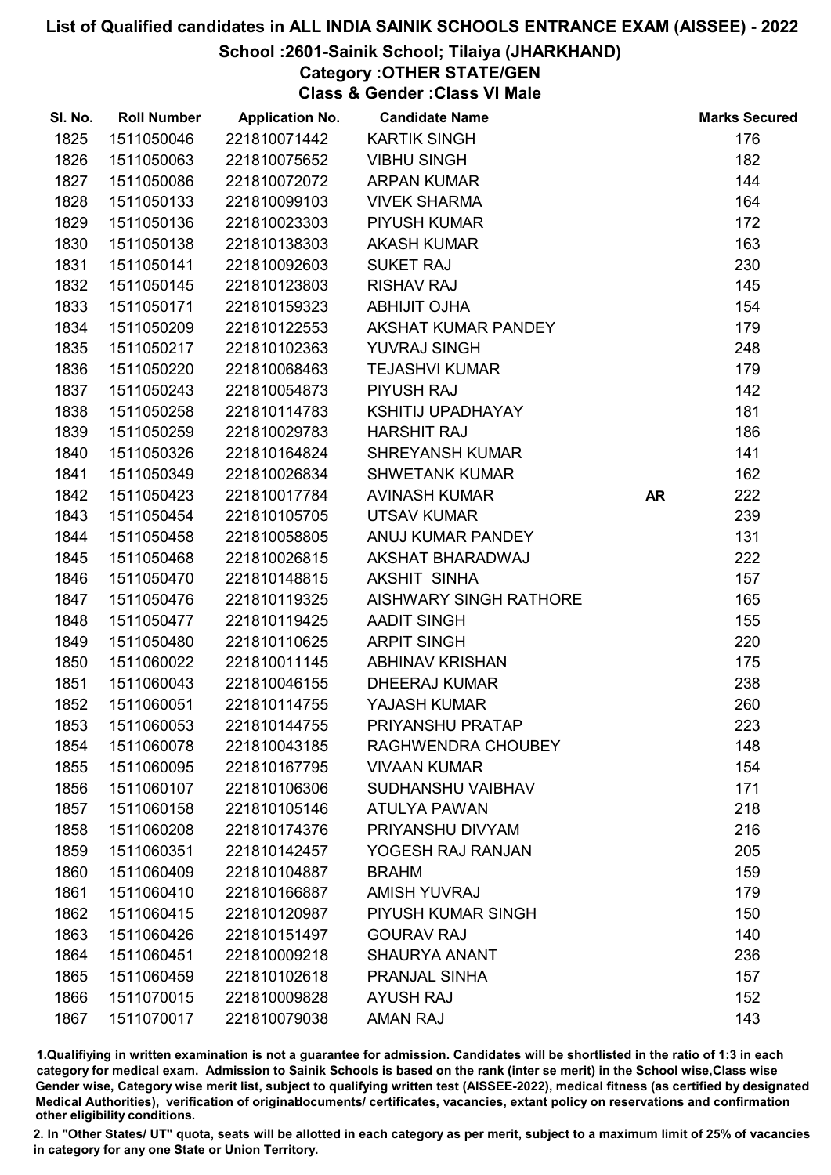### School :2601-Sainik School; Tilaiya (JHARKHAND)

Category :OTHER STATE/GEN Class & Gender :Class VI Male

| SI. No. | <b>Roll Number</b> | <b>Application No.</b> | <b>Candidate Name</b>         |           | <b>Marks Secured</b> |
|---------|--------------------|------------------------|-------------------------------|-----------|----------------------|
| 1825    | 1511050046         | 221810071442           | <b>KARTIK SINGH</b>           |           | 176                  |
| 1826    | 1511050063         | 221810075652           | <b>VIBHU SINGH</b>            |           | 182                  |
| 1827    | 1511050086         | 221810072072           | <b>ARPAN KUMAR</b>            |           | 144                  |
| 1828    | 1511050133         | 221810099103           | <b>VIVEK SHARMA</b>           |           | 164                  |
| 1829    | 1511050136         | 221810023303           | <b>PIYUSH KUMAR</b>           |           | 172                  |
| 1830    | 1511050138         | 221810138303           | <b>AKASH KUMAR</b>            |           | 163                  |
| 1831    | 1511050141         | 221810092603           | <b>SUKET RAJ</b>              |           | 230                  |
| 1832    | 1511050145         | 221810123803           | <b>RISHAV RAJ</b>             |           | 145                  |
| 1833    | 1511050171         | 221810159323           | ABHIJIT OJHA                  |           | 154                  |
| 1834    | 1511050209         | 221810122553           | AKSHAT KUMAR PANDEY           |           | 179                  |
| 1835    | 1511050217         | 221810102363           | YUVRAJ SINGH                  |           | 248                  |
| 1836    | 1511050220         | 221810068463           | <b>TEJASHVI KUMAR</b>         |           | 179                  |
| 1837    | 1511050243         | 221810054873           | <b>PIYUSH RAJ</b>             |           | 142                  |
| 1838    | 1511050258         | 221810114783           | KSHITIJ UPADHAYAY             |           | 181                  |
| 1839    | 1511050259         | 221810029783           | <b>HARSHIT RAJ</b>            |           | 186                  |
| 1840    | 1511050326         | 221810164824           | <b>SHREYANSH KUMAR</b>        |           | 141                  |
| 1841    | 1511050349         | 221810026834           | <b>SHWETANK KUMAR</b>         |           | 162                  |
| 1842    | 1511050423         | 221810017784           | <b>AVINASH KUMAR</b>          | <b>AR</b> | 222                  |
| 1843    | 1511050454         | 221810105705           | <b>UTSAV KUMAR</b>            |           | 239                  |
| 1844    | 1511050458         | 221810058805           | ANUJ KUMAR PANDEY             |           | 131                  |
| 1845    | 1511050468         | 221810026815           | AKSHAT BHARADWAJ              |           | 222                  |
| 1846    | 1511050470         | 221810148815           | AKSHIT SINHA                  |           | 157                  |
| 1847    | 1511050476         | 221810119325           | <b>AISHWARY SINGH RATHORE</b> |           | 165                  |
| 1848    | 1511050477         | 221810119425           | <b>AADIT SINGH</b>            |           | 155                  |
| 1849    | 1511050480         | 221810110625           | <b>ARPIT SINGH</b>            |           | 220                  |
| 1850    | 1511060022         | 221810011145           | <b>ABHINAV KRISHAN</b>        |           | 175                  |
| 1851    | 1511060043         | 221810046155           | <b>DHEERAJ KUMAR</b>          |           | 238                  |
| 1852    | 1511060051         | 221810114755           | YAJASH KUMAR                  |           | 260                  |
| 1853    | 1511060053         | 221810144755           | PRIYANSHU PRATAP              |           | 223                  |
| 1854    | 1511060078         | 221810043185           | RAGHWENDRA CHOUBEY            |           | 148                  |
| 1855    | 1511060095         | 221810167795           | <b>VIVAAN KUMAR</b>           |           | 154                  |
| 1856    | 1511060107         | 221810106306           | SUDHANSHU VAIBHAV             |           | 171                  |
| 1857    | 1511060158         | 221810105146           | <b>ATULYA PAWAN</b>           |           | 218                  |
| 1858    | 1511060208         | 221810174376           | PRIYANSHU DIVYAM              |           | 216                  |
| 1859    | 1511060351         | 221810142457           | YOGESH RAJ RANJAN             |           | 205                  |
| 1860    | 1511060409         | 221810104887           | <b>BRAHM</b>                  |           | 159                  |
| 1861    | 1511060410         | 221810166887           | <b>AMISH YUVRAJ</b>           |           | 179                  |
| 1862    | 1511060415         | 221810120987           | PIYUSH KUMAR SINGH            |           | 150                  |
| 1863    | 1511060426         | 221810151497           | <b>GOURAV RAJ</b>             |           | 140                  |
| 1864    | 1511060451         | 221810009218           | <b>SHAURYA ANANT</b>          |           | 236                  |
| 1865    | 1511060459         | 221810102618           | PRANJAL SINHA                 |           | 157                  |
| 1866    | 1511070015         | 221810009828           | <b>AYUSH RAJ</b>              |           | 152                  |
| 1867    | 1511070017         | 221810079038           | AMAN RAJ                      |           | 143                  |

1.Qualifiying in written examination is not a guarantee for admission. Candidates will be shortlisted in the ratio of 1:3 in each category for medical exam. Admission to Sainik Schools is based on the rank (inter se merit) in the School wise,Class wise Gender wise, Category wise merit list, subject to qualifying written test (AISSEE-2022), medical fitness (as certified by designated Medical Authorities), verification of originablocuments/ certificates, vacancies, extant policy on reservations and confirmation other eligibility conditions.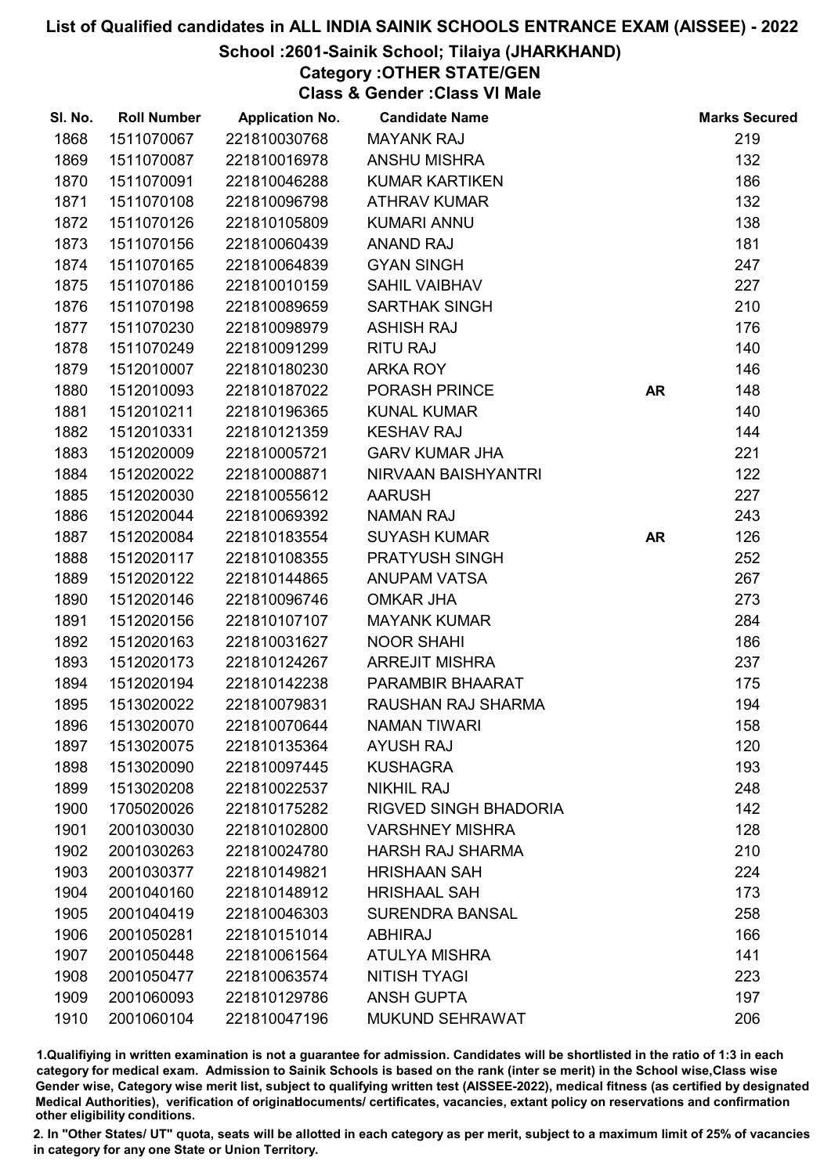### School :2601-Sainik School; Tilaiya (JHARKHAND)

Category :OTHER STATE/GEN

Class & Gender :Class VI Male

| SI. No. | <b>Roll Number</b> | <b>Application No.</b> | <b>Candidate Name</b>        |           | <b>Marks Secured</b> |
|---------|--------------------|------------------------|------------------------------|-----------|----------------------|
| 1868    | 1511070067         | 221810030768           | <b>MAYANK RAJ</b>            |           | 219                  |
| 1869    | 1511070087         | 221810016978           | ANSHU MISHRA                 |           | 132                  |
| 1870    | 1511070091         | 221810046288           | <b>KUMAR KARTIKEN</b>        |           | 186                  |
| 1871    | 1511070108         | 221810096798           | <b>ATHRAV KUMAR</b>          |           | 132                  |
| 1872    | 1511070126         | 221810105809           | <b>KUMARI ANNU</b>           |           | 138                  |
| 1873    | 1511070156         | 221810060439           | <b>ANAND RAJ</b>             |           | 181                  |
| 1874    | 1511070165         | 221810064839           | <b>GYAN SINGH</b>            |           | 247                  |
| 1875    | 1511070186         | 221810010159           | <b>SAHIL VAIBHAV</b>         |           | 227                  |
| 1876    | 1511070198         | 221810089659           | <b>SARTHAK SINGH</b>         |           | 210                  |
| 1877    | 1511070230         | 221810098979           | <b>ASHISH RAJ</b>            |           | 176                  |
| 1878    | 1511070249         | 221810091299           | <b>RITU RAJ</b>              |           | 140                  |
| 1879    | 1512010007         | 221810180230           | <b>ARKA ROY</b>              |           | 146                  |
| 1880    | 1512010093         | 221810187022           | PORASH PRINCE                | <b>AR</b> | 148                  |
| 1881    | 1512010211         | 221810196365           | <b>KUNAL KUMAR</b>           |           | 140                  |
| 1882    | 1512010331         | 221810121359           | <b>KESHAV RAJ</b>            |           | 144                  |
| 1883    | 1512020009         | 221810005721           | <b>GARV KUMAR JHA</b>        |           | 221                  |
| 1884    | 1512020022         | 221810008871           | NIRVAAN BAISHYANTRI          |           | 122                  |
| 1885    | 1512020030         | 221810055612           | <b>AARUSH</b>                |           | 227                  |
| 1886    | 1512020044         | 221810069392           | <b>NAMAN RAJ</b>             |           | 243                  |
| 1887    | 1512020084         | 221810183554           | <b>SUYASH KUMAR</b>          | <b>AR</b> | 126                  |
| 1888    | 1512020117         | 221810108355           | PRATYUSH SINGH               |           | 252                  |
| 1889    | 1512020122         | 221810144865           | <b>ANUPAM VATSA</b>          |           | 267                  |
| 1890    | 1512020146         | 221810096746           | <b>OMKAR JHA</b>             |           | 273                  |
| 1891    | 1512020156         | 221810107107           | <b>MAYANK KUMAR</b>          |           | 284                  |
| 1892    | 1512020163         | 221810031627           | <b>NOOR SHAHI</b>            |           | 186                  |
| 1893    | 1512020173         | 221810124267           | <b>ARREJIT MISHRA</b>        |           | 237                  |
| 1894    | 1512020194         | 221810142238           | PARAMBIR BHAARAT             |           | 175                  |
| 1895    | 1513020022         | 221810079831           | RAUSHAN RAJ SHARMA           |           | 194                  |
| 1896    | 1513020070         | 221810070644           | <b>NAMAN TIWARI</b>          |           | 158                  |
| 1897    | 1513020075         | 221810135364           | <b>AYUSH RAJ</b>             |           | 120                  |
| 1898    | 1513020090         | 221810097445           | <b>KUSHAGRA</b>              |           | 193                  |
| 1899    | 1513020208         | 221810022537           | <b>NIKHIL RAJ</b>            |           | 248                  |
| 1900    | 1705020026         | 221810175282           | <b>RIGVED SINGH BHADORIA</b> |           | 142                  |
| 1901    | 2001030030         | 221810102800           | <b>VARSHNEY MISHRA</b>       |           | 128                  |
| 1902    | 2001030263         | 221810024780           | <b>HARSH RAJ SHARMA</b>      |           | 210                  |
| 1903    | 2001030377         | 221810149821           | <b>HRISHAAN SAH</b>          |           | 224                  |
| 1904    | 2001040160         | 221810148912           | <b>HRISHAAL SAH</b>          |           | 173                  |
| 1905    | 2001040419         | 221810046303           | <b>SURENDRA BANSAL</b>       |           | 258                  |
| 1906    | 2001050281         | 221810151014           | <b>ABHIRAJ</b>               |           | 166                  |
| 1907    | 2001050448         | 221810061564           | <b>ATULYA MISHRA</b>         |           | 141                  |
| 1908    | 2001050477         | 221810063574           | <b>NITISH TYAGI</b>          |           | 223                  |
| 1909    | 2001060093         | 221810129786           | <b>ANSH GUPTA</b>            |           | 197                  |
| 1910    | 2001060104         | 221810047196           | <b>MUKUND SEHRAWAT</b>       |           | 206                  |

1.Qualifiying in written examination is not a guarantee for admission. Candidates will be shortlisted in the ratio of 1:3 in each category for medical exam. Admission to Sainik Schools is based on the rank (inter se merit) in the School wise,Class wise Gender wise, Category wise merit list, subject to qualifying written test (AISSEE-2022), medical fitness (as certified by designated Medical Authorities), verification of originablocuments/ certificates, vacancies, extant policy on reservations and confirmation other eligibility conditions.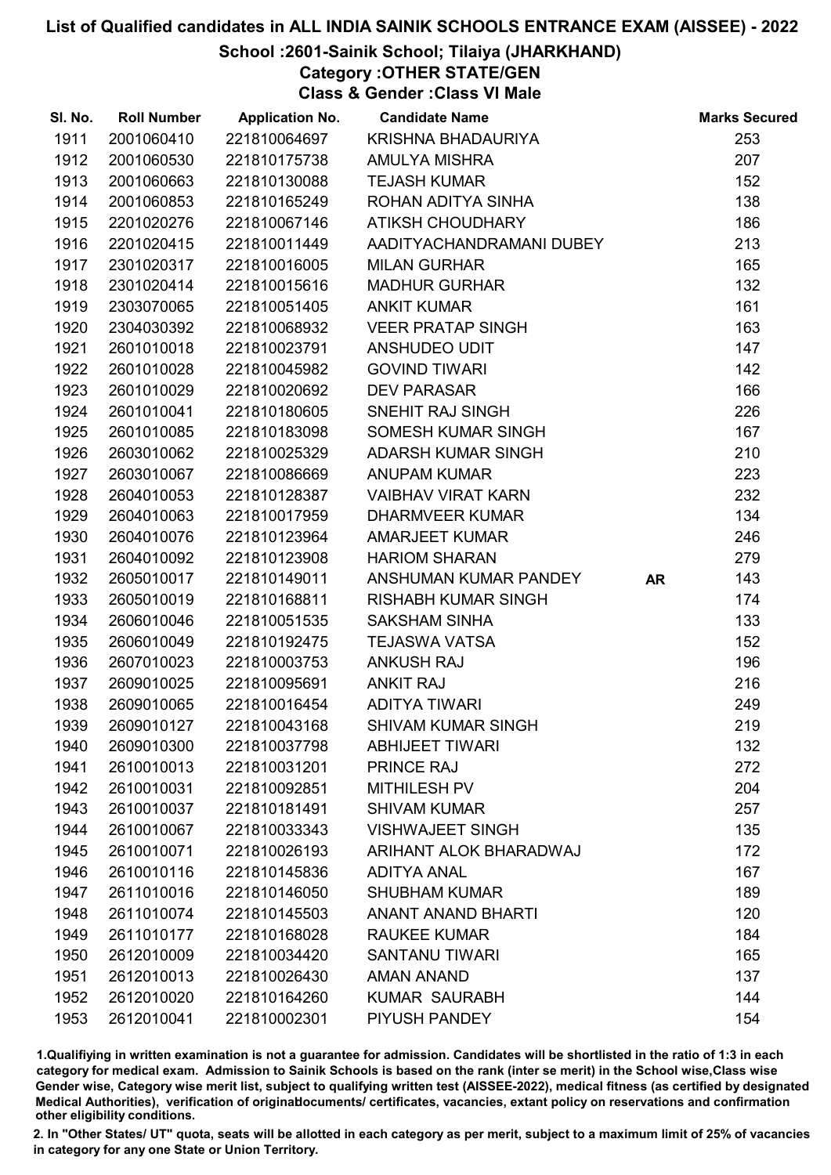### School :2601-Sainik School; Tilaiya (JHARKHAND)

Category :OTHER STATE/GEN

Class & Gender :Class VI Male

| SI. No. | <b>Roll Number</b> | <b>Application No.</b> | <b>Candidate Name</b>      |           | <b>Marks Secured</b> |
|---------|--------------------|------------------------|----------------------------|-----------|----------------------|
| 1911    | 2001060410         | 221810064697           | KRISHNA BHADAURIYA         |           | 253                  |
| 1912    | 2001060530         | 221810175738           | <b>AMULYA MISHRA</b>       |           | 207                  |
| 1913    | 2001060663         | 221810130088           | <b>TEJASH KUMAR</b>        |           | 152                  |
| 1914    | 2001060853         | 221810165249           | ROHAN ADITYA SINHA         |           | 138                  |
| 1915    | 2201020276         | 221810067146           | ATIKSH CHOUDHARY           |           | 186                  |
| 1916    | 2201020415         | 221810011449           | AADITYACHANDRAMANI DUBEY   |           | 213                  |
| 1917    | 2301020317         | 221810016005           | <b>MILAN GURHAR</b>        |           | 165                  |
| 1918    | 2301020414         | 221810015616           | <b>MADHUR GURHAR</b>       |           | 132                  |
| 1919    | 2303070065         | 221810051405           | <b>ANKIT KUMAR</b>         |           | 161                  |
| 1920    | 2304030392         | 221810068932           | <b>VEER PRATAP SINGH</b>   |           | 163                  |
| 1921    | 2601010018         | 221810023791           | ANSHUDEO UDIT              |           | 147                  |
| 1922    | 2601010028         | 221810045982           | <b>GOVIND TIWARI</b>       |           | 142                  |
| 1923    | 2601010029         | 221810020692           | <b>DEV PARASAR</b>         |           | 166                  |
| 1924    | 2601010041         | 221810180605           | SNEHIT RAJ SINGH           |           | 226                  |
| 1925    | 2601010085         | 221810183098           | SOMESH KUMAR SINGH         |           | 167                  |
| 1926    | 2603010062         | 221810025329           | ADARSH KUMAR SINGH         |           | 210                  |
| 1927    | 2603010067         | 221810086669           | <b>ANUPAM KUMAR</b>        |           | 223                  |
| 1928    | 2604010053         | 221810128387           | <b>VAIBHAV VIRAT KARN</b>  |           | 232                  |
| 1929    | 2604010063         | 221810017959           | <b>DHARMVEER KUMAR</b>     |           | 134                  |
| 1930    | 2604010076         | 221810123964           | <b>AMARJEET KUMAR</b>      |           | 246                  |
| 1931    | 2604010092         | 221810123908           | <b>HARIOM SHARAN</b>       |           | 279                  |
| 1932    | 2605010017         | 221810149011           | ANSHUMAN KUMAR PANDEY      | <b>AR</b> | 143                  |
| 1933    | 2605010019         | 221810168811           | <b>RISHABH KUMAR SINGH</b> |           | 174                  |
| 1934    | 2606010046         | 221810051535           | <b>SAKSHAM SINHA</b>       |           | 133                  |
| 1935    | 2606010049         | 221810192475           | <b>TEJASWA VATSA</b>       |           | 152                  |
| 1936    | 2607010023         | 221810003753           | <b>ANKUSH RAJ</b>          |           | 196                  |
| 1937    | 2609010025         | 221810095691           | <b>ANKIT RAJ</b>           |           | 216                  |
| 1938    | 2609010065         | 221810016454           | <b>ADITYA TIWARI</b>       |           | 249                  |
| 1939    | 2609010127         | 221810043168           | <b>SHIVAM KUMAR SINGH</b>  |           | 219                  |
| 1940    | 2609010300         | 221810037798           | <b>ABHIJEET TIWARI</b>     |           | 132                  |
| 1941    | 2610010013         | 221810031201           | <b>PRINCE RAJ</b>          |           | 272                  |
| 1942    | 2610010031         | 221810092851           | <b>MITHILESH PV</b>        |           | 204                  |
| 1943    | 2610010037         | 221810181491           | <b>SHIVAM KUMAR</b>        |           | 257                  |
| 1944    | 2610010067         | 221810033343           | <b>VISHWAJEET SINGH</b>    |           | 135                  |
| 1945    | 2610010071         | 221810026193           | ARIHANT ALOK BHARADWAJ     |           | 172                  |
| 1946    | 2610010116         | 221810145836           | <b>ADITYA ANAL</b>         |           | 167                  |
| 1947    | 2611010016         | 221810146050           | <b>SHUBHAM KUMAR</b>       |           | 189                  |
| 1948    | 2611010074         | 221810145503           | <b>ANANT ANAND BHARTI</b>  |           | 120                  |
| 1949    | 2611010177         | 221810168028           | <b>RAUKEE KUMAR</b>        |           | 184                  |
| 1950    | 2612010009         | 221810034420           | <b>SANTANU TIWARI</b>      |           | 165                  |
| 1951    | 2612010013         | 221810026430           | <b>AMAN ANAND</b>          |           | 137                  |
| 1952    | 2612010020         | 221810164260           | <b>KUMAR SAURABH</b>       |           | 144                  |
| 1953    | 2612010041         | 221810002301           | PIYUSH PANDEY              |           | 154                  |

1.Qualifiying in written examination is not a guarantee for admission. Candidates will be shortlisted in the ratio of 1:3 in each category for medical exam. Admission to Sainik Schools is based on the rank (inter se merit) in the School wise,Class wise Gender wise, Category wise merit list, subject to qualifying written test (AISSEE-2022), medical fitness (as certified by designated Medical Authorities), verification of originablocuments/ certificates, vacancies, extant policy on reservations and confirmation other eligibility conditions.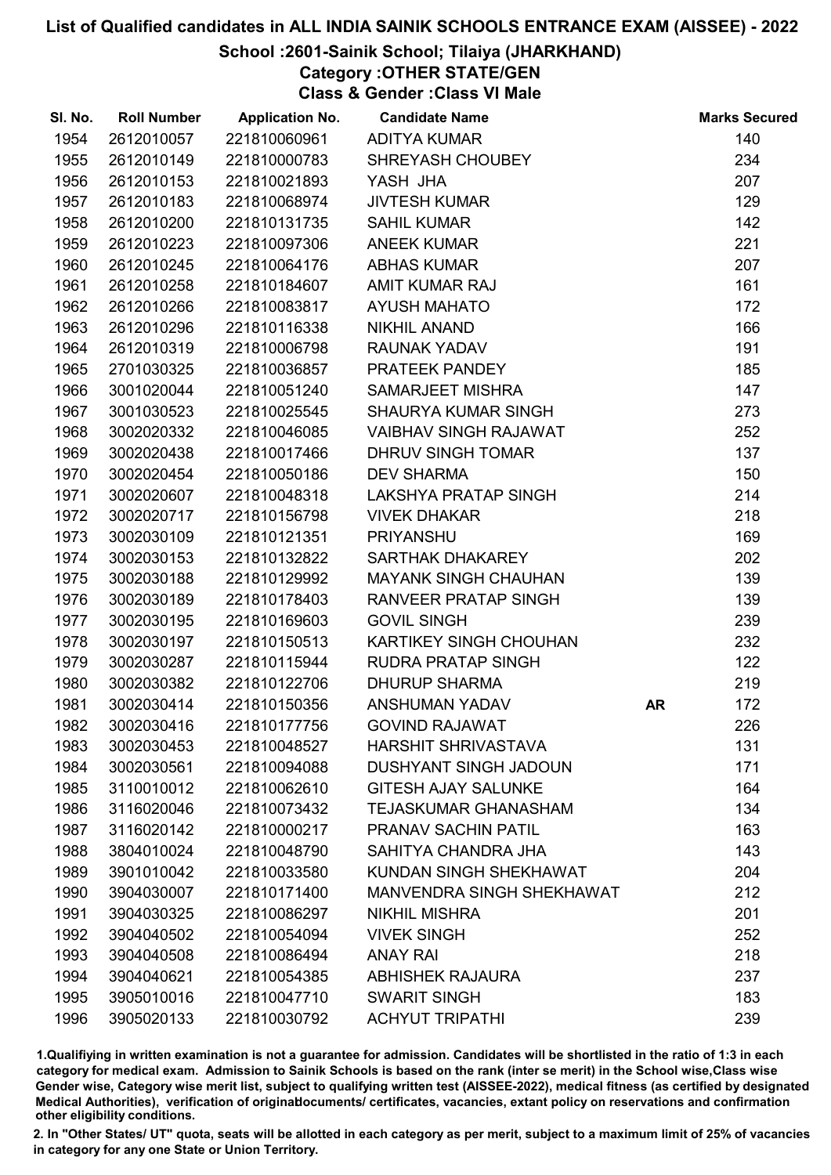### School :2601-Sainik School; Tilaiya (JHARKHAND)

Category :OTHER STATE/GEN

Class & Gender :Class VI Male

| SI. No. | <b>Roll Number</b> | <b>Application No.</b> | <b>Candidate Name</b>            |           | <b>Marks Secured</b> |
|---------|--------------------|------------------------|----------------------------------|-----------|----------------------|
| 1954    | 2612010057         | 221810060961           | <b>ADITYA KUMAR</b>              |           | 140                  |
| 1955    | 2612010149         | 221810000783           | SHREYASH CHOUBEY                 |           | 234                  |
| 1956    | 2612010153         | 221810021893           | YASH JHA                         |           | 207                  |
| 1957    | 2612010183         | 221810068974           | <b>JIVTESH KUMAR</b>             |           | 129                  |
| 1958    | 2612010200         | 221810131735           | <b>SAHIL KUMAR</b>               |           | 142                  |
| 1959    | 2612010223         | 221810097306           | <b>ANEEK KUMAR</b>               |           | 221                  |
| 1960    | 2612010245         | 221810064176           | <b>ABHAS KUMAR</b>               |           | 207                  |
| 1961    | 2612010258         | 221810184607           | <b>AMIT KUMAR RAJ</b>            |           | 161                  |
| 1962    | 2612010266         | 221810083817           | <b>AYUSH MAHATO</b>              |           | 172                  |
| 1963    | 2612010296         | 221810116338           | <b>NIKHIL ANAND</b>              |           | 166                  |
| 1964    | 2612010319         | 221810006798           | <b>RAUNAK YADAV</b>              |           | 191                  |
| 1965    | 2701030325         | 221810036857           | PRATEEK PANDEY                   |           | 185                  |
| 1966    | 3001020044         | 221810051240           | <b>SAMARJEET MISHRA</b>          |           | 147                  |
| 1967    | 3001030523         | 221810025545           | <b>SHAURYA KUMAR SINGH</b>       |           | 273                  |
| 1968    | 3002020332         | 221810046085           | <b>VAIBHAV SINGH RAJAWAT</b>     |           | 252                  |
| 1969    | 3002020438         | 221810017466           | DHRUV SINGH TOMAR                |           | 137                  |
| 1970    | 3002020454         | 221810050186           | <b>DEV SHARMA</b>                |           | 150                  |
| 1971    | 3002020607         | 221810048318           | LAKSHYA PRATAP SINGH             |           | 214                  |
| 1972    | 3002020717         | 221810156798           | <b>VIVEK DHAKAR</b>              |           | 218                  |
| 1973    | 3002030109         | 221810121351           | <b>PRIYANSHU</b>                 |           | 169                  |
| 1974    | 3002030153         | 221810132822           | SARTHAK DHAKAREY                 |           | 202                  |
| 1975    | 3002030188         | 221810129992           | <b>MAYANK SINGH CHAUHAN</b>      |           | 139                  |
| 1976    | 3002030189         | 221810178403           | <b>RANVEER PRATAP SINGH</b>      |           | 139                  |
| 1977    | 3002030195         | 221810169603           | <b>GOVIL SINGH</b>               |           | 239                  |
| 1978    | 3002030197         | 221810150513           | <b>KARTIKEY SINGH CHOUHAN</b>    |           | 232                  |
| 1979    | 3002030287         | 221810115944           | <b>RUDRA PRATAP SINGH</b>        |           | 122                  |
| 1980    | 3002030382         | 221810122706           | <b>DHURUP SHARMA</b>             |           | 219                  |
| 1981    | 3002030414         | 221810150356           | ANSHUMAN YADAV                   | <b>AR</b> | 172                  |
| 1982    | 3002030416         | 221810177756           | <b>GOVIND RAJAWAT</b>            |           | 226                  |
| 1983    | 3002030453         | 221810048527           | <b>HARSHIT SHRIVASTAVA</b>       |           | 131                  |
| 1984    | 3002030561         | 221810094088           | <b>DUSHYANT SINGH JADOUN</b>     |           | 171                  |
| 1985    | 3110010012         | 221810062610           | <b>GITESH AJAY SALUNKE</b>       |           | 164                  |
| 1986    | 3116020046         | 221810073432           | <b>TEJASKUMAR GHANASHAM</b>      |           | 134                  |
| 1987    | 3116020142         | 221810000217           | <b>PRANAV SACHIN PATIL</b>       |           | 163                  |
| 1988    | 3804010024         | 221810048790           | SAHITYA CHANDRA JHA              |           | 143                  |
| 1989    | 3901010042         | 221810033580           | KUNDAN SINGH SHEKHAWAT           |           | 204                  |
| 1990    | 3904030007         | 221810171400           | <b>MANVENDRA SINGH SHEKHAWAT</b> |           | 212                  |
| 1991    | 3904030325         | 221810086297           | <b>NIKHIL MISHRA</b>             |           | 201                  |
| 1992    | 3904040502         | 221810054094           | <b>VIVEK SINGH</b>               |           | 252                  |
| 1993    | 3904040508         | 221810086494           | <b>ANAY RAI</b>                  |           | 218                  |
| 1994    | 3904040621         | 221810054385           | <b>ABHISHEK RAJAURA</b>          |           | 237                  |
| 1995    | 3905010016         | 221810047710           | <b>SWARIT SINGH</b>              |           | 183                  |
| 1996    | 3905020133         | 221810030792           | <b>ACHYUT TRIPATHI</b>           |           | 239                  |

1.Qualifiying in written examination is not a guarantee for admission. Candidates will be shortlisted in the ratio of 1:3 in each category for medical exam. Admission to Sainik Schools is based on the rank (inter se merit) in the School wise,Class wise Gender wise, Category wise merit list, subject to qualifying written test (AISSEE-2022), medical fitness (as certified by designated Medical Authorities), verification of originablocuments/ certificates, vacancies, extant policy on reservations and confirmation other eligibility conditions.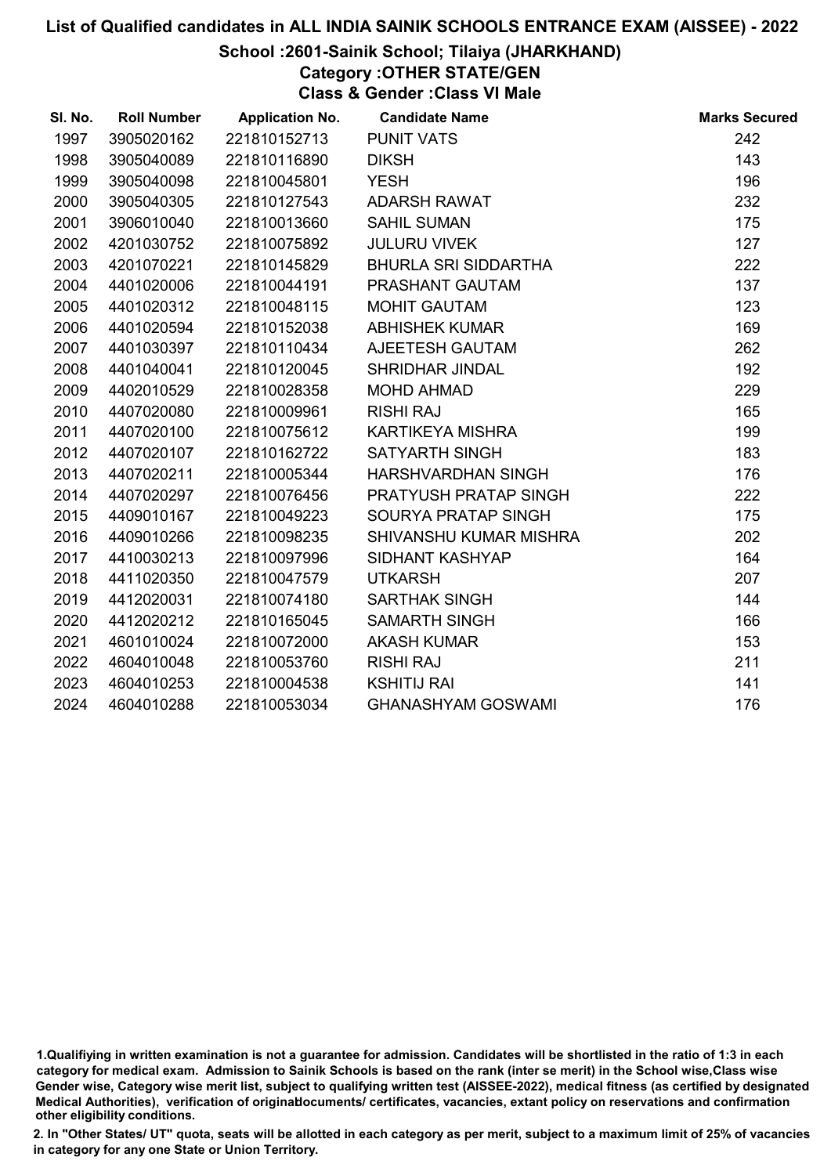### School :2601-Sainik School; Tilaiya (JHARKHAND)

Category :OTHER STATE/GEN

Class & Gender :Class VI Male

| SI. No. | <b>Roll Number</b> | <b>Application No.</b> | <b>Candidate Name</b>     | <b>Marks Secured</b> |
|---------|--------------------|------------------------|---------------------------|----------------------|
| 1997    | 3905020162         | 221810152713           | <b>PUNIT VATS</b>         | 242                  |
| 1998    | 3905040089         | 221810116890           | <b>DIKSH</b>              | 143                  |
| 1999    | 3905040098         | 221810045801           | <b>YESH</b>               | 196                  |
| 2000    | 3905040305         | 221810127543           | ADARSH RAWAT              | 232                  |
| 2001    | 3906010040         | 221810013660           | <b>SAHIL SUMAN</b>        | 175                  |
| 2002    | 4201030752         | 221810075892           | <b>JULURU VIVEK</b>       | 127                  |
| 2003    | 4201070221         | 221810145829           | BHURLA SRI SIDDARTHA      | 222                  |
| 2004    | 4401020006         | 221810044191           | PRASHANT GAUTAM           | 137                  |
| 2005    | 4401020312         | 221810048115           | <b>MOHIT GAUTAM</b>       | 123                  |
| 2006    | 4401020594         | 221810152038           | <b>ABHISHEK KUMAR</b>     | 169                  |
| 2007    | 4401030397         | 221810110434           | AJEETESH GAUTAM           | 262                  |
| 2008    | 4401040041         | 221810120045           | SHRIDHAR JINDAL           | 192                  |
| 2009    | 4402010529         | 221810028358           | <b>MOHD AHMAD</b>         | 229                  |
| 2010    | 4407020080         | 221810009961           | <b>RISHI RAJ</b>          | 165                  |
| 2011    | 4407020100         | 221810075612           | KARTIKEYA MISHRA          | 199                  |
| 2012    | 4407020107         | 221810162722           | <b>SATYARTH SINGH</b>     | 183                  |
| 2013    | 4407020211         | 221810005344           | HARSHVARDHAN SINGH        | 176                  |
| 2014    | 4407020297         | 221810076456           | PRATYUSH PRATAP SINGH     | 222                  |
| 2015    | 4409010167         | 221810049223           | SOURYA PRATAP SINGH       | 175                  |
| 2016    | 4409010266         | 221810098235           | SHIVANSHU KUMAR MISHRA    | 202                  |
| 2017    | 4410030213         | 221810097996           | SIDHANT KASHYAP           | 164                  |
| 2018    | 4411020350         | 221810047579           | <b>UTKARSH</b>            | 207                  |
| 2019    | 4412020031         | 221810074180           | <b>SARTHAK SINGH</b>      | 144                  |
| 2020    | 4412020212         | 221810165045           | <b>SAMARTH SINGH</b>      | 166                  |
| 2021    | 4601010024         | 221810072000           | <b>AKASH KUMAR</b>        | 153                  |
| 2022    | 4604010048         | 221810053760           | <b>RISHI RAJ</b>          | 211                  |
| 2023    | 4604010253         | 221810004538           | <b>KSHITIJ RAI</b>        | 141                  |
| 2024    | 4604010288         | 221810053034           | <b>GHANASHYAM GOSWAMI</b> | 176                  |

<sup>1.</sup>Qualifiying in written examination is not a guarantee for admission. Candidates will be shortlisted in the ratio of 1:3 in each category for medical exam. Admission to Sainik Schools is based on the rank (inter se merit) in the School wise,Class wise Gender wise, Category wise merit list, subject to qualifying written test (AISSEE-2022), medical fitness (as certified by designated Medical Authorities), verification of originablocuments/ certificates, vacancies, extant policy on reservations and confirmation other eligibility conditions.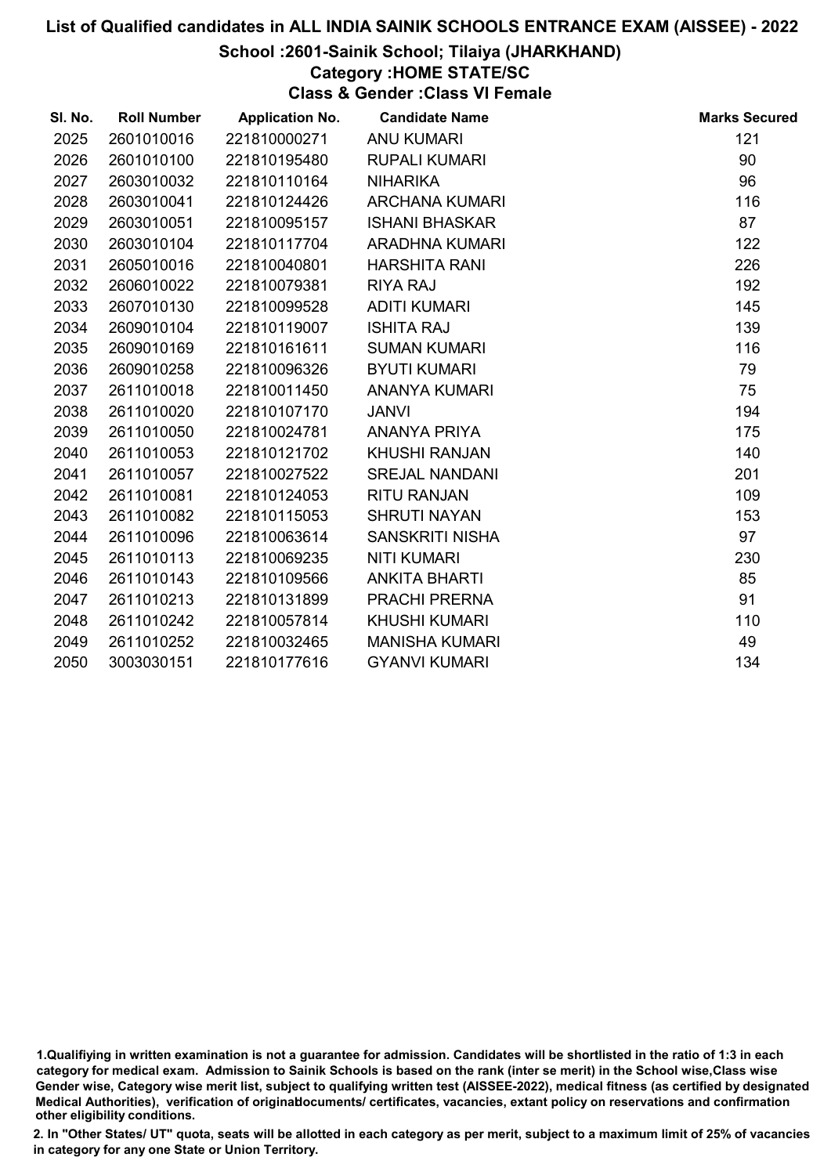### School :2601-Sainik School; Tilaiya (JHARKHAND)

### Category :HOME STATE/SC

Class & Gender :Class VI Female

| SI. No. | <b>Roll Number</b> | <b>Application No.</b> | <b>Candidate Name</b>  | <b>Marks Secured</b> |
|---------|--------------------|------------------------|------------------------|----------------------|
| 2025    | 2601010016         | 221810000271           | <b>ANU KUMARI</b>      | 121                  |
| 2026    | 2601010100         | 221810195480           | <b>RUPALI KUMARI</b>   | 90                   |
| 2027    | 2603010032         | 221810110164           | <b>NIHARIKA</b>        | 96                   |
| 2028    | 2603010041         | 221810124426           | <b>ARCHANA KUMARI</b>  | 116                  |
| 2029    | 2603010051         | 221810095157           | <b>ISHANI BHASKAR</b>  | 87                   |
| 2030    | 2603010104         | 221810117704           | <b>ARADHNA KUMARI</b>  | 122                  |
| 2031    | 2605010016         | 221810040801           | <b>HARSHITA RANI</b>   | 226                  |
| 2032    | 2606010022         | 221810079381           | <b>RIYA RAJ</b>        | 192                  |
| 2033    | 2607010130         | 221810099528           | <b>ADITI KUMARI</b>    | 145                  |
| 2034    | 2609010104         | 221810119007           | <b>ISHITA RAJ</b>      | 139                  |
| 2035    | 2609010169         | 221810161611           | <b>SUMAN KUMARI</b>    | 116                  |
| 2036    | 2609010258         | 221810096326           | <b>BYUTI KUMARI</b>    | 79                   |
| 2037    | 2611010018         | 221810011450           | <b>ANANYA KUMARI</b>   | 75                   |
| 2038    | 2611010020         | 221810107170           | <b>JANVI</b>           | 194                  |
| 2039    | 2611010050         | 221810024781           | ANANYA PRIYA           | 175                  |
| 2040    | 2611010053         | 221810121702           | <b>KHUSHI RANJAN</b>   | 140                  |
| 2041    | 2611010057         | 221810027522           | <b>SREJAL NANDANI</b>  | 201                  |
| 2042    | 2611010081         | 221810124053           | <b>RITU RANJAN</b>     | 109                  |
| 2043    | 2611010082         | 221810115053           | <b>SHRUTI NAYAN</b>    | 153                  |
| 2044    | 2611010096         | 221810063614           | <b>SANSKRITI NISHA</b> | 97                   |
| 2045    | 2611010113         | 221810069235           | <b>NITI KUMARI</b>     | 230                  |
| 2046    | 2611010143         | 221810109566           | <b>ANKITA BHARTI</b>   | 85                   |
| 2047    | 2611010213         | 221810131899           | PRACHI PRERNA          | 91                   |
| 2048    | 2611010242         | 221810057814           | <b>KHUSHI KUMARI</b>   | 110                  |
| 2049    | 2611010252         | 221810032465           | <b>MANISHA KUMARI</b>  | 49                   |
| 2050    | 3003030151         | 221810177616           | <b>GYANVI KUMARI</b>   | 134                  |

<sup>1.</sup>Qualifiying in written examination is not a guarantee for admission. Candidates will be shortlisted in the ratio of 1:3 in each category for medical exam. Admission to Sainik Schools is based on the rank (inter se merit) in the School wise,Class wise Gender wise, Category wise merit list, subject to qualifying written test (AISSEE-2022), medical fitness (as certified by designated Medical Authorities), verification of originablocuments/ certificates, vacancies, extant policy on reservations and confirmation other eligibility conditions.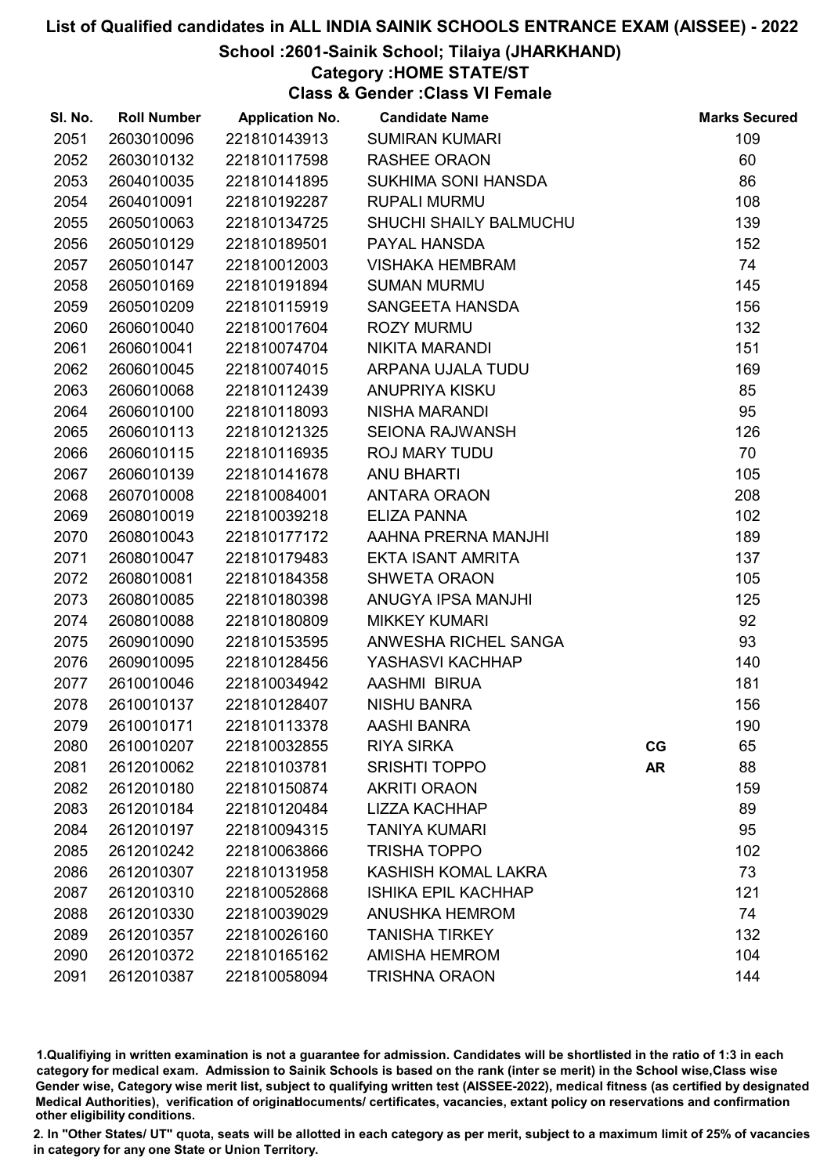### School :2601-Sainik School; Tilaiya (JHARKHAND)

### Category :HOME STATE/ST

Class & Gender :Class VI Female

| SI. No. | <b>Roll Number</b> | <b>Application No.</b> | <b>Candidate Name</b>      |           | <b>Marks Secured</b> |
|---------|--------------------|------------------------|----------------------------|-----------|----------------------|
| 2051    | 2603010096         | 221810143913           | <b>SUMIRAN KUMARI</b>      |           | 109                  |
| 2052    | 2603010132         | 221810117598           | <b>RASHEE ORAON</b>        |           | 60                   |
| 2053    | 2604010035         | 221810141895           | SUKHIMA SONI HANSDA        |           | 86                   |
| 2054    | 2604010091         | 221810192287           | <b>RUPALI MURMU</b>        |           | 108                  |
| 2055    | 2605010063         | 221810134725           | SHUCHI SHAILY BALMUCHU     |           | 139                  |
| 2056    | 2605010129         | 221810189501           | PAYAL HANSDA               |           | 152                  |
| 2057    | 2605010147         | 221810012003           | <b>VISHAKA HEMBRAM</b>     |           | 74                   |
| 2058    | 2605010169         | 221810191894           | <b>SUMAN MURMU</b>         |           | 145                  |
| 2059    | 2605010209         | 221810115919           | SANGEETA HANSDA            |           | 156                  |
| 2060    | 2606010040         | 221810017604           | <b>ROZY MURMU</b>          |           | 132                  |
| 2061    | 2606010041         | 221810074704           | <b>NIKITA MARANDI</b>      |           | 151                  |
| 2062    | 2606010045         | 221810074015           | ARPANA UJALA TUDU          |           | 169                  |
| 2063    | 2606010068         | 221810112439           | <b>ANUPRIYA KISKU</b>      |           | 85                   |
| 2064    | 2606010100         | 221810118093           | <b>NISHA MARANDI</b>       |           | 95                   |
| 2065    | 2606010113         | 221810121325           | <b>SEIONA RAJWANSH</b>     |           | 126                  |
| 2066    | 2606010115         | 221810116935           | <b>ROJ MARY TUDU</b>       |           | 70                   |
| 2067    | 2606010139         | 221810141678           | <b>ANU BHARTI</b>          |           | 105                  |
| 2068    | 2607010008         | 221810084001           | <b>ANTARA ORAON</b>        |           | 208                  |
| 2069    | 2608010019         | 221810039218           | <b>ELIZA PANNA</b>         |           | 102                  |
| 2070    | 2608010043         | 221810177172           | AAHNA PRERNA MANJHI        |           | 189                  |
| 2071    | 2608010047         | 221810179483           | <b>EKTA ISANT AMRITA</b>   |           | 137                  |
| 2072    | 2608010081         | 221810184358           | <b>SHWETA ORAON</b>        |           | 105                  |
| 2073    | 2608010085         | 221810180398           | ANUGYA IPSA MANJHI         |           | 125                  |
| 2074    | 2608010088         | 221810180809           | <b>MIKKEY KUMARI</b>       |           | 92                   |
| 2075    | 2609010090         | 221810153595           | ANWESHA RICHEL SANGA       |           | 93                   |
| 2076    | 2609010095         | 221810128456           | YASHASVI KACHHAP           |           | 140                  |
| 2077    | 2610010046         | 221810034942           | AASHMI BIRUA               |           | 181                  |
| 2078    | 2610010137         | 221810128407           | <b>NISHU BANRA</b>         |           | 156                  |
| 2079    | 2610010171         | 221810113378           | <b>AASHI BANRA</b>         |           | 190                  |
| 2080    | 2610010207         | 221810032855           | <b>RIYA SIRKA</b>          | CG        | 65                   |
| 2081    | 2612010062         | 221810103781           | <b>SRISHTI TOPPO</b>       | <b>AR</b> | 88                   |
| 2082    | 2612010180         | 221810150874           | <b>AKRITI ORAON</b>        |           | 159                  |
| 2083    | 2612010184         | 221810120484           | <b>LIZZA KACHHAP</b>       |           | 89                   |
| 2084    | 2612010197         | 221810094315           | <b>TANIYA KUMARI</b>       |           | 95                   |
| 2085    | 2612010242         | 221810063866           | <b>TRISHA TOPPO</b>        |           | 102                  |
| 2086    | 2612010307         | 221810131958           | KASHISH KOMAL LAKRA        |           | 73                   |
| 2087    | 2612010310         | 221810052868           | <b>ISHIKA EPIL KACHHAP</b> |           | 121                  |
| 2088    | 2612010330         | 221810039029           | <b>ANUSHKA HEMROM</b>      |           | 74                   |
| 2089    | 2612010357         | 221810026160           | <b>TANISHA TIRKEY</b>      |           | 132                  |
| 2090    | 2612010372         | 221810165162           | <b>AMISHA HEMROM</b>       |           | 104                  |
| 2091    | 2612010387         | 221810058094           | <b>TRISHNA ORAON</b>       |           | 144                  |

1.Qualifiying in written examination is not a guarantee for admission. Candidates will be shortlisted in the ratio of 1:3 in each category for medical exam. Admission to Sainik Schools is based on the rank (inter se merit) in the School wise,Class wise Gender wise, Category wise merit list, subject to qualifying written test (AISSEE-2022), medical fitness (as certified by designated Medical Authorities), verification of originablocuments/ certificates, vacancies, extant policy on reservations and confirmation other eligibility conditions.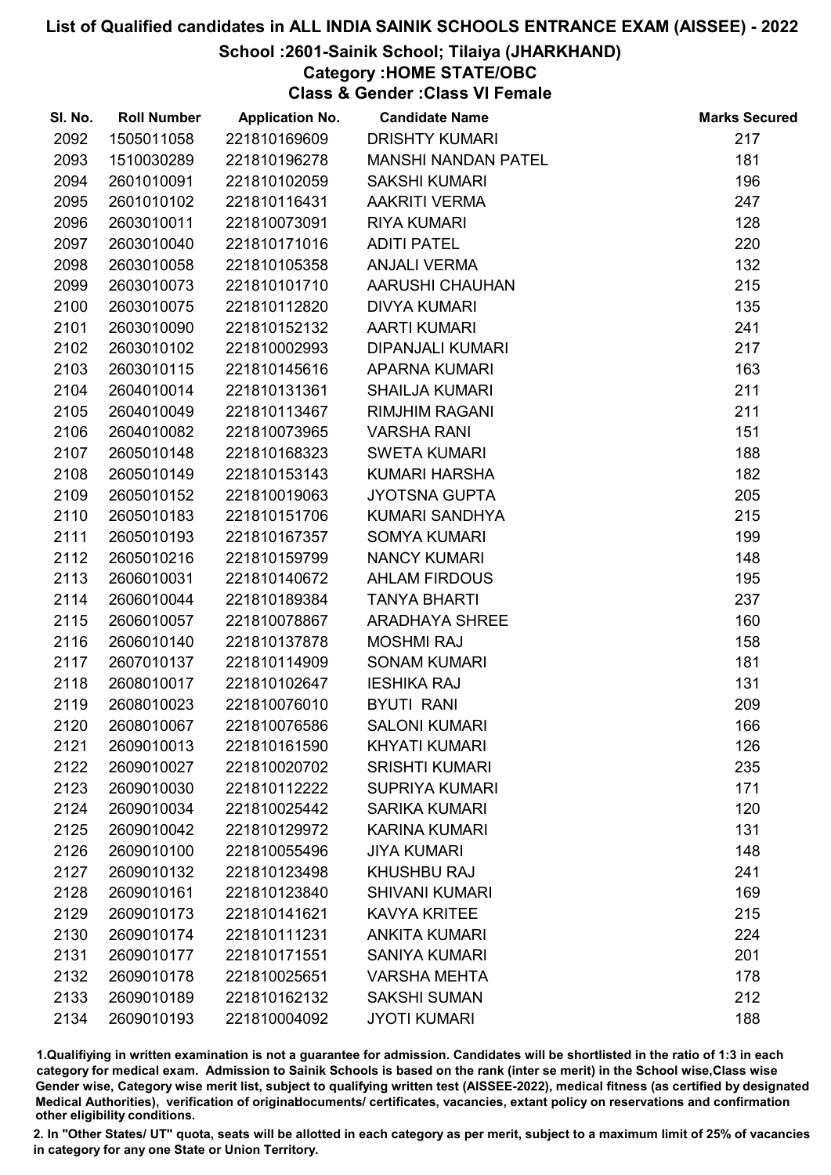### School :2601-Sainik School; Tilaiya (JHARKHAND)

## Category :HOME STATE/OBC

Class & Gender :Class VI Female

| SI. No. | <b>Roll Number</b> | <b>Application No.</b> | <b>Candidate Name</b>      | <b>Marks Secured</b> |
|---------|--------------------|------------------------|----------------------------|----------------------|
| 2092    | 1505011058         | 221810169609           | <b>DRISHTY KUMARI</b>      | 217                  |
| 2093    | 1510030289         | 221810196278           | <b>MANSHI NANDAN PATEL</b> | 181                  |
| 2094    | 2601010091         | 221810102059           | <b>SAKSHI KUMARI</b>       | 196                  |
| 2095    | 2601010102         | 221810116431           | <b>AAKRITI VERMA</b>       | 247                  |
| 2096    | 2603010011         | 221810073091           | <b>RIYA KUMARI</b>         | 128                  |
| 2097    | 2603010040         | 221810171016           | <b>ADITI PATEL</b>         | 220                  |
| 2098    | 2603010058         | 221810105358           | <b>ANJALI VERMA</b>        | 132                  |
| 2099    | 2603010073         | 221810101710           | AARUSHI CHAUHAN            | 215                  |
| 2100    | 2603010075         | 221810112820           | <b>DIVYA KUMARI</b>        | 135                  |
| 2101    | 2603010090         | 221810152132           | <b>AARTI KUMARI</b>        | 241                  |
| 2102    | 2603010102         | 221810002993           | DIPANJALI KUMARI           | 217                  |
| 2103    | 2603010115         | 221810145616           | <b>APARNA KUMARI</b>       | 163                  |
| 2104    | 2604010014         | 221810131361           | <b>SHAILJA KUMARI</b>      | 211                  |
| 2105    | 2604010049         | 221810113467           | <b>RIMJHIM RAGANI</b>      | 211                  |
| 2106    | 2604010082         | 221810073965           | <b>VARSHA RANI</b>         | 151                  |
| 2107    | 2605010148         | 221810168323           | <b>SWETA KUMARI</b>        | 188                  |
| 2108    | 2605010149         | 221810153143           | KUMARI HARSHA              | 182                  |
| 2109    | 2605010152         | 221810019063           | <b>JYOTSNA GUPTA</b>       | 205                  |
| 2110    | 2605010183         | 221810151706           | KUMARI SANDHYA             | 215                  |
| 2111    | 2605010193         | 221810167357           | <b>SOMYA KUMARI</b>        | 199                  |
| 2112    | 2605010216         | 221810159799           | <b>NANCY KUMARI</b>        | 148                  |
| 2113    | 2606010031         | 221810140672           | <b>AHLAM FIRDOUS</b>       | 195                  |
| 2114    | 2606010044         | 221810189384           | <b>TANYA BHARTI</b>        | 237                  |
| 2115    | 2606010057         | 221810078867           | <b>ARADHAYA SHREE</b>      | 160                  |
| 2116    | 2606010140         | 221810137878           | <b>MOSHMI RAJ</b>          | 158                  |
| 2117    | 2607010137         | 221810114909           | <b>SONAM KUMARI</b>        | 181                  |
| 2118    | 2608010017         | 221810102647           | <b>IESHIKA RAJ</b>         | 131                  |
| 2119    | 2608010023         | 221810076010           | <b>BYUTI RANI</b>          | 209                  |
| 2120    | 2608010067         | 221810076586           | <b>SALONI KUMARI</b>       | 166                  |
| 2121    | 2609010013         | 221810161590           | <b>KHYATI KUMARI</b>       | 126                  |
| 2122    | 2609010027         | 221810020702           | <b>SRISHTI KUMARI</b>      | 235                  |
| 2123    | 2609010030         | 221810112222           | <b>SUPRIYA KUMARI</b>      | 171                  |
| 2124    | 2609010034         | 221810025442           | <b>SARIKA KUMARI</b>       | 120                  |
| 2125    | 2609010042         | 221810129972           | <b>KARINA KUMARI</b>       | 131                  |
| 2126    | 2609010100         | 221810055496           | <b>JIYA KUMARI</b>         | 148                  |
| 2127    | 2609010132         | 221810123498           | <b>KHUSHBU RAJ</b>         | 241                  |
| 2128    | 2609010161         | 221810123840           | <b>SHIVANI KUMARI</b>      | 169                  |
| 2129    | 2609010173         | 221810141621           | <b>KAVYA KRITEE</b>        | 215                  |
| 2130    | 2609010174         | 221810111231           | <b>ANKITA KUMARI</b>       | 224                  |
| 2131    | 2609010177         | 221810171551           | <b>SANIYA KUMARI</b>       | 201                  |
| 2132    | 2609010178         | 221810025651           | <b>VARSHA MEHTA</b>        | 178                  |
| 2133    | 2609010189         | 221810162132           | <b>SAKSHI SUMAN</b>        | 212                  |
| 2134    | 2609010193         | 221810004092           | <b>JYOTI KUMARI</b>        | 188                  |

1.Qualifiying in written examination is not a guarantee for admission. Candidates will be shortlisted in the ratio of 1:3 in each category for medical exam. Admission to Sainik Schools is based on the rank (inter se merit) in the School wise,Class wise Gender wise, Category wise merit list, subject to qualifying written test (AISSEE-2022), medical fitness (as certified by designated Medical Authorities), verification of originablocuments/ certificates, vacancies, extant policy on reservations and confirmation other eligibility conditions.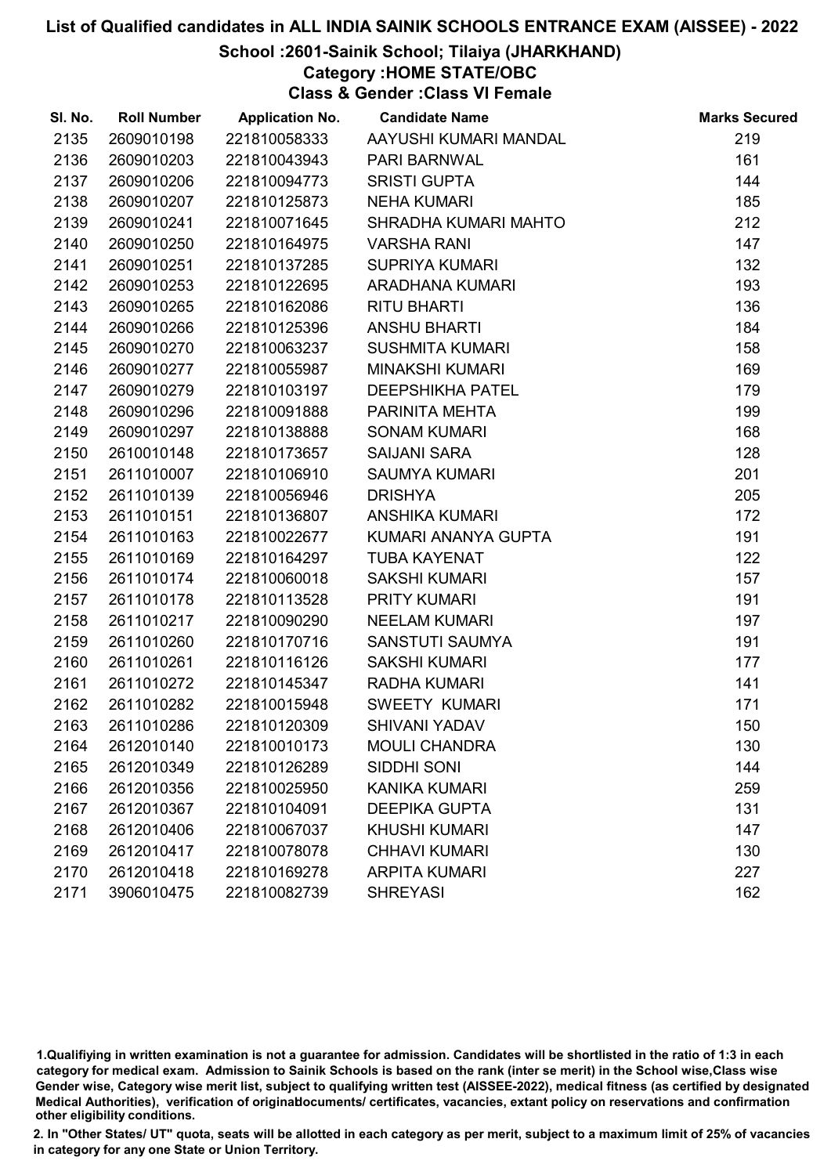#### School :2601-Sainik School; Tilaiya (JHARKHAND)

## Category :HOME STATE/OBC

Class & Gender :Class VI Female

| SI. No. | <b>Roll Number</b> | <b>Application No.</b> | <b>Candidate Name</b>   | <b>Marks Secured</b> |
|---------|--------------------|------------------------|-------------------------|----------------------|
| 2135    | 2609010198         | 221810058333           | AAYUSHI KUMARI MANDAL   | 219                  |
| 2136    | 2609010203         | 221810043943           | PARI BARNWAL            | 161                  |
| 2137    | 2609010206         | 221810094773           | <b>SRISTI GUPTA</b>     | 144                  |
| 2138    | 2609010207         | 221810125873           | <b>NEHA KUMARI</b>      | 185                  |
| 2139    | 2609010241         | 221810071645           | SHRADHA KUMARI MAHTO    | 212                  |
| 2140    | 2609010250         | 221810164975           | <b>VARSHA RANI</b>      | 147                  |
| 2141    | 2609010251         | 221810137285           | <b>SUPRIYA KUMARI</b>   | 132                  |
| 2142    | 2609010253         | 221810122695           | ARADHANA KUMARI         | 193                  |
| 2143    | 2609010265         | 221810162086           | <b>RITU BHARTI</b>      | 136                  |
| 2144    | 2609010266         | 221810125396           | <b>ANSHU BHARTI</b>     | 184                  |
| 2145    | 2609010270         | 221810063237           | <b>SUSHMITA KUMARI</b>  | 158                  |
| 2146    | 2609010277         | 221810055987           | <b>MINAKSHI KUMARI</b>  | 169                  |
| 2147    | 2609010279         | 221810103197           | <b>DEEPSHIKHA PATEL</b> | 179                  |
| 2148    | 2609010296         | 221810091888           | PARINITA MEHTA          | 199                  |
| 2149    | 2609010297         | 221810138888           | <b>SONAM KUMARI</b>     | 168                  |
| 2150    | 2610010148         | 221810173657           | <b>SAIJANI SARA</b>     | 128                  |
| 2151    | 2611010007         | 221810106910           | <b>SAUMYA KUMARI</b>    | 201                  |
| 2152    | 2611010139         | 221810056946           | <b>DRISHYA</b>          | 205                  |
| 2153    | 2611010151         | 221810136807           | <b>ANSHIKA KUMARI</b>   | 172                  |
| 2154    | 2611010163         | 221810022677           | KUMARI ANANYA GUPTA     | 191                  |
| 2155    | 2611010169         | 221810164297           | <b>TUBA KAYENAT</b>     | 122                  |
| 2156    | 2611010174         | 221810060018           | <b>SAKSHI KUMARI</b>    | 157                  |
| 2157    | 2611010178         | 221810113528           | PRITY KUMARI            | 191                  |
| 2158    | 2611010217         | 221810090290           | <b>NEELAM KUMARI</b>    | 197                  |
| 2159    | 2611010260         | 221810170716           | SANSTUTI SAUMYA         | 191                  |
| 2160    | 2611010261         | 221810116126           | <b>SAKSHI KUMARI</b>    | 177                  |
| 2161    | 2611010272         | 221810145347           | RADHA KUMARI            | 141                  |
| 2162    | 2611010282         | 221810015948           | <b>SWEETY KUMARI</b>    | 171                  |
| 2163    | 2611010286         | 221810120309           | <b>SHIVANI YADAV</b>    | 150                  |
| 2164    | 2612010140         | 221810010173           | <b>MOULI CHANDRA</b>    | 130                  |
| 2165    | 2612010349         | 221810126289           | SIDDHI SONI             | 144                  |
| 2166    | 2612010356         | 221810025950           | <b>KANIKA KUMARI</b>    | 259                  |
| 2167    | 2612010367         | 221810104091           | <b>DEEPIKA GUPTA</b>    | 131                  |
| 2168    | 2612010406         | 221810067037           | <b>KHUSHI KUMARI</b>    | 147                  |
| 2169    | 2612010417         | 221810078078           | <b>CHHAVI KUMARI</b>    | 130                  |
| 2170    | 2612010418         | 221810169278           | <b>ARPITA KUMARI</b>    | 227                  |
| 2171    | 3906010475         | 221810082739           | <b>SHREYASI</b>         | 162                  |

1.Qualifiying in written examination is not a guarantee for admission. Candidates will be shortlisted in the ratio of 1:3 in each category for medical exam. Admission to Sainik Schools is based on the rank (inter se merit) in the School wise,Class wise Gender wise, Category wise merit list, subject to qualifying written test (AISSEE-2022), medical fitness (as certified by designated Medical Authorities), verification of originablocuments/ certificates, vacancies, extant policy on reservations and confirmation other eligibility conditions.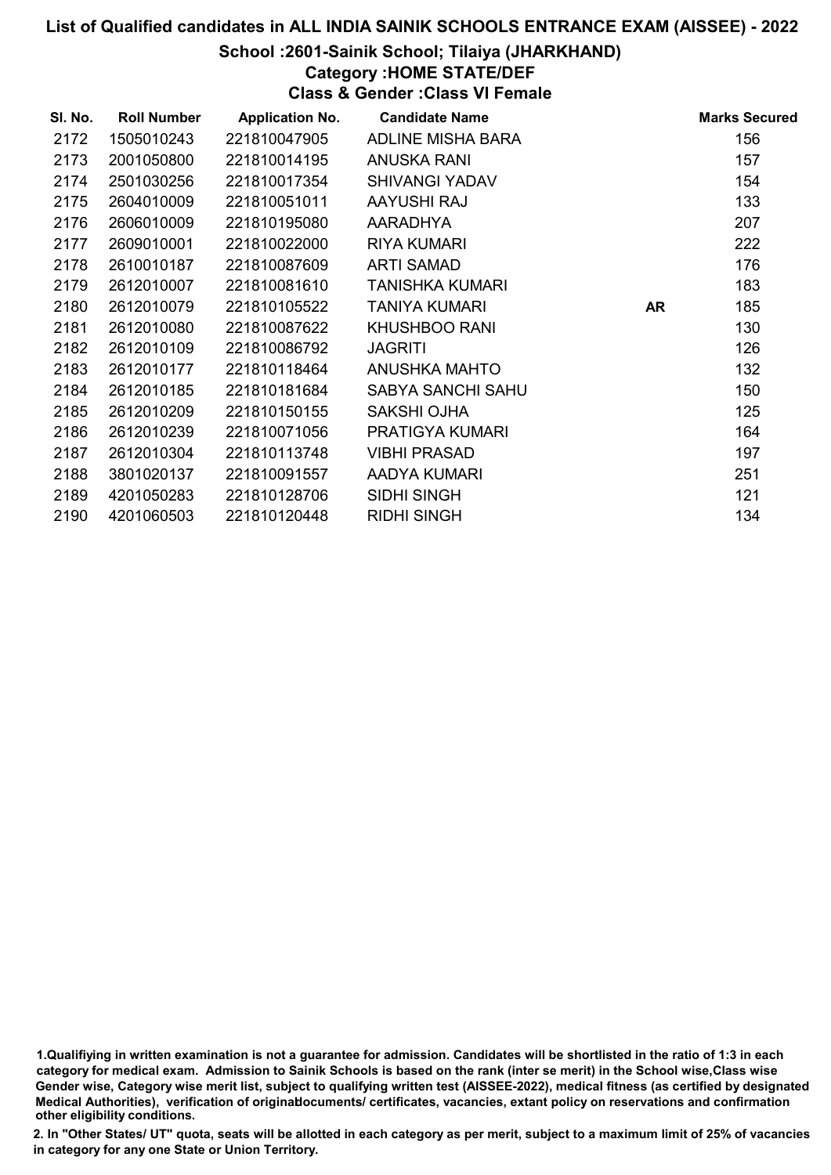### School :2601-Sainik School; Tilaiya (JHARKHAND)

## Category :HOME STATE/DEF

Class & Gender :Class VI Female

| SI. No. | <b>Roll Number</b> | <b>Application No.</b> | <b>Candidate Name</b>    |    | <b>Marks Secured</b> |
|---------|--------------------|------------------------|--------------------------|----|----------------------|
| 2172    | 1505010243         | 221810047905           | ADLINE MISHA BARA        |    | 156                  |
| 2173    | 2001050800         | 221810014195           | <b>ANUSKA RANI</b>       |    | 157                  |
| 2174    | 2501030256         | 221810017354           | <b>SHIVANGI YADAV</b>    |    | 154                  |
| 2175    | 2604010009         | 221810051011           | AAYUSHI RAJ              |    | 133                  |
| 2176    | 2606010009         | 221810195080           | AARADHYA                 |    | 207                  |
| 2177    | 2609010001         | 221810022000           | <b>RIYA KUMARI</b>       |    | 222                  |
| 2178    | 2610010187         | 221810087609           | <b>ARTI SAMAD</b>        |    | 176                  |
| 2179    | 2612010007         | 221810081610           | <b>TANISHKA KUMARI</b>   |    | 183                  |
| 2180    | 2612010079         | 221810105522           | <b>TANIYA KUMARI</b>     | AR | 185                  |
| 2181    | 2612010080         | 221810087622           | <b>KHUSHBOO RANI</b>     |    | 130                  |
| 2182    | 2612010109         | 221810086792           | <b>JAGRITI</b>           |    | 126                  |
| 2183    | 2612010177         | 221810118464           | ANUSHKA MAHTO            |    | 132                  |
| 2184    | 2612010185         | 221810181684           | <b>SABYA SANCHI SAHU</b> |    | 150                  |
| 2185    | 2612010209         | 221810150155           | <b>SAKSHI OJHA</b>       |    | 125                  |
| 2186    | 2612010239         | 221810071056           | PRATIGYA KUMARI          |    | 164                  |
| 2187    | 2612010304         | 221810113748           | <b>VIBHI PRASAD</b>      |    | 197                  |
| 2188    | 3801020137         | 221810091557           | AADYA KUMARI             |    | 251                  |
| 2189    | 4201050283         | 221810128706           | <b>SIDHI SINGH</b>       |    | 121                  |
| 2190    | 4201060503         | 221810120448           | <b>RIDHI SINGH</b>       |    | 134                  |

1.Qualifiying in written examination is not a guarantee for admission. Candidates will be shortlisted in the ratio of 1:3 in each category for medical exam. Admission to Sainik Schools is based on the rank (inter se merit) in the School wise,Class wise Gender wise, Category wise merit list, subject to qualifying written test (AISSEE-2022), medical fitness (as certified by designated Medical Authorities), verification of originablocuments/ certificates, vacancies, extant policy on reservations and confirmation other eligibility conditions.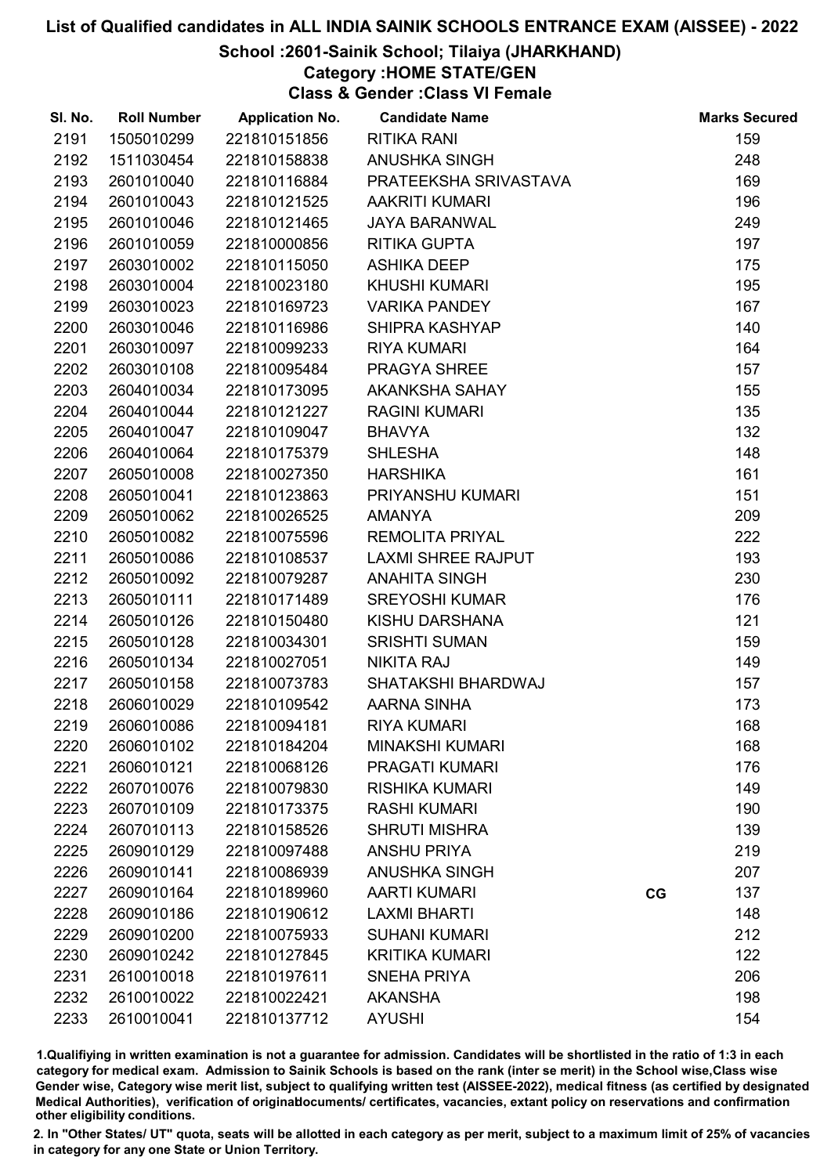### School :2601-Sainik School; Tilaiya (JHARKHAND)

## Category :HOME STATE/GEN

Class & Gender :Class VI Female

| SI. No. | <b>Roll Number</b> | <b>Application No.</b> | <b>Candidate Name</b>     |    | <b>Marks Secured</b> |
|---------|--------------------|------------------------|---------------------------|----|----------------------|
| 2191    | 1505010299         | 221810151856           | <b>RITIKA RANI</b>        |    | 159                  |
| 2192    | 1511030454         | 221810158838           | ANUSHKA SINGH             |    | 248                  |
| 2193    | 2601010040         | 221810116884           | PRATEEKSHA SRIVASTAVA     |    | 169                  |
| 2194    | 2601010043         | 221810121525           | <b>AAKRITI KUMARI</b>     |    | 196                  |
| 2195    | 2601010046         | 221810121465           | <b>JAYA BARANWAL</b>      |    | 249                  |
| 2196    | 2601010059         | 221810000856           | <b>RITIKA GUPTA</b>       |    | 197                  |
| 2197    | 2603010002         | 221810115050           | <b>ASHIKA DEEP</b>        |    | 175                  |
| 2198    | 2603010004         | 221810023180           | <b>KHUSHI KUMARI</b>      |    | 195                  |
| 2199    | 2603010023         | 221810169723           | <b>VARIKA PANDEY</b>      |    | 167                  |
| 2200    | 2603010046         | 221810116986           | SHIPRA KASHYAP            |    | 140                  |
| 2201    | 2603010097         | 221810099233           | <b>RIYA KUMARI</b>        |    | 164                  |
| 2202    | 2603010108         | 221810095484           | <b>PRAGYA SHREE</b>       |    | 157                  |
| 2203    | 2604010034         | 221810173095           | AKANKSHA SAHAY            |    | 155                  |
| 2204    | 2604010044         | 221810121227           | <b>RAGINI KUMARI</b>      |    | 135                  |
| 2205    | 2604010047         | 221810109047           | <b>BHAVYA</b>             |    | 132                  |
| 2206    | 2604010064         | 221810175379           | <b>SHLESHA</b>            |    | 148                  |
| 2207    | 2605010008         | 221810027350           | <b>HARSHIKA</b>           |    | 161                  |
| 2208    | 2605010041         | 221810123863           | PRIYANSHU KUMARI          |    | 151                  |
| 2209    | 2605010062         | 221810026525           | <b>AMANYA</b>             |    | 209                  |
| 2210    | 2605010082         | 221810075596           | <b>REMOLITA PRIYAL</b>    |    | 222                  |
| 2211    | 2605010086         | 221810108537           | <b>LAXMI SHREE RAJPUT</b> |    | 193                  |
| 2212    | 2605010092         | 221810079287           | <b>ANAHITA SINGH</b>      |    | 230                  |
| 2213    | 2605010111         | 221810171489           | <b>SREYOSHI KUMAR</b>     |    | 176                  |
| 2214    | 2605010126         | 221810150480           | KISHU DARSHANA            |    | 121                  |
| 2215    | 2605010128         | 221810034301           | <b>SRISHTI SUMAN</b>      |    | 159                  |
| 2216    | 2605010134         | 221810027051           | <b>NIKITA RAJ</b>         |    | 149                  |
| 2217    | 2605010158         | 221810073783           | SHATAKSHI BHARDWAJ        |    | 157                  |
| 2218    | 2606010029         | 221810109542           | <b>AARNA SINHA</b>        |    | 173                  |
| 2219    | 2606010086         | 221810094181           | <b>RIYA KUMARI</b>        |    | 168                  |
| 2220    | 2606010102         | 221810184204           | <b>MINAKSHI KUMARI</b>    |    | 168                  |
| 2221    | 2606010121         | 221810068126           | <b>PRAGATI KUMARI</b>     |    | 176                  |
| 2222    | 2607010076         | 221810079830           | <b>RISHIKA KUMARI</b>     |    | 149                  |
| 2223    | 2607010109         | 221810173375           | <b>RASHI KUMARI</b>       |    | 190                  |
| 2224    | 2607010113         | 221810158526           | <b>SHRUTI MISHRA</b>      |    | 139                  |
| 2225    | 2609010129         | 221810097488           | <b>ANSHU PRIYA</b>        |    | 219                  |
| 2226    | 2609010141         | 221810086939           | <b>ANUSHKA SINGH</b>      |    | 207                  |
| 2227    | 2609010164         | 221810189960           | <b>AARTI KUMARI</b>       | CG | 137                  |
| 2228    | 2609010186         | 221810190612           | <b>LAXMI BHARTI</b>       |    | 148                  |
| 2229    | 2609010200         | 221810075933           | <b>SUHANI KUMARI</b>      |    | 212                  |
| 2230    | 2609010242         | 221810127845           | <b>KRITIKA KUMARI</b>     |    | 122                  |
| 2231    | 2610010018         | 221810197611           | <b>SNEHA PRIYA</b>        |    | 206                  |
| 2232    | 2610010022         | 221810022421           | <b>AKANSHA</b>            |    | 198                  |
| 2233    | 2610010041         | 221810137712           | <b>AYUSHI</b>             |    | 154                  |

1.Qualifiying in written examination is not a guarantee for admission. Candidates will be shortlisted in the ratio of 1:3 in each category for medical exam. Admission to Sainik Schools is based on the rank (inter se merit) in the School wise,Class wise Gender wise, Category wise merit list, subject to qualifying written test (AISSEE-2022), medical fitness (as certified by designated Medical Authorities), verification of originablocuments/ certificates, vacancies, extant policy on reservations and confirmation other eligibility conditions.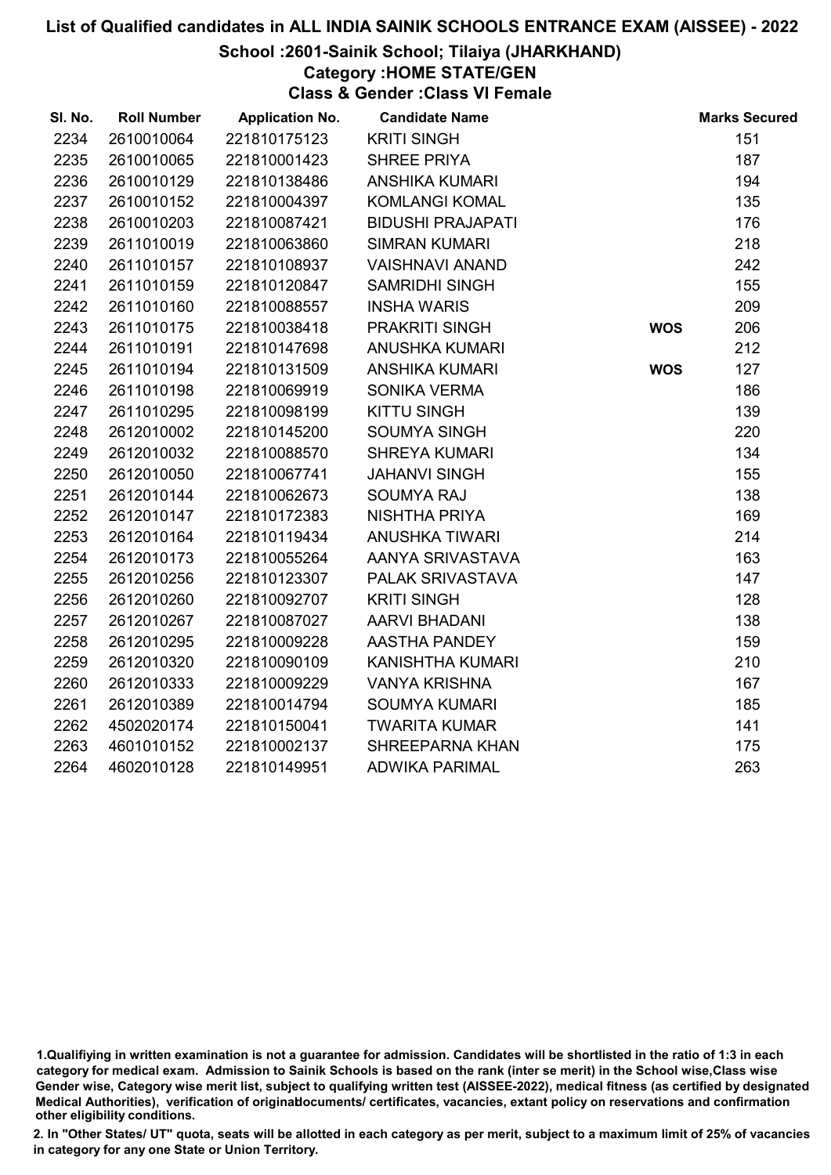### School :2601-Sainik School; Tilaiya (JHARKHAND)

Category :HOME STATE/GEN

Class & Gender :Class VI Female

| SI. No. | <b>Roll Number</b> | <b>Application No.</b> | <b>Candidate Name</b>    |            | <b>Marks Secured</b> |
|---------|--------------------|------------------------|--------------------------|------------|----------------------|
| 2234    | 2610010064         | 221810175123           | <b>KRITI SINGH</b>       |            | 151                  |
| 2235    | 2610010065         | 221810001423           | SHREE PRIYA              |            | 187                  |
| 2236    | 2610010129         | 221810138486           | <b>ANSHIKA KUMARI</b>    |            | 194                  |
| 2237    | 2610010152         | 221810004397           | <b>KOMLANGI KOMAL</b>    |            | 135                  |
| 2238    | 2610010203         | 221810087421           | <b>BIDUSHI PRAJAPATI</b> |            | 176                  |
| 2239    | 2611010019         | 221810063860           | <b>SIMRAN KUMARI</b>     |            | 218                  |
| 2240    | 2611010157         | 221810108937           | <b>VAISHNAVI ANAND</b>   |            | 242                  |
| 2241    | 2611010159         | 221810120847           | <b>SAMRIDHI SINGH</b>    |            | 155                  |
| 2242    | 2611010160         | 221810088557           | <b>INSHA WARIS</b>       |            | 209                  |
| 2243    | 2611010175         | 221810038418           | PRAKRITI SINGH           | <b>WOS</b> | 206                  |
| 2244    | 2611010191         | 221810147698           | <b>ANUSHKA KUMARI</b>    |            | 212                  |
| 2245    | 2611010194         | 221810131509           | <b>ANSHIKA KUMARI</b>    | <b>WOS</b> | 127                  |
| 2246    | 2611010198         | 221810069919           | <b>SONIKA VERMA</b>      |            | 186                  |
| 2247    | 2611010295         | 221810098199           | <b>KITTU SINGH</b>       |            | 139                  |
| 2248    | 2612010002         | 221810145200           | <b>SOUMYA SINGH</b>      |            | 220                  |
| 2249    | 2612010032         | 221810088570           | <b>SHREYA KUMARI</b>     |            | 134                  |
| 2250    | 2612010050         | 221810067741           | <b>JAHANVI SINGH</b>     |            | 155                  |
| 2251    | 2612010144         | 221810062673           | <b>SOUMYA RAJ</b>        |            | 138                  |
| 2252    | 2612010147         | 221810172383           | NISHTHA PRIYA            |            | 169                  |
| 2253    | 2612010164         | 221810119434           | <b>ANUSHKA TIWARI</b>    |            | 214                  |
| 2254    | 2612010173         | 221810055264           | AANYA SRIVASTAVA         |            | 163                  |
| 2255    | 2612010256         | 221810123307           | PALAK SRIVASTAVA         |            | 147                  |
| 2256    | 2612010260         | 221810092707           | <b>KRITI SINGH</b>       |            | 128                  |
| 2257    | 2612010267         | 221810087027           | <b>AARVI BHADANI</b>     |            | 138                  |
| 2258    | 2612010295         | 221810009228           | AASTHA PANDEY            |            | 159                  |
| 2259    | 2612010320         | 221810090109           | <b>KANISHTHA KUMARI</b>  |            | 210                  |
| 2260    | 2612010333         | 221810009229           | <b>VANYA KRISHNA</b>     |            | 167                  |
| 2261    | 2612010389         | 221810014794           | <b>SOUMYA KUMARI</b>     |            | 185                  |
| 2262    | 4502020174         | 221810150041           | <b>TWARITA KUMAR</b>     |            | 141                  |
| 2263    | 4601010152         | 221810002137           | SHREEPARNA KHAN          |            | 175                  |
| 2264    | 4602010128         | 221810149951           | <b>ADWIKA PARIMAL</b>    |            | 263                  |

<sup>1.</sup>Qualifiying in written examination is not a guarantee for admission. Candidates will be shortlisted in the ratio of 1:3 in each category for medical exam. Admission to Sainik Schools is based on the rank (inter se merit) in the School wise,Class wise Gender wise, Category wise merit list, subject to qualifying written test (AISSEE-2022), medical fitness (as certified by designated Medical Authorities), verification of originablocuments/ certificates, vacancies, extant policy on reservations and confirmation other eligibility conditions.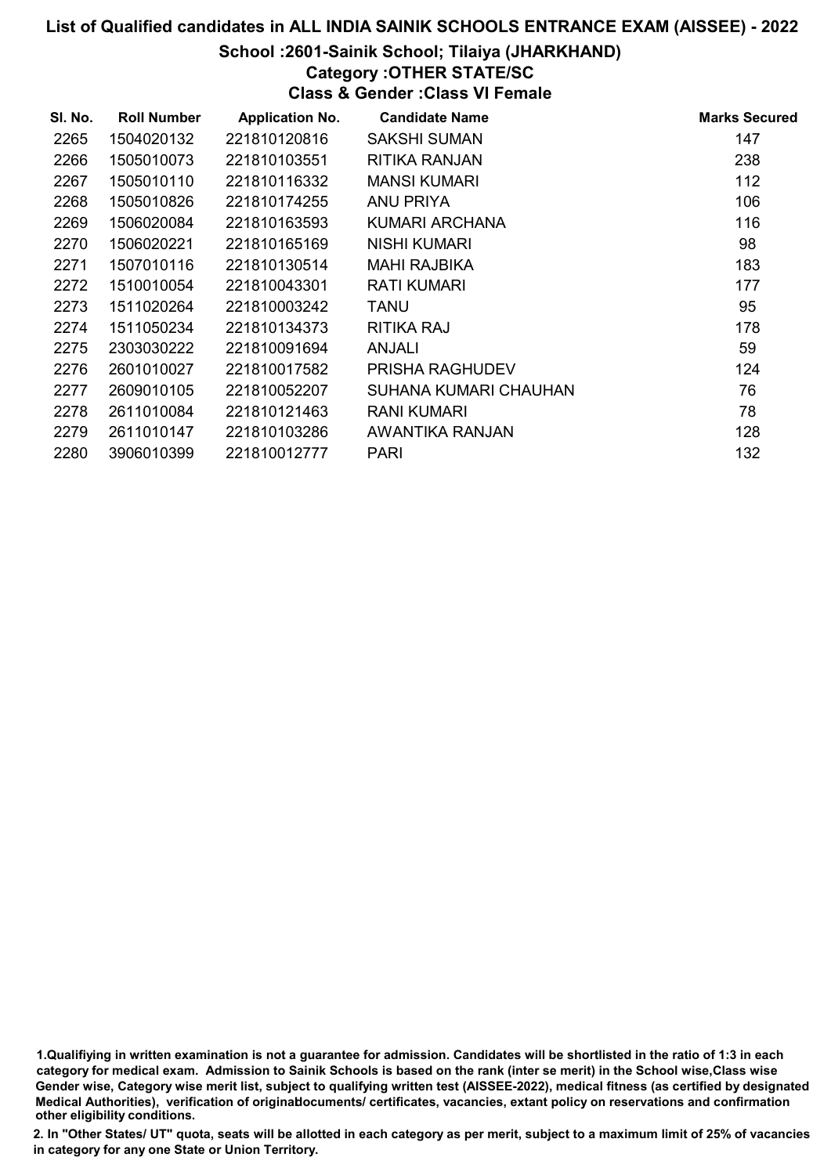## School :2601-Sainik School; Tilaiya (JHARKHAND)

## Category :OTHER STATE/SC

Class & Gender :Class VI Female

| SI. No. | <b>Roll Number</b> | <b>Application No.</b> | <b>Candidate Name</b> | <b>Marks Secured</b> |
|---------|--------------------|------------------------|-----------------------|----------------------|
| 2265    | 1504020132         | 221810120816           | <b>SAKSHI SUMAN</b>   | 147                  |
| 2266    | 1505010073         | 221810103551           | RITIKA RANJAN         | 238                  |
| 2267    | 1505010110         | 221810116332           | <b>MANSI KUMARI</b>   | 112                  |
| 2268    | 1505010826         | 221810174255           | ANU PRIYA             | 106                  |
| 2269    | 1506020084         | 221810163593           | KUMARI ARCHANA        | 116                  |
| 2270    | 1506020221         | 221810165169           | <b>NISHI KUMARI</b>   | 98                   |
| 2271    | 1507010116         | 221810130514           | <b>MAHI RAJBIKA</b>   | 183                  |
| 2272    | 1510010054         | 221810043301           | <b>RATI KUMARI</b>    | 177                  |
| 2273    | 1511020264         | 221810003242           | <b>TANU</b>           | 95                   |
| 2274    | 1511050234         | 221810134373           | <b>RITIKA RAJ</b>     | 178                  |
| 2275    | 2303030222         | 221810091694           | ANJALI                | 59                   |
| 2276    | 2601010027         | 221810017582           | PRISHA RAGHUDEV       | 124                  |
| 2277    | 2609010105         | 221810052207           | SUHANA KUMARI CHAUHAN | 76                   |
| 2278    | 2611010084         | 221810121463           | RANI KUMARI           | 78                   |
| 2279    | 2611010147         | 221810103286           | AWANTIKA RANJAN       | 128                  |
| 2280    | 3906010399         | 221810012777           | <b>PARI</b>           | 132                  |

<sup>1.</sup>Qualifiying in written examination is not a guarantee for admission. Candidates will be shortlisted in the ratio of 1:3 in each category for medical exam. Admission to Sainik Schools is based on the rank (inter se merit) in the School wise,Class wise Gender wise, Category wise merit list, subject to qualifying written test (AISSEE-2022), medical fitness (as certified by designated Medical Authorities), verification of originablocuments/ certificates, vacancies, extant policy on reservations and confirmation other eligibility conditions.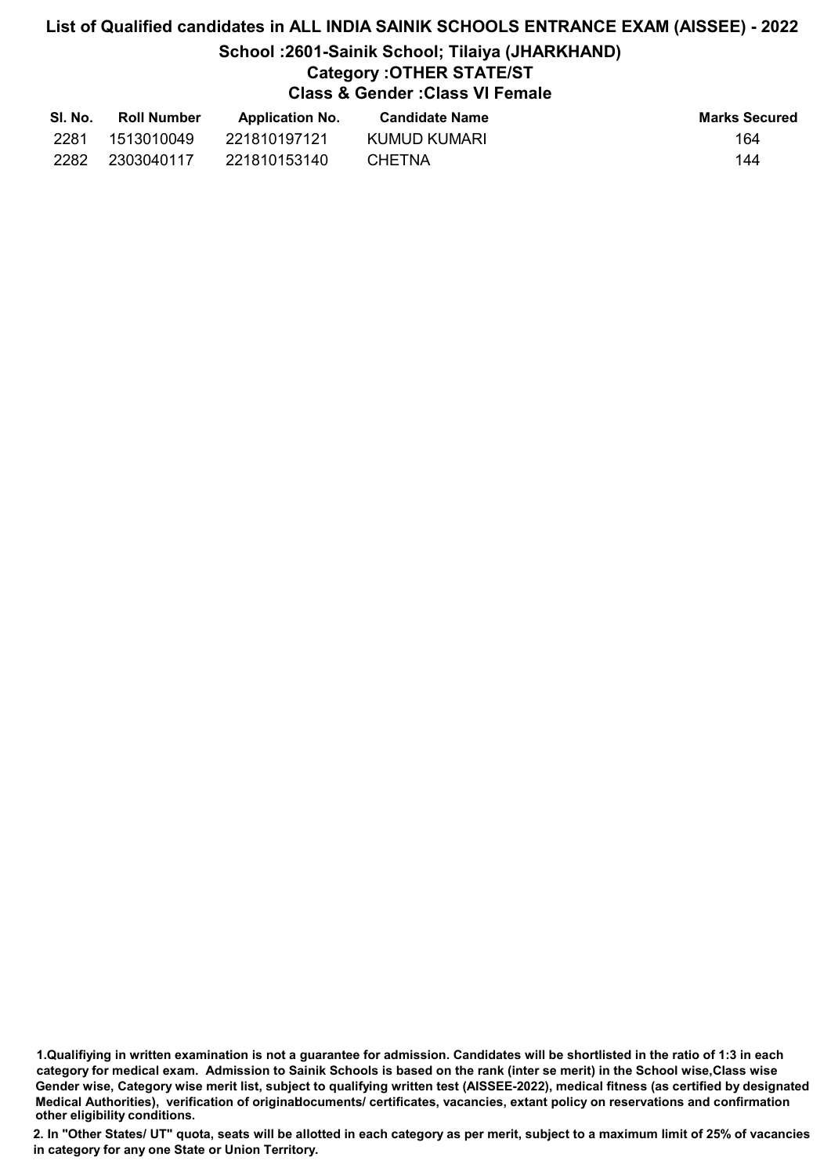# List of Qualified candidates in ALL INDIA SAINIK SCHOOLS ENTRANCE EXAM (AISSEE) - 2022 School :2601-Sainik School; Tilaiya (JHARKHAND)

# Category :OTHER STATE/ST

Class & Gender :Class VI Female

| SI. No. | <b>Roll Number</b> | <b>Application No.</b> | <b>Candidate Name</b> | <b>Marks Secured</b> |
|---------|--------------------|------------------------|-----------------------|----------------------|
| 2281    | 1513010049         | 221810197121           | KUMUD KUMARI          | 164                  |
| 2282    | 2303040117         | 221810153140           | <b>CHETNA</b>         | 144                  |

<sup>1.</sup>Qualifiying in written examination is not a guarantee for admission. Candidates will be shortlisted in the ratio of 1:3 in each category for medical exam. Admission to Sainik Schools is based on the rank (inter se merit) in the School wise,Class wise Gender wise, Category wise merit list, subject to qualifying written test (AISSEE-2022), medical fitness (as certified by designated Medical Authorities), verification of originablocuments/ certificates, vacancies, extant policy on reservations and confirmation other eligibility conditions.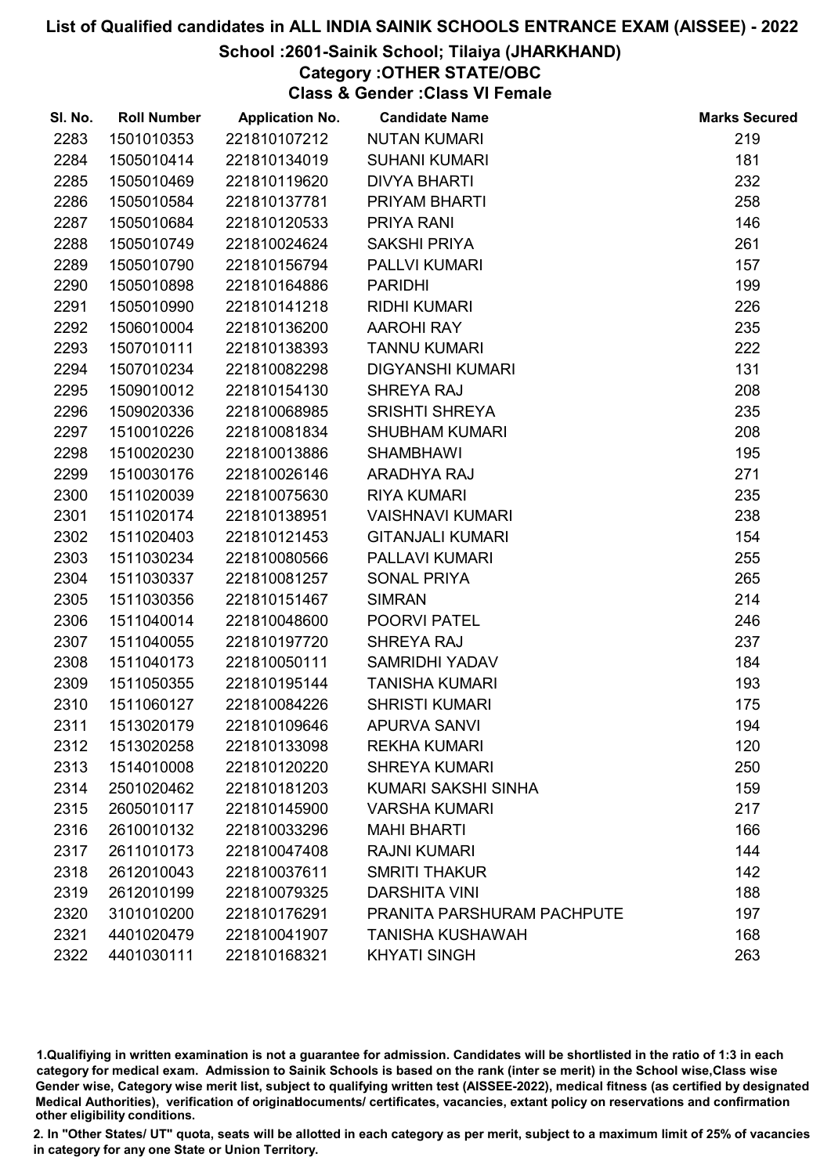## School :2601-Sainik School; Tilaiya (JHARKHAND)

Category :OTHER STATE/OBC

Class & Gender :Class VI Female

| SI. No. | <b>Roll Number</b> | <b>Application No.</b> | <b>Candidate Name</b>      | <b>Marks Secured</b> |
|---------|--------------------|------------------------|----------------------------|----------------------|
| 2283    | 1501010353         | 221810107212           | <b>NUTAN KUMARI</b>        | 219                  |
| 2284    | 1505010414         | 221810134019           | <b>SUHANI KUMARI</b>       | 181                  |
| 2285    | 1505010469         | 221810119620           | <b>DIVYA BHARTI</b>        | 232                  |
| 2286    | 1505010584         | 221810137781           | PRIYAM BHARTI              | 258                  |
| 2287    | 1505010684         | 221810120533           | PRIYA RANI                 | 146                  |
| 2288    | 1505010749         | 221810024624           | <b>SAKSHI PRIYA</b>        | 261                  |
| 2289    | 1505010790         | 221810156794           | PALLVI KUMARI              | 157                  |
| 2290    | 1505010898         | 221810164886           | <b>PARIDHI</b>             | 199                  |
| 2291    | 1505010990         | 221810141218           | <b>RIDHI KUMARI</b>        | 226                  |
| 2292    | 1506010004         | 221810136200           | <b>AAROHI RAY</b>          | 235                  |
| 2293    | 1507010111         | 221810138393           | <b>TANNU KUMARI</b>        | 222                  |
| 2294    | 1507010234         | 221810082298           | <b>DIGYANSHI KUMARI</b>    | 131                  |
| 2295    | 1509010012         | 221810154130           | SHREYA RAJ                 | 208                  |
| 2296    | 1509020336         | 221810068985           | <b>SRISHTI SHREYA</b>      | 235                  |
| 2297    | 1510010226         | 221810081834           | <b>SHUBHAM KUMARI</b>      | 208                  |
| 2298    | 1510020230         | 221810013886           | <b>SHAMBHAWI</b>           | 195                  |
| 2299    | 1510030176         | 221810026146           | ARADHYA RAJ                | 271                  |
| 2300    | 1511020039         | 221810075630           | <b>RIYA KUMARI</b>         | 235                  |
| 2301    | 1511020174         | 221810138951           | <b>VAISHNAVI KUMARI</b>    | 238                  |
| 2302    | 1511020403         | 221810121453           | <b>GITANJALI KUMARI</b>    | 154                  |
| 2303    | 1511030234         | 221810080566           | PALLAVI KUMARI             | 255                  |
| 2304    | 1511030337         | 221810081257           | <b>SONAL PRIYA</b>         | 265                  |
| 2305    | 1511030356         | 221810151467           | <b>SIMRAN</b>              | 214                  |
| 2306    | 1511040014         | 221810048600           | POORVI PATEL               | 246                  |
| 2307    | 1511040055         | 221810197720           | SHREYA RAJ                 | 237                  |
| 2308    | 1511040173         | 221810050111           | SAMRIDHI YADAV             | 184                  |
| 2309    | 1511050355         | 221810195144           | <b>TANISHA KUMARI</b>      | 193                  |
| 2310    | 1511060127         | 221810084226           | <b>SHRISTI KUMARI</b>      | 175                  |
| 2311    | 1513020179         | 221810109646           | <b>APURVA SANVI</b>        | 194                  |
| 2312    | 1513020258         | 221810133098           | <b>REKHA KUMARI</b>        | 120                  |
| 2313    | 1514010008         | 221810120220           | <b>SHREYA KUMARI</b>       | 250                  |
| 2314    | 2501020462         | 221810181203           | KUMARI SAKSHI SINHA        | 159                  |
| 2315    | 2605010117         | 221810145900           | <b>VARSHA KUMARI</b>       | 217                  |
| 2316    | 2610010132         | 221810033296           | <b>MAHI BHARTI</b>         | 166                  |
| 2317    | 2611010173         | 221810047408           | <b>RAJNI KUMARI</b>        | 144                  |
| 2318    | 2612010043         | 221810037611           | <b>SMRITI THAKUR</b>       | 142                  |
| 2319    | 2612010199         | 221810079325           | <b>DARSHITA VINI</b>       | 188                  |
| 2320    | 3101010200         | 221810176291           | PRANITA PARSHURAM PACHPUTE | 197                  |
| 2321    | 4401020479         | 221810041907           | <b>TANISHA KUSHAWAH</b>    | 168                  |
| 2322    | 4401030111         | 221810168321           | <b>KHYATI SINGH</b>        | 263                  |

1.Qualifiying in written examination is not a guarantee for admission. Candidates will be shortlisted in the ratio of 1:3 in each category for medical exam. Admission to Sainik Schools is based on the rank (inter se merit) in the School wise,Class wise Gender wise, Category wise merit list, subject to qualifying written test (AISSEE-2022), medical fitness (as certified by designated Medical Authorities), verification of originablocuments/ certificates, vacancies, extant policy on reservations and confirmation other eligibility conditions.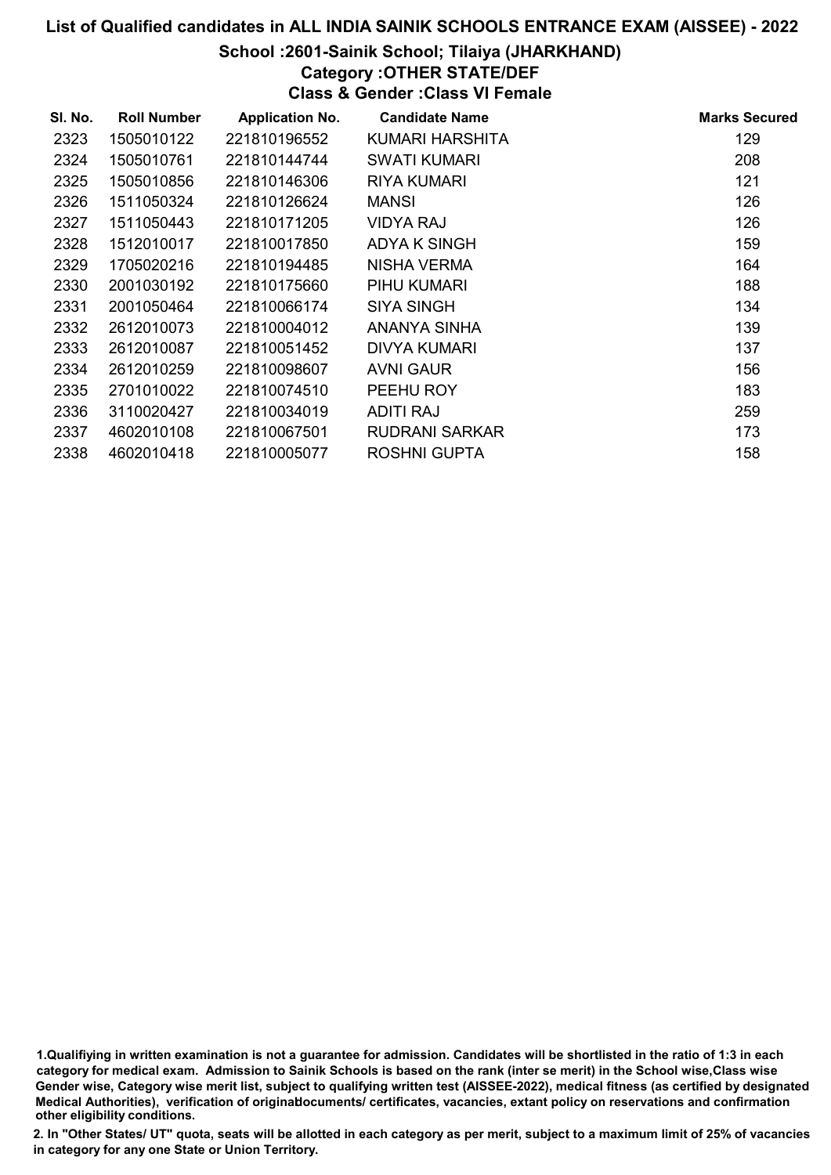## School :2601-Sainik School; Tilaiya (JHARKHAND)

# Category :OTHER STATE/DEF

Class & Gender :Class VI Female

| SI. No. | <b>Roll Number</b> | <b>Application No.</b> | <b>Candidate Name</b> | <b>Marks Secured</b> |
|---------|--------------------|------------------------|-----------------------|----------------------|
| 2323    | 1505010122         | 221810196552           | KUMARI HARSHITA       | 129                  |
| 2324    | 1505010761         | 221810144744           | <b>SWATI KUMARI</b>   | 208                  |
| 2325    | 1505010856         | 221810146306           | <b>RIYA KUMARI</b>    | 121                  |
| 2326    | 1511050324         | 221810126624           | <b>MANSI</b>          | 126                  |
| 2327    | 1511050443         | 221810171205           | <b>VIDYA RAJ</b>      | 126                  |
| 2328    | 1512010017         | 221810017850           | <b>ADYA K SINGH</b>   | 159                  |
| 2329    | 1705020216         | 221810194485           | NISHA VERMA           | 164                  |
| 2330    | 2001030192         | 221810175660           | PIHU KUMARI           | 188                  |
| 2331    | 2001050464         | 221810066174           | SIYA SINGH            | 134                  |
| 2332    | 2612010073         | 221810004012           | ANANYA SINHA          | 139                  |
| 2333    | 2612010087         | 221810051452           | <b>DIVYA KUMARI</b>   | 137                  |
| 2334    | 2612010259         | 221810098607           | AVNI GAUR             | 156                  |
| 2335    | 2701010022         | 221810074510           | PEEHU ROY             | 183                  |
| 2336    | 3110020427         | 221810034019           | <b>ADITI RAJ</b>      | 259                  |
| 2337    | 4602010108         | 221810067501           | RUDRANI SARKAR        | 173                  |
| 2338    | 4602010418         | 221810005077           | <b>ROSHNI GUPTA</b>   | 158                  |

1.Qualifiying in written examination is not a guarantee for admission. Candidates will be shortlisted in the ratio of 1:3 in each category for medical exam. Admission to Sainik Schools is based on the rank (inter se merit) in the School wise,Class wise Gender wise, Category wise merit list, subject to qualifying written test (AISSEE-2022), medical fitness (as certified by designated Medical Authorities), verification of originablocuments/ certificates, vacancies, extant policy on reservations and confirmation other eligibility conditions.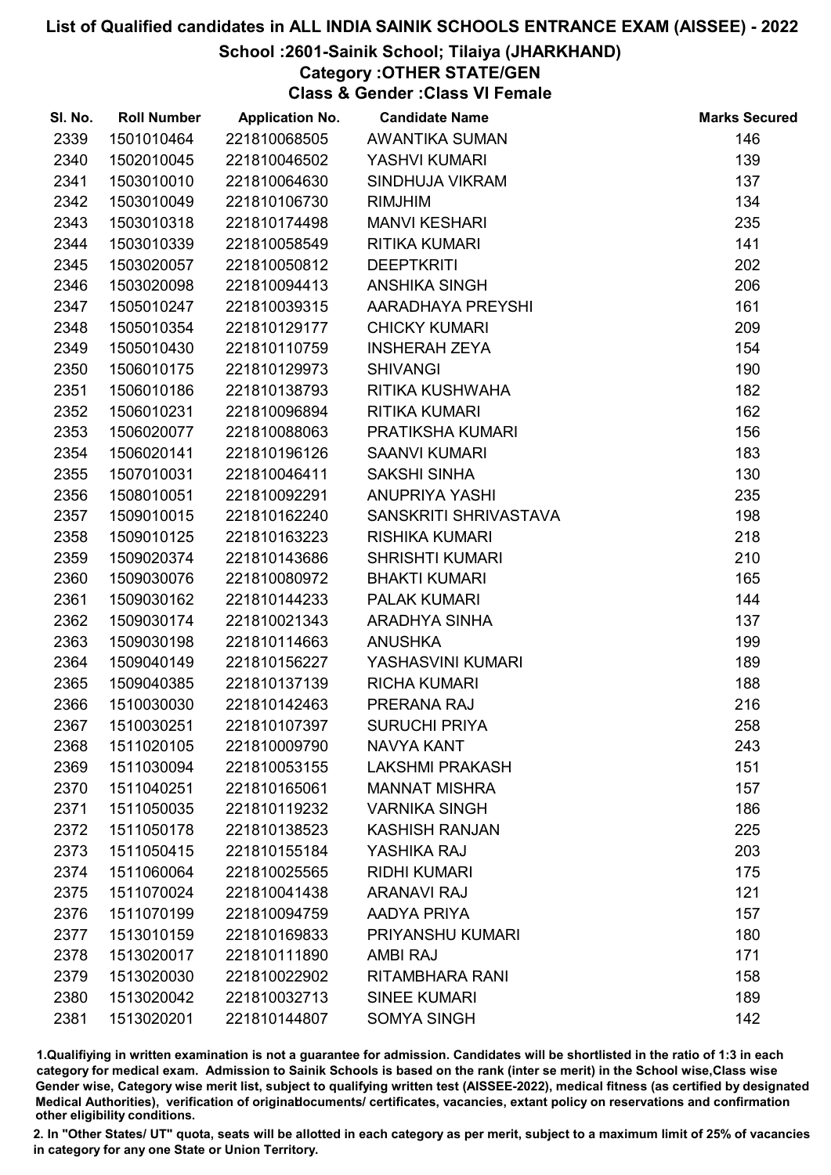### School :2601-Sainik School; Tilaiya (JHARKHAND)

# Category :OTHER STATE/GEN

Class & Gender :Class VI Female

| SI. No. | <b>Roll Number</b> | <b>Application No.</b> | <b>Candidate Name</b>  | <b>Marks Secured</b> |
|---------|--------------------|------------------------|------------------------|----------------------|
| 2339    | 1501010464         | 221810068505           | <b>AWANTIKA SUMAN</b>  | 146                  |
| 2340    | 1502010045         | 221810046502           | YASHVI KUMARI          | 139                  |
| 2341    | 1503010010         | 221810064630           | SINDHUJA VIKRAM        | 137                  |
| 2342    | 1503010049         | 221810106730           | <b>RIMJHIM</b>         | 134                  |
| 2343    | 1503010318         | 221810174498           | <b>MANVI KESHARI</b>   | 235                  |
| 2344    | 1503010339         | 221810058549           | <b>RITIKA KUMARI</b>   | 141                  |
| 2345    | 1503020057         | 221810050812           | <b>DEEPTKRITI</b>      | 202                  |
| 2346    | 1503020098         | 221810094413           | <b>ANSHIKA SINGH</b>   | 206                  |
| 2347    | 1505010247         | 221810039315           | AARADHAYA PREYSHI      | 161                  |
| 2348    | 1505010354         | 221810129177           | <b>CHICKY KUMARI</b>   | 209                  |
| 2349    | 1505010430         | 221810110759           | <b>INSHERAH ZEYA</b>   | 154                  |
| 2350    | 1506010175         | 221810129973           | <b>SHIVANGI</b>        | 190                  |
| 2351    | 1506010186         | 221810138793           | RITIKA KUSHWAHA        | 182                  |
| 2352    | 1506010231         | 221810096894           | <b>RITIKA KUMARI</b>   | 162                  |
| 2353    | 1506020077         | 221810088063           | PRATIKSHA KUMARI       | 156                  |
| 2354    | 1506020141         | 221810196126           | <b>SAANVI KUMARI</b>   | 183                  |
| 2355    | 1507010031         | 221810046411           | SAKSHI SINHA           | 130                  |
| 2356    | 1508010051         | 221810092291           | <b>ANUPRIYA YASHI</b>  | 235                  |
| 2357    | 1509010015         | 221810162240           | SANSKRITI SHRIVASTAVA  | 198                  |
| 2358    | 1509010125         | 221810163223           | <b>RISHIKA KUMARI</b>  | 218                  |
| 2359    | 1509020374         | 221810143686           | <b>SHRISHTI KUMARI</b> | 210                  |
| 2360    | 1509030076         | 221810080972           | <b>BHAKTI KUMARI</b>   | 165                  |
| 2361    | 1509030162         | 221810144233           | <b>PALAK KUMARI</b>    | 144                  |
| 2362    | 1509030174         | 221810021343           | ARADHYA SINHA          | 137                  |
| 2363    | 1509030198         | 221810114663           | <b>ANUSHKA</b>         | 199                  |
| 2364    | 1509040149         | 221810156227           | YASHASVINI KUMARI      | 189                  |
| 2365    | 1509040385         | 221810137139           | <b>RICHA KUMARI</b>    | 188                  |
| 2366    | 1510030030         | 221810142463           | PRERANA RAJ            | 216                  |
| 2367    | 1510030251         | 221810107397           | <b>SURUCHI PRIYA</b>   | 258                  |
| 2368    | 1511020105         | 221810009790           | <b>NAVYA KANT</b>      | 243                  |
| 2369    | 1511030094         | 221810053155           | <b>LAKSHMI PRAKASH</b> | 151                  |
| 2370    | 1511040251         | 221810165061           | <b>MANNAT MISHRA</b>   | 157                  |
| 2371    | 1511050035         | 221810119232           | <b>VARNIKA SINGH</b>   | 186                  |
| 2372    | 1511050178         | 221810138523           | <b>KASHISH RANJAN</b>  | 225                  |
| 2373    | 1511050415         | 221810155184           | YASHIKA RAJ            | 203                  |
| 2374    | 1511060064         | 221810025565           | <b>RIDHI KUMARI</b>    | 175                  |
| 2375    | 1511070024         | 221810041438           | <b>ARANAVI RAJ</b>     | 121                  |
| 2376    | 1511070199         | 221810094759           | AADYA PRIYA            | 157                  |
| 2377    | 1513010159         | 221810169833           | PRIYANSHU KUMARI       | 180                  |
| 2378    | 1513020017         | 221810111890           | <b>AMBI RAJ</b>        | 171                  |
| 2379    | 1513020030         | 221810022902           | RITAMBHARA RANI        | 158                  |
| 2380    | 1513020042         | 221810032713           | <b>SINEE KUMARI</b>    | 189                  |
| 2381    | 1513020201         | 221810144807           | <b>SOMYA SINGH</b>     | 142                  |

1.Qualifiying in written examination is not a guarantee for admission. Candidates will be shortlisted in the ratio of 1:3 in each category for medical exam. Admission to Sainik Schools is based on the rank (inter se merit) in the School wise,Class wise Gender wise, Category wise merit list, subject to qualifying written test (AISSEE-2022), medical fitness (as certified by designated Medical Authorities), verification of originablocuments/ certificates, vacancies, extant policy on reservations and confirmation other eligibility conditions.